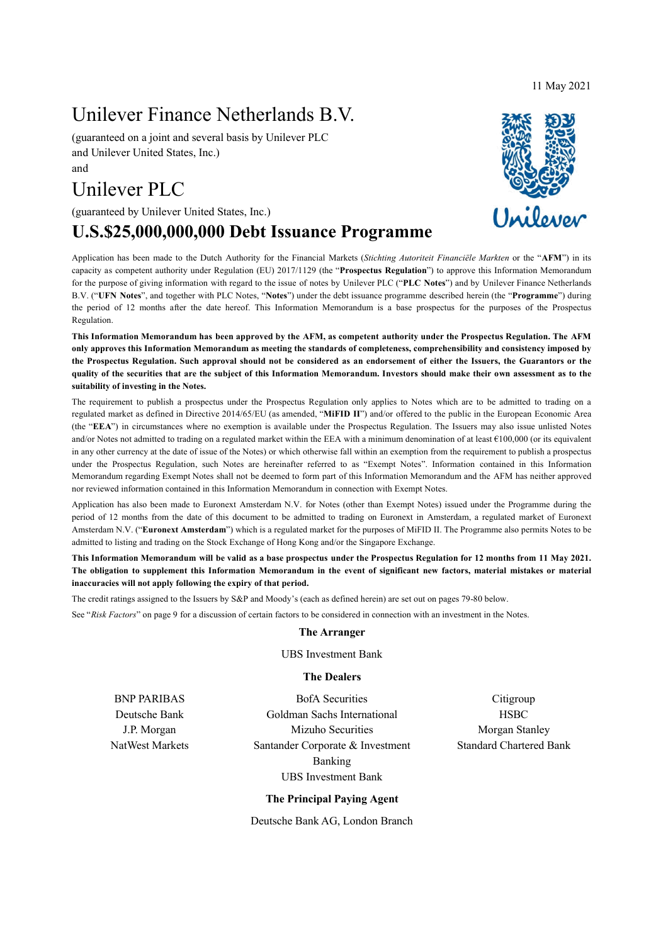11 May 2021

# Unilever Finance Netherlands B.V.

(guaranteed on a joint and several basis by Unilever PLC and Unilever United States, Inc.) and

# Unilever PLC

(guaranteed by Unilever United States, Inc.)

# **U.S.\$25,000,000,000 Debt Issuance Programme**

Application has been made to the Dutch Authority for the Financial Markets (*Stichting Autoriteit Financiële Markten* or the "**AFM**") in its capacity as competent authority under Regulation (EU) 2017/1129 (the "**Prospectus Regulation**") to approve this Information Memorandum for the purpose of giving information with regard to the issue of notes by Unilever PLC ("**PLC Notes**") and by Unilever Finance Netherlands B.V. ("**UFN Notes**", and together with PLC Notes, "**Notes**") under the debt issuance programme described herein (the "**Programme**") during the period of 12 months after the date hereof. This Information Memorandum is a base prospectus for the purposes of the Prospectus Regulation.

**This Information Memorandum has been approved by the AFM, as competent authority under the Prospectus Regulation. The AFM only approves this Information Memorandum as meeting the standards of completeness, comprehensibility and consistency imposed by the Prospectus Regulation. Such approval should not be considered as an endorsement of either the Issuers, the Guarantors or the quality of the securities that are the subject of this Information Memorandum. Investors should make their own assessment as to the suitability of investing in the Notes.** 

The requirement to publish a prospectus under the Prospectus Regulation only applies to Notes which are to be admitted to trading on a regulated market as defined in Directive 2014/65/EU (as amended, "**MiFID II**") and/or offered to the public in the European Economic Area (the "**EEA**") in circumstances where no exemption is available under the Prospectus Regulation. The Issuers may also issue unlisted Notes and/or Notes not admitted to trading on a regulated market within the EEA with a minimum denomination of at least €100,000 (or its equivalent in any other currency at the date of issue of the Notes) or which otherwise fall within an exemption from the requirement to publish a prospectus under the Prospectus Regulation, such Notes are hereinafter referred to as "Exempt Notes". Information contained in this Information Memorandum regarding Exempt Notes shall not be deemed to form part of this Information Memorandum and the AFM has neither approved nor reviewed information contained in this Information Memorandum in connection with Exempt Notes.

Application has also been made to Euronext Amsterdam N.V. for Notes (other than Exempt Notes) issued under the Programme during the period of 12 months from the date of this document to be admitted to trading on Euronext in Amsterdam, a regulated market of Euronext Amsterdam N.V. ("**Euronext Amsterdam**") which is a regulated market for the purposes of MiFID II. The Programme also permits Notes to be admitted to listing and trading on the Stock Exchange of Hong Kong and/or the Singapore Exchange.

**This Information Memorandum will be valid as a base prospectus under the Prospectus Regulation for 12 months from 11 May 2021. The obligation to supplement this Information Memorandum in the event of significant new factors, material mistakes or material inaccuracies will not apply following the expiry of that period.**

The credit ratings assigned to the Issuers by S&P and Moody's (each as defined herein) are set out on pages 79-80 below.

See "*Risk Factors*" on page 9 for a discussion of certain factors to be considered in connection with an investment in the Notes.

#### **The Arranger**

UBS Investment Bank

#### **The Dealers**

BNP PARIBAS Deutsche Bank J.P. Morgan NatWest Markets

BofA Securities Goldman Sachs International Mizuho Securities Santander Corporate & Investment Banking UBS Investment Bank

Citigroup **HSBC** Morgan Stanley Standard Chartered Bank

#### **The Principal Paying Agent**

Deutsche Bank AG, London Branch

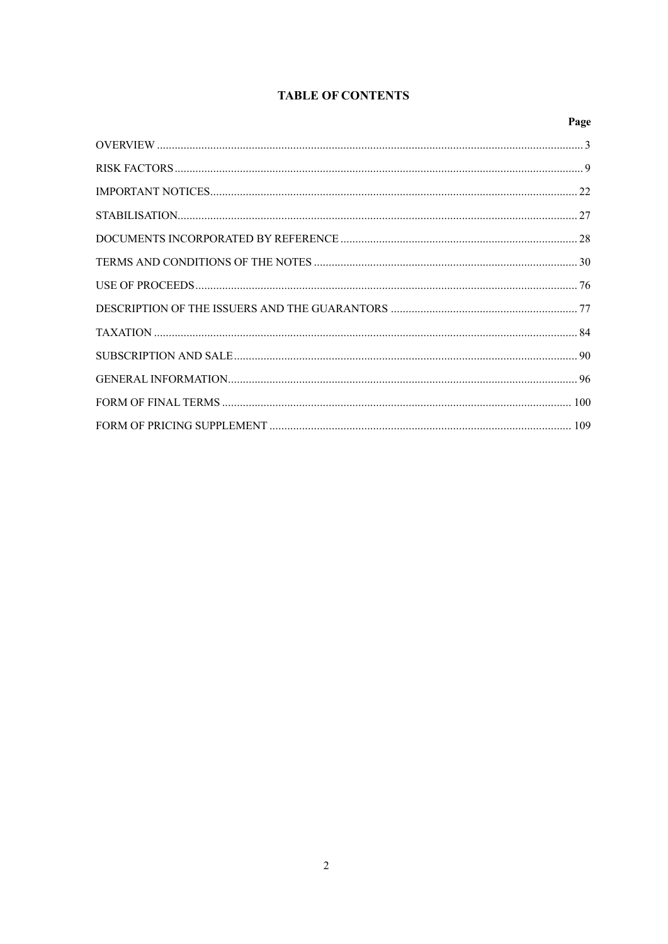# **TABLE OF CONTENTS**

# Page RISK FACTORS 9 FORM OF PRICING SUPPLEMENT 109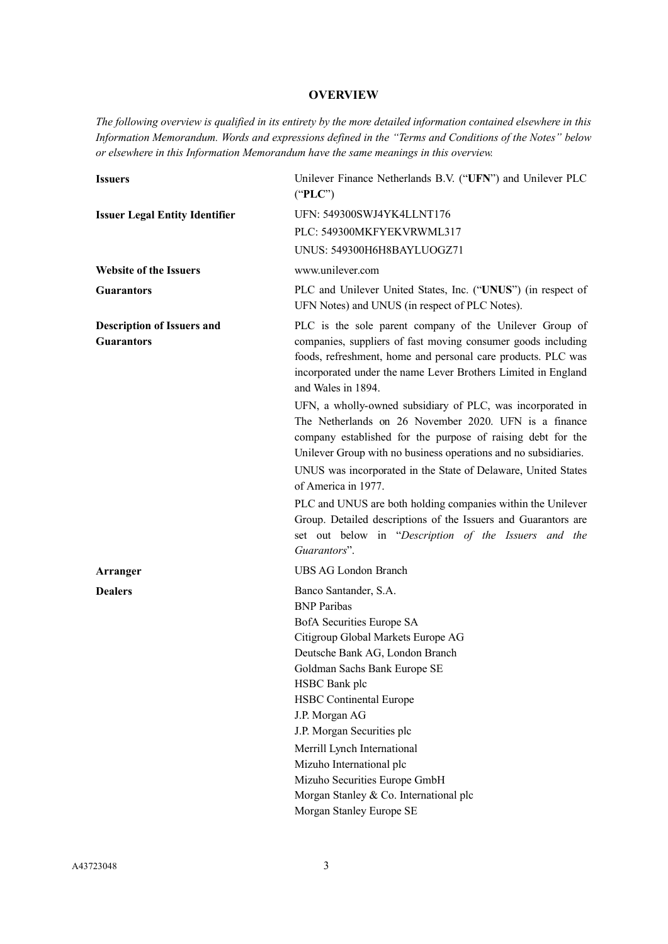# **OVERVIEW**

<span id="page-2-0"></span>*The following overview is qualified in its entirety by the more detailed information contained elsewhere in this Information Memorandum. Words and expressions defined in the "Terms and Conditions of the Notes" below or elsewhere in this Information Memorandum have the same meanings in this overview.*

| <b>Issuers</b>                                         | Unilever Finance Netherlands B.V. ("UFN") and Unilever PLC<br>("PLC")                                                                                                                                                                                                                                                                                                                                                                                                                                                                                  |
|--------------------------------------------------------|--------------------------------------------------------------------------------------------------------------------------------------------------------------------------------------------------------------------------------------------------------------------------------------------------------------------------------------------------------------------------------------------------------------------------------------------------------------------------------------------------------------------------------------------------------|
| <b>Issuer Legal Entity Identifier</b>                  | UFN: 549300SWJ4YK4LLNT176                                                                                                                                                                                                                                                                                                                                                                                                                                                                                                                              |
|                                                        | PLC: 549300MKFYEKVRWML317                                                                                                                                                                                                                                                                                                                                                                                                                                                                                                                              |
|                                                        | UNUS: 549300H6H8BAYLUOGZ71                                                                                                                                                                                                                                                                                                                                                                                                                                                                                                                             |
| <b>Website of the Issuers</b>                          | www.unilever.com                                                                                                                                                                                                                                                                                                                                                                                                                                                                                                                                       |
| <b>Guarantors</b>                                      | PLC and Unilever United States, Inc. ("UNUS") (in respect of<br>UFN Notes) and UNUS (in respect of PLC Notes).                                                                                                                                                                                                                                                                                                                                                                                                                                         |
| <b>Description of Issuers and</b><br><b>Guarantors</b> | PLC is the sole parent company of the Unilever Group of<br>companies, suppliers of fast moving consumer goods including<br>foods, refreshment, home and personal care products. PLC was<br>incorporated under the name Lever Brothers Limited in England<br>and Wales in 1894.                                                                                                                                                                                                                                                                         |
|                                                        | UFN, a wholly-owned subsidiary of PLC, was incorporated in<br>The Netherlands on 26 November 2020. UFN is a finance<br>company established for the purpose of raising debt for the<br>Unilever Group with no business operations and no subsidiaries.<br>UNUS was incorporated in the State of Delaware, United States<br>of America in 1977.<br>PLC and UNUS are both holding companies within the Unilever<br>Group. Detailed descriptions of the Issuers and Guarantors are<br>set out below in "Description of the Issuers and the<br>Guarantors". |
| Arranger                                               | <b>UBS AG London Branch</b>                                                                                                                                                                                                                                                                                                                                                                                                                                                                                                                            |
| <b>Dealers</b>                                         | Banco Santander, S.A.<br><b>BNP</b> Paribas<br>BofA Securities Europe SA<br>Citigroup Global Markets Europe AG<br>Deutsche Bank AG, London Branch<br>Goldman Sachs Bank Europe SE<br>HSBC Bank plc<br><b>HSBC</b> Continental Europe<br>J.P. Morgan AG<br>J.P. Morgan Securities plc<br>Merrill Lynch International<br>Mizuho International plc<br>Mizuho Securities Europe GmbH<br>Morgan Stanley & Co. International plc<br>Morgan Stanley Europe SE                                                                                                 |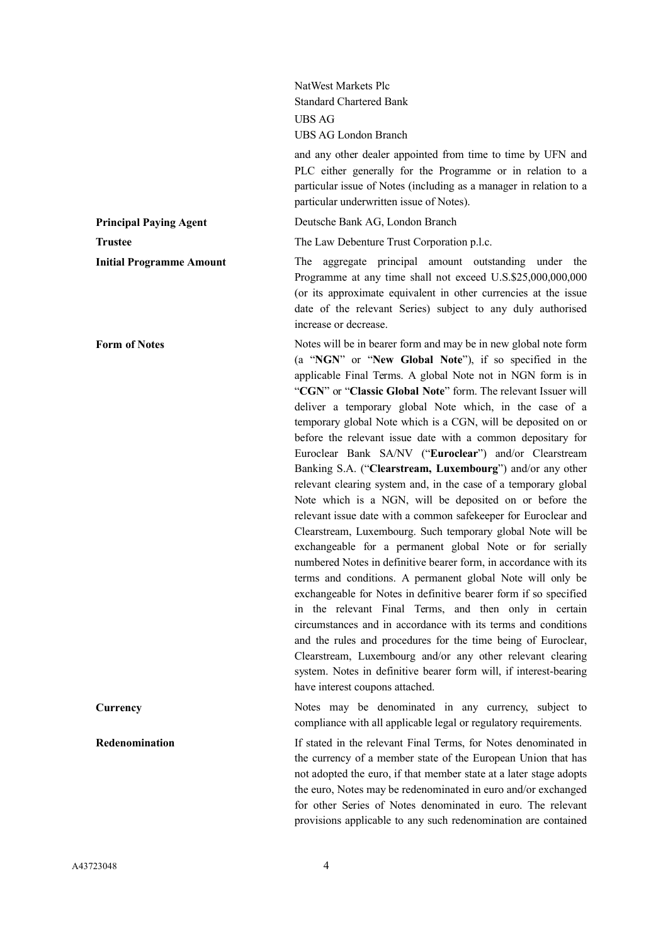|                                 | NatWest Markets Plc<br><b>Standard Chartered Bank</b><br><b>UBS AG</b><br>UBS AG London Branch<br>and any other dealer appointed from time to time by UFN and<br>PLC either generally for the Programme or in relation to a<br>particular issue of Notes (including as a manager in relation to a<br>particular underwritten issue of Notes).                                                                                                                                                                                                                                                                                                                                                                                                                                                                                                                                                                                                                                                                                                                                                                                                                                                                                                                                                                                                                                                                                                                                |
|---------------------------------|------------------------------------------------------------------------------------------------------------------------------------------------------------------------------------------------------------------------------------------------------------------------------------------------------------------------------------------------------------------------------------------------------------------------------------------------------------------------------------------------------------------------------------------------------------------------------------------------------------------------------------------------------------------------------------------------------------------------------------------------------------------------------------------------------------------------------------------------------------------------------------------------------------------------------------------------------------------------------------------------------------------------------------------------------------------------------------------------------------------------------------------------------------------------------------------------------------------------------------------------------------------------------------------------------------------------------------------------------------------------------------------------------------------------------------------------------------------------------|
| <b>Principal Paying Agent</b>   | Deutsche Bank AG, London Branch                                                                                                                                                                                                                                                                                                                                                                                                                                                                                                                                                                                                                                                                                                                                                                                                                                                                                                                                                                                                                                                                                                                                                                                                                                                                                                                                                                                                                                              |
| <b>Trustee</b>                  | The Law Debenture Trust Corporation p.l.c.                                                                                                                                                                                                                                                                                                                                                                                                                                                                                                                                                                                                                                                                                                                                                                                                                                                                                                                                                                                                                                                                                                                                                                                                                                                                                                                                                                                                                                   |
| <b>Initial Programme Amount</b> | The aggregate principal amount outstanding under the<br>Programme at any time shall not exceed U.S.\$25,000,000,000<br>(or its approximate equivalent in other currencies at the issue<br>date of the relevant Series) subject to any duly authorised<br>increase or decrease.                                                                                                                                                                                                                                                                                                                                                                                                                                                                                                                                                                                                                                                                                                                                                                                                                                                                                                                                                                                                                                                                                                                                                                                               |
| <b>Form of Notes</b>            | Notes will be in bearer form and may be in new global note form<br>(a "NGN" or "New Global Note"), if so specified in the<br>applicable Final Terms. A global Note not in NGN form is in<br>"CGN" or "Classic Global Note" form. The relevant Issuer will<br>deliver a temporary global Note which, in the case of a<br>temporary global Note which is a CGN, will be deposited on or<br>before the relevant issue date with a common depositary for<br>Euroclear Bank SA/NV ("Euroclear") and/or Clearstream<br>Banking S.A. ("Clearstream, Luxembourg") and/or any other<br>relevant clearing system and, in the case of a temporary global<br>Note which is a NGN, will be deposited on or before the<br>relevant issue date with a common safekeeper for Euroclear and<br>Clearstream, Luxembourg. Such temporary global Note will be<br>exchangeable for a permanent global Note or for serially<br>numbered Notes in definitive bearer form, in accordance with its<br>terms and conditions. A permanent global Note will only be<br>exchangeable for Notes in definitive bearer form if so specified<br>in the relevant Final Terms, and then only in certain<br>circumstances and in accordance with its terms and conditions<br>and the rules and procedures for the time being of Euroclear,<br>Clearstream, Luxembourg and/or any other relevant clearing<br>system. Notes in definitive bearer form will, if interest-bearing<br>have interest coupons attached. |
| Currency                        | Notes may be denominated in any currency, subject to<br>compliance with all applicable legal or regulatory requirements.                                                                                                                                                                                                                                                                                                                                                                                                                                                                                                                                                                                                                                                                                                                                                                                                                                                                                                                                                                                                                                                                                                                                                                                                                                                                                                                                                     |
| Redenomination                  | If stated in the relevant Final Terms, for Notes denominated in<br>the currency of a member state of the European Union that has<br>not adopted the euro, if that member state at a later stage adopts<br>the euro, Notes may be redenominated in euro and/or exchanged<br>for other Series of Notes denominated in euro. The relevant<br>provisions applicable to any such redenomination are contained                                                                                                                                                                                                                                                                                                                                                                                                                                                                                                                                                                                                                                                                                                                                                                                                                                                                                                                                                                                                                                                                     |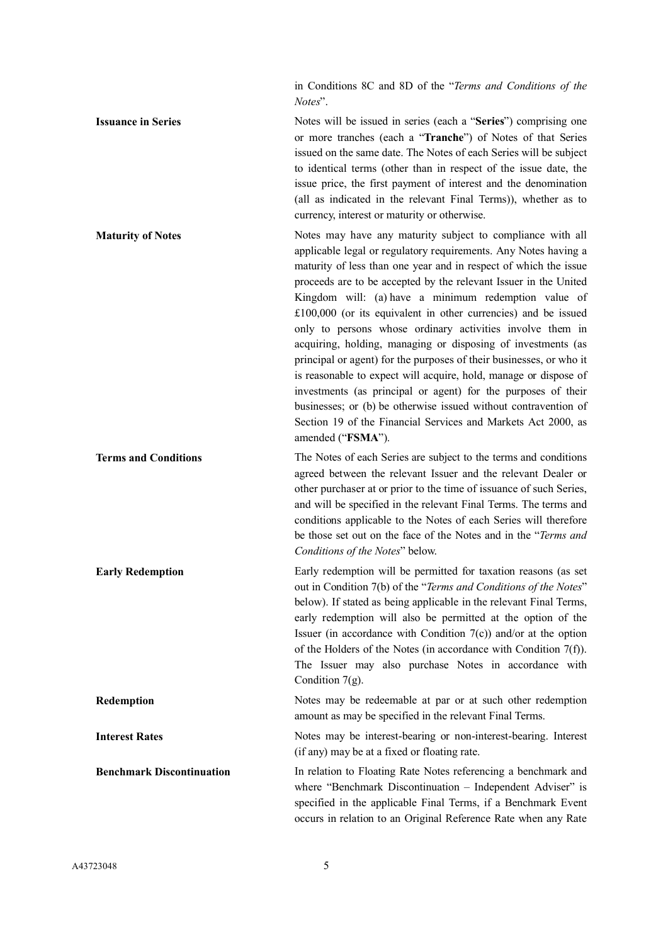in Conditions 8C and 8D of the "*Terms and Conditions of the Notes*".

**Issuance in Series** Notes will be issued in series (each a "**Series**") comprising one or more tranches (each a "**Tranche**") of Notes of that Series issued on the same date. The Notes of each Series will be subject to identical terms (other than in respect of the issue date, the issue price, the first payment of interest and the denomination (all as indicated in the relevant Final Terms)), whether as to currency, interest or maturity or otherwise. **Maturity of Notes Notes** Notes may have any maturity subject to compliance with all

applicable legal or regulatory requirements. Any Notes having a maturity of less than one year and in respect of which the issue proceeds are to be accepted by the relevant Issuer in the United Kingdom will: (a) have a minimum redemption value of £100,000 (or its equivalent in other currencies) and be issued only to persons whose ordinary activities involve them in acquiring, holding, managing or disposing of investments (as principal or agent) for the purposes of their businesses, or who it is reasonable to expect will acquire, hold, manage or dispose of investments (as principal or agent) for the purposes of their businesses; or (b) be otherwise issued without contravention of Section 19 of the Financial Services and Markets Act 2000, as amended ("**FSMA**").

Terms and Conditions The Notes of each Series are subject to the terms and conditions agreed between the relevant Issuer and the relevant Dealer or other purchaser at or prior to the time of issuance of such Series, and will be specified in the relevant Final Terms. The terms and conditions applicable to the Notes of each Series will therefore be those set out on the face of the Notes and in the "*Terms and Conditions of the Notes*" below.

**Early Redemption** Early redemption will be permitted for taxation reasons (as set out in Condition 7(b) of the "*Terms and Conditions of the Notes*" below). If stated as being applicable in the relevant Final Terms, early redemption will also be permitted at the option of the Issuer (in accordance with Condition  $7(c)$ ) and/or at the option of the Holders of the Notes (in accordance with Condition 7(f)). The Issuer may also purchase Notes in accordance with Condition 7(g).

**Redemption** Notes may be redeemable at par or at such other redemption amount as may be specified in the relevant Final Terms.

**Interest Rates** Notes may be interest-bearing or non-interest-bearing. Interest (if any) may be at a fixed or floating rate.

**Benchmark Discontinuation** In relation to Floating Rate Notes referencing a benchmark and where "Benchmark Discontinuation – Independent Adviser" is specified in the applicable Final Terms, if a Benchmark Event occurs in relation to an Original Reference Rate when any Rate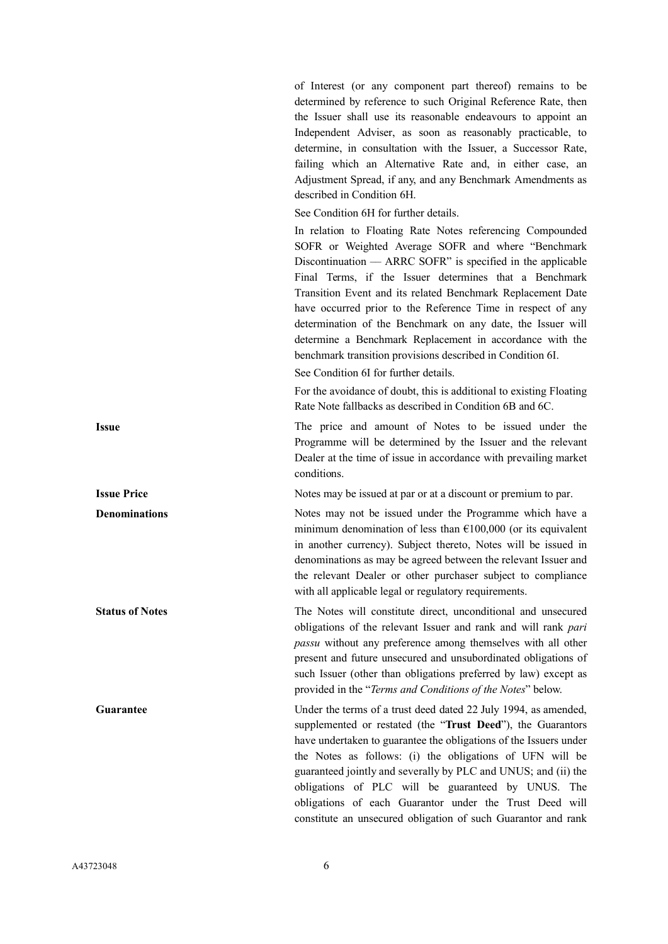of Interest (or any component part thereof) remains to be determined by reference to such Original Reference Rate, then the Issuer shall use its reasonable endeavours to appoint an Independent Adviser, as soon as reasonably practicable, to determine, in consultation with the Issuer, a Successor Rate, failing which an Alternative Rate and, in either case, an Adjustment Spread, if any, and any Benchmark Amendments as described in Condition 6H.

See Condition 6H for further details.

In relation to Floating Rate Notes referencing Compounded SOFR or Weighted Average SOFR and where "Benchmark Discontinuation –– ARRC SOFR" is specified in the applicable Final Terms, if the Issuer determines that a Benchmark Transition Event and its related Benchmark Replacement Date have occurred prior to the Reference Time in respect of any determination of the Benchmark on any date, the Issuer will determine a Benchmark Replacement in accordance with the benchmark transition provisions described in Condition 6I.

See Condition 6I for further details.

For the avoidance of doubt, this is additional to existing Floating Rate Note fallbacks as described in Condition 6B and 6C.

**Issue** The price and amount of Notes to be issued under the Programme will be determined by the Issuer and the relevant Dealer at the time of issue in accordance with prevailing market conditions.

**Issue Price** Notes may be issued at par or at a discount or premium to par.

**Denominations** Notes may not be issued under the Programme which have a minimum denomination of less than  $£100,000$  (or its equivalent in another currency). Subject thereto, Notes will be issued in denominations as may be agreed between the relevant Issuer and the relevant Dealer or other purchaser subject to compliance with all applicable legal or regulatory requirements.

**Status of Notes** The Notes will constitute direct, unconditional and unsecured obligations of the relevant Issuer and rank and will rank *pari passu* without any preference among themselves with all other present and future unsecured and unsubordinated obligations of such Issuer (other than obligations preferred by law) except as provided in the "*Terms and Conditions of the Notes*" below.

**Guarantee** The Under the terms of a trust deed dated 22 July 1994, as amended, supplemented or restated (the "**Trust Deed**"), the Guarantors have undertaken to guarantee the obligations of the Issuers under the Notes as follows: (i) the obligations of UFN will be guaranteed jointly and severally by PLC and UNUS; and (ii) the obligations of PLC will be guaranteed by UNUS. The obligations of each Guarantor under the Trust Deed will constitute an unsecured obligation of such Guarantor and rank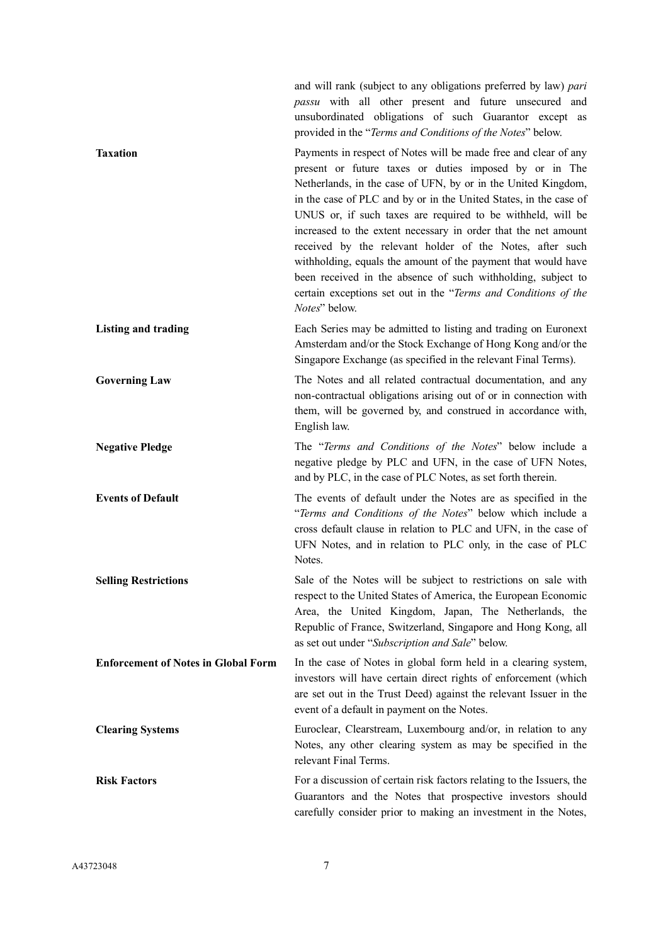|                                            | and will rank (subject to any obligations preferred by law) pari<br>passu with all other present and future unsecured and<br>unsubordinated obligations of such Guarantor except as<br>provided in the "Terms and Conditions of the Notes" below.                                                                                                                                                                                                                                                                                                                                                                                                                                |
|--------------------------------------------|----------------------------------------------------------------------------------------------------------------------------------------------------------------------------------------------------------------------------------------------------------------------------------------------------------------------------------------------------------------------------------------------------------------------------------------------------------------------------------------------------------------------------------------------------------------------------------------------------------------------------------------------------------------------------------|
| <b>Taxation</b>                            | Payments in respect of Notes will be made free and clear of any<br>present or future taxes or duties imposed by or in The<br>Netherlands, in the case of UFN, by or in the United Kingdom,<br>in the case of PLC and by or in the United States, in the case of<br>UNUS or, if such taxes are required to be withheld, will be<br>increased to the extent necessary in order that the net amount<br>received by the relevant holder of the Notes, after such<br>withholding, equals the amount of the payment that would have<br>been received in the absence of such withholding, subject to<br>certain exceptions set out in the "Terms and Conditions of the<br>Notes" below. |
| <b>Listing and trading</b>                 | Each Series may be admitted to listing and trading on Euronext<br>Amsterdam and/or the Stock Exchange of Hong Kong and/or the<br>Singapore Exchange (as specified in the relevant Final Terms).                                                                                                                                                                                                                                                                                                                                                                                                                                                                                  |
| <b>Governing Law</b>                       | The Notes and all related contractual documentation, and any<br>non-contractual obligations arising out of or in connection with<br>them, will be governed by, and construed in accordance with,<br>English law.                                                                                                                                                                                                                                                                                                                                                                                                                                                                 |
| <b>Negative Pledge</b>                     | The "Terms and Conditions of the Notes" below include a<br>negative pledge by PLC and UFN, in the case of UFN Notes,<br>and by PLC, in the case of PLC Notes, as set forth therein.                                                                                                                                                                                                                                                                                                                                                                                                                                                                                              |
| <b>Events of Default</b>                   | The events of default under the Notes are as specified in the<br>"Terms and Conditions of the Notes" below which include a<br>cross default clause in relation to PLC and UFN, in the case of<br>UFN Notes, and in relation to PLC only, in the case of PLC<br>Notes.                                                                                                                                                                                                                                                                                                                                                                                                            |
| <b>Selling Restrictions</b>                | Sale of the Notes will be subject to restrictions on sale with<br>respect to the United States of America, the European Economic<br>Area, the United Kingdom, Japan, The Netherlands, the<br>Republic of France, Switzerland, Singapore and Hong Kong, all<br>as set out under "Subscription and Sale" below.                                                                                                                                                                                                                                                                                                                                                                    |
| <b>Enforcement of Notes in Global Form</b> | In the case of Notes in global form held in a clearing system,<br>investors will have certain direct rights of enforcement (which<br>are set out in the Trust Deed) against the relevant Issuer in the<br>event of a default in payment on the Notes.                                                                                                                                                                                                                                                                                                                                                                                                                            |
| <b>Clearing Systems</b>                    | Euroclear, Clearstream, Luxembourg and/or, in relation to any<br>Notes, any other clearing system as may be specified in the<br>relevant Final Terms.                                                                                                                                                                                                                                                                                                                                                                                                                                                                                                                            |
| <b>Risk Factors</b>                        | For a discussion of certain risk factors relating to the Issuers, the<br>Guarantors and the Notes that prospective investors should<br>carefully consider prior to making an investment in the Notes,                                                                                                                                                                                                                                                                                                                                                                                                                                                                            |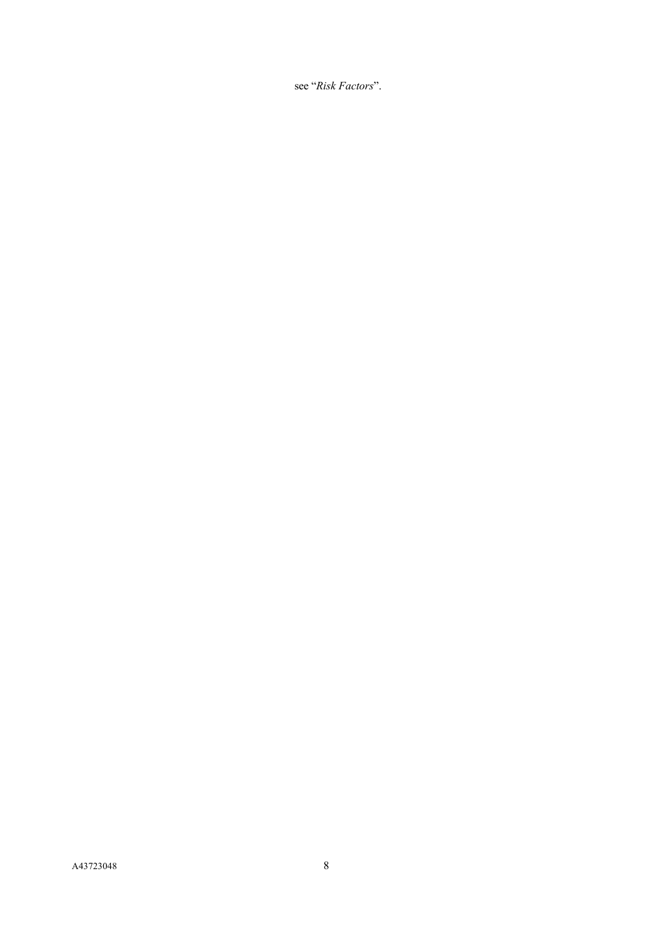see "*Risk Factors*".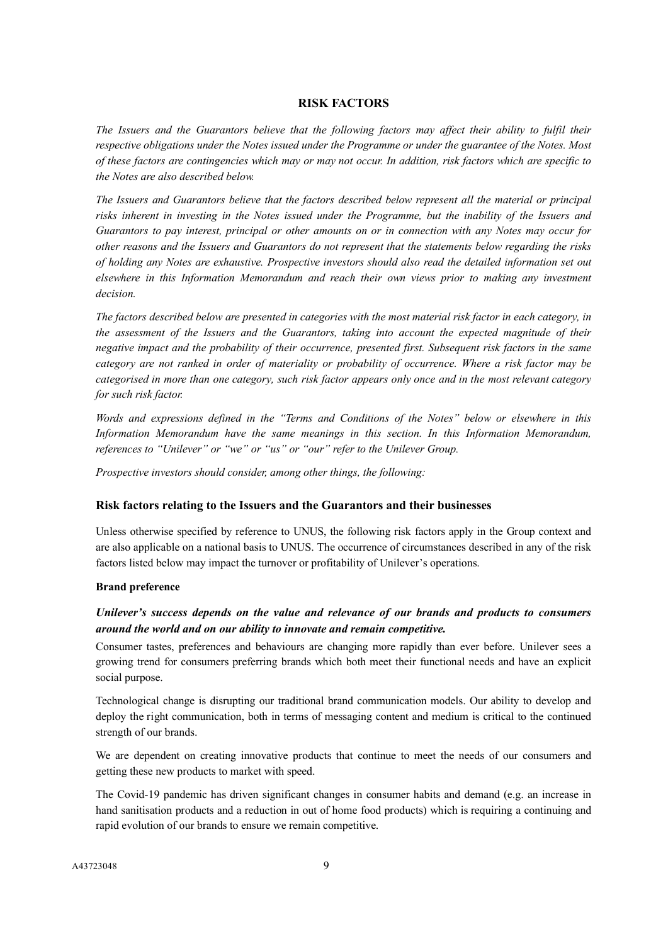## **RISK FACTORS**

<span id="page-8-0"></span>*The Issuers and the Guarantors believe that the following factors may affect their ability to fulfil their respective obligations under the Notes issued under the Programme or under the guarantee of the Notes. Most of these factors are contingencies which may or may not occur. In addition, risk factors which are specific to the Notes are also described below.*

*The Issuers and Guarantors believe that the factors described below represent all the material or principal risks inherent in investing in the Notes issued under the Programme, but the inability of the Issuers and Guarantors to pay interest, principal or other amounts on or in connection with any Notes may occur for other reasons and the Issuers and Guarantors do not represent that the statements below regarding the risks of holding any Notes are exhaustive. Prospective investors should also read the detailed information set out elsewhere in this Information Memorandum and reach their own views prior to making any investment decision.*

*The factors described below are presented in categories with the most material risk factor in each category, in the assessment of the Issuers and the Guarantors, taking into account the expected magnitude of their negative impact and the probability of their occurrence, presented first. Subsequent risk factors in the same category are not ranked in order of materiality or probability of occurrence. Where a risk factor may be categorised in more than one category, such risk factor appears only once and in the most relevant category for such risk factor.* 

*Words and expressions defined in the "Terms and Conditions of the Notes" below or elsewhere in this Information Memorandum have the same meanings in this section. In this Information Memorandum, references to "Unilever" or "we" or "us" or "our" refer to the Unilever Group.*

*Prospective investors should consider, among other things, the following:*

## **Risk factors relating to the Issuers and the Guarantors and their businesses**

Unless otherwise specified by reference to UNUS, the following risk factors apply in the Group context and are also applicable on a national basis to UNUS. The occurrence of circumstances described in any of the risk factors listed below may impact the turnover or profitability of Unilever's operations.

## **Brand preference**

# *Unilever's success depends on the value and relevance of our brands and products to consumers around the world and on our ability to innovate and remain competitive.*

Consumer tastes, preferences and behaviours are changing more rapidly than ever before. Unilever sees a growing trend for consumers preferring brands which both meet their functional needs and have an explicit social purpose.

Technological change is disrupting our traditional brand communication models. Our ability to develop and deploy the right communication, both in terms of messaging content and medium is critical to the continued strength of our brands.

We are dependent on creating innovative products that continue to meet the needs of our consumers and getting these new products to market with speed.

The Covid-19 pandemic has driven significant changes in consumer habits and demand (e.g. an increase in hand sanitisation products and a reduction in out of home food products) which is requiring a continuing and rapid evolution of our brands to ensure we remain competitive.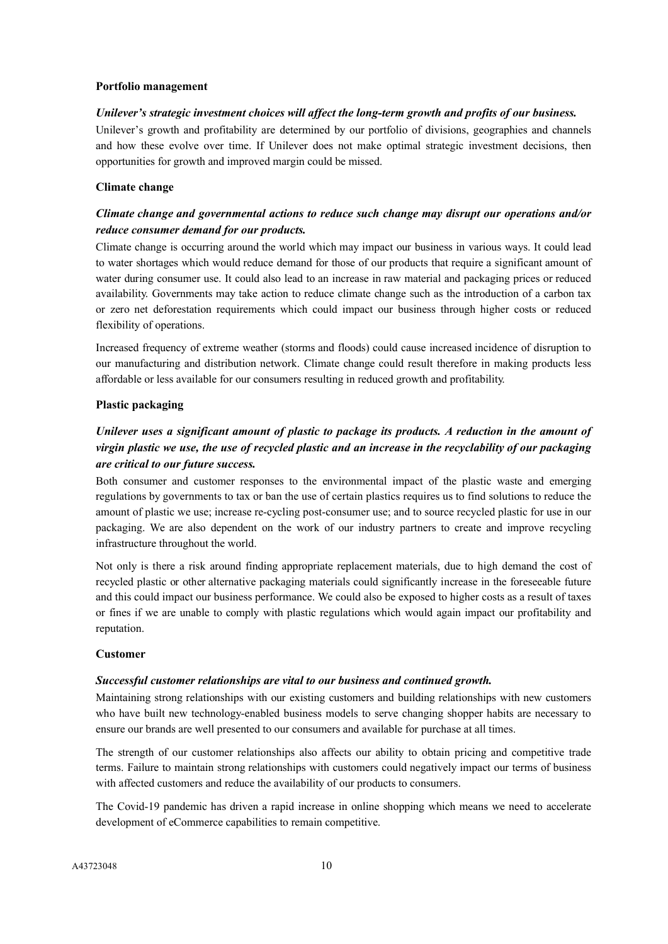#### **Portfolio management**

#### *Unilever's strategic investment choices will affect the long-term growth and profits of our business.*

Unilever's growth and profitability are determined by our portfolio of divisions, geographies and channels and how these evolve over time. If Unilever does not make optimal strategic investment decisions, then opportunities for growth and improved margin could be missed.

#### **Climate change**

# *Climate change and governmental actions to reduce such change may disrupt our operations and/or reduce consumer demand for our products.*

Climate change is occurring around the world which may impact our business in various ways. It could lead to water shortages which would reduce demand for those of our products that require a significant amount of water during consumer use. It could also lead to an increase in raw material and packaging prices or reduced availability. Governments may take action to reduce climate change such as the introduction of a carbon tax or zero net deforestation requirements which could impact our business through higher costs or reduced flexibility of operations.

Increased frequency of extreme weather (storms and floods) could cause increased incidence of disruption to our manufacturing and distribution network. Climate change could result therefore in making products less affordable or less available for our consumers resulting in reduced growth and profitability.

#### **Plastic packaging**

# *Unilever uses a significant amount of plastic to package its products. A reduction in the amount of virgin plastic we use, the use of recycled plastic and an increase in the recyclability of our packaging are critical to our future success.*

Both consumer and customer responses to the environmental impact of the plastic waste and emerging regulations by governments to tax or ban the use of certain plastics requires us to find solutions to reduce the amount of plastic we use; increase re-cycling post-consumer use; and to source recycled plastic for use in our packaging. We are also dependent on the work of our industry partners to create and improve recycling infrastructure throughout the world.

Not only is there a risk around finding appropriate replacement materials, due to high demand the cost of recycled plastic or other alternative packaging materials could significantly increase in the foreseeable future and this could impact our business performance. We could also be exposed to higher costs as a result of taxes or fines if we are unable to comply with plastic regulations which would again impact our profitability and reputation.

## **Customer**

#### *Successful customer relationships are vital to our business and continued growth.*

Maintaining strong relationships with our existing customers and building relationships with new customers who have built new technology-enabled business models to serve changing shopper habits are necessary to ensure our brands are well presented to our consumers and available for purchase at all times.

The strength of our customer relationships also affects our ability to obtain pricing and competitive trade terms. Failure to maintain strong relationships with customers could negatively impact our terms of business with affected customers and reduce the availability of our products to consumers.

The Covid-19 pandemic has driven a rapid increase in online shopping which means we need to accelerate development of eCommerce capabilities to remain competitive.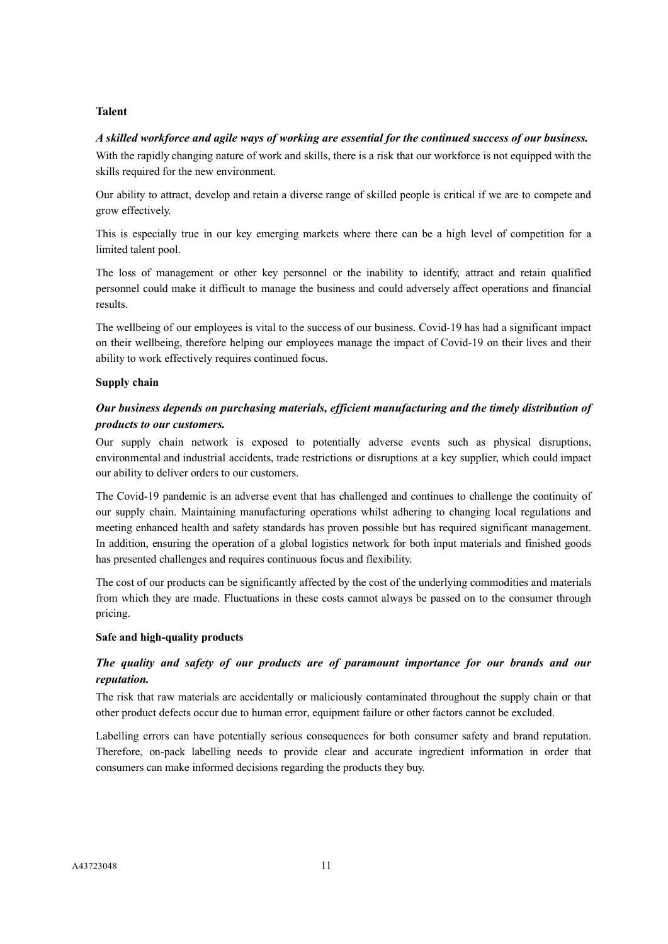# **Talent**

## *A skilled workforce and agile ways of working are essential for the continued success of our business.*

With the rapidly changing nature of work and skills, there is a risk that our workforce is not equipped with the skills required for the new environment.

Our ability to attract, develop and retain a diverse range of skilled people is critical if we are to compete and grow effectively.

This is especially true in our key emerging markets where there can be a high level of competition for a limited talent pool.

The loss of management or other key personnel or the inability to identify, attract and retain qualified personnel could make it difficult to manage the business and could adversely affect operations and financial results.

The wellbeing of our employees is vital to the success of our business. Covid-19 has had a significant impact on their wellbeing, therefore helping our employees manage the impact of Covid-19 on their lives and their ability to work effectively requires continued focus.

# **Supply chain**

# *Our business depends on purchasing materials, efficient manufacturing and the timely distribution of products to our customers.*

Our supply chain network is exposed to potentially adverse events such as physical disruptions, environmental and industrial accidents, trade restrictions or disruptions at a key supplier, which could impact our ability to deliver orders to our customers.

The Covid-19 pandemic is an adverse event that has challenged and continues to challenge the continuity of our supply chain. Maintaining manufacturing operations whilst adhering to changing local regulations and meeting enhanced health and safety standards has proven possible but has required significant management. In addition, ensuring the operation of a global logistics network for both input materials and finished goods has presented challenges and requires continuous focus and flexibility.

The cost of our products can be significantly affected by the cost of the underlying commodities and materials from which they are made. Fluctuations in these costs cannot always be passed on to the consumer through pricing.

## **Safe and high-quality products**

# *The quality and safety of our products are of paramount importance for our brands and our reputation.*

The risk that raw materials are accidentally or maliciously contaminated throughout the supply chain or that other product defects occur due to human error, equipment failure or other factors cannot be excluded.

Labelling errors can have potentially serious consequences for both consumer safety and brand reputation. Therefore, on-pack labelling needs to provide clear and accurate ingredient information in order that consumers can make informed decisions regarding the products they buy.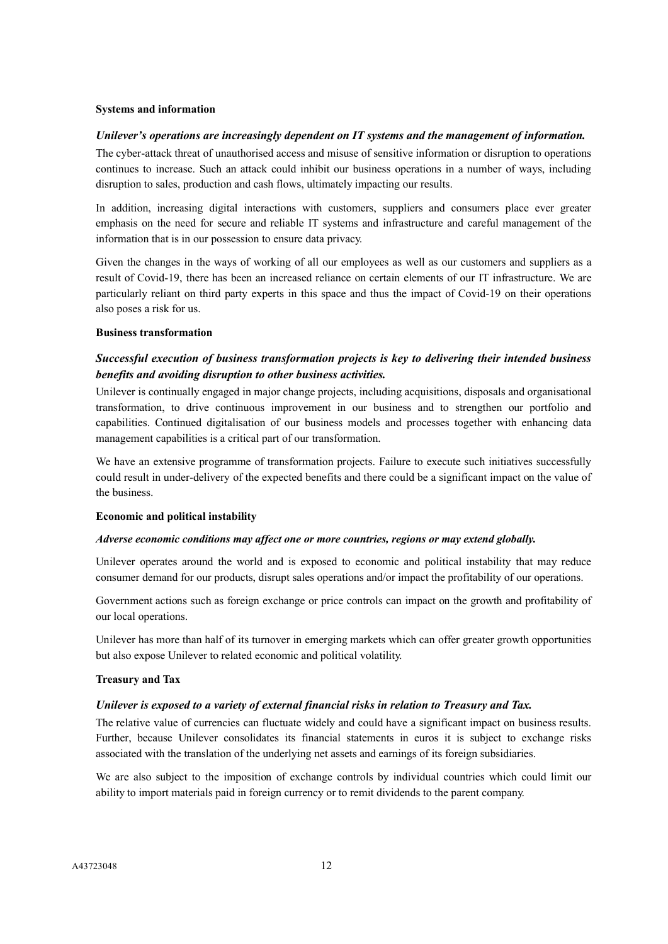#### **Systems and information**

#### *Unilever's operations are increasingly dependent on IT systems and the management of information.*

The cyber-attack threat of unauthorised access and misuse of sensitive information or disruption to operations continues to increase. Such an attack could inhibit our business operations in a number of ways, including disruption to sales, production and cash flows, ultimately impacting our results.

In addition, increasing digital interactions with customers, suppliers and consumers place ever greater emphasis on the need for secure and reliable IT systems and infrastructure and careful management of the information that is in our possession to ensure data privacy.

Given the changes in the ways of working of all our employees as well as our customers and suppliers as a result of Covid-19, there has been an increased reliance on certain elements of our IT infrastructure. We are particularly reliant on third party experts in this space and thus the impact of Covid-19 on their operations also poses a risk for us.

#### **Business transformation**

# *Successful execution of business transformation projects is key to delivering their intended business benefits and avoiding disruption to other business activities.*

Unilever is continually engaged in major change projects, including acquisitions, disposals and organisational transformation, to drive continuous improvement in our business and to strengthen our portfolio and capabilities. Continued digitalisation of our business models and processes together with enhancing data management capabilities is a critical part of our transformation.

We have an extensive programme of transformation projects. Failure to execute such initiatives successfully could result in under-delivery of the expected benefits and there could be a significant impact on the value of the business.

#### **Economic and political instability**

#### *Adverse economic conditions may affect one or more countries, regions or may extend globally.*

Unilever operates around the world and is exposed to economic and political instability that may reduce consumer demand for our products, disrupt sales operations and/or impact the profitability of our operations.

Government actions such as foreign exchange or price controls can impact on the growth and profitability of our local operations.

Unilever has more than half of its turnover in emerging markets which can offer greater growth opportunities but also expose Unilever to related economic and political volatility.

#### **Treasury and Tax**

#### *Unilever is exposed to a variety of external financial risks in relation to Treasury and Tax.*

The relative value of currencies can fluctuate widely and could have a significant impact on business results. Further, because Unilever consolidates its financial statements in euros it is subject to exchange risks associated with the translation of the underlying net assets and earnings of its foreign subsidiaries.

We are also subject to the imposition of exchange controls by individual countries which could limit our ability to import materials paid in foreign currency or to remit dividends to the parent company.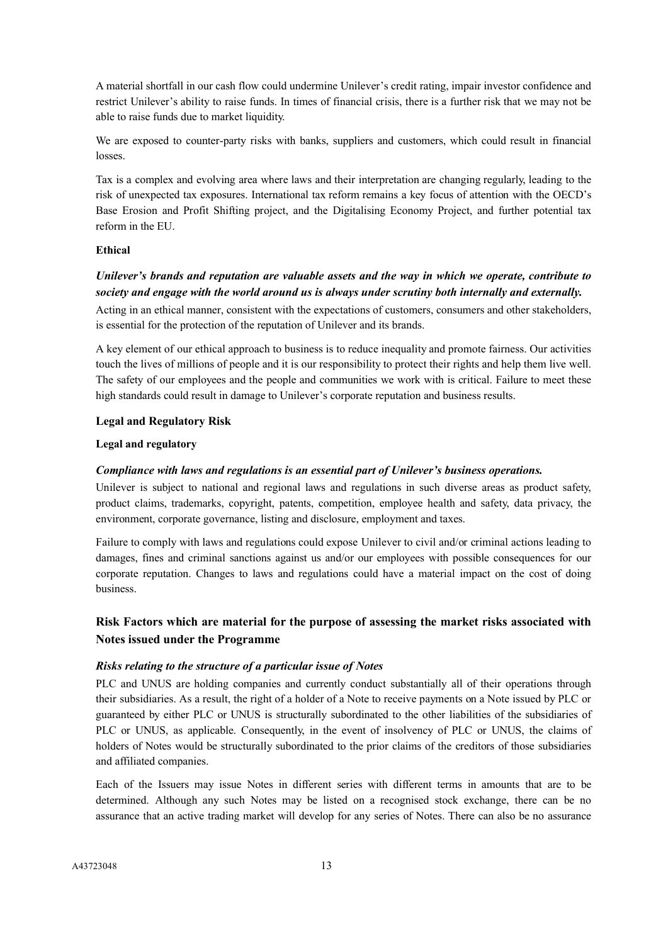A material shortfall in our cash flow could undermine Unilever's credit rating, impair investor confidence and restrict Unilever's ability to raise funds. In times of financial crisis, there is a further risk that we may not be able to raise funds due to market liquidity.

We are exposed to counter-party risks with banks, suppliers and customers, which could result in financial losses.

Tax is a complex and evolving area where laws and their interpretation are changing regularly, leading to the risk of unexpected tax exposures. International tax reform remains a key focus of attention with the OECD's Base Erosion and Profit Shifting project, and the Digitalising Economy Project, and further potential tax reform in the EU.

# **Ethical**

# *Unilever's brands and reputation are valuable assets and the way in which we operate, contribute to society and engage with the world around us is always under scrutiny both internally and externally.*

Acting in an ethical manner, consistent with the expectations of customers, consumers and other stakeholders, is essential for the protection of the reputation of Unilever and its brands.

A key element of our ethical approach to business is to reduce inequality and promote fairness. Our activities touch the lives of millions of people and it is our responsibility to protect their rights and help them live well. The safety of our employees and the people and communities we work with is critical. Failure to meet these high standards could result in damage to Unilever's corporate reputation and business results.

# **Legal and Regulatory Risk**

# **Legal and regulatory**

# *Compliance with laws and regulations is an essential part of Unilever's business operations.*

Unilever is subject to national and regional laws and regulations in such diverse areas as product safety, product claims, trademarks, copyright, patents, competition, employee health and safety, data privacy, the environment, corporate governance, listing and disclosure, employment and taxes.

Failure to comply with laws and regulations could expose Unilever to civil and/or criminal actions leading to damages, fines and criminal sanctions against us and/or our employees with possible consequences for our corporate reputation. Changes to laws and regulations could have a material impact on the cost of doing business.

# **Risk Factors which are material for the purpose of assessing the market risks associated with Notes issued under the Programme**

# *Risks relating to the structure of a particular issue of Notes*

PLC and UNUS are holding companies and currently conduct substantially all of their operations through their subsidiaries. As a result, the right of a holder of a Note to receive payments on a Note issued by PLC or guaranteed by either PLC or UNUS is structurally subordinated to the other liabilities of the subsidiaries of PLC or UNUS, as applicable. Consequently, in the event of insolvency of PLC or UNUS, the claims of holders of Notes would be structurally subordinated to the prior claims of the creditors of those subsidiaries and affiliated companies.

Each of the Issuers may issue Notes in different series with different terms in amounts that are to be determined. Although any such Notes may be listed on a recognised stock exchange, there can be no assurance that an active trading market will develop for any series of Notes. There can also be no assurance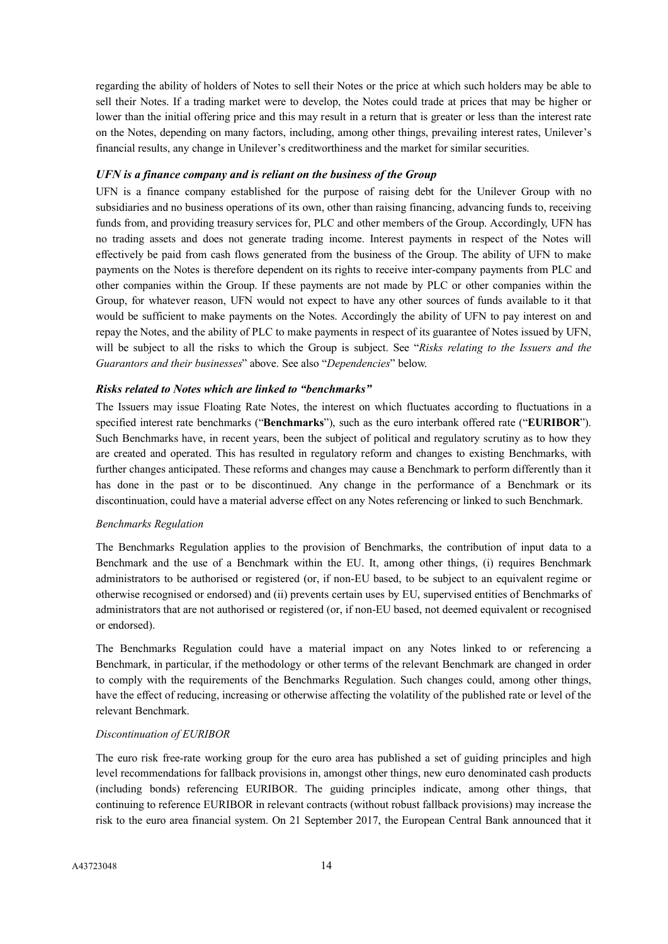regarding the ability of holders of Notes to sell their Notes or the price at which such holders may be able to sell their Notes. If a trading market were to develop, the Notes could trade at prices that may be higher or lower than the initial offering price and this may result in a return that is greater or less than the interest rate on the Notes, depending on many factors, including, among other things, prevailing interest rates, Unilever's financial results, any change in Unilever's creditworthiness and the market for similar securities.

### *UFN is a finance company and is reliant on the business of the Group*

UFN is a finance company established for the purpose of raising debt for the Unilever Group with no subsidiaries and no business operations of its own, other than raising financing, advancing funds to, receiving funds from, and providing treasury services for, PLC and other members of the Group. Accordingly, UFN has no trading assets and does not generate trading income. Interest payments in respect of the Notes will effectively be paid from cash flows generated from the business of the Group. The ability of UFN to make payments on the Notes is therefore dependent on its rights to receive inter-company payments from PLC and other companies within the Group. If these payments are not made by PLC or other companies within the Group, for whatever reason, UFN would not expect to have any other sources of funds available to it that would be sufficient to make payments on the Notes. Accordingly the ability of UFN to pay interest on and repay the Notes, and the ability of PLC to make payments in respect of its guarantee of Notes issued by UFN, will be subject to all the risks to which the Group is subject. See "*Risks relating to the Issuers and the Guarantors and their businesses*" above. See also "*Dependencies*" below.

#### *Risks related to Notes which are linked to "benchmarks"*

The Issuers may issue Floating Rate Notes, the interest on which fluctuates according to fluctuations in a specified interest rate benchmarks ("**Benchmarks**"), such as the euro interbank offered rate ("**EURIBOR**"). Such Benchmarks have, in recent years, been the subject of political and regulatory scrutiny as to how they are created and operated. This has resulted in regulatory reform and changes to existing Benchmarks, with further changes anticipated. These reforms and changes may cause a Benchmark to perform differently than it has done in the past or to be discontinued. Any change in the performance of a Benchmark or its discontinuation, could have a material adverse effect on any Notes referencing or linked to such Benchmark.

#### *Benchmarks Regulation*

The Benchmarks Regulation applies to the provision of Benchmarks, the contribution of input data to a Benchmark and the use of a Benchmark within the EU. It, among other things, (i) requires Benchmark administrators to be authorised or registered (or, if non-EU based, to be subject to an equivalent regime or otherwise recognised or endorsed) and (ii) prevents certain uses by EU, supervised entities of Benchmarks of administrators that are not authorised or registered (or, if non-EU based, not deemed equivalent or recognised or endorsed).

The Benchmarks Regulation could have a material impact on any Notes linked to or referencing a Benchmark, in particular, if the methodology or other terms of the relevant Benchmark are changed in order to comply with the requirements of the Benchmarks Regulation. Such changes could, among other things, have the effect of reducing, increasing or otherwise affecting the volatility of the published rate or level of the relevant Benchmark.

#### *Discontinuation of EURIBOR*

The euro risk free-rate working group for the euro area has published a set of guiding principles and high level recommendations for fallback provisions in, amongst other things, new euro denominated cash products (including bonds) referencing EURIBOR. The guiding principles indicate, among other things, that continuing to reference EURIBOR in relevant contracts (without robust fallback provisions) may increase the risk to the euro area financial system. On 21 September 2017, the European Central Bank announced that it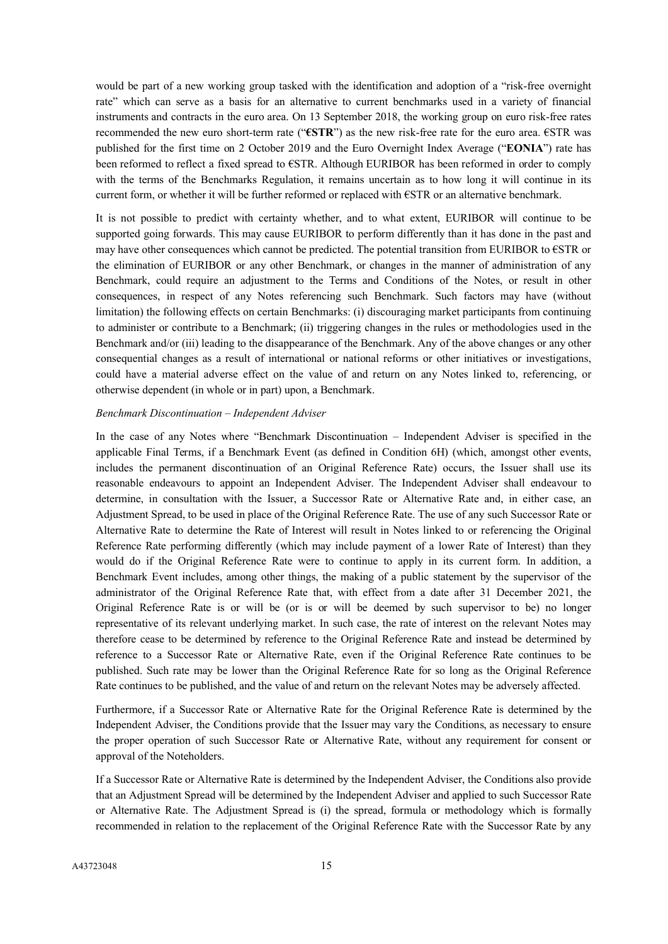would be part of a new working group tasked with the identification and adoption of a "risk-free overnight rate" which can serve as a basis for an alternative to current benchmarks used in a variety of financial instruments and contracts in the euro area. On 13 September 2018, the working group on euro risk-free rates recommended the new euro short-term rate ("**€STR**") as the new risk-free rate for the euro area. €STR was published for the first time on 2 October 2019 and the Euro Overnight Index Average ("**EONIA**") rate has been reformed to reflect a fixed spread to €STR. Although EURIBOR has been reformed in order to comply with the terms of the Benchmarks Regulation, it remains uncertain as to how long it will continue in its current form, or whether it will be further reformed or replaced with €STR or an alternative benchmark.

It is not possible to predict with certainty whether, and to what extent, EURIBOR will continue to be supported going forwards. This may cause EURIBOR to perform differently than it has done in the past and may have other consequences which cannot be predicted. The potential transition from EURIBOR to €STR or the elimination of EURIBOR or any other Benchmark, or changes in the manner of administration of any Benchmark, could require an adjustment to the Terms and Conditions of the Notes, or result in other consequences, in respect of any Notes referencing such Benchmark. Such factors may have (without limitation) the following effects on certain Benchmarks: (i) discouraging market participants from continuing to administer or contribute to a Benchmark; (ii) triggering changes in the rules or methodologies used in the Benchmark and/or (iii) leading to the disappearance of the Benchmark. Any of the above changes or any other consequential changes as a result of international or national reforms or other initiatives or investigations, could have a material adverse effect on the value of and return on any Notes linked to, referencing, or otherwise dependent (in whole or in part) upon, a Benchmark.

#### *Benchmark Discontinuation – Independent Adviser*

In the case of any Notes where "Benchmark Discontinuation – Independent Adviser is specified in the applicable Final Terms, if a Benchmark Event (as defined in Condition 6H) (which, amongst other events, includes the permanent discontinuation of an Original Reference Rate) occurs, the Issuer shall use its reasonable endeavours to appoint an Independent Adviser. The Independent Adviser shall endeavour to determine, in consultation with the Issuer, a Successor Rate or Alternative Rate and, in either case, an Adjustment Spread, to be used in place of the Original Reference Rate. The use of any such Successor Rate or Alternative Rate to determine the Rate of Interest will result in Notes linked to or referencing the Original Reference Rate performing differently (which may include payment of a lower Rate of Interest) than they would do if the Original Reference Rate were to continue to apply in its current form. In addition, a Benchmark Event includes, among other things, the making of a public statement by the supervisor of the administrator of the Original Reference Rate that, with effect from a date after 31 December 2021, the Original Reference Rate is or will be (or is or will be deemed by such supervisor to be) no longer representative of its relevant underlying market. In such case, the rate of interest on the relevant Notes may therefore cease to be determined by reference to the Original Reference Rate and instead be determined by reference to a Successor Rate or Alternative Rate, even if the Original Reference Rate continues to be published. Such rate may be lower than the Original Reference Rate for so long as the Original Reference Rate continues to be published, and the value of and return on the relevant Notes may be adversely affected.

Furthermore, if a Successor Rate or Alternative Rate for the Original Reference Rate is determined by the Independent Adviser, the Conditions provide that the Issuer may vary the Conditions, as necessary to ensure the proper operation of such Successor Rate or Alternative Rate, without any requirement for consent or approval of the Noteholders.

If a Successor Rate or Alternative Rate is determined by the Independent Adviser, the Conditions also provide that an Adjustment Spread will be determined by the Independent Adviser and applied to such Successor Rate or Alternative Rate. The Adjustment Spread is (i) the spread, formula or methodology which is formally recommended in relation to the replacement of the Original Reference Rate with the Successor Rate by any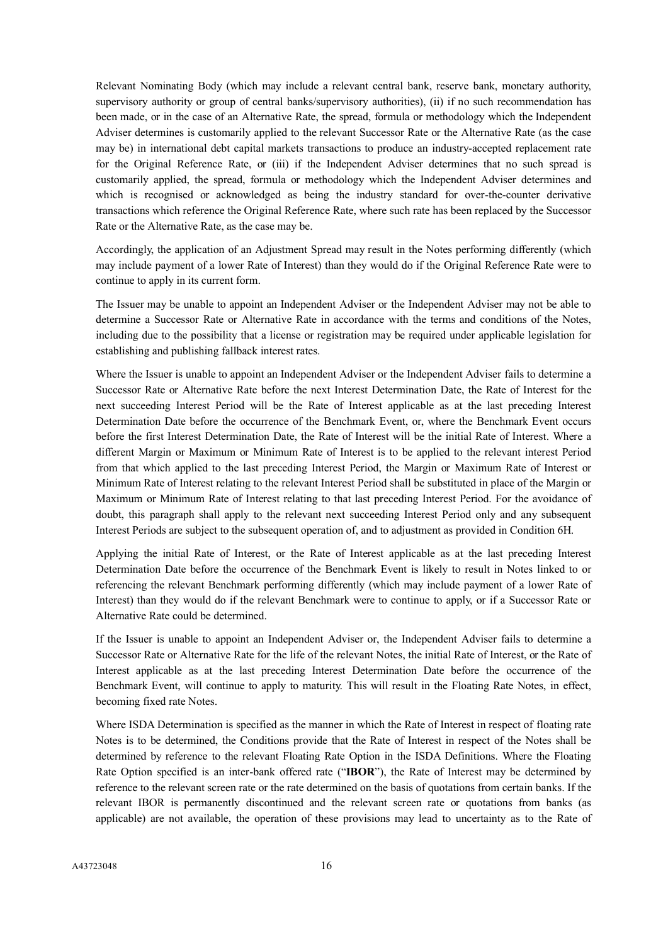Relevant Nominating Body (which may include a relevant central bank, reserve bank, monetary authority, supervisory authority or group of central banks/supervisory authorities), (ii) if no such recommendation has been made, or in the case of an Alternative Rate, the spread, formula or methodology which the Independent Adviser determines is customarily applied to the relevant Successor Rate or the Alternative Rate (as the case may be) in international debt capital markets transactions to produce an industry-accepted replacement rate for the Original Reference Rate, or (iii) if the Independent Adviser determines that no such spread is customarily applied, the spread, formula or methodology which the Independent Adviser determines and which is recognised or acknowledged as being the industry standard for over-the-counter derivative transactions which reference the Original Reference Rate, where such rate has been replaced by the Successor Rate or the Alternative Rate, as the case may be.

Accordingly, the application of an Adjustment Spread may result in the Notes performing differently (which may include payment of a lower Rate of Interest) than they would do if the Original Reference Rate were to continue to apply in its current form.

The Issuer may be unable to appoint an Independent Adviser or the Independent Adviser may not be able to determine a Successor Rate or Alternative Rate in accordance with the terms and conditions of the Notes, including due to the possibility that a license or registration may be required under applicable legislation for establishing and publishing fallback interest rates.

Where the Issuer is unable to appoint an Independent Adviser or the Independent Adviser fails to determine a Successor Rate or Alternative Rate before the next Interest Determination Date, the Rate of Interest for the next succeeding Interest Period will be the Rate of Interest applicable as at the last preceding Interest Determination Date before the occurrence of the Benchmark Event, or, where the Benchmark Event occurs before the first Interest Determination Date, the Rate of Interest will be the initial Rate of Interest. Where a different Margin or Maximum or Minimum Rate of Interest is to be applied to the relevant interest Period from that which applied to the last preceding Interest Period, the Margin or Maximum Rate of Interest or Minimum Rate of Interest relating to the relevant Interest Period shall be substituted in place of the Margin or Maximum or Minimum Rate of Interest relating to that last preceding Interest Period. For the avoidance of doubt, this paragraph shall apply to the relevant next succeeding Interest Period only and any subsequent Interest Periods are subject to the subsequent operation of, and to adjustment as provided in Condition 6H.

Applying the initial Rate of Interest, or the Rate of Interest applicable as at the last preceding Interest Determination Date before the occurrence of the Benchmark Event is likely to result in Notes linked to or referencing the relevant Benchmark performing differently (which may include payment of a lower Rate of Interest) than they would do if the relevant Benchmark were to continue to apply, or if a Successor Rate or Alternative Rate could be determined.

If the Issuer is unable to appoint an Independent Adviser or, the Independent Adviser fails to determine a Successor Rate or Alternative Rate for the life of the relevant Notes, the initial Rate of Interest, or the Rate of Interest applicable as at the last preceding Interest Determination Date before the occurrence of the Benchmark Event, will continue to apply to maturity. This will result in the Floating Rate Notes, in effect, becoming fixed rate Notes.

Where ISDA Determination is specified as the manner in which the Rate of Interest in respect of floating rate Notes is to be determined, the Conditions provide that the Rate of Interest in respect of the Notes shall be determined by reference to the relevant Floating Rate Option in the ISDA Definitions. Where the Floating Rate Option specified is an inter-bank offered rate ("**IBOR**"), the Rate of Interest may be determined by reference to the relevant screen rate or the rate determined on the basis of quotations from certain banks. If the relevant IBOR is permanently discontinued and the relevant screen rate or quotations from banks (as applicable) are not available, the operation of these provisions may lead to uncertainty as to the Rate of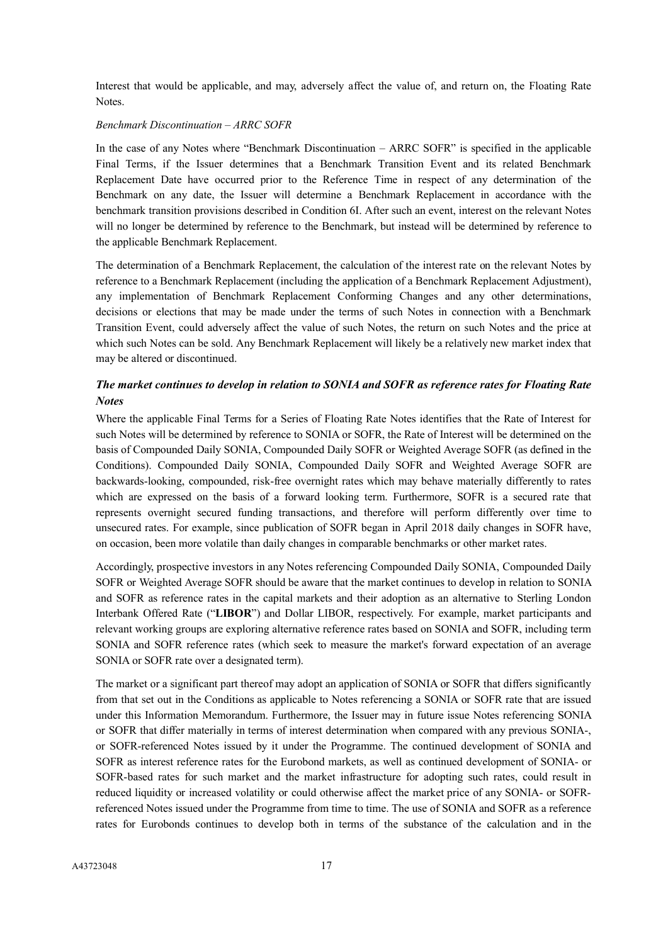Interest that would be applicable, and may, adversely affect the value of, and return on, the Floating Rate Notes.

#### *Benchmark Discontinuation – ARRC SOFR*

In the case of any Notes where "Benchmark Discontinuation – ARRC SOFR" is specified in the applicable Final Terms, if the Issuer determines that a Benchmark Transition Event and its related Benchmark Replacement Date have occurred prior to the Reference Time in respect of any determination of the Benchmark on any date, the Issuer will determine a Benchmark Replacement in accordance with the benchmark transition provisions described in Condition 6I. After such an event, interest on the relevant Notes will no longer be determined by reference to the Benchmark, but instead will be determined by reference to the applicable Benchmark Replacement.

The determination of a Benchmark Replacement, the calculation of the interest rate on the relevant Notes by reference to a Benchmark Replacement (including the application of a Benchmark Replacement Adjustment), any implementation of Benchmark Replacement Conforming Changes and any other determinations, decisions or elections that may be made under the terms of such Notes in connection with a Benchmark Transition Event, could adversely affect the value of such Notes, the return on such Notes and the price at which such Notes can be sold. Any Benchmark Replacement will likely be a relatively new market index that may be altered or discontinued.

# *The market continues to develop in relation to SONIA and SOFR as reference rates for Floating Rate Notes*

Where the applicable Final Terms for a Series of Floating Rate Notes identifies that the Rate of Interest for such Notes will be determined by reference to SONIA or SOFR, the Rate of Interest will be determined on the basis of Compounded Daily SONIA, Compounded Daily SOFR or Weighted Average SOFR (as defined in the Conditions). Compounded Daily SONIA, Compounded Daily SOFR and Weighted Average SOFR are backwards-looking, compounded, risk-free overnight rates which may behave materially differently to rates which are expressed on the basis of a forward looking term. Furthermore, SOFR is a secured rate that represents overnight secured funding transactions, and therefore will perform differently over time to unsecured rates. For example, since publication of SOFR began in April 2018 daily changes in SOFR have, on occasion, been more volatile than daily changes in comparable benchmarks or other market rates.

Accordingly, prospective investors in any Notes referencing Compounded Daily SONIA, Compounded Daily SOFR or Weighted Average SOFR should be aware that the market continues to develop in relation to SONIA and SOFR as reference rates in the capital markets and their adoption as an alternative to Sterling London Interbank Offered Rate ("**LIBOR**") and Dollar LIBOR, respectively. For example, market participants and relevant working groups are exploring alternative reference rates based on SONIA and SOFR, including term SONIA and SOFR reference rates (which seek to measure the market's forward expectation of an average SONIA or SOFR rate over a designated term).

The market or a significant part thereof may adopt an application of SONIA or SOFR that differs significantly from that set out in the Conditions as applicable to Notes referencing a SONIA or SOFR rate that are issued under this Information Memorandum. Furthermore, the Issuer may in future issue Notes referencing SONIA or SOFR that differ materially in terms of interest determination when compared with any previous SONIA-, or SOFR-referenced Notes issued by it under the Programme. The continued development of SONIA and SOFR as interest reference rates for the Eurobond markets, as well as continued development of SONIA- or SOFR-based rates for such market and the market infrastructure for adopting such rates, could result in reduced liquidity or increased volatility or could otherwise affect the market price of any SONIA- or SOFRreferenced Notes issued under the Programme from time to time. The use of SONIA and SOFR as a reference rates for Eurobonds continues to develop both in terms of the substance of the calculation and in the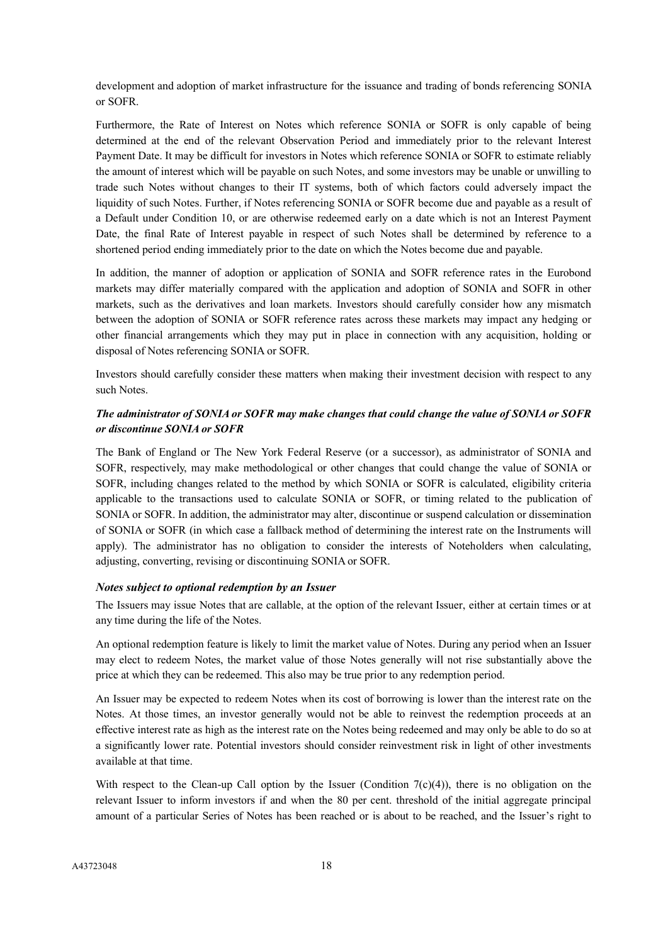development and adoption of market infrastructure for the issuance and trading of bonds referencing SONIA or SOFR.

Furthermore, the Rate of Interest on Notes which reference SONIA or SOFR is only capable of being determined at the end of the relevant Observation Period and immediately prior to the relevant Interest Payment Date. It may be difficult for investors in Notes which reference SONIA or SOFR to estimate reliably the amount of interest which will be payable on such Notes, and some investors may be unable or unwilling to trade such Notes without changes to their IT systems, both of which factors could adversely impact the liquidity of such Notes. Further, if Notes referencing SONIA or SOFR become due and payable as a result of a Default under Condition 10, or are otherwise redeemed early on a date which is not an Interest Payment Date, the final Rate of Interest payable in respect of such Notes shall be determined by reference to a shortened period ending immediately prior to the date on which the Notes become due and payable.

In addition, the manner of adoption or application of SONIA and SOFR reference rates in the Eurobond markets may differ materially compared with the application and adoption of SONIA and SOFR in other markets, such as the derivatives and loan markets. Investors should carefully consider how any mismatch between the adoption of SONIA or SOFR reference rates across these markets may impact any hedging or other financial arrangements which they may put in place in connection with any acquisition, holding or disposal of Notes referencing SONIA or SOFR.

Investors should carefully consider these matters when making their investment decision with respect to any such Notes.

# *The administrator of SONIA or SOFR may make changes that could change the value of SONIA or SOFR or discontinue SONIA or SOFR*

The Bank of England or The New York Federal Reserve (or a successor), as administrator of SONIA and SOFR, respectively, may make methodological or other changes that could change the value of SONIA or SOFR, including changes related to the method by which SONIA or SOFR is calculated, eligibility criteria applicable to the transactions used to calculate SONIA or SOFR, or timing related to the publication of SONIA or SOFR. In addition, the administrator may alter, discontinue or suspend calculation or dissemination of SONIA or SOFR (in which case a fallback method of determining the interest rate on the Instruments will apply). The administrator has no obligation to consider the interests of Noteholders when calculating, adjusting, converting, revising or discontinuing SONIA or SOFR.

## *Notes subject to optional redemption by an Issuer*

The Issuers may issue Notes that are callable, at the option of the relevant Issuer, either at certain times or at any time during the life of the Notes.

An optional redemption feature is likely to limit the market value of Notes. During any period when an Issuer may elect to redeem Notes, the market value of those Notes generally will not rise substantially above the price at which they can be redeemed. This also may be true prior to any redemption period.

An Issuer may be expected to redeem Notes when its cost of borrowing is lower than the interest rate on the Notes. At those times, an investor generally would not be able to reinvest the redemption proceeds at an effective interest rate as high as the interest rate on the Notes being redeemed and may only be able to do so at a significantly lower rate. Potential investors should consider reinvestment risk in light of other investments available at that time.

With respect to the Clean-up Call option by the Issuer (Condition  $7(c)(4)$ ), there is no obligation on the relevant Issuer to inform investors if and when the 80 per cent. threshold of the initial aggregate principal amount of a particular Series of Notes has been reached or is about to be reached, and the Issuer's right to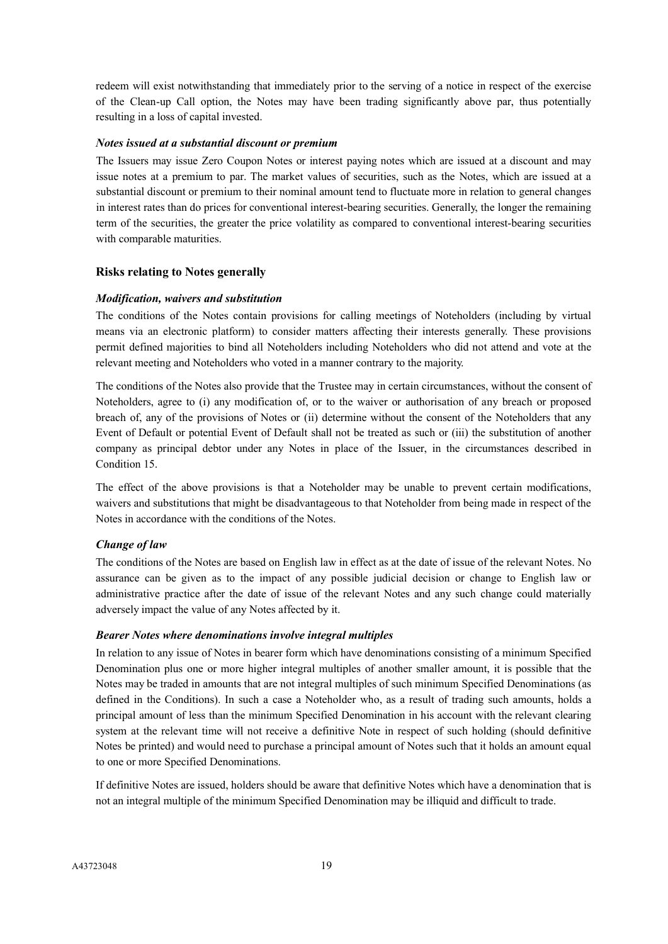redeem will exist notwithstanding that immediately prior to the serving of a notice in respect of the exercise of the Clean-up Call option, the Notes may have been trading significantly above par, thus potentially resulting in a loss of capital invested.

### *Notes issued at a substantial discount or premium*

The Issuers may issue Zero Coupon Notes or interest paying notes which are issued at a discount and may issue notes at a premium to par. The market values of securities, such as the Notes, which are issued at a substantial discount or premium to their nominal amount tend to fluctuate more in relation to general changes in interest rates than do prices for conventional interest-bearing securities. Generally, the longer the remaining term of the securities, the greater the price volatility as compared to conventional interest-bearing securities with comparable maturities.

#### **Risks relating to Notes generally**

#### *Modification, waivers and substitution*

The conditions of the Notes contain provisions for calling meetings of Noteholders (including by virtual means via an electronic platform) to consider matters affecting their interests generally. These provisions permit defined majorities to bind all Noteholders including Noteholders who did not attend and vote at the relevant meeting and Noteholders who voted in a manner contrary to the majority.

The conditions of the Notes also provide that the Trustee may in certain circumstances, without the consent of Noteholders, agree to (i) any modification of, or to the waiver or authorisation of any breach or proposed breach of, any of the provisions of Notes or (ii) determine without the consent of the Noteholders that any Event of Default or potential Event of Default shall not be treated as such or (iii) the substitution of another company as principal debtor under any Notes in place of the Issuer, in the circumstances described in Condition 15.

The effect of the above provisions is that a Noteholder may be unable to prevent certain modifications, waivers and substitutions that might be disadvantageous to that Noteholder from being made in respect of the Notes in accordance with the conditions of the Notes.

## *Change of law*

The conditions of the Notes are based on English law in effect as at the date of issue of the relevant Notes. No assurance can be given as to the impact of any possible judicial decision or change to English law or administrative practice after the date of issue of the relevant Notes and any such change could materially adversely impact the value of any Notes affected by it.

#### *Bearer Notes where denominations involve integral multiples*

In relation to any issue of Notes in bearer form which have denominations consisting of a minimum Specified Denomination plus one or more higher integral multiples of another smaller amount, it is possible that the Notes may be traded in amounts that are not integral multiples of such minimum Specified Denominations (as defined in the Conditions). In such a case a Noteholder who, as a result of trading such amounts, holds a principal amount of less than the minimum Specified Denomination in his account with the relevant clearing system at the relevant time will not receive a definitive Note in respect of such holding (should definitive Notes be printed) and would need to purchase a principal amount of Notes such that it holds an amount equal to one or more Specified Denominations.

If definitive Notes are issued, holders should be aware that definitive Notes which have a denomination that is not an integral multiple of the minimum Specified Denomination may be illiquid and difficult to trade.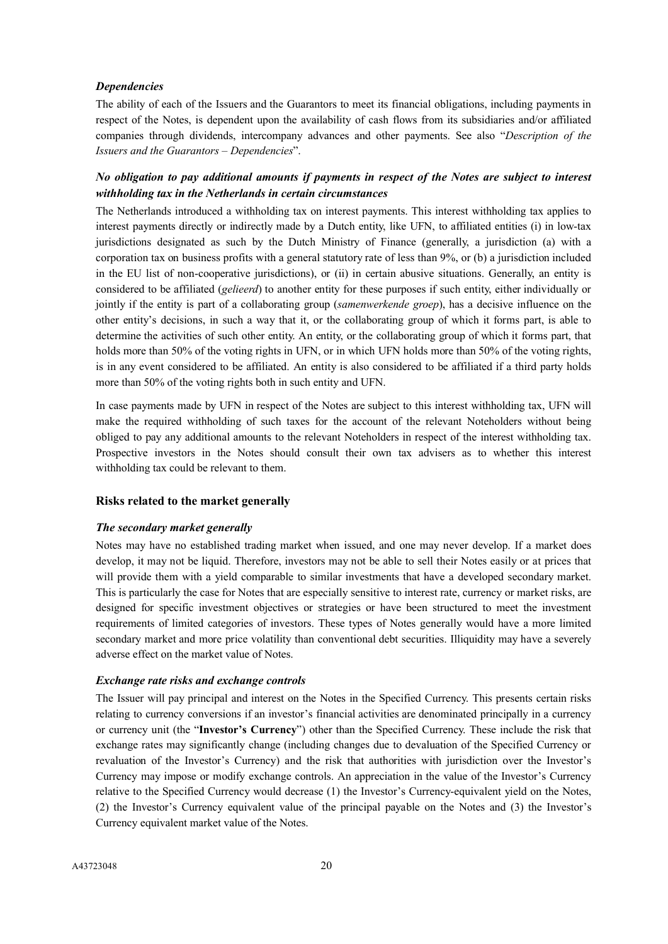#### *Dependencies*

The ability of each of the Issuers and the Guarantors to meet its financial obligations, including payments in respect of the Notes, is dependent upon the availability of cash flows from its subsidiaries and/or affiliated companies through dividends, intercompany advances and other payments. See also "*Description of the Issuers and the Guarantors – Dependencies*".

# *No obligation to pay additional amounts if payments in respect of the Notes are subject to interest withholding tax in the Netherlands in certain circumstances*

The Netherlands introduced a withholding tax on interest payments. This interest withholding tax applies to interest payments directly or indirectly made by a Dutch entity, like UFN, to affiliated entities (i) in low-tax jurisdictions designated as such by the Dutch Ministry of Finance (generally, a jurisdiction (a) with a corporation tax on business profits with a general statutory rate of less than 9%, or (b) a jurisdiction included in the EU list of non-cooperative jurisdictions), or (ii) in certain abusive situations. Generally, an entity is considered to be affiliated (*gelieerd*) to another entity for these purposes if such entity, either individually or jointly if the entity is part of a collaborating group (*samenwerkende groep*), has a decisive influence on the other entity's decisions, in such a way that it, or the collaborating group of which it forms part, is able to determine the activities of such other entity. An entity, or the collaborating group of which it forms part, that holds more than 50% of the voting rights in UFN, or in which UFN holds more than 50% of the voting rights, is in any event considered to be affiliated. An entity is also considered to be affiliated if a third party holds more than 50% of the voting rights both in such entity and UFN.

In case payments made by UFN in respect of the Notes are subject to this interest withholding tax, UFN will make the required withholding of such taxes for the account of the relevant Noteholders without being obliged to pay any additional amounts to the relevant Noteholders in respect of the interest withholding tax. Prospective investors in the Notes should consult their own tax advisers as to whether this interest withholding tax could be relevant to them.

#### **Risks related to the market generally**

#### *The secondary market generally*

Notes may have no established trading market when issued, and one may never develop. If a market does develop, it may not be liquid. Therefore, investors may not be able to sell their Notes easily or at prices that will provide them with a yield comparable to similar investments that have a developed secondary market. This is particularly the case for Notes that are especially sensitive to interest rate, currency or market risks, are designed for specific investment objectives or strategies or have been structured to meet the investment requirements of limited categories of investors. These types of Notes generally would have a more limited secondary market and more price volatility than conventional debt securities. Illiquidity may have a severely adverse effect on the market value of Notes.

## *Exchange rate risks and exchange controls*

The Issuer will pay principal and interest on the Notes in the Specified Currency. This presents certain risks relating to currency conversions if an investor's financial activities are denominated principally in a currency or currency unit (the "**Investor's Currency**") other than the Specified Currency. These include the risk that exchange rates may significantly change (including changes due to devaluation of the Specified Currency or revaluation of the Investor's Currency) and the risk that authorities with jurisdiction over the Investor's Currency may impose or modify exchange controls. An appreciation in the value of the Investor's Currency relative to the Specified Currency would decrease (1) the Investor's Currency-equivalent yield on the Notes, (2) the Investor's Currency equivalent value of the principal payable on the Notes and (3) the Investor's Currency equivalent market value of the Notes.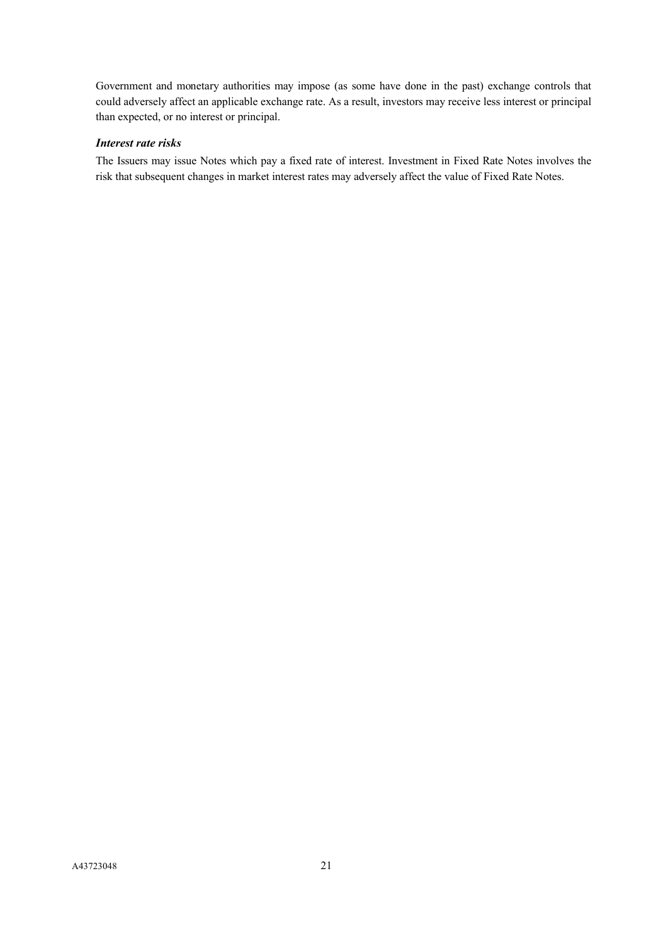Government and monetary authorities may impose (as some have done in the past) exchange controls that could adversely affect an applicable exchange rate. As a result, investors may receive less interest or principal than expected, or no interest or principal.

# *Interest rate risks*

The Issuers may issue Notes which pay a fixed rate of interest. Investment in Fixed Rate Notes involves the risk that subsequent changes in market interest rates may adversely affect the value of Fixed Rate Notes.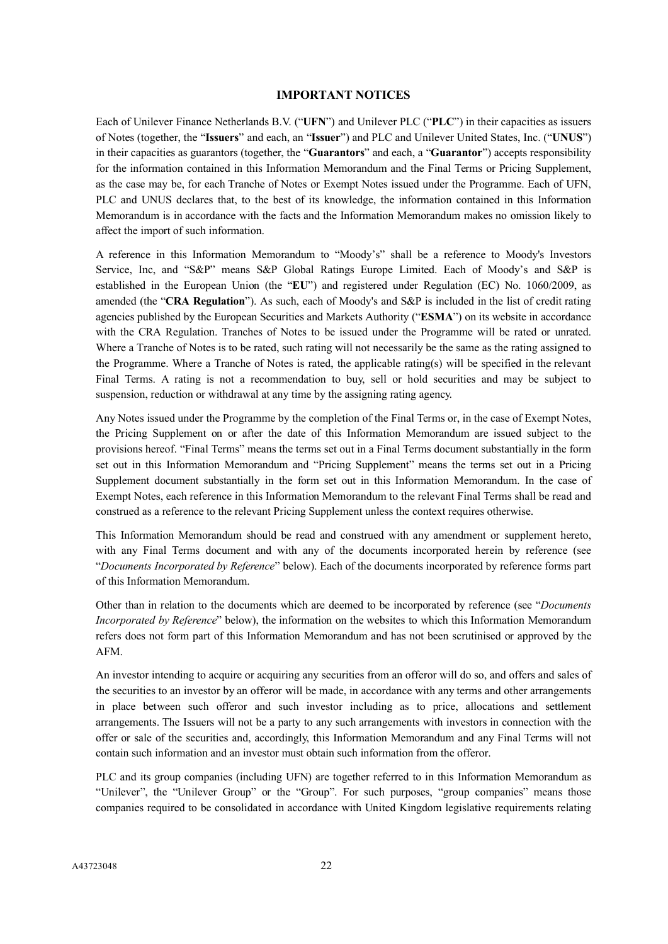#### **IMPORTANT NOTICES**

<span id="page-21-0"></span>Each of Unilever Finance Netherlands B.V. ("**UFN**") and Unilever PLC ("**PLC**") in their capacities as issuers of Notes (together, the "**Issuers**" and each, an "**Issuer**") and PLC and Unilever United States, Inc. ("**UNUS**") in their capacities as guarantors (together, the "**Guarantors**" and each, a "**Guarantor**") accepts responsibility for the information contained in this Information Memorandum and the Final Terms or Pricing Supplement, as the case may be, for each Tranche of Notes or Exempt Notes issued under the Programme. Each of UFN, PLC and UNUS declares that, to the best of its knowledge, the information contained in this Information Memorandum is in accordance with the facts and the Information Memorandum makes no omission likely to affect the import of such information.

A reference in this Information Memorandum to "Moody's" shall be a reference to Moody's Investors Service, Inc, and "S&P" means S&P Global Ratings Europe Limited. Each of Moody's and S&P is established in the European Union (the "**EU**") and registered under Regulation (EC) No. 1060/2009, as amended (the "**CRA Regulation**"). As such, each of Moody's and S&P is included in the list of credit rating agencies published by the European Securities and Markets Authority ("**ESMA**") on its website in accordance with the CRA Regulation. Tranches of Notes to be issued under the Programme will be rated or unrated. Where a Tranche of Notes is to be rated, such rating will not necessarily be the same as the rating assigned to the Programme. Where a Tranche of Notes is rated, the applicable rating(s) will be specified in the relevant Final Terms. A rating is not a recommendation to buy, sell or hold securities and may be subject to suspension, reduction or withdrawal at any time by the assigning rating agency.

Any Notes issued under the Programme by the completion of the Final Terms or, in the case of Exempt Notes, the Pricing Supplement on or after the date of this Information Memorandum are issued subject to the provisions hereof. "Final Terms" means the terms set out in a Final Terms document substantially in the form set out in this Information Memorandum and "Pricing Supplement" means the terms set out in a Pricing Supplement document substantially in the form set out in this Information Memorandum. In the case of Exempt Notes, each reference in this Information Memorandum to the relevant Final Terms shall be read and construed as a reference to the relevant Pricing Supplement unless the context requires otherwise.

This Information Memorandum should be read and construed with any amendment or supplement hereto, with any Final Terms document and with any of the documents incorporated herein by reference (see "*Documents Incorporated by Reference*" below). Each of the documents incorporated by reference forms part of this Information Memorandum.

Other than in relation to the documents which are deemed to be incorporated by reference (see "*Documents Incorporated by Reference*" below), the information on the websites to which this Information Memorandum refers does not form part of this Information Memorandum and has not been scrutinised or approved by the AFM.

An investor intending to acquire or acquiring any securities from an offeror will do so, and offers and sales of the securities to an investor by an offeror will be made, in accordance with any terms and other arrangements in place between such offeror and such investor including as to price, allocations and settlement arrangements. The Issuers will not be a party to any such arrangements with investors in connection with the offer or sale of the securities and, accordingly, this Information Memorandum and any Final Terms will not contain such information and an investor must obtain such information from the offeror.

PLC and its group companies (including UFN) are together referred to in this Information Memorandum as "Unilever", the "Unilever Group" or the "Group". For such purposes, "group companies" means those companies required to be consolidated in accordance with United Kingdom legislative requirements relating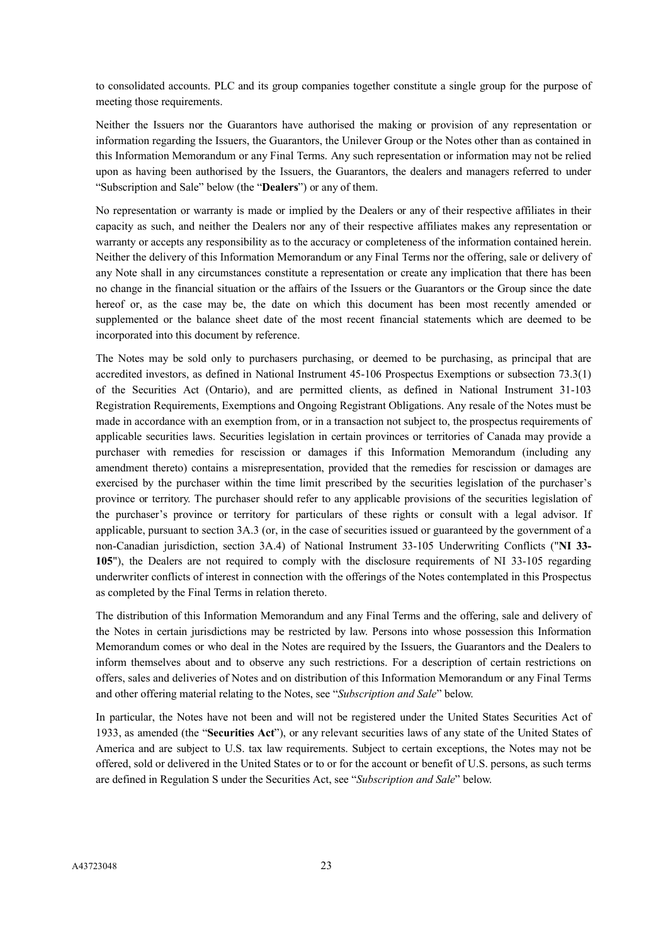to consolidated accounts. PLC and its group companies together constitute a single group for the purpose of meeting those requirements.

Neither the Issuers nor the Guarantors have authorised the making or provision of any representation or information regarding the Issuers, the Guarantors, the Unilever Group or the Notes other than as contained in this Information Memorandum or any Final Terms. Any such representation or information may not be relied upon as having been authorised by the Issuers, the Guarantors, the dealers and managers referred to under "Subscription and Sale" below (the "**Dealers**") or any of them.

No representation or warranty is made or implied by the Dealers or any of their respective affiliates in their capacity as such, and neither the Dealers nor any of their respective affiliates makes any representation or warranty or accepts any responsibility as to the accuracy or completeness of the information contained herein. Neither the delivery of this Information Memorandum or any Final Terms nor the offering, sale or delivery of any Note shall in any circumstances constitute a representation or create any implication that there has been no change in the financial situation or the affairs of the Issuers or the Guarantors or the Group since the date hereof or, as the case may be, the date on which this document has been most recently amended or supplemented or the balance sheet date of the most recent financial statements which are deemed to be incorporated into this document by reference.

The Notes may be sold only to purchasers purchasing, or deemed to be purchasing, as principal that are accredited investors, as defined in National Instrument 45-106 Prospectus Exemptions or subsection 73.3(1) of the Securities Act (Ontario), and are permitted clients, as defined in National Instrument 31-103 Registration Requirements, Exemptions and Ongoing Registrant Obligations. Any resale of the Notes must be made in accordance with an exemption from, or in a transaction not subject to, the prospectus requirements of applicable securities laws. Securities legislation in certain provinces or territories of Canada may provide a purchaser with remedies for rescission or damages if this Information Memorandum (including any amendment thereto) contains a misrepresentation, provided that the remedies for rescission or damages are exercised by the purchaser within the time limit prescribed by the securities legislation of the purchaser's province or territory. The purchaser should refer to any applicable provisions of the securities legislation of the purchaser's province or territory for particulars of these rights or consult with a legal advisor. If applicable, pursuant to section 3A.3 (or, in the case of securities issued or guaranteed by the government of a non-Canadian jurisdiction, section 3A.4) of National Instrument 33-105 Underwriting Conflicts ("**NI 33- 105**"), the Dealers are not required to comply with the disclosure requirements of NI 33-105 regarding underwriter conflicts of interest in connection with the offerings of the Notes contemplated in this Prospectus as completed by the Final Terms in relation thereto.

The distribution of this Information Memorandum and any Final Terms and the offering, sale and delivery of the Notes in certain jurisdictions may be restricted by law. Persons into whose possession this Information Memorandum comes or who deal in the Notes are required by the Issuers, the Guarantors and the Dealers to inform themselves about and to observe any such restrictions. For a description of certain restrictions on offers, sales and deliveries of Notes and on distribution of this Information Memorandum or any Final Terms and other offering material relating to the Notes, see "*Subscription and Sale*" below.

In particular, the Notes have not been and will not be registered under the United States Securities Act of 1933, as amended (the "**Securities Act**"), or any relevant securities laws of any state of the United States of America and are subject to U.S. tax law requirements. Subject to certain exceptions, the Notes may not be offered, sold or delivered in the United States or to or for the account or benefit of U.S. persons, as such terms are defined in Regulation S under the Securities Act, see "*Subscription and Sale*" below.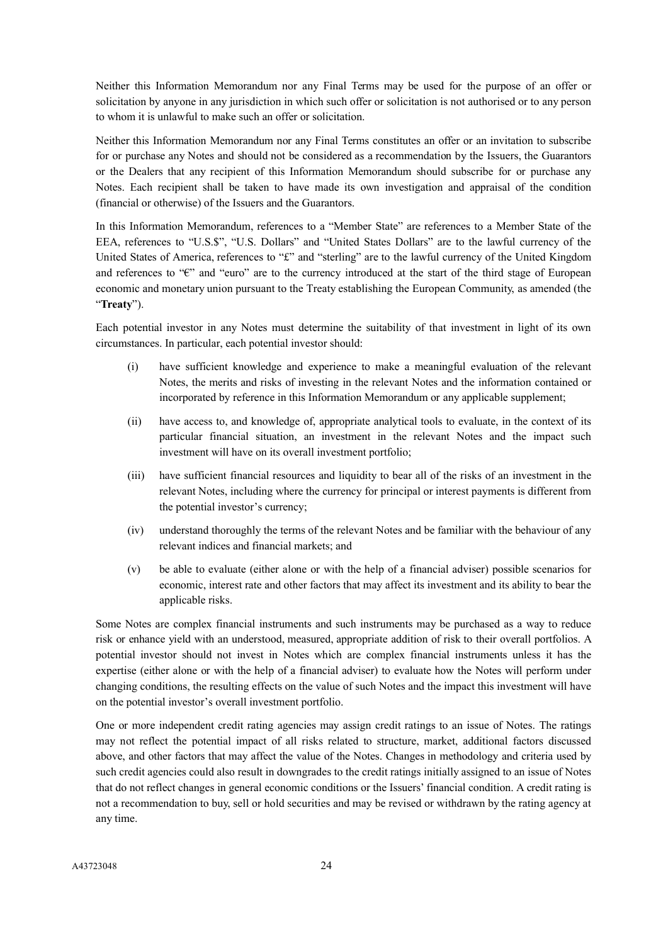Neither this Information Memorandum nor any Final Terms may be used for the purpose of an offer or solicitation by anyone in any jurisdiction in which such offer or solicitation is not authorised or to any person to whom it is unlawful to make such an offer or solicitation.

Neither this Information Memorandum nor any Final Terms constitutes an offer or an invitation to subscribe for or purchase any Notes and should not be considered as a recommendation by the Issuers, the Guarantors or the Dealers that any recipient of this Information Memorandum should subscribe for or purchase any Notes. Each recipient shall be taken to have made its own investigation and appraisal of the condition (financial or otherwise) of the Issuers and the Guarantors.

In this Information Memorandum, references to a "Member State" are references to a Member State of the EEA, references to "U.S.\$", "U.S. Dollars" and "United States Dollars" are to the lawful currency of the United States of America, references to "£" and "sterling" are to the lawful currency of the United Kingdom and references to "€" and "euro" are to the currency introduced at the start of the third stage of European economic and monetary union pursuant to the Treaty establishing the European Community, as amended (the "**Treaty**").

Each potential investor in any Notes must determine the suitability of that investment in light of its own circumstances. In particular, each potential investor should:

- (i) have sufficient knowledge and experience to make a meaningful evaluation of the relevant Notes, the merits and risks of investing in the relevant Notes and the information contained or incorporated by reference in this Information Memorandum or any applicable supplement;
- (ii) have access to, and knowledge of, appropriate analytical tools to evaluate, in the context of its particular financial situation, an investment in the relevant Notes and the impact such investment will have on its overall investment portfolio;
- (iii) have sufficient financial resources and liquidity to bear all of the risks of an investment in the relevant Notes, including where the currency for principal or interest payments is different from the potential investor's currency;
- (iv) understand thoroughly the terms of the relevant Notes and be familiar with the behaviour of any relevant indices and financial markets; and
- (v) be able to evaluate (either alone or with the help of a financial adviser) possible scenarios for economic, interest rate and other factors that may affect its investment and its ability to bear the applicable risks.

Some Notes are complex financial instruments and such instruments may be purchased as a way to reduce risk or enhance yield with an understood, measured, appropriate addition of risk to their overall portfolios. A potential investor should not invest in Notes which are complex financial instruments unless it has the expertise (either alone or with the help of a financial adviser) to evaluate how the Notes will perform under changing conditions, the resulting effects on the value of such Notes and the impact this investment will have on the potential investor's overall investment portfolio.

One or more independent credit rating agencies may assign credit ratings to an issue of Notes. The ratings may not reflect the potential impact of all risks related to structure, market, additional factors discussed above, and other factors that may affect the value of the Notes. Changes in methodology and criteria used by such credit agencies could also result in downgrades to the credit ratings initially assigned to an issue of Notes that do not reflect changes in general economic conditions or the Issuers' financial condition. A credit rating is not a recommendation to buy, sell or hold securities and may be revised or withdrawn by the rating agency at any time.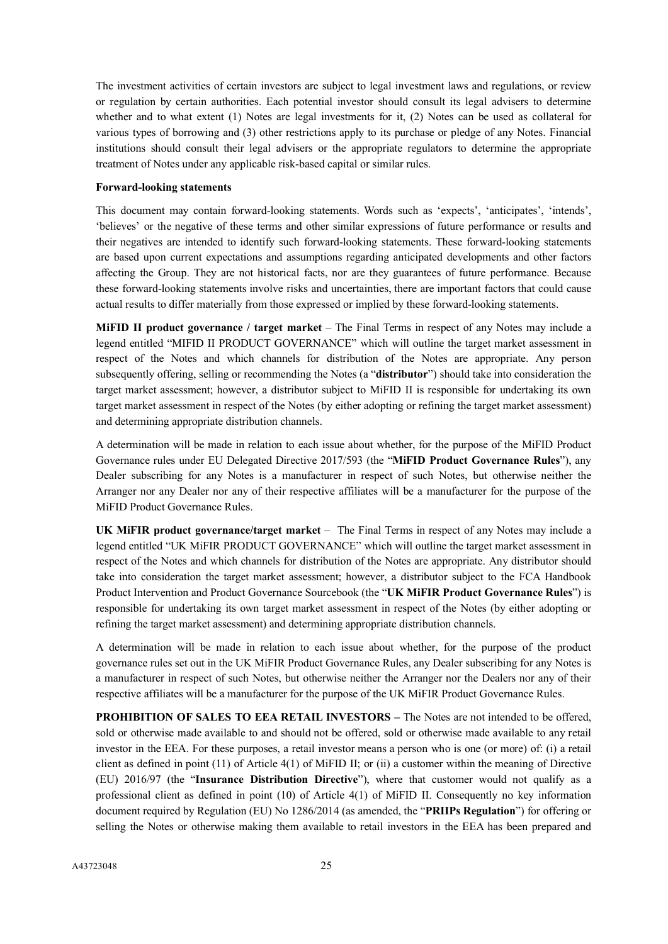The investment activities of certain investors are subject to legal investment laws and regulations, or review or regulation by certain authorities. Each potential investor should consult its legal advisers to determine whether and to what extent (1) Notes are legal investments for it, (2) Notes can be used as collateral for various types of borrowing and (3) other restrictions apply to its purchase or pledge of any Notes. Financial institutions should consult their legal advisers or the appropriate regulators to determine the appropriate treatment of Notes under any applicable risk-based capital or similar rules.

#### **Forward-looking statements**

This document may contain forward-looking statements. Words such as 'expects', 'anticipates', 'intends', 'believes' or the negative of these terms and other similar expressions of future performance or results and their negatives are intended to identify such forward-looking statements. These forward-looking statements are based upon current expectations and assumptions regarding anticipated developments and other factors affecting the Group. They are not historical facts, nor are they guarantees of future performance. Because these forward-looking statements involve risks and uncertainties, there are important factors that could cause actual results to differ materially from those expressed or implied by these forward-looking statements.

**MiFID II product governance / target market** – The Final Terms in respect of any Notes may include a legend entitled "MIFID II PRODUCT GOVERNANCE" which will outline the target market assessment in respect of the Notes and which channels for distribution of the Notes are appropriate. Any person subsequently offering, selling or recommending the Notes (a "**distributor**") should take into consideration the target market assessment; however, a distributor subject to MiFID II is responsible for undertaking its own target market assessment in respect of the Notes (by either adopting or refining the target market assessment) and determining appropriate distribution channels.

A determination will be made in relation to each issue about whether, for the purpose of the MiFID Product Governance rules under EU Delegated Directive 2017/593 (the "**MiFID Product Governance Rules**"), any Dealer subscribing for any Notes is a manufacturer in respect of such Notes, but otherwise neither the Arranger nor any Dealer nor any of their respective affiliates will be a manufacturer for the purpose of the MiFID Product Governance Rules.

**UK MiFIR product governance/target market** – The Final Terms in respect of any Notes may include a legend entitled "UK MiFIR PRODUCT GOVERNANCE" which will outline the target market assessment in respect of the Notes and which channels for distribution of the Notes are appropriate. Any distributor should take into consideration the target market assessment; however, a distributor subject to the FCA Handbook Product Intervention and Product Governance Sourcebook (the "**UK MiFIR Product Governance Rules**") is responsible for undertaking its own target market assessment in respect of the Notes (by either adopting or refining the target market assessment) and determining appropriate distribution channels.

A determination will be made in relation to each issue about whether, for the purpose of the product governance rules set out in the UK MiFIR Product Governance Rules, any Dealer subscribing for any Notes is a manufacturer in respect of such Notes, but otherwise neither the Arranger nor the Dealers nor any of their respective affiliates will be a manufacturer for the purpose of the UK MiFIR Product Governance Rules.

**PROHIBITION OF SALES TO EEA RETAIL INVESTORS –** The Notes are not intended to be offered, sold or otherwise made available to and should not be offered, sold or otherwise made available to any retail investor in the EEA. For these purposes, a retail investor means a person who is one (or more) of: (i) a retail client as defined in point (11) of Article 4(1) of MiFID II; or (ii) a customer within the meaning of Directive (EU) 2016/97 (the "**Insurance Distribution Directive**"), where that customer would not qualify as a professional client as defined in point (10) of Article 4(1) of MiFID II. Consequently no key information document required by Regulation (EU) No 1286/2014 (as amended, the "**PRIIPs Regulation**") for offering or selling the Notes or otherwise making them available to retail investors in the EEA has been prepared and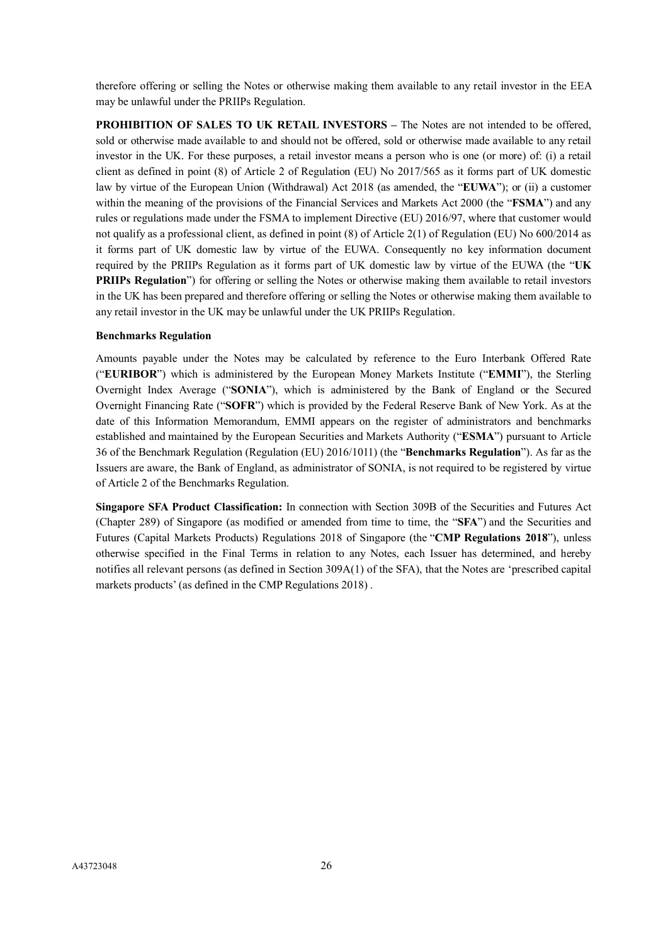therefore offering or selling the Notes or otherwise making them available to any retail investor in the EEA may be unlawful under the PRIIPs Regulation.

**PROHIBITION OF SALES TO UK RETAIL INVESTORS –** The Notes are not intended to be offered, sold or otherwise made available to and should not be offered, sold or otherwise made available to any retail investor in the UK. For these purposes, a retail investor means a person who is one (or more) of: (i) a retail client as defined in point (8) of Article 2 of Regulation (EU) No 2017/565 as it forms part of UK domestic law by virtue of the European Union (Withdrawal) Act 2018 (as amended, the "**EUWA**"); or (ii) a customer within the meaning of the provisions of the Financial Services and Markets Act 2000 (the "**FSMA**") and any rules or regulations made under the FSMA to implement Directive (EU) 2016/97, where that customer would not qualify as a professional client, as defined in point (8) of Article 2(1) of Regulation (EU) No 600/2014 as it forms part of UK domestic law by virtue of the EUWA. Consequently no key information document required by the PRIIPs Regulation as it forms part of UK domestic law by virtue of the EUWA (the "**UK PRIIPs Regulation**") for offering or selling the Notes or otherwise making them available to retail investors in the UK has been prepared and therefore offering or selling the Notes or otherwise making them available to any retail investor in the UK may be unlawful under the UK PRIIPs Regulation.

## **Benchmarks Regulation**

Amounts payable under the Notes may be calculated by reference to the Euro Interbank Offered Rate ("**EURIBOR**") which is administered by the European Money Markets Institute ("**EMMI**"), the Sterling Overnight Index Average ("**SONIA**"), which is administered by the Bank of England or the Secured Overnight Financing Rate ("**SOFR**") which is provided by the Federal Reserve Bank of New York. As at the date of this Information Memorandum, EMMI appears on the register of administrators and benchmarks established and maintained by the European Securities and Markets Authority ("**ESMA**") pursuant to Article 36 of the Benchmark Regulation (Regulation (EU) 2016/1011) (the "**Benchmarks Regulation**"). As far as the Issuers are aware, the Bank of England, as administrator of SONIA, is not required to be registered by virtue of Article 2 of the Benchmarks Regulation.

**Singapore SFA Product Classification:** In connection with Section 309B of the Securities and Futures Act (Chapter 289) of Singapore (as modified or amended from time to time, the "**SFA**") and the Securities and Futures (Capital Markets Products) Regulations 2018 of Singapore (the "**CMP Regulations 2018**"), unless otherwise specified in the Final Terms in relation to any Notes, each Issuer has determined, and hereby notifies all relevant persons (as defined in Section 309A(1) of the SFA), that the Notes are 'prescribed capital markets products' (as defined in the CMP Regulations 2018) .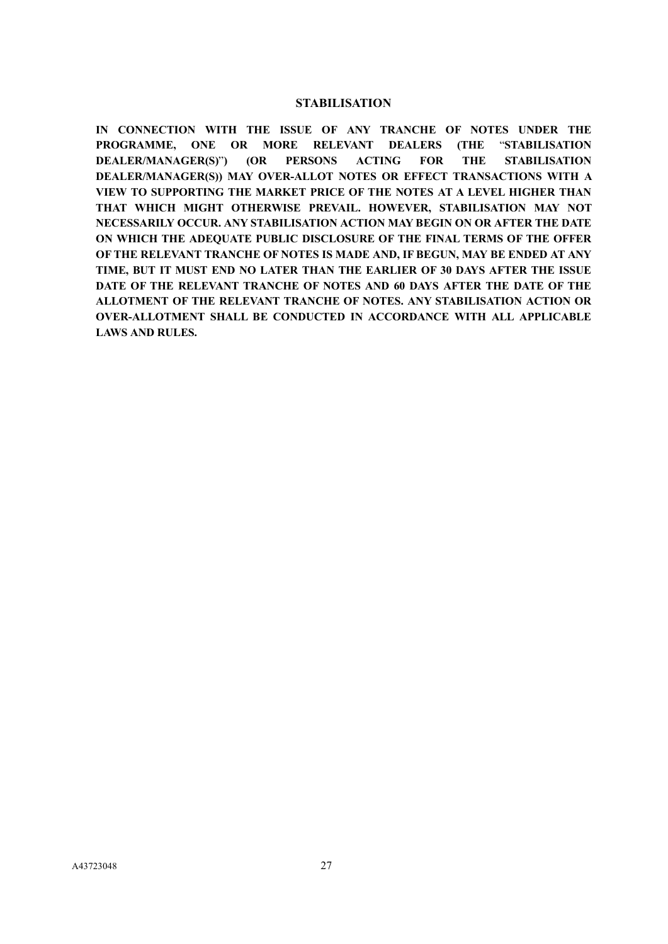# **STABILISATION**

<span id="page-26-0"></span>**IN CONNECTION WITH THE ISSUE OF ANY TRANCHE OF NOTES UNDER THE PROGRAMME, ONE OR MORE RELEVANT DEALERS (THE** "**STABILISATION DEALER/MANAGER(S)**"**) (OR PERSONS ACTING FOR THE STABILISATION DEALER/MANAGER(S)) MAY OVER-ALLOT NOTES OR EFFECT TRANSACTIONS WITH A VIEW TO SUPPORTING THE MARKET PRICE OF THE NOTES AT A LEVEL HIGHER THAN THAT WHICH MIGHT OTHERWISE PREVAIL. HOWEVER, STABILISATION MAY NOT NECESSARILY OCCUR. ANY STABILISATION ACTION MAY BEGIN ON OR AFTER THE DATE ON WHICH THE ADEQUATE PUBLIC DISCLOSURE OF THE FINAL TERMS OF THE OFFER OF THE RELEVANT TRANCHE OF NOTES IS MADE AND, IF BEGUN, MAY BE ENDED AT ANY TIME, BUT IT MUST END NO LATER THAN THE EARLIER OF 30 DAYS AFTER THE ISSUE DATE OF THE RELEVANT TRANCHE OF NOTES AND 60 DAYS AFTER THE DATE OF THE ALLOTMENT OF THE RELEVANT TRANCHE OF NOTES. ANY STABILISATION ACTION OR OVER-ALLOTMENT SHALL BE CONDUCTED IN ACCORDANCE WITH ALL APPLICABLE LAWS AND RULES.**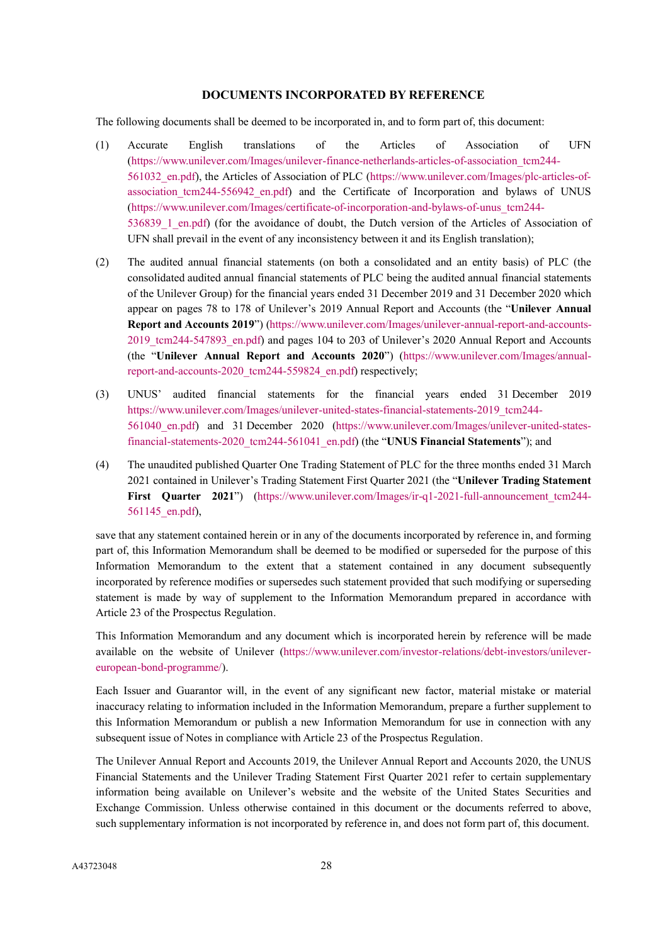# **DOCUMENTS INCORPORATED BY REFERENCE**

<span id="page-27-0"></span>The following documents shall be deemed to be incorporated in, and to form part of, this document:

- (1) Accurate English translations of the Articles of Association of UFN [\(https://www.unilever.com/Images/unilever-finance-netherlands-articles-of-association\\_tcm244-](https://www.unilever.com/Images/unilever-finance-netherlands-articles-of-association_tcm244-561032_en.pdf) [561032\\_en.pdf\)](https://www.unilever.com/Images/unilever-finance-netherlands-articles-of-association_tcm244-561032_en.pdf), the Articles of Association of PLC [\(https://www.unilever.com/Images/plc-articles-of](https://www.unilever.com/Images/plc-articles-of-association_tcm244-556942_en.pdf)association tcm244-556942 en.pdf) and the Certificate of Incorporation and bylaws of UNUS [\(https://www.unilever.com/Images/certificate-of-incorporation-and-bylaws-of-unus\\_tcm244-](https://www.unilever.com/Images/certificate-of-incorporation-and-bylaws-of-unus_tcm244-536839_1_en.pdf) 536839 1 en.pdf) (for the avoidance of doubt, the Dutch version of the Articles of Association of UFN shall prevail in the event of any inconsistency between it and its English translation);
- (2) The audited annual financial statements (on both a consolidated and an entity basis) of PLC (the consolidated audited annual financial statements of PLC being the audited annual financial statements of the Unilever Group) for the financial years ended 31 December 2019 and 31 December 2020 which appear on pages 78 to 178 of Unilever's 2019 Annual Report and Accounts (the "**Unilever Annual Report and Accounts 2019**") [\(https://www.unilever.com/Images/unilever-annual-report-and-accounts-](https://www.unilever.com/Images/unilever-annual-report-and-accounts-2019_tcm244-547893_en.pdf)2019 tcm244-547893 en.pdf) and pages 104 to 203 of Unilever's 2020 Annual Report and Accounts (the "**Unilever Annual Report and Accounts 2020**") [\(https://www.unilever.com/Images/annual](https://www.unilever.com/Images/annual-report-and-accounts-2020_tcm244-559824_en.pdf)[report-and-accounts-2020\\_tcm244-559824\\_en.pdf\)](https://www.unilever.com/Images/annual-report-and-accounts-2020_tcm244-559824_en.pdf) respectively;
- (3) UNUS' audited financial statements for the financial years ended 31 December 2019 [https://www.unilever.com/Images/unilever-united-states-financial-statements-2019\\_tcm244-](https://www.unilever.com/Images/unilever-united-states-financial-statements-2019_tcm244-561040_en.pdf) [561040\\_en.pdf\)](https://www.unilever.com/Images/unilever-united-states-financial-statements-2019_tcm244-561040_en.pdf) and 31 December 2020 [\(https://www.unilever.com/Images/unilever-united-states](https://www.unilever.com/Images/unilever-united-states-financial-statements-2020_tcm244-561041_en.pdf)[financial-statements-2020\\_tcm244-561041\\_en.pdf\)](https://www.unilever.com/Images/unilever-united-states-financial-statements-2020_tcm244-561041_en.pdf) (the "**UNUS Financial Statements**"); and
- (4) The unaudited published Quarter One Trading Statement of PLC for the three months ended 31 March 2021 contained in Unilever's Trading Statement First Quarter 2021 (the "**Unilever Trading Statement First Quarter 2021**") (https://www.unilever.com/Images/ir-q1-2021-full-announcement tcm244-[561145\\_en.pdf\)](https://www.unilever.com/Images/ir-q1-2021-full-announcement_tcm244-561145_en.pdf),

save that any statement contained herein or in any of the documents incorporated by reference in, and forming part of, this Information Memorandum shall be deemed to be modified or superseded for the purpose of this Information Memorandum to the extent that a statement contained in any document subsequently incorporated by reference modifies or supersedes such statement provided that such modifying or superseding statement is made by way of supplement to the Information Memorandum prepared in accordance with Article 23 of the Prospectus Regulation.

This Information Memorandum and any document which is incorporated herein by reference will be made available on the website of Unilever [\(https://www.unilever.com/investor-relations/debt-investors/unilever](https://www.unilever.com/investor-relations/debt-investors/unilever-european-bond-programme/)[european-bond-programme/\)](https://www.unilever.com/investor-relations/debt-investors/unilever-european-bond-programme/).

Each Issuer and Guarantor will, in the event of any significant new factor, material mistake or material inaccuracy relating to information included in the Information Memorandum, prepare a further supplement to this Information Memorandum or publish a new Information Memorandum for use in connection with any subsequent issue of Notes in compliance with Article 23 of the Prospectus Regulation.

The Unilever Annual Report and Accounts 2019, the Unilever Annual Report and Accounts 2020, the UNUS Financial Statements and the Unilever Trading Statement First Quarter 2021 refer to certain supplementary information being available on Unilever's website and the website of the United States Securities and Exchange Commission. Unless otherwise contained in this document or the documents referred to above, such supplementary information is not incorporated by reference in, and does not form part of, this document.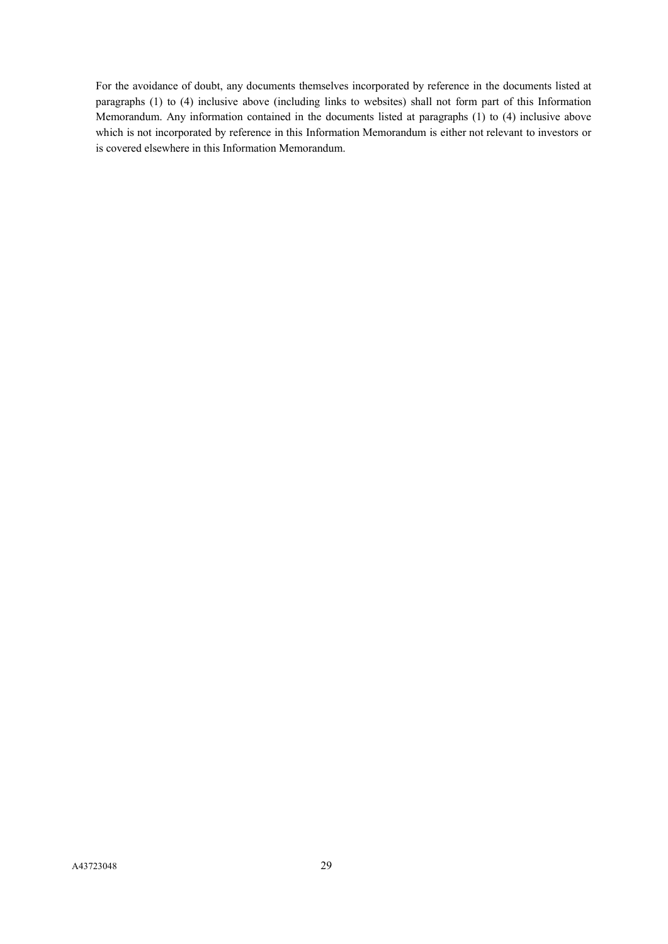For the avoidance of doubt, any documents themselves incorporated by reference in the documents listed at paragraphs (1) to (4) inclusive above (including links to websites) shall not form part of this Information Memorandum. Any information contained in the documents listed at paragraphs (1) to (4) inclusive above which is not incorporated by reference in this Information Memorandum is either not relevant to investors or is covered elsewhere in this Information Memorandum.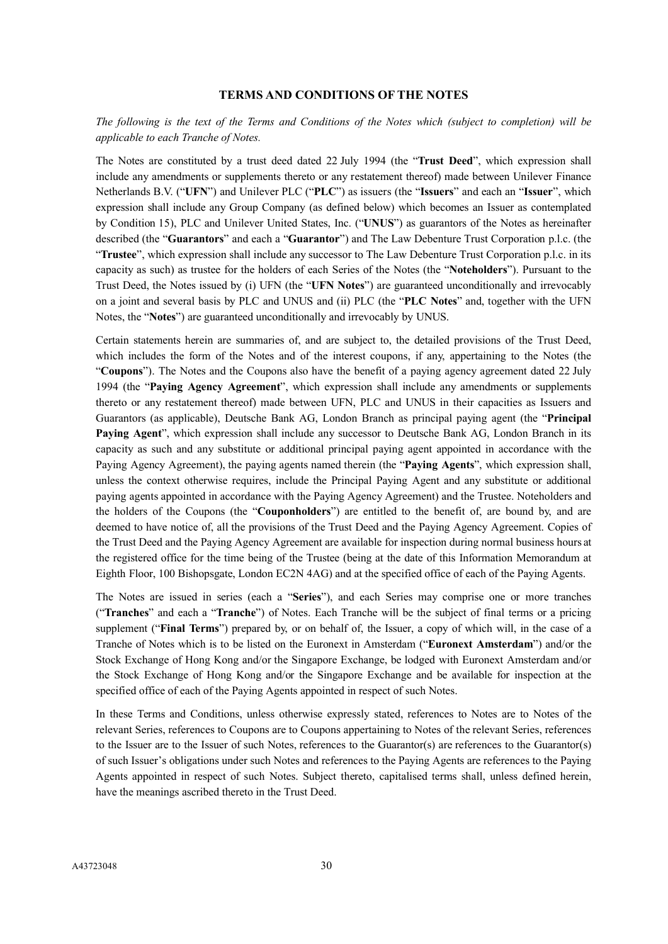# **TERMS AND CONDITIONS OF THE NOTES**

# <span id="page-29-0"></span>*The following is the text of the Terms and Conditions of the Notes which (subject to completion) will be applicable to each Tranche of Notes.*

The Notes are constituted by a trust deed dated 22 July 1994 (the "**Trust Deed**", which expression shall include any amendments or supplements thereto or any restatement thereof) made between Unilever Finance Netherlands B.V. ("**UFN**") and Unilever PLC ("**PLC**") as issuers (the "**Issuers**" and each an "**Issuer**", which expression shall include any Group Company (as defined below) which becomes an Issuer as contemplated by Condition 15), PLC and Unilever United States, Inc. ("**UNUS**") as guarantors of the Notes as hereinafter described (the "**Guarantors**" and each a "**Guarantor**") and The Law Debenture Trust Corporation p.l.c. (the "**Trustee**", which expression shall include any successor to The Law Debenture Trust Corporation p.l.c. in its capacity as such) as trustee for the holders of each Series of the Notes (the "**Noteholders**"). Pursuant to the Trust Deed, the Notes issued by (i) UFN (the "**UFN Notes**") are guaranteed unconditionally and irrevocably on a joint and several basis by PLC and UNUS and (ii) PLC (the "**PLC Notes**" and, together with the UFN Notes, the "**Notes**") are guaranteed unconditionally and irrevocably by UNUS.

Certain statements herein are summaries of, and are subject to, the detailed provisions of the Trust Deed, which includes the form of the Notes and of the interest coupons, if any, appertaining to the Notes (the "**Coupons**"). The Notes and the Coupons also have the benefit of a paying agency agreement dated 22 July 1994 (the "**Paying Agency Agreement**", which expression shall include any amendments or supplements thereto or any restatement thereof) made between UFN, PLC and UNUS in their capacities as Issuers and Guarantors (as applicable), Deutsche Bank AG, London Branch as principal paying agent (the "**Principal Paying Agent**", which expression shall include any successor to Deutsche Bank AG, London Branch in its capacity as such and any substitute or additional principal paying agent appointed in accordance with the Paying Agency Agreement), the paying agents named therein (the "**Paying Agents**", which expression shall, unless the context otherwise requires, include the Principal Paying Agent and any substitute or additional paying agents appointed in accordance with the Paying Agency Agreement) and the Trustee. Noteholders and the holders of the Coupons (the "**Couponholders**") are entitled to the benefit of, are bound by, and are deemed to have notice of, all the provisions of the Trust Deed and the Paying Agency Agreement. Copies of the Trust Deed and the Paying Agency Agreement are available for inspection during normal business hours at the registered office for the time being of the Trustee (being at the date of this Information Memorandum at Eighth Floor, 100 Bishopsgate, London EC2N 4AG) and at the specified office of each of the Paying Agents.

The Notes are issued in series (each a "**Series**"), and each Series may comprise one or more tranches ("**Tranches**" and each a "**Tranche**") of Notes. Each Tranche will be the subject of final terms or a pricing supplement ("**Final Terms**") prepared by, or on behalf of, the Issuer, a copy of which will, in the case of a Tranche of Notes which is to be listed on the Euronext in Amsterdam ("**Euronext Amsterdam**") and/or the Stock Exchange of Hong Kong and/or the Singapore Exchange, be lodged with Euronext Amsterdam and/or the Stock Exchange of Hong Kong and/or the Singapore Exchange and be available for inspection at the specified office of each of the Paying Agents appointed in respect of such Notes.

In these Terms and Conditions, unless otherwise expressly stated, references to Notes are to Notes of the relevant Series, references to Coupons are to Coupons appertaining to Notes of the relevant Series, references to the Issuer are to the Issuer of such Notes, references to the Guarantor(s) are references to the Guarantor(s) of such Issuer's obligations under such Notes and references to the Paying Agents are references to the Paying Agents appointed in respect of such Notes. Subject thereto, capitalised terms shall, unless defined herein, have the meanings ascribed thereto in the Trust Deed.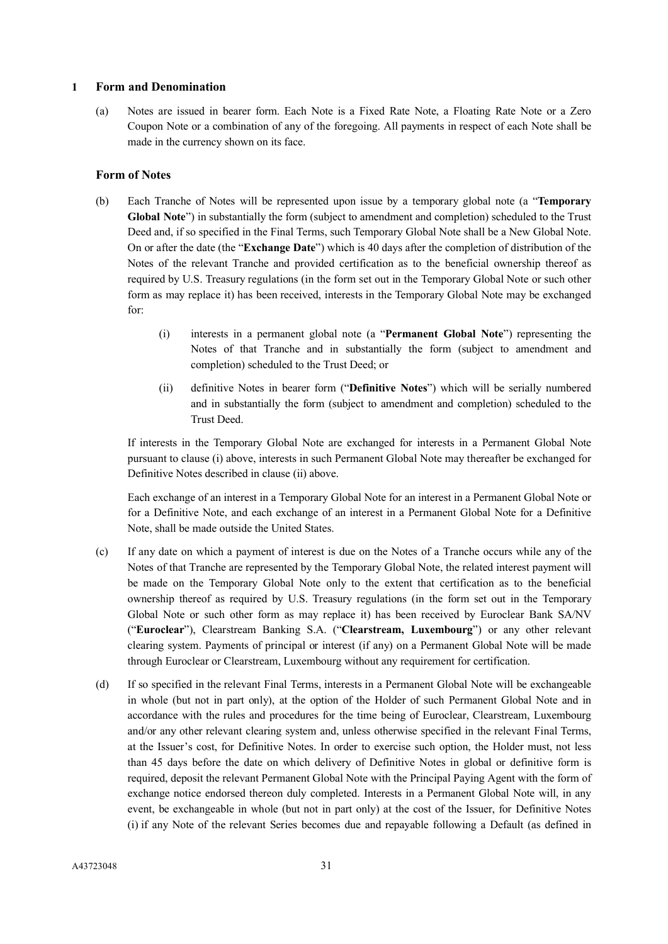## **1 Form and Denomination**

(a) Notes are issued in bearer form. Each Note is a Fixed Rate Note, a Floating Rate Note or a Zero Coupon Note or a combination of any of the foregoing. All payments in respect of each Note shall be made in the currency shown on its face.

# **Form of Notes**

- (b) Each Tranche of Notes will be represented upon issue by a temporary global note (a "**Temporary Global Note**") in substantially the form (subject to amendment and completion) scheduled to the Trust Deed and, if so specified in the Final Terms, such Temporary Global Note shall be a New Global Note. On or after the date (the "**Exchange Date**") which is 40 days after the completion of distribution of the Notes of the relevant Tranche and provided certification as to the beneficial ownership thereof as required by U.S. Treasury regulations (in the form set out in the Temporary Global Note or such other form as may replace it) has been received, interests in the Temporary Global Note may be exchanged for:
	- (i) interests in a permanent global note (a "**Permanent Global Note**") representing the Notes of that Tranche and in substantially the form (subject to amendment and completion) scheduled to the Trust Deed; or
	- (ii) definitive Notes in bearer form ("**Definitive Notes**") which will be serially numbered and in substantially the form (subject to amendment and completion) scheduled to the Trust Deed.

If interests in the Temporary Global Note are exchanged for interests in a Permanent Global Note pursuant to clause (i) above, interests in such Permanent Global Note may thereafter be exchanged for Definitive Notes described in clause (ii) above.

Each exchange of an interest in a Temporary Global Note for an interest in a Permanent Global Note or for a Definitive Note, and each exchange of an interest in a Permanent Global Note for a Definitive Note, shall be made outside the United States.

- (c) If any date on which a payment of interest is due on the Notes of a Tranche occurs while any of the Notes of that Tranche are represented by the Temporary Global Note, the related interest payment will be made on the Temporary Global Note only to the extent that certification as to the beneficial ownership thereof as required by U.S. Treasury regulations (in the form set out in the Temporary Global Note or such other form as may replace it) has been received by Euroclear Bank SA/NV ("**Euroclear**"), Clearstream Banking S.A. ("**Clearstream, Luxembourg**") or any other relevant clearing system. Payments of principal or interest (if any) on a Permanent Global Note will be made through Euroclear or Clearstream, Luxembourg without any requirement for certification.
- (d) If so specified in the relevant Final Terms, interests in a Permanent Global Note will be exchangeable in whole (but not in part only), at the option of the Holder of such Permanent Global Note and in accordance with the rules and procedures for the time being of Euroclear, Clearstream, Luxembourg and/or any other relevant clearing system and, unless otherwise specified in the relevant Final Terms, at the Issuer's cost, for Definitive Notes. In order to exercise such option, the Holder must, not less than 45 days before the date on which delivery of Definitive Notes in global or definitive form is required, deposit the relevant Permanent Global Note with the Principal Paying Agent with the form of exchange notice endorsed thereon duly completed. Interests in a Permanent Global Note will, in any event, be exchangeable in whole (but not in part only) at the cost of the Issuer, for Definitive Notes (i) if any Note of the relevant Series becomes due and repayable following a Default (as defined in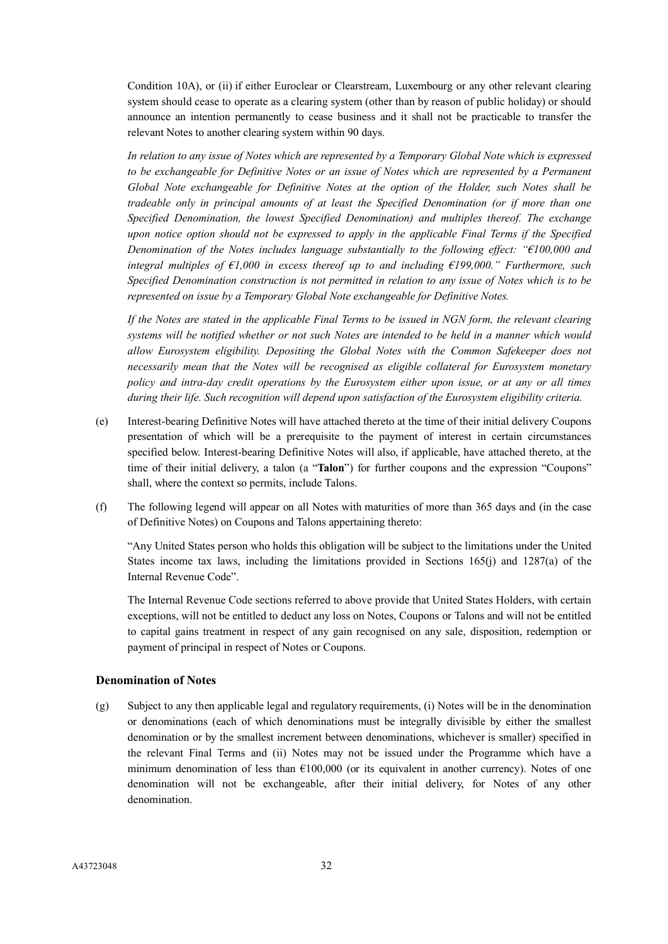Condition 10A), or (ii) if either Euroclear or Clearstream, Luxembourg or any other relevant clearing system should cease to operate as a clearing system (other than by reason of public holiday) or should announce an intention permanently to cease business and it shall not be practicable to transfer the relevant Notes to another clearing system within 90 days.

*In relation to any issue of Notes which are represented by a Temporary Global Note which is expressed to be exchangeable for Definitive Notes or an issue of Notes which are represented by a Permanent Global Note exchangeable for Definitive Notes at the option of the Holder, such Notes shall be tradeable only in principal amounts of at least the Specified Denomination (or if more than one Specified Denomination, the lowest Specified Denomination) and multiples thereof. The exchange upon notice option should not be expressed to apply in the applicable Final Terms if the Specified Denomination of the Notes includes language substantially to the following effect: "€100,000 and integral multiples of €1,000 in excess thereof up to and including €199,000." Furthermore, such Specified Denomination construction is not permitted in relation to any issue of Notes which is to be represented on issue by a Temporary Global Note exchangeable for Definitive Notes.*

*If the Notes are stated in the applicable Final Terms to be issued in NGN form, the relevant clearing systems will be notified whether or not such Notes are intended to be held in a manner which would allow Eurosystem eligibility. Depositing the Global Notes with the Common Safekeeper does not necessarily mean that the Notes will be recognised as eligible collateral for Eurosystem monetary policy and intra-day credit operations by the Eurosystem either upon issue, or at any or all times during their life. Such recognition will depend upon satisfaction of the Eurosystem eligibility criteria.*

- (e) Interest-bearing Definitive Notes will have attached thereto at the time of their initial delivery Coupons presentation of which will be a prerequisite to the payment of interest in certain circumstances specified below. Interest-bearing Definitive Notes will also, if applicable, have attached thereto, at the time of their initial delivery, a talon (a "**Talon**") for further coupons and the expression "Coupons" shall, where the context so permits, include Talons.
- (f) The following legend will appear on all Notes with maturities of more than 365 days and (in the case of Definitive Notes) on Coupons and Talons appertaining thereto:

"Any United States person who holds this obligation will be subject to the limitations under the United States income tax laws, including the limitations provided in Sections 165(j) and 1287(a) of the Internal Revenue Code".

The Internal Revenue Code sections referred to above provide that United States Holders, with certain exceptions, will not be entitled to deduct any loss on Notes, Coupons or Talons and will not be entitled to capital gains treatment in respect of any gain recognised on any sale, disposition, redemption or payment of principal in respect of Notes or Coupons.

# **Denomination of Notes**

(g) Subject to any then applicable legal and regulatory requirements, (i) Notes will be in the denomination or denominations (each of which denominations must be integrally divisible by either the smallest denomination or by the smallest increment between denominations, whichever is smaller) specified in the relevant Final Terms and (ii) Notes may not be issued under the Programme which have a minimum denomination of less than  $E100,000$  (or its equivalent in another currency). Notes of one denomination will not be exchangeable, after their initial delivery, for Notes of any other denomination.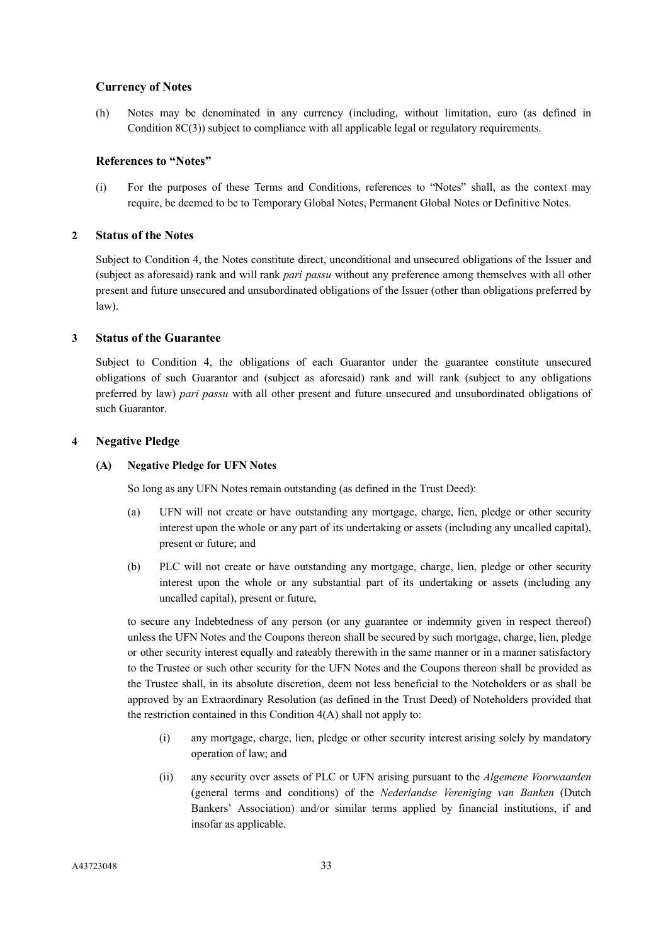## **Currency of Notes**

(h) Notes may be denominated in any currency (including, without limitation, euro (as defined in Condition 8C(3)) subject to compliance with all applicable legal or regulatory requirements.

#### **References to "Notes"**

(i) For the purposes of these Terms and Conditions, references to "Notes" shall, as the context may require, be deemed to be to Temporary Global Notes, Permanent Global Notes or Definitive Notes.

#### **2 Status of the Notes**

Subject to Condition 4, the Notes constitute direct, unconditional and unsecured obligations of the Issuer and (subject as aforesaid) rank and will rank *pari passu* without any preference among themselves with all other present and future unsecured and unsubordinated obligations of the Issuer (other than obligations preferred by law).

## **3 Status of the Guarantee**

Subject to Condition 4, the obligations of each Guarantor under the guarantee constitute unsecured obligations of such Guarantor and (subject as aforesaid) rank and will rank (subject to any obligations preferred by law) *pari passu* with all other present and future unsecured and unsubordinated obligations of such Guarantor.

#### **4 Negative Pledge**

#### **(A) Negative Pledge for UFN Notes**

So long as any UFN Notes remain outstanding (as defined in the Trust Deed):

- (a) UFN will not create or have outstanding any mortgage, charge, lien, pledge or other security interest upon the whole or any part of its undertaking or assets (including any uncalled capital), present or future; and
- (b) PLC will not create or have outstanding any mortgage, charge, lien, pledge or other security interest upon the whole or any substantial part of its undertaking or assets (including any uncalled capital), present or future,

to secure any Indebtedness of any person (or any guarantee or indemnity given in respect thereof) unless the UFN Notes and the Coupons thereon shall be secured by such mortgage, charge, lien, pledge or other security interest equally and rateably therewith in the same manner or in a manner satisfactory to the Trustee or such other security for the UFN Notes and the Coupons thereon shall be provided as the Trustee shall, in its absolute discretion, deem not less beneficial to the Noteholders or as shall be approved by an Extraordinary Resolution (as defined in the Trust Deed) of Noteholders provided that the restriction contained in this Condition  $4(A)$  shall not apply to:

- (i) any mortgage, charge, lien, pledge or other security interest arising solely by mandatory operation of law; and
- (ii) any security over assets of PLC or UFN arising pursuant to the *Algemene Voorwaarden* (general terms and conditions) of the *Nederlandse Vereniging van Banken* (Dutch Bankers' Association) and/or similar terms applied by financial institutions, if and insofar as applicable.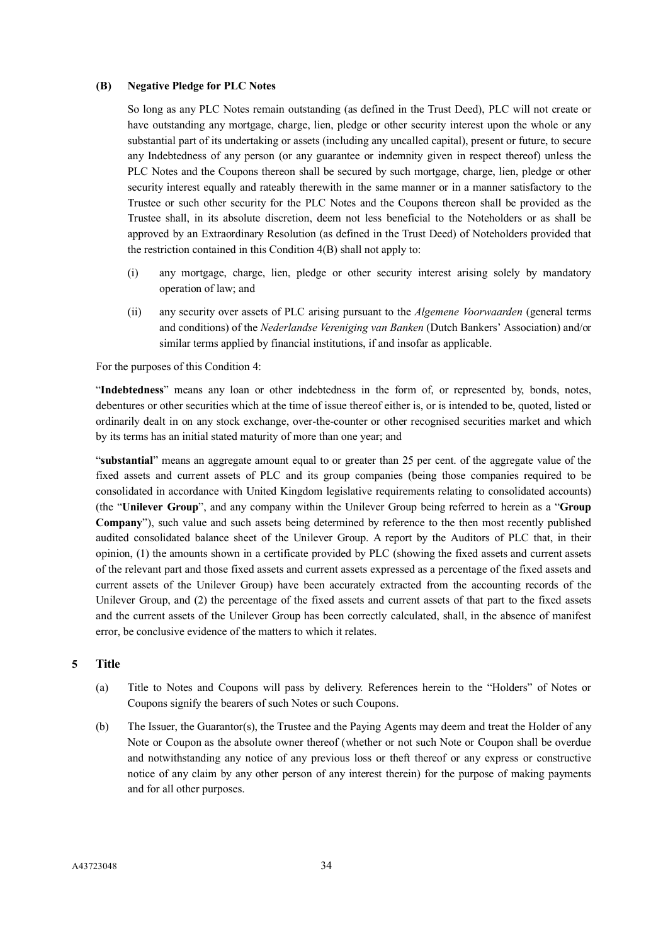#### **(B) Negative Pledge for PLC Notes**

So long as any PLC Notes remain outstanding (as defined in the Trust Deed), PLC will not create or have outstanding any mortgage, charge, lien, pledge or other security interest upon the whole or any substantial part of its undertaking or assets (including any uncalled capital), present or future, to secure any Indebtedness of any person (or any guarantee or indemnity given in respect thereof) unless the PLC Notes and the Coupons thereon shall be secured by such mortgage, charge, lien, pledge or other security interest equally and rateably therewith in the same manner or in a manner satisfactory to the Trustee or such other security for the PLC Notes and the Coupons thereon shall be provided as the Trustee shall, in its absolute discretion, deem not less beneficial to the Noteholders or as shall be approved by an Extraordinary Resolution (as defined in the Trust Deed) of Noteholders provided that the restriction contained in this Condition 4(B) shall not apply to:

- (i) any mortgage, charge, lien, pledge or other security interest arising solely by mandatory operation of law; and
- (ii) any security over assets of PLC arising pursuant to the *Algemene Voorwaarden* (general terms and conditions) of the *Nederlandse Vereniging van Banken* (Dutch Bankers' Association) and/or similar terms applied by financial institutions, if and insofar as applicable.

For the purposes of this Condition 4:

"**Indebtedness**" means any loan or other indebtedness in the form of, or represented by, bonds, notes, debentures or other securities which at the time of issue thereof either is, or is intended to be, quoted, listed or ordinarily dealt in on any stock exchange, over-the-counter or other recognised securities market and which by its terms has an initial stated maturity of more than one year; and

"**substantial**" means an aggregate amount equal to or greater than 25 per cent. of the aggregate value of the fixed assets and current assets of PLC and its group companies (being those companies required to be consolidated in accordance with United Kingdom legislative requirements relating to consolidated accounts) (the "**Unilever Group**", and any company within the Unilever Group being referred to herein as a "**Group Company**"), such value and such assets being determined by reference to the then most recently published audited consolidated balance sheet of the Unilever Group. A report by the Auditors of PLC that, in their opinion, (1) the amounts shown in a certificate provided by PLC (showing the fixed assets and current assets of the relevant part and those fixed assets and current assets expressed as a percentage of the fixed assets and current assets of the Unilever Group) have been accurately extracted from the accounting records of the Unilever Group, and (2) the percentage of the fixed assets and current assets of that part to the fixed assets and the current assets of the Unilever Group has been correctly calculated, shall, in the absence of manifest error, be conclusive evidence of the matters to which it relates.

## **5 Title**

- (a) Title to Notes and Coupons will pass by delivery. References herein to the "Holders" of Notes or Coupons signify the bearers of such Notes or such Coupons.
- (b) The Issuer, the Guarantor(s), the Trustee and the Paying Agents may deem and treat the Holder of any Note or Coupon as the absolute owner thereof (whether or not such Note or Coupon shall be overdue and notwithstanding any notice of any previous loss or theft thereof or any express or constructive notice of any claim by any other person of any interest therein) for the purpose of making payments and for all other purposes.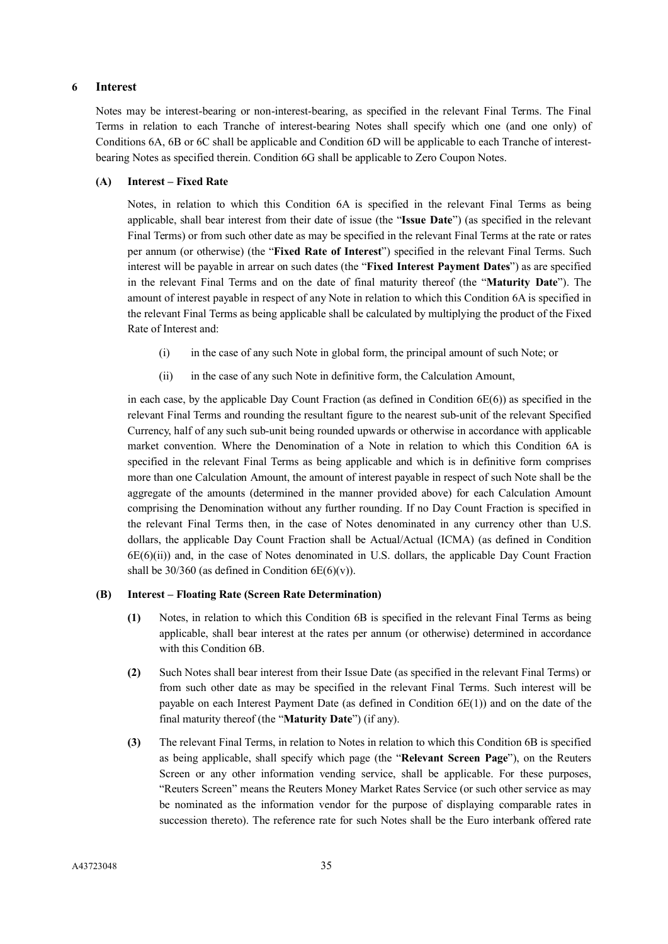## **6 Interest**

Notes may be interest-bearing or non-interest-bearing, as specified in the relevant Final Terms. The Final Terms in relation to each Tranche of interest-bearing Notes shall specify which one (and one only) of Conditions 6A, 6B or 6C shall be applicable and Condition 6D will be applicable to each Tranche of interestbearing Notes as specified therein. Condition 6G shall be applicable to Zero Coupon Notes.

#### **(A) Interest – Fixed Rate**

Notes, in relation to which this Condition 6A is specified in the relevant Final Terms as being applicable, shall bear interest from their date of issue (the "**Issue Date**") (as specified in the relevant Final Terms) or from such other date as may be specified in the relevant Final Terms at the rate or rates per annum (or otherwise) (the "**Fixed Rate of Interest**") specified in the relevant Final Terms. Such interest will be payable in arrear on such dates (the "**Fixed Interest Payment Dates**") as are specified in the relevant Final Terms and on the date of final maturity thereof (the "**Maturity Date**"). The amount of interest payable in respect of any Note in relation to which this Condition 6A is specified in the relevant Final Terms as being applicable shall be calculated by multiplying the product of the Fixed Rate of Interest and:

- (i) in the case of any such Note in global form, the principal amount of such Note; or
- (ii) in the case of any such Note in definitive form, the Calculation Amount,

in each case, by the applicable Day Count Fraction (as defined in Condition  $6E(6)$ ) as specified in the relevant Final Terms and rounding the resultant figure to the nearest sub-unit of the relevant Specified Currency, half of any such sub-unit being rounded upwards or otherwise in accordance with applicable market convention. Where the Denomination of a Note in relation to which this Condition 6A is specified in the relevant Final Terms as being applicable and which is in definitive form comprises more than one Calculation Amount, the amount of interest payable in respect of such Note shall be the aggregate of the amounts (determined in the manner provided above) for each Calculation Amount comprising the Denomination without any further rounding. If no Day Count Fraction is specified in the relevant Final Terms then, in the case of Notes denominated in any currency other than U.S. dollars, the applicable Day Count Fraction shall be Actual/Actual (ICMA) (as defined in Condition 6E(6)(ii)) and, in the case of Notes denominated in U.S. dollars, the applicable Day Count Fraction shall be  $30/360$  (as defined in Condition 6E(6)(v)).

## **(B) Interest – Floating Rate (Screen Rate Determination)**

- **(1)** Notes, in relation to which this Condition 6B is specified in the relevant Final Terms as being applicable, shall bear interest at the rates per annum (or otherwise) determined in accordance with this Condition 6B.
- **(2)** Such Notes shall bear interest from their Issue Date (as specified in the relevant Final Terms) or from such other date as may be specified in the relevant Final Terms. Such interest will be payable on each Interest Payment Date (as defined in Condition  $6E(1)$ ) and on the date of the final maturity thereof (the "**Maturity Date**") (if any).
- **(3)** The relevant Final Terms, in relation to Notes in relation to which this Condition 6B is specified as being applicable, shall specify which page (the "**Relevant Screen Page**"), on the Reuters Screen or any other information vending service, shall be applicable. For these purposes, "Reuters Screen" means the Reuters Money Market Rates Service (or such other service as may be nominated as the information vendor for the purpose of displaying comparable rates in succession thereto). The reference rate for such Notes shall be the Euro interbank offered rate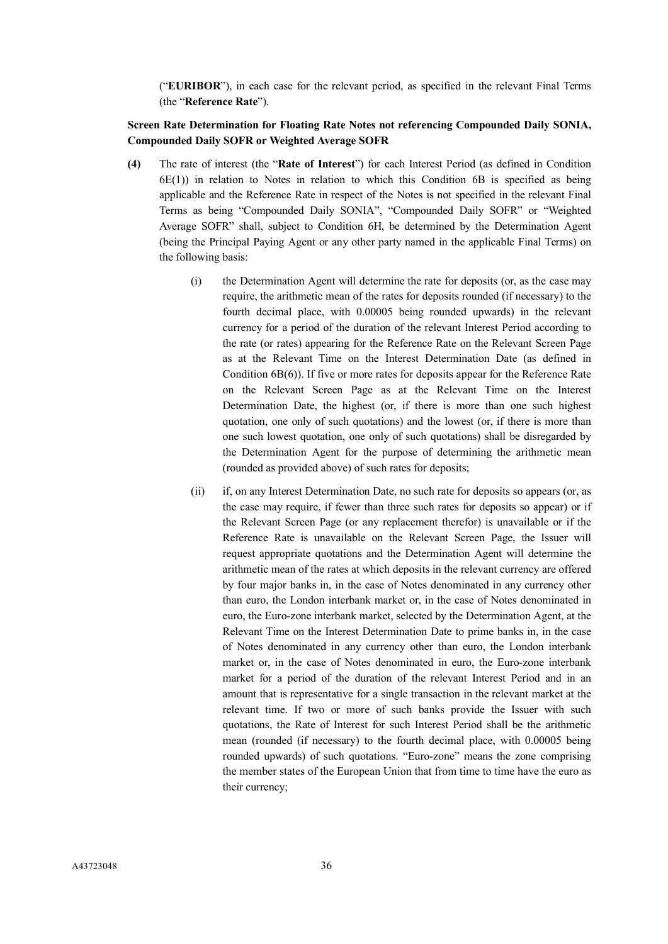("**EURIBOR**"), in each case for the relevant period, as specified in the relevant Final Terms (the "**Reference Rate**").

# **Screen Rate Determination for Floating Rate Notes not referencing Compounded Daily SONIA, Compounded Daily SOFR or Weighted Average SOFR**

- **(4)** The rate of interest (the "**Rate of Interest**") for each Interest Period (as defined in Condition  $6E(1)$ ) in relation to Notes in relation to which this Condition  $6B$  is specified as being applicable and the Reference Rate in respect of the Notes is not specified in the relevant Final Terms as being "Compounded Daily SONIA", "Compounded Daily SOFR" or "Weighted Average SOFR" shall, subject to Condition 6H, be determined by the Determination Agent (being the Principal Paying Agent or any other party named in the applicable Final Terms) on the following basis:
	- (i) the Determination Agent will determine the rate for deposits (or, as the case may require, the arithmetic mean of the rates for deposits rounded (if necessary) to the fourth decimal place, with 0.00005 being rounded upwards) in the relevant currency for a period of the duration of the relevant Interest Period according to the rate (or rates) appearing for the Reference Rate on the Relevant Screen Page as at the Relevant Time on the Interest Determination Date (as defined in Condition 6B(6)). If five or more rates for deposits appear for the Reference Rate on the Relevant Screen Page as at the Relevant Time on the Interest Determination Date, the highest (or, if there is more than one such highest quotation, one only of such quotations) and the lowest (or, if there is more than one such lowest quotation, one only of such quotations) shall be disregarded by the Determination Agent for the purpose of determining the arithmetic mean (rounded as provided above) of such rates for deposits;
	- (ii) if, on any Interest Determination Date, no such rate for deposits so appears (or, as the case may require, if fewer than three such rates for deposits so appear) or if the Relevant Screen Page (or any replacement therefor) is unavailable or if the Reference Rate is unavailable on the Relevant Screen Page, the Issuer will request appropriate quotations and the Determination Agent will determine the arithmetic mean of the rates at which deposits in the relevant currency are offered by four major banks in, in the case of Notes denominated in any currency other than euro, the London interbank market or, in the case of Notes denominated in euro, the Euro-zone interbank market, selected by the Determination Agent, at the Relevant Time on the Interest Determination Date to prime banks in, in the case of Notes denominated in any currency other than euro, the London interbank market or, in the case of Notes denominated in euro, the Euro-zone interbank market for a period of the duration of the relevant Interest Period and in an amount that is representative for a single transaction in the relevant market at the relevant time. If two or more of such banks provide the Issuer with such quotations, the Rate of Interest for such Interest Period shall be the arithmetic mean (rounded (if necessary) to the fourth decimal place, with 0.00005 being rounded upwards) of such quotations. "Euro-zone" means the zone comprising the member states of the European Union that from time to time have the euro as their currency;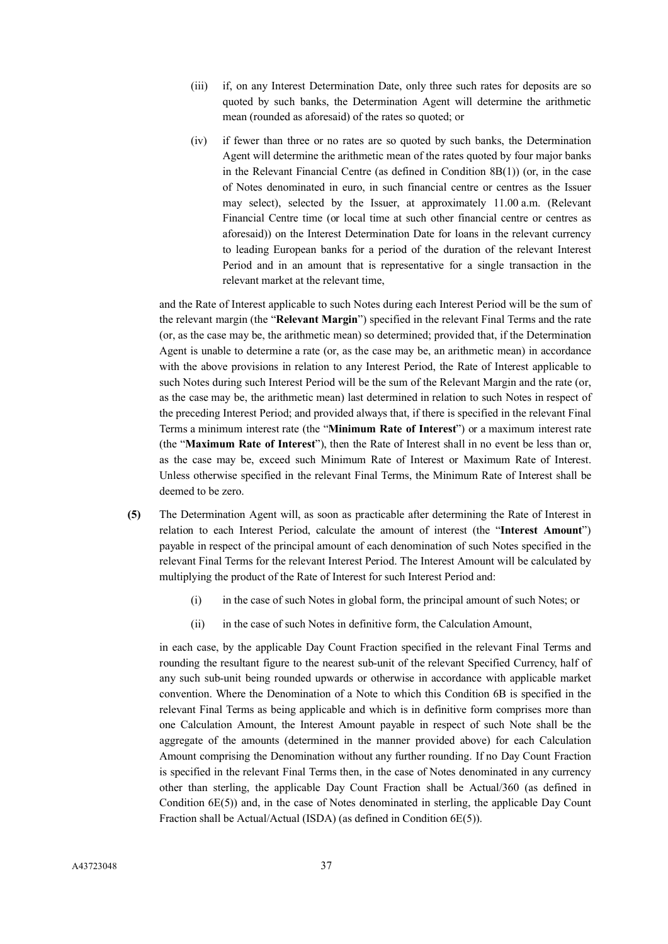- (iii) if, on any Interest Determination Date, only three such rates for deposits are so quoted by such banks, the Determination Agent will determine the arithmetic mean (rounded as aforesaid) of the rates so quoted; or
- (iv) if fewer than three or no rates are so quoted by such banks, the Determination Agent will determine the arithmetic mean of the rates quoted by four major banks in the Relevant Financial Centre (as defined in Condition  $8B(1)$ ) (or, in the case of Notes denominated in euro, in such financial centre or centres as the Issuer may select), selected by the Issuer, at approximately 11.00 a.m. (Relevant Financial Centre time (or local time at such other financial centre or centres as aforesaid)) on the Interest Determination Date for loans in the relevant currency to leading European banks for a period of the duration of the relevant Interest Period and in an amount that is representative for a single transaction in the relevant market at the relevant time,

and the Rate of Interest applicable to such Notes during each Interest Period will be the sum of the relevant margin (the "**Relevant Margin**") specified in the relevant Final Terms and the rate (or, as the case may be, the arithmetic mean) so determined; provided that, if the Determination Agent is unable to determine a rate (or, as the case may be, an arithmetic mean) in accordance with the above provisions in relation to any Interest Period, the Rate of Interest applicable to such Notes during such Interest Period will be the sum of the Relevant Margin and the rate (or, as the case may be, the arithmetic mean) last determined in relation to such Notes in respect of the preceding Interest Period; and provided always that, if there is specified in the relevant Final Terms a minimum interest rate (the "**Minimum Rate of Interest**") or a maximum interest rate (the "**Maximum Rate of Interest**"), then the Rate of Interest shall in no event be less than or, as the case may be, exceed such Minimum Rate of Interest or Maximum Rate of Interest. Unless otherwise specified in the relevant Final Terms, the Minimum Rate of Interest shall be deemed to be zero.

- **(5)** The Determination Agent will, as soon as practicable after determining the Rate of Interest in relation to each Interest Period, calculate the amount of interest (the "**Interest Amount**") payable in respect of the principal amount of each denomination of such Notes specified in the relevant Final Terms for the relevant Interest Period. The Interest Amount will be calculated by multiplying the product of the Rate of Interest for such Interest Period and:
	- (i) in the case of such Notes in global form, the principal amount of such Notes; or
	- (ii) in the case of such Notes in definitive form, the Calculation Amount,

in each case, by the applicable Day Count Fraction specified in the relevant Final Terms and rounding the resultant figure to the nearest sub-unit of the relevant Specified Currency, half of any such sub-unit being rounded upwards or otherwise in accordance with applicable market convention. Where the Denomination of a Note to which this Condition 6B is specified in the relevant Final Terms as being applicable and which is in definitive form comprises more than one Calculation Amount, the Interest Amount payable in respect of such Note shall be the aggregate of the amounts (determined in the manner provided above) for each Calculation Amount comprising the Denomination without any further rounding. If no Day Count Fraction is specified in the relevant Final Terms then, in the case of Notes denominated in any currency other than sterling, the applicable Day Count Fraction shall be Actual/360 (as defined in Condition 6E(5)) and, in the case of Notes denominated in sterling, the applicable Day Count Fraction shall be Actual/Actual (ISDA) (as defined in Condition 6E(5)).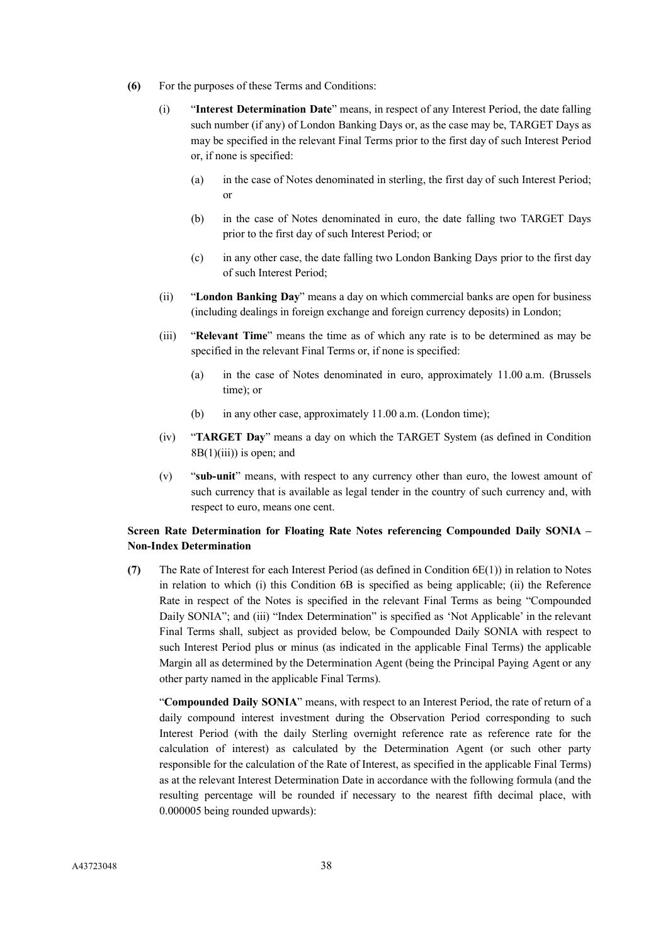- **(6)** For the purposes of these Terms and Conditions:
	- (i) "**Interest Determination Date**" means, in respect of any Interest Period, the date falling such number (if any) of London Banking Days or, as the case may be, TARGET Days as may be specified in the relevant Final Terms prior to the first day of such Interest Period or, if none is specified:
		- (a) in the case of Notes denominated in sterling, the first day of such Interest Period; or
		- (b) in the case of Notes denominated in euro, the date falling two TARGET Days prior to the first day of such Interest Period; or
		- (c) in any other case, the date falling two London Banking Days prior to the first day of such Interest Period;
	- (ii) "**London Banking Day**" means a day on which commercial banks are open for business (including dealings in foreign exchange and foreign currency deposits) in London;
	- (iii) "**Relevant Time**" means the time as of which any rate is to be determined as may be specified in the relevant Final Terms or, if none is specified:
		- (a) in the case of Notes denominated in euro, approximately 11.00 a.m. (Brussels time); or
		- (b) in any other case, approximately 11.00 a.m. (London time);
	- (iv) "**TARGET Day**" means a day on which the TARGET System (as defined in Condition  $8B(1)(iii)$  is open; and
	- (v) "**sub-unit**" means, with respect to any currency other than euro, the lowest amount of such currency that is available as legal tender in the country of such currency and, with respect to euro, means one cent.

# **Screen Rate Determination for Floating Rate Notes referencing Compounded Daily SONIA – Non-Index Determination**

**(7)** The Rate of Interest for each Interest Period (as defined in Condition 6E(1)) in relation to Notes in relation to which (i) this Condition 6B is specified as being applicable; (ii) the Reference Rate in respect of the Notes is specified in the relevant Final Terms as being "Compounded Daily SONIA"; and (iii) "Index Determination" is specified as 'Not Applicable' in the relevant Final Terms shall, subject as provided below, be Compounded Daily SONIA with respect to such Interest Period plus or minus (as indicated in the applicable Final Terms) the applicable Margin all as determined by the Determination Agent (being the Principal Paying Agent or any other party named in the applicable Final Terms).

"**Compounded Daily SONIA**" means, with respect to an Interest Period, the rate of return of a daily compound interest investment during the Observation Period corresponding to such Interest Period (with the daily Sterling overnight reference rate as reference rate for the calculation of interest) as calculated by the Determination Agent (or such other party responsible for the calculation of the Rate of Interest, as specified in the applicable Final Terms) as at the relevant Interest Determination Date in accordance with the following formula (and the resulting percentage will be rounded if necessary to the nearest fifth decimal place, with 0.000005 being rounded upwards):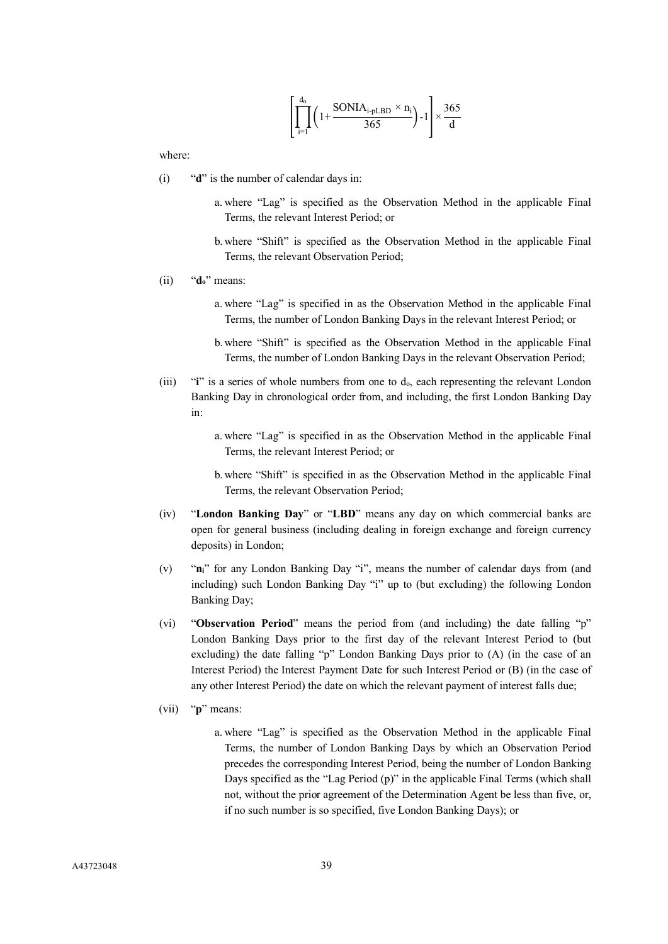$$
\left[\prod_{i=1}^{d_0} \left(1 + \frac{\text{SONIA}_{i\text{-}\text{PLBD}} \times n_i}{365}\right) - 1\right] \times \frac{365}{d}
$$

where:

- (i) "**d**" is the number of calendar days in:
	- a. where "Lag" is specified as the Observation Method in the applicable Final Terms, the relevant Interest Period; or
	- b. where "Shift" is specified as the Observation Method in the applicable Final Terms, the relevant Observation Period;
- (ii) "**do**" means:
	- a. where "Lag" is specified in as the Observation Method in the applicable Final Terms, the number of London Banking Days in the relevant Interest Period; or
	- b. where "Shift" is specified as the Observation Method in the applicable Final Terms, the number of London Banking Days in the relevant Observation Period;
- (iii) "**i**" is a series of whole numbers from one to d<sub>o</sub>, each representing the relevant London Banking Day in chronological order from, and including, the first London Banking Day in:
	- a. where "Lag" is specified in as the Observation Method in the applicable Final Terms, the relevant Interest Period; or
	- b. where "Shift" is specified in as the Observation Method in the applicable Final Terms, the relevant Observation Period;
- (iv) "**London Banking Day**" or "**LBD**" means any day on which commercial banks are open for general business (including dealing in foreign exchange and foreign currency deposits) in London;
- (v) "**ni**" for any London Banking Day "i", means the number of calendar days from (and including) such London Banking Day "i" up to (but excluding) the following London Banking Day;
- (vi) "**Observation Period**" means the period from (and including) the date falling "p" London Banking Days prior to the first day of the relevant Interest Period to (but excluding) the date falling "p" London Banking Days prior to (A) (in the case of an Interest Period) the Interest Payment Date for such Interest Period or (B) (in the case of any other Interest Period) the date on which the relevant payment of interest falls due;
- (vii) "**p**" means:
	- a. where "Lag" is specified as the Observation Method in the applicable Final Terms, the number of London Banking Days by which an Observation Period precedes the corresponding Interest Period, being the number of London Banking Days specified as the "Lag Period (p)" in the applicable Final Terms (which shall not, without the prior agreement of the Determination Agent be less than five, or, if no such number is so specified, five London Banking Days); or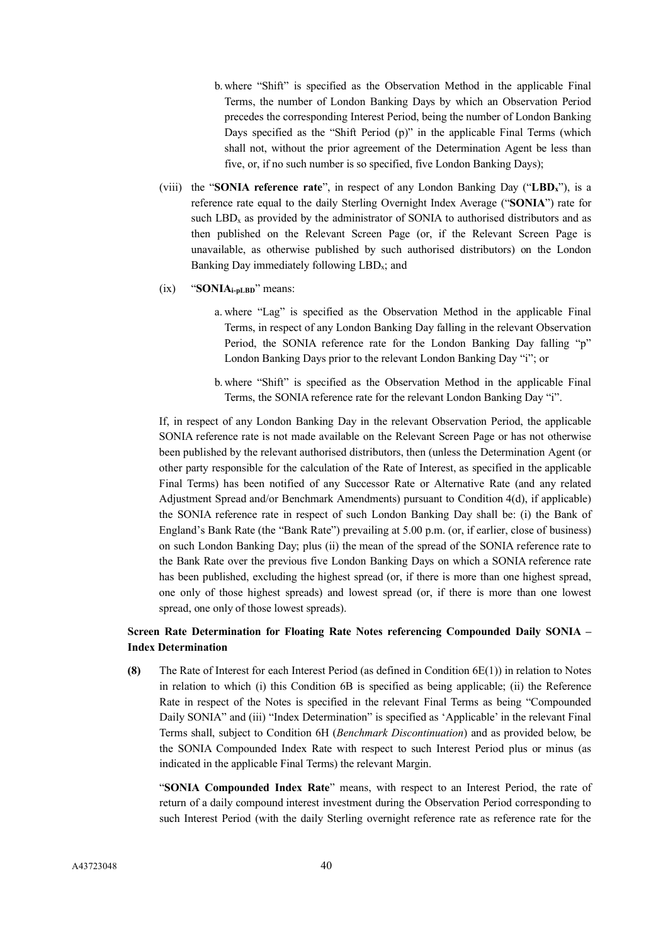- b. where "Shift" is specified as the Observation Method in the applicable Final Terms, the number of London Banking Days by which an Observation Period precedes the corresponding Interest Period, being the number of London Banking Days specified as the "Shift Period (p)" in the applicable Final Terms (which shall not, without the prior agreement of the Determination Agent be less than five, or, if no such number is so specified, five London Banking Days);
- (viii) the "**SONIA reference rate**", in respect of any London Banking Day ("**LBDx**"), is a reference rate equal to the daily Sterling Overnight Index Average ("**SONIA**") rate for such  $LBD_x$  as provided by the administrator of SONIA to authorised distributors and as then published on the Relevant Screen Page (or, if the Relevant Screen Page is unavailable, as otherwise published by such authorised distributors) on the London Banking Day immediately following  $LBD_x$ ; and
- (ix) "**SONIAi-pLBD**" means:
	- a. where "Lag" is specified as the Observation Method in the applicable Final Terms, in respect of any London Banking Day falling in the relevant Observation Period, the SONIA reference rate for the London Banking Day falling "p" London Banking Days prior to the relevant London Banking Day "i"; or
	- b. where "Shift" is specified as the Observation Method in the applicable Final Terms, the SONIA reference rate for the relevant London Banking Day "i".

If, in respect of any London Banking Day in the relevant Observation Period, the applicable SONIA reference rate is not made available on the Relevant Screen Page or has not otherwise been published by the relevant authorised distributors, then (unless the Determination Agent (or other party responsible for the calculation of the Rate of Interest, as specified in the applicable Final Terms) has been notified of any Successor Rate or Alternative Rate (and any related Adjustment Spread and/or Benchmark Amendments) pursuant to Condition 4(d), if applicable) the SONIA reference rate in respect of such London Banking Day shall be: (i) the Bank of England's Bank Rate (the "Bank Rate") prevailing at 5.00 p.m. (or, if earlier, close of business) on such London Banking Day; plus (ii) the mean of the spread of the SONIA reference rate to the Bank Rate over the previous five London Banking Days on which a SONIA reference rate has been published, excluding the highest spread (or, if there is more than one highest spread, one only of those highest spreads) and lowest spread (or, if there is more than one lowest spread, one only of those lowest spreads).

# **Screen Rate Determination for Floating Rate Notes referencing Compounded Daily SONIA – Index Determination**

**(8)** The Rate of Interest for each Interest Period (as defined in Condition 6E(1)) in relation to Notes in relation to which (i) this Condition 6B is specified as being applicable; (ii) the Reference Rate in respect of the Notes is specified in the relevant Final Terms as being "Compounded Daily SONIA" and (iii) "Index Determination" is specified as 'Applicable' in the relevant Final Terms shall, subject to Condition 6H (*Benchmark Discontinuation*) and as provided below, be the SONIA Compounded Index Rate with respect to such Interest Period plus or minus (as indicated in the applicable Final Terms) the relevant Margin.

"**SONIA Compounded Index Rate**" means, with respect to an Interest Period, the rate of return of a daily compound interest investment during the Observation Period corresponding to such Interest Period (with the daily Sterling overnight reference rate as reference rate for the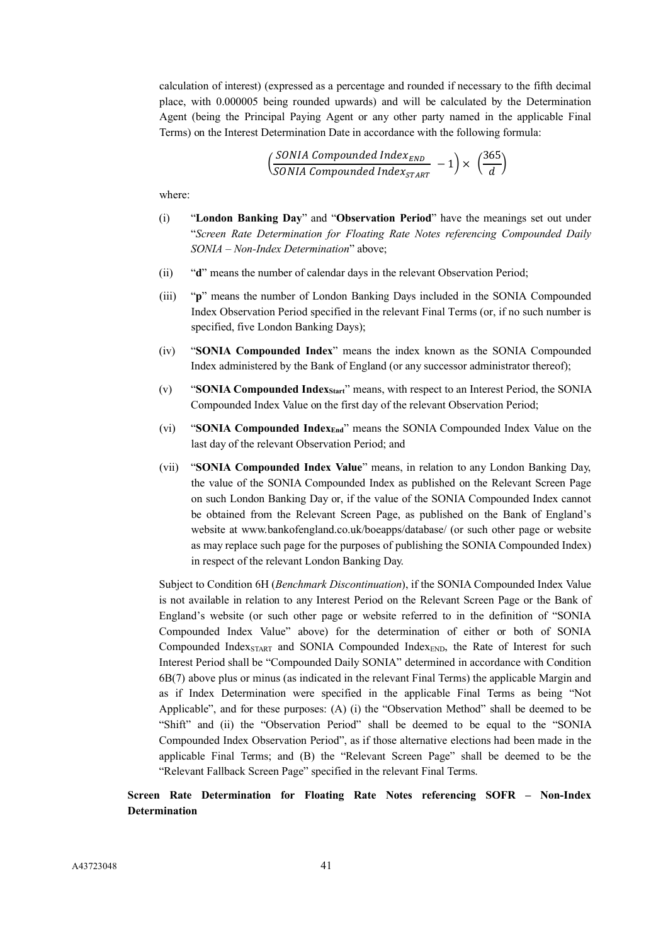calculation of interest) (expressed as a percentage and rounded if necessary to the fifth decimal place, with 0.000005 being rounded upwards) and will be calculated by the Determination Agent (being the Principal Paying Agent or any other party named in the applicable Final Terms) on the Interest Determination Date in accordance with the following formula:

$$
\left(\frac{SONIA\ Compounded\ Index_{END}}{SONIA\ Compounded\ Index_{START}} - 1\right) \times \left(\frac{365}{d}\right)
$$

where:

- (i) "**London Banking Day**" and "**Observation Period**" have the meanings set out under "*Screen Rate Determination for Floating Rate Notes referencing Compounded Daily SONIA – Non-Index Determination*" above;
- (ii) "**d**" means the number of calendar days in the relevant Observation Period;
- (iii) "**p**" means the number of London Banking Days included in the SONIA Compounded Index Observation Period specified in the relevant Final Terms (or, if no such number is specified, five London Banking Days);
- (iv) "**SONIA Compounded Index**" means the index known as the SONIA Compounded Index administered by the Bank of England (or any successor administrator thereof);
- (v) "**SONIA Compounded IndexStart**" means, with respect to an Interest Period, the SONIA Compounded Index Value on the first day of the relevant Observation Period;
- (vi) "**SONIA Compounded IndexEnd**" means the SONIA Compounded Index Value on the last day of the relevant Observation Period; and
- (vii) "**SONIA Compounded Index Value**" means, in relation to any London Banking Day, the value of the SONIA Compounded Index as published on the Relevant Screen Page on such London Banking Day or, if the value of the SONIA Compounded Index cannot be obtained from the Relevant Screen Page, as published on the Bank of England's website at www.bankofengland.co.uk/boeapps/database/ (or such other page or website as may replace such page for the purposes of publishing the SONIA Compounded Index) in respect of the relevant London Banking Day.

Subject to Condition 6H (*Benchmark Discontinuation*), if the SONIA Compounded Index Value is not available in relation to any Interest Period on the Relevant Screen Page or the Bank of England's website (or such other page or website referred to in the definition of "SONIA Compounded Index Value" above) for the determination of either or both of SONIA Compounded Index<sub>START</sub> and SONIA Compounded Index<sub>END</sub>, the Rate of Interest for such Interest Period shall be "Compounded Daily SONIA" determined in accordance with Condition 6B(7) above plus or minus (as indicated in the relevant Final Terms) the applicable Margin and as if Index Determination were specified in the applicable Final Terms as being "Not Applicable", and for these purposes: (A) (i) the "Observation Method" shall be deemed to be "Shift" and (ii) the "Observation Period" shall be deemed to be equal to the "SONIA Compounded Index Observation Period", as if those alternative elections had been made in the applicable Final Terms; and (B) the "Relevant Screen Page" shall be deemed to be the "Relevant Fallback Screen Page" specified in the relevant Final Terms.

# **Screen Rate Determination for Floating Rate Notes referencing SOFR – Non-Index Determination**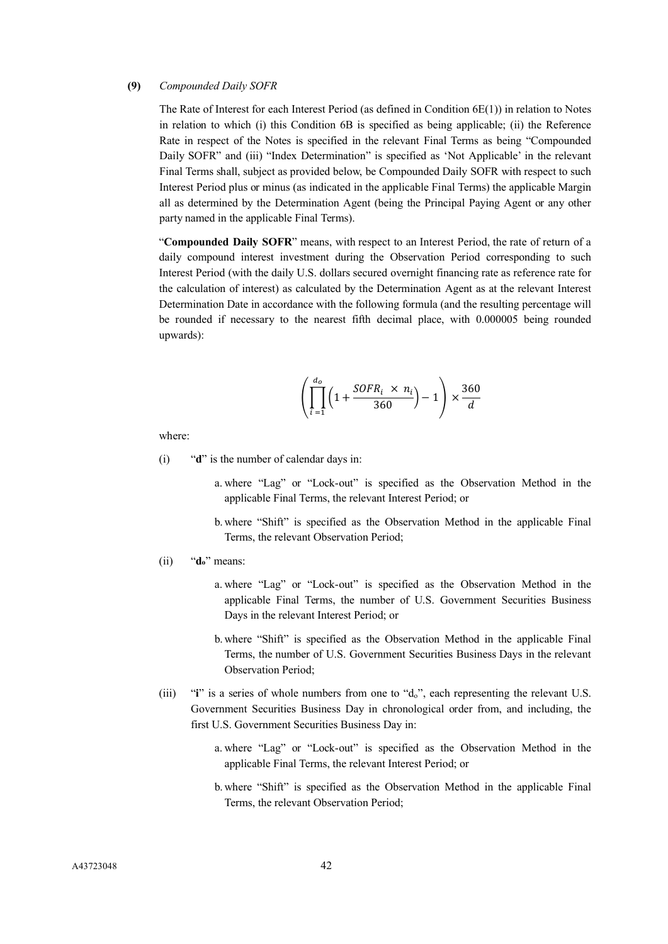## **(9)** *Compounded Daily SOFR*

The Rate of Interest for each Interest Period (as defined in Condition 6E(1)) in relation to Notes in relation to which (i) this Condition 6B is specified as being applicable; (ii) the Reference Rate in respect of the Notes is specified in the relevant Final Terms as being "Compounded Daily SOFR" and (iii) "Index Determination" is specified as 'Not Applicable' in the relevant Final Terms shall, subject as provided below, be Compounded Daily SOFR with respect to such Interest Period plus or minus (as indicated in the applicable Final Terms) the applicable Margin all as determined by the Determination Agent (being the Principal Paying Agent or any other party named in the applicable Final Terms).

"**Compounded Daily SOFR**" means, with respect to an Interest Period, the rate of return of a daily compound interest investment during the Observation Period corresponding to such Interest Period (with the daily U.S. dollars secured overnight financing rate as reference rate for the calculation of interest) as calculated by the Determination Agent as at the relevant Interest Determination Date in accordance with the following formula (and the resulting percentage will be rounded if necessary to the nearest fifth decimal place, with 0.000005 being rounded upwards):

$$
\left(\prod_{i=1}^{d_o} \left(1 + \frac{SOFR_i \times n_i}{360}\right) - 1\right) \times \frac{360}{d}
$$

where:

- (i) "**d**" is the number of calendar days in:
	- a. where "Lag" or "Lock-out" is specified as the Observation Method in the applicable Final Terms, the relevant Interest Period; or
	- b. where "Shift" is specified as the Observation Method in the applicable Final Terms, the relevant Observation Period;
- (ii) "**do**" means:
	- a. where "Lag" or "Lock-out" is specified as the Observation Method in the applicable Final Terms, the number of U.S. Government Securities Business Days in the relevant Interest Period; or
	- b. where "Shift" is specified as the Observation Method in the applicable Final Terms, the number of U.S. Government Securities Business Days in the relevant Observation Period;
- (iii) "**i**" is a series of whole numbers from one to "do", each representing the relevant U.S. Government Securities Business Day in chronological order from, and including, the first U.S. Government Securities Business Day in:
	- a. where "Lag" or "Lock-out" is specified as the Observation Method in the applicable Final Terms, the relevant Interest Period; or
	- b. where "Shift" is specified as the Observation Method in the applicable Final Terms, the relevant Observation Period;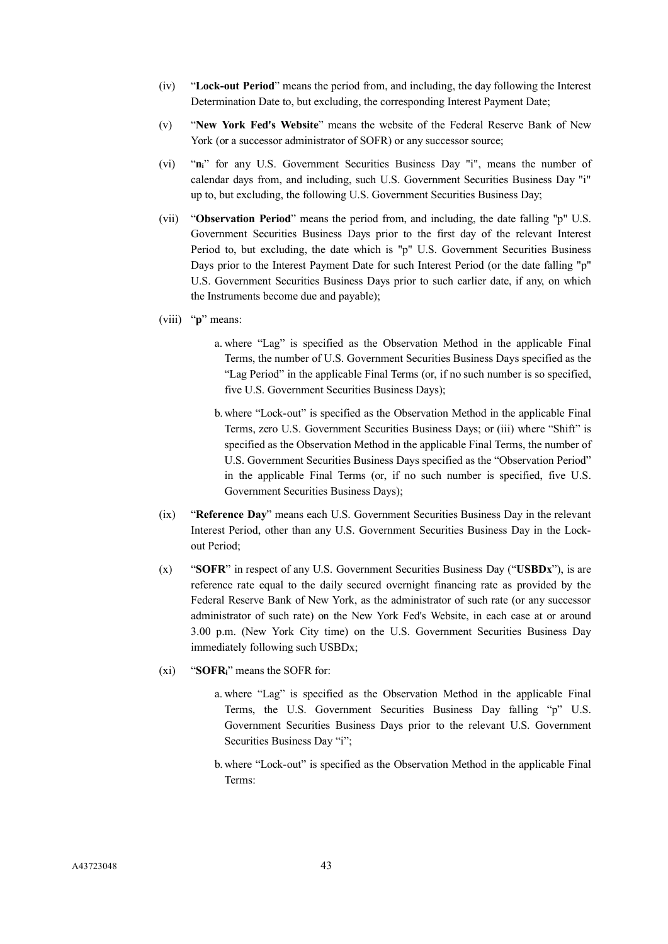- (iv) "**Lock-out Period**" means the period from, and including, the day following the Interest Determination Date to, but excluding, the corresponding Interest Payment Date;
- (v) "**New York Fed's Website**" means the website of the Federal Reserve Bank of New York (or a successor administrator of SOFR) or any successor source;
- (vi) "**ni**" for any U.S. Government Securities Business Day "i", means the number of calendar days from, and including, such U.S. Government Securities Business Day "i" up to, but excluding, the following U.S. Government Securities Business Day;
- (vii) "**Observation Period**" means the period from, and including, the date falling "p" U.S. Government Securities Business Days prior to the first day of the relevant Interest Period to, but excluding, the date which is "p" U.S. Government Securities Business Days prior to the Interest Payment Date for such Interest Period (or the date falling "p" U.S. Government Securities Business Days prior to such earlier date, if any, on which the Instruments become due and payable);
- (viii) "**p**" means:
	- a. where "Lag" is specified as the Observation Method in the applicable Final Terms, the number of U.S. Government Securities Business Days specified as the "Lag Period" in the applicable Final Terms (or, if no such number is so specified, five U.S. Government Securities Business Days);
	- b. where "Lock-out" is specified as the Observation Method in the applicable Final Terms, zero U.S. Government Securities Business Days; or (iii) where "Shift" is specified as the Observation Method in the applicable Final Terms, the number of U.S. Government Securities Business Days specified as the "Observation Period" in the applicable Final Terms (or, if no such number is specified, five U.S. Government Securities Business Days);
- (ix) "**Reference Day**" means each U.S. Government Securities Business Day in the relevant Interest Period, other than any U.S. Government Securities Business Day in the Lockout Period;
- (x) "**SOFR**" in respect of any U.S. Government Securities Business Day ("**USBDx**"), is are reference rate equal to the daily secured overnight financing rate as provided by the Federal Reserve Bank of New York, as the administrator of such rate (or any successor administrator of such rate) on the New York Fed's Website, in each case at or around 3.00 p.m. (New York City time) on the U.S. Government Securities Business Day immediately following such USBDx;
- (xi) "**SOFRi**" means the SOFR for:
	- a. where "Lag" is specified as the Observation Method in the applicable Final Terms, the U.S. Government Securities Business Day falling "p" U.S. Government Securities Business Days prior to the relevant U.S. Government Securities Business Day "i";
	- b. where "Lock-out" is specified as the Observation Method in the applicable Final Terms: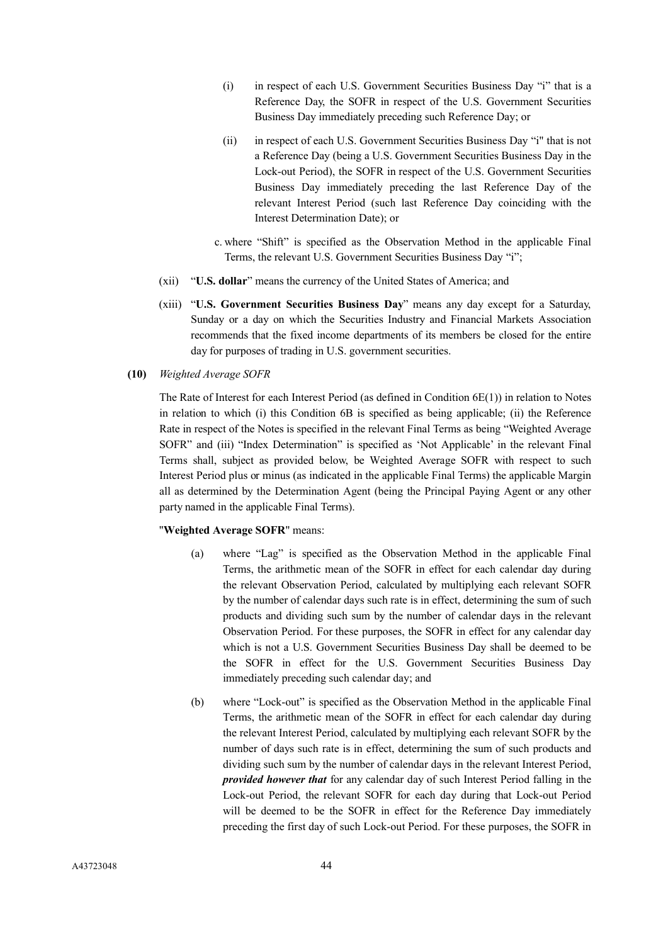- (i) in respect of each U.S. Government Securities Business Day "i" that is a Reference Day, the SOFR in respect of the U.S. Government Securities Business Day immediately preceding such Reference Day; or
- (ii) in respect of each U.S. Government Securities Business Day "i" that is not a Reference Day (being a U.S. Government Securities Business Day in the Lock-out Period), the SOFR in respect of the U.S. Government Securities Business Day immediately preceding the last Reference Day of the relevant Interest Period (such last Reference Day coinciding with the Interest Determination Date); or
- c. where "Shift" is specified as the Observation Method in the applicable Final Terms, the relevant U.S. Government Securities Business Day "i";
- (xii) "**U.S. dollar**" means the currency of the United States of America; and
- (xiii) "**U.S. Government Securities Business Day**" means any day except for a Saturday, Sunday or a day on which the Securities Industry and Financial Markets Association recommends that the fixed income departments of its members be closed for the entire day for purposes of trading in U.S. government securities.
- **(10)** *Weighted Average SOFR*

The Rate of Interest for each Interest Period (as defined in Condition 6E(1)) in relation to Notes in relation to which (i) this Condition 6B is specified as being applicable; (ii) the Reference Rate in respect of the Notes is specified in the relevant Final Terms as being "Weighted Average SOFR" and (iii) "Index Determination" is specified as 'Not Applicable' in the relevant Final Terms shall, subject as provided below, be Weighted Average SOFR with respect to such Interest Period plus or minus (as indicated in the applicable Final Terms) the applicable Margin all as determined by the Determination Agent (being the Principal Paying Agent or any other party named in the applicable Final Terms).

### "**Weighted Average SOFR**" means:

- (a) where "Lag" is specified as the Observation Method in the applicable Final Terms, the arithmetic mean of the SOFR in effect for each calendar day during the relevant Observation Period, calculated by multiplying each relevant SOFR by the number of calendar days such rate is in effect, determining the sum of such products and dividing such sum by the number of calendar days in the relevant Observation Period. For these purposes, the SOFR in effect for any calendar day which is not a U.S. Government Securities Business Day shall be deemed to be the SOFR in effect for the U.S. Government Securities Business Day immediately preceding such calendar day; and
- (b) where "Lock-out" is specified as the Observation Method in the applicable Final Terms, the arithmetic mean of the SOFR in effect for each calendar day during the relevant Interest Period, calculated by multiplying each relevant SOFR by the number of days such rate is in effect, determining the sum of such products and dividing such sum by the number of calendar days in the relevant Interest Period, *provided however that* for any calendar day of such Interest Period falling in the Lock-out Period, the relevant SOFR for each day during that Lock-out Period will be deemed to be the SOFR in effect for the Reference Day immediately preceding the first day of such Lock-out Period. For these purposes, the SOFR in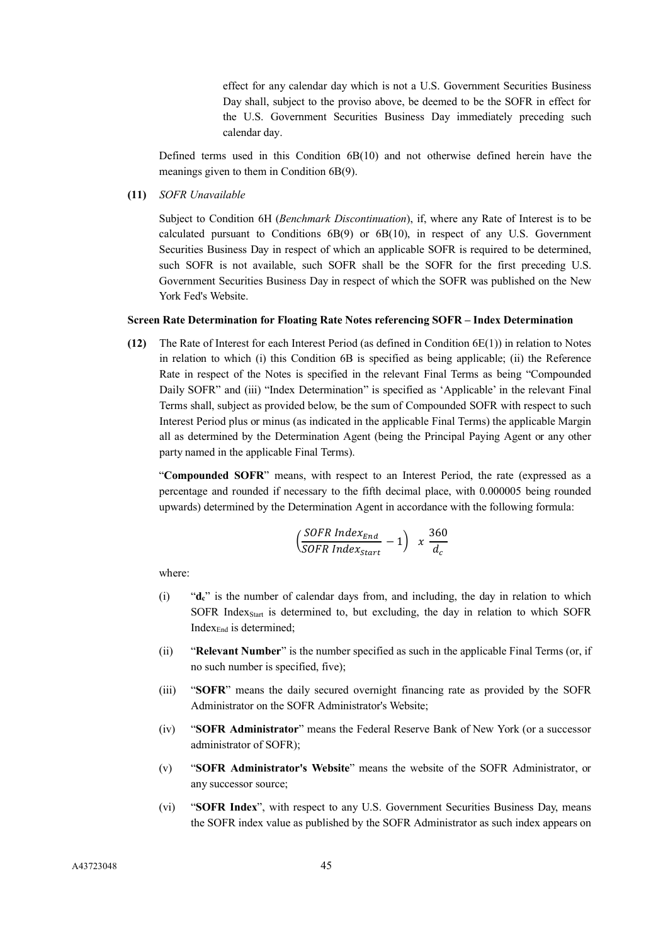effect for any calendar day which is not a U.S. Government Securities Business Day shall, subject to the proviso above, be deemed to be the SOFR in effect for the U.S. Government Securities Business Day immediately preceding such calendar day.

Defined terms used in this Condition 6B(10) and not otherwise defined herein have the meanings given to them in Condition 6B(9).

**(11)** *SOFR Unavailable* 

Subject to Condition 6H (*Benchmark Discontinuation*), if, where any Rate of Interest is to be calculated pursuant to Conditions 6B(9) or 6B(10), in respect of any U.S. Government Securities Business Day in respect of which an applicable SOFR is required to be determined, such SOFR is not available, such SOFR shall be the SOFR for the first preceding U.S. Government Securities Business Day in respect of which the SOFR was published on the New York Fed's Website.

### **Screen Rate Determination for Floating Rate Notes referencing SOFR – Index Determination**

**(12)** The Rate of Interest for each Interest Period (as defined in Condition 6E(1)) in relation to Notes in relation to which (i) this Condition 6B is specified as being applicable; (ii) the Reference Rate in respect of the Notes is specified in the relevant Final Terms as being "Compounded Daily SOFR" and (iii) "Index Determination" is specified as 'Applicable' in the relevant Final Terms shall, subject as provided below, be the sum of Compounded SOFR with respect to such Interest Period plus or minus (as indicated in the applicable Final Terms) the applicable Margin all as determined by the Determination Agent (being the Principal Paying Agent or any other party named in the applicable Final Terms).

"**Compounded SOFR**" means, with respect to an Interest Period, the rate (expressed as a percentage and rounded if necessary to the fifth decimal place, with 0.000005 being rounded upwards) determined by the Determination Agent in accordance with the following formula:

$$
\left(\frac{SOFR Index_{End}}{SOFR Index_{start}}-1\right) x \frac{360}{d_c}
$$

where:

- (i) "**dc**" is the number of calendar days from, and including, the day in relation to which SOFR Index<sub>Start</sub> is determined to, but excluding, the day in relation to which SOFR Index<sub>End</sub> is determined;
- (ii) "**Relevant Number**" is the number specified as such in the applicable Final Terms (or, if no such number is specified, five);
- (iii) "**SOFR**" means the daily secured overnight financing rate as provided by the SOFR Administrator on the SOFR Administrator's Website;
- (iv) "**SOFR Administrator**" means the Federal Reserve Bank of New York (or a successor administrator of SOFR);
- (v) "**SOFR Administrator's Website**" means the website of the SOFR Administrator, or any successor source;
- (vi) "**SOFR Index**", with respect to any U.S. Government Securities Business Day, means the SOFR index value as published by the SOFR Administrator as such index appears on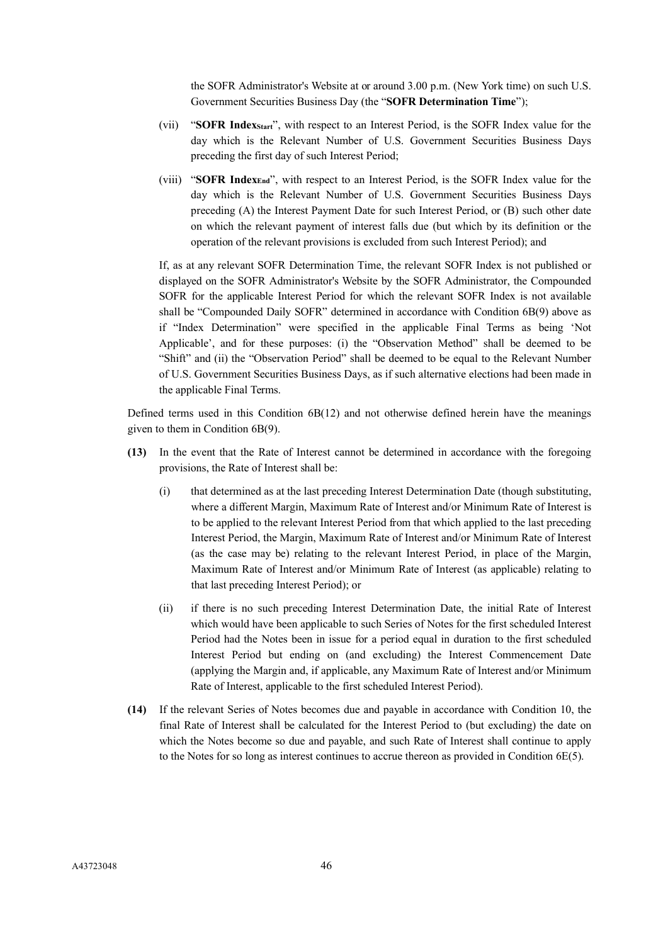the SOFR Administrator's Website at or around 3.00 p.m. (New York time) on such U.S. Government Securities Business Day (the "**SOFR Determination Time**");

- (vii) "**SOFR IndexStart**", with respect to an Interest Period, is the SOFR Index value for the day which is the Relevant Number of U.S. Government Securities Business Days preceding the first day of such Interest Period;
- (viii) "**SOFR IndexEnd**", with respect to an Interest Period, is the SOFR Index value for the day which is the Relevant Number of U.S. Government Securities Business Days preceding (A) the Interest Payment Date for such Interest Period, or (B) such other date on which the relevant payment of interest falls due (but which by its definition or the operation of the relevant provisions is excluded from such Interest Period); and

If, as at any relevant SOFR Determination Time, the relevant SOFR Index is not published or displayed on the SOFR Administrator's Website by the SOFR Administrator, the Compounded SOFR for the applicable Interest Period for which the relevant SOFR Index is not available shall be "Compounded Daily SOFR" determined in accordance with Condition 6B(9) above as if "Index Determination" were specified in the applicable Final Terms as being 'Not Applicable', and for these purposes: (i) the "Observation Method" shall be deemed to be "Shift" and (ii) the "Observation Period" shall be deemed to be equal to the Relevant Number of U.S. Government Securities Business Days, as if such alternative elections had been made in the applicable Final Terms.

Defined terms used in this Condition  $6B(12)$  and not otherwise defined herein have the meanings given to them in Condition 6B(9).

- **(13)** In the event that the Rate of Interest cannot be determined in accordance with the foregoing provisions, the Rate of Interest shall be:
	- (i) that determined as at the last preceding Interest Determination Date (though substituting, where a different Margin, Maximum Rate of Interest and/or Minimum Rate of Interest is to be applied to the relevant Interest Period from that which applied to the last preceding Interest Period, the Margin, Maximum Rate of Interest and/or Minimum Rate of Interest (as the case may be) relating to the relevant Interest Period, in place of the Margin, Maximum Rate of Interest and/or Minimum Rate of Interest (as applicable) relating to that last preceding Interest Period); or
	- (ii) if there is no such preceding Interest Determination Date, the initial Rate of Interest which would have been applicable to such Series of Notes for the first scheduled Interest Period had the Notes been in issue for a period equal in duration to the first scheduled Interest Period but ending on (and excluding) the Interest Commencement Date (applying the Margin and, if applicable, any Maximum Rate of Interest and/or Minimum Rate of Interest, applicable to the first scheduled Interest Period).
- **(14)** If the relevant Series of Notes becomes due and payable in accordance with Condition 10, the final Rate of Interest shall be calculated for the Interest Period to (but excluding) the date on which the Notes become so due and payable, and such Rate of Interest shall continue to apply to the Notes for so long as interest continues to accrue thereon as provided in Condition 6E(5).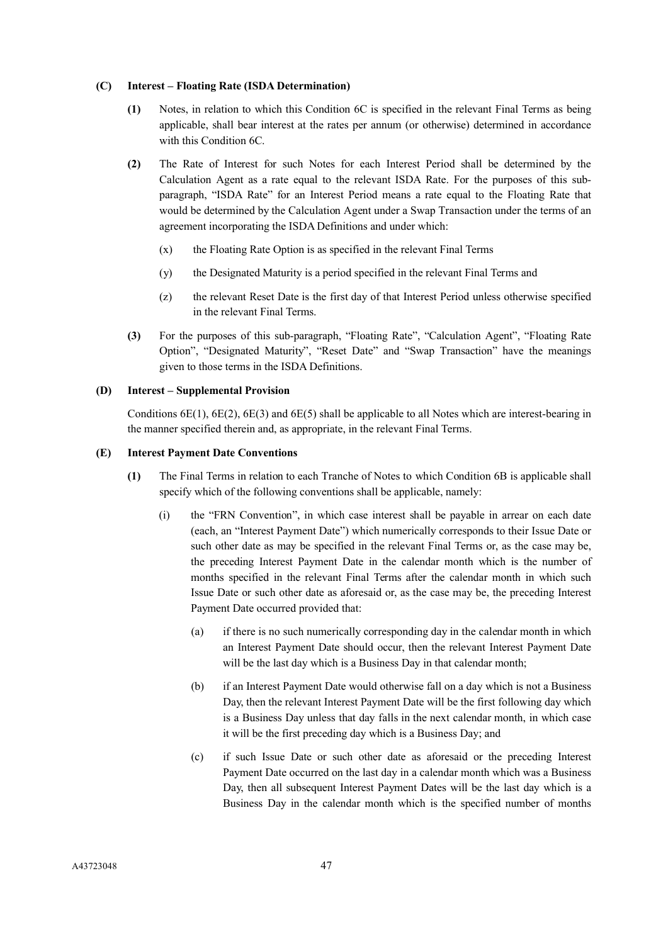### **(C) Interest – Floating Rate (ISDA Determination)**

- **(1)** Notes, in relation to which this Condition 6C is specified in the relevant Final Terms as being applicable, shall bear interest at the rates per annum (or otherwise) determined in accordance with this Condition 6C.
- **(2)** The Rate of Interest for such Notes for each Interest Period shall be determined by the Calculation Agent as a rate equal to the relevant ISDA Rate. For the purposes of this subparagraph, "ISDA Rate" for an Interest Period means a rate equal to the Floating Rate that would be determined by the Calculation Agent under a Swap Transaction under the terms of an agreement incorporating the ISDA Definitions and under which:
	- (x) the Floating Rate Option is as specified in the relevant Final Terms
	- (y) the Designated Maturity is a period specified in the relevant Final Terms and
	- (z) the relevant Reset Date is the first day of that Interest Period unless otherwise specified in the relevant Final Terms.
- **(3)** For the purposes of this sub-paragraph, "Floating Rate", "Calculation Agent", "Floating Rate Option", "Designated Maturity", "Reset Date" and "Swap Transaction" have the meanings given to those terms in the ISDA Definitions.

## **(D) Interest – Supplemental Provision**

Conditions 6E(1), 6E(2), 6E(3) and 6E(5) shall be applicable to all Notes which are interest-bearing in the manner specified therein and, as appropriate, in the relevant Final Terms.

### **(E) Interest Payment Date Conventions**

- **(1)** The Final Terms in relation to each Tranche of Notes to which Condition 6B is applicable shall specify which of the following conventions shall be applicable, namely:
	- (i) the "FRN Convention", in which case interest shall be payable in arrear on each date (each, an "Interest Payment Date") which numerically corresponds to their Issue Date or such other date as may be specified in the relevant Final Terms or, as the case may be, the preceding Interest Payment Date in the calendar month which is the number of months specified in the relevant Final Terms after the calendar month in which such Issue Date or such other date as aforesaid or, as the case may be, the preceding Interest Payment Date occurred provided that:
		- (a) if there is no such numerically corresponding day in the calendar month in which an Interest Payment Date should occur, then the relevant Interest Payment Date will be the last day which is a Business Day in that calendar month;
		- (b) if an Interest Payment Date would otherwise fall on a day which is not a Business Day, then the relevant Interest Payment Date will be the first following day which is a Business Day unless that day falls in the next calendar month, in which case it will be the first preceding day which is a Business Day; and
		- (c) if such Issue Date or such other date as aforesaid or the preceding Interest Payment Date occurred on the last day in a calendar month which was a Business Day, then all subsequent Interest Payment Dates will be the last day which is a Business Day in the calendar month which is the specified number of months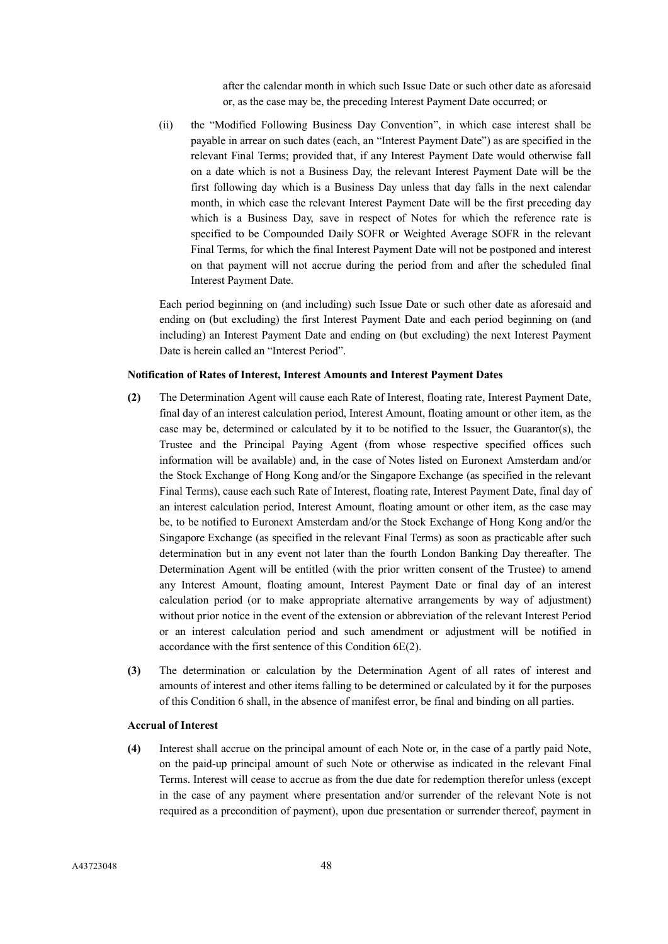after the calendar month in which such Issue Date or such other date as aforesaid or, as the case may be, the preceding Interest Payment Date occurred; or

(ii) the "Modified Following Business Day Convention", in which case interest shall be payable in arrear on such dates (each, an "Interest Payment Date") as are specified in the relevant Final Terms; provided that, if any Interest Payment Date would otherwise fall on a date which is not a Business Day, the relevant Interest Payment Date will be the first following day which is a Business Day unless that day falls in the next calendar month, in which case the relevant Interest Payment Date will be the first preceding day which is a Business Day, save in respect of Notes for which the reference rate is specified to be Compounded Daily SOFR or Weighted Average SOFR in the relevant Final Terms, for which the final Interest Payment Date will not be postponed and interest on that payment will not accrue during the period from and after the scheduled final Interest Payment Date.

Each period beginning on (and including) such Issue Date or such other date as aforesaid and ending on (but excluding) the first Interest Payment Date and each period beginning on (and including) an Interest Payment Date and ending on (but excluding) the next Interest Payment Date is herein called an "Interest Period".

## **Notification of Rates of Interest, Interest Amounts and Interest Payment Dates**

- **(2)** The Determination Agent will cause each Rate of Interest, floating rate, Interest Payment Date, final day of an interest calculation period, Interest Amount, floating amount or other item, as the case may be, determined or calculated by it to be notified to the Issuer, the Guarantor(s), the Trustee and the Principal Paying Agent (from whose respective specified offices such information will be available) and, in the case of Notes listed on Euronext Amsterdam and/or the Stock Exchange of Hong Kong and/or the Singapore Exchange (as specified in the relevant Final Terms), cause each such Rate of Interest, floating rate, Interest Payment Date, final day of an interest calculation period, Interest Amount, floating amount or other item, as the case may be, to be notified to Euronext Amsterdam and/or the Stock Exchange of Hong Kong and/or the Singapore Exchange (as specified in the relevant Final Terms) as soon as practicable after such determination but in any event not later than the fourth London Banking Day thereafter. The Determination Agent will be entitled (with the prior written consent of the Trustee) to amend any Interest Amount, floating amount, Interest Payment Date or final day of an interest calculation period (or to make appropriate alternative arrangements by way of adjustment) without prior notice in the event of the extension or abbreviation of the relevant Interest Period or an interest calculation period and such amendment or adjustment will be notified in accordance with the first sentence of this Condition 6E(2).
- **(3)** The determination or calculation by the Determination Agent of all rates of interest and amounts of interest and other items falling to be determined or calculated by it for the purposes of this Condition 6 shall, in the absence of manifest error, be final and binding on all parties.

#### **Accrual of Interest**

**(4)** Interest shall accrue on the principal amount of each Note or, in the case of a partly paid Note, on the paid-up principal amount of such Note or otherwise as indicated in the relevant Final Terms. Interest will cease to accrue as from the due date for redemption therefor unless (except in the case of any payment where presentation and/or surrender of the relevant Note is not required as a precondition of payment), upon due presentation or surrender thereof, payment in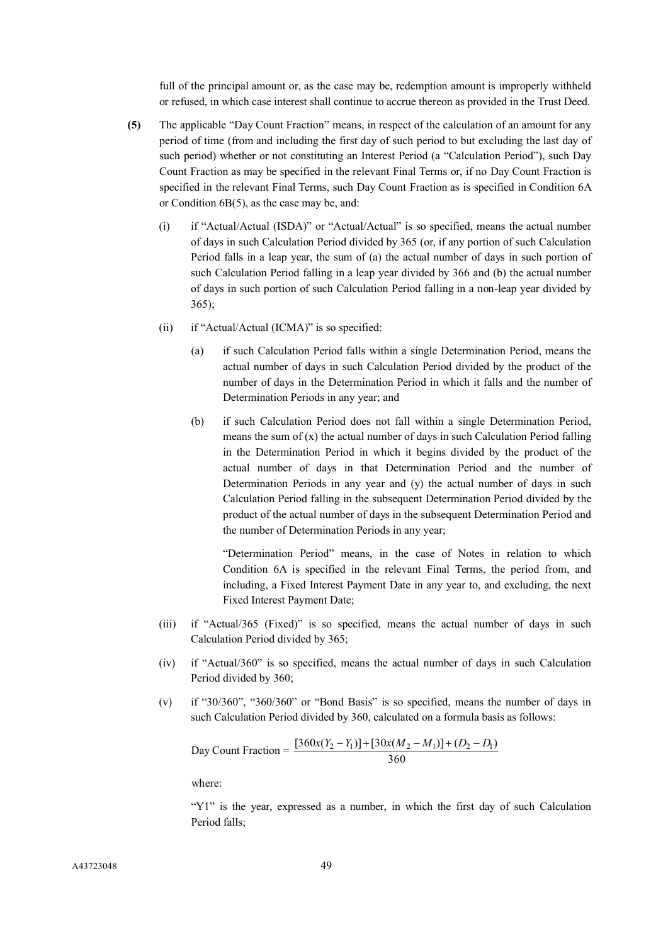full of the principal amount or, as the case may be, redemption amount is improperly withheld or refused, in which case interest shall continue to accrue thereon as provided in the Trust Deed.

- **(5)** The applicable "Day Count Fraction" means, in respect of the calculation of an amount for any period of time (from and including the first day of such period to but excluding the last day of such period) whether or not constituting an Interest Period (a "Calculation Period"), such Day Count Fraction as may be specified in the relevant Final Terms or, if no Day Count Fraction is specified in the relevant Final Terms, such Day Count Fraction as is specified in Condition 6A or Condition 6B(5), as the case may be, and:
	- (i) if "Actual/Actual (ISDA)" or "Actual/Actual" is so specified, means the actual number of days in such Calculation Period divided by 365 (or, if any portion of such Calculation Period falls in a leap year, the sum of (a) the actual number of days in such portion of such Calculation Period falling in a leap year divided by 366 and (b) the actual number of days in such portion of such Calculation Period falling in a non-leap year divided by 365);
	- (ii) if "Actual/Actual (ICMA)" is so specified:
		- (a) if such Calculation Period falls within a single Determination Period, means the actual number of days in such Calculation Period divided by the product of the number of days in the Determination Period in which it falls and the number of Determination Periods in any year; and
		- (b) if such Calculation Period does not fall within a single Determination Period, means the sum of  $(x)$  the actual number of days in such Calculation Period falling in the Determination Period in which it begins divided by the product of the actual number of days in that Determination Period and the number of Determination Periods in any year and (y) the actual number of days in such Calculation Period falling in the subsequent Determination Period divided by the product of the actual number of days in the subsequent Determination Period and the number of Determination Periods in any year;

"Determination Period" means, in the case of Notes in relation to which Condition 6A is specified in the relevant Final Terms, the period from, and including, a Fixed Interest Payment Date in any year to, and excluding, the next Fixed Interest Payment Date;

- (iii) if "Actual/365 (Fixed)" is so specified, means the actual number of days in such Calculation Period divided by 365;
- (iv) if "Actual/360" is so specified, means the actual number of days in such Calculation Period divided by 360;
- (v) if "30/360", "360/360" or "Bond Basis" is so specified, means the number of days in such Calculation Period divided by 360, calculated on a formula basis as follows:

Day Count Fraction = 
$$
\frac{[360x(Y_2 - Y_1)] + [30x(M_2 - M_1)] + (D_2 - D_1)}{360}
$$

where:

"Y1" is the year, expressed as a number, in which the first day of such Calculation Period falls;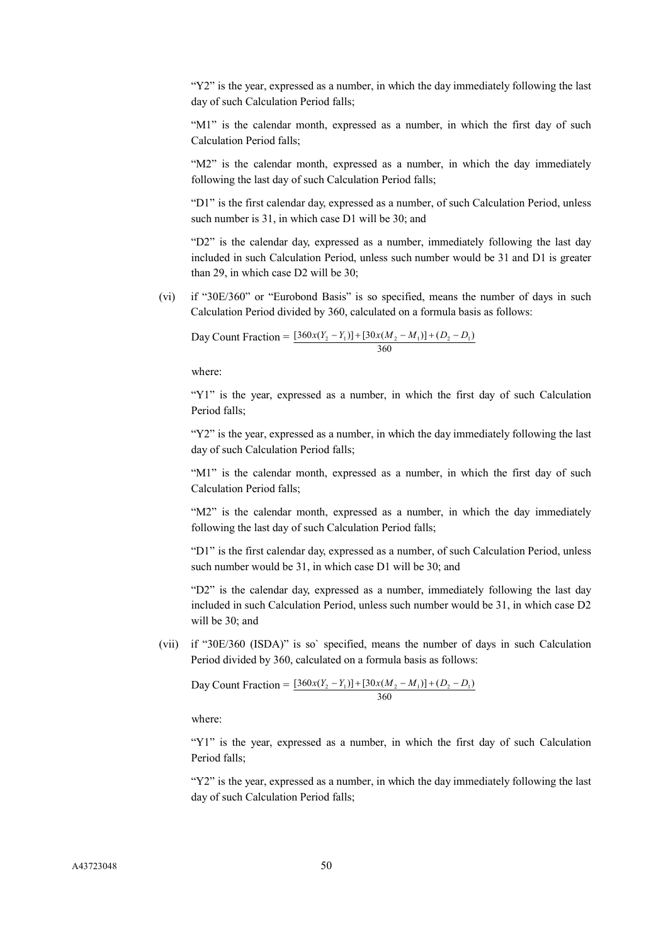"Y2" is the year, expressed as a number, in which the day immediately following the last day of such Calculation Period falls;

"M1" is the calendar month, expressed as a number, in which the first day of such Calculation Period falls;

"M2" is the calendar month, expressed as a number, in which the day immediately following the last day of such Calculation Period falls;

"D1" is the first calendar day, expressed as a number, of such Calculation Period, unless such number is 31, in which case D1 will be 30; and

"D2" is the calendar day, expressed as a number, immediately following the last day included in such Calculation Period, unless such number would be 31 and D1 is greater than 29, in which case D2 will be 30;

(vi) if "30E/360" or "Eurobond Basis" is so specified, means the number of days in such Calculation Period divided by 360, calculated on a formula basis as follows:

Day Count Fraction =  $[360x(Y_2 - Y_1)] + [30x(M_2 - M_1)] + (D_2 - D_1)$ 360

where:

"Y1" is the year, expressed as a number, in which the first day of such Calculation Period falls;

"Y2" is the year, expressed as a number, in which the day immediately following the last day of such Calculation Period falls;

"M1" is the calendar month, expressed as a number, in which the first day of such Calculation Period falls;

"M2" is the calendar month, expressed as a number, in which the day immediately following the last day of such Calculation Period falls;

"D1" is the first calendar day, expressed as a number, of such Calculation Period, unless such number would be 31, in which case D1 will be 30; and

"D2" is the calendar day, expressed as a number, immediately following the last day included in such Calculation Period, unless such number would be 31, in which case D2 will be 30; and

(vii) if "30E/360 (ISDA)" is so` specified, means the number of days in such Calculation Period divided by 360, calculated on a formula basis as follows:

Day Count Fraction = 
$$
\frac{[360x(Y_2 - Y_1)] + [30x(M_2 - M_1)] + (D_2 - D_1)}{360}
$$

where:

"Y1" is the year, expressed as a number, in which the first day of such Calculation Period falls;

"Y2" is the year, expressed as a number, in which the day immediately following the last day of such Calculation Period falls;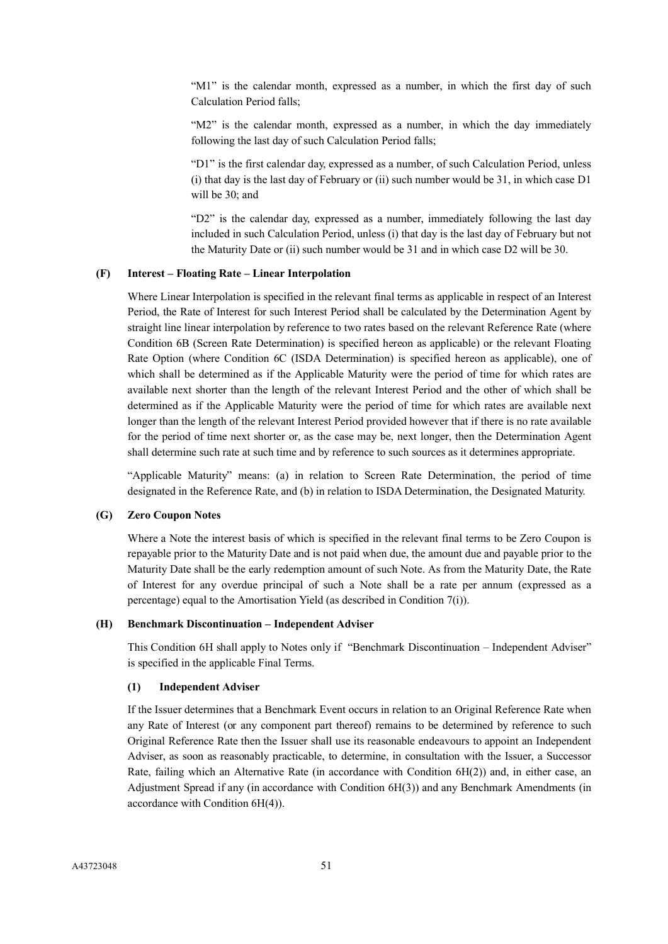"M1" is the calendar month, expressed as a number, in which the first day of such Calculation Period falls;

"M2" is the calendar month, expressed as a number, in which the day immediately following the last day of such Calculation Period falls;

"D1" is the first calendar day, expressed as a number, of such Calculation Period, unless (i) that day is the last day of February or (ii) such number would be 31, in which case D1 will be 30; and

"D2" is the calendar day, expressed as a number, immediately following the last day included in such Calculation Period, unless (i) that day is the last day of February but not the Maturity Date or (ii) such number would be 31 and in which case D2 will be 30.

## **(F) Interest – Floating Rate – Linear Interpolation**

Where Linear Interpolation is specified in the relevant final terms as applicable in respect of an Interest Period, the Rate of Interest for such Interest Period shall be calculated by the Determination Agent by straight line linear interpolation by reference to two rates based on the relevant Reference Rate (where Condition 6B (Screen Rate Determination) is specified hereon as applicable) or the relevant Floating Rate Option (where Condition 6C (ISDA Determination) is specified hereon as applicable), one of which shall be determined as if the Applicable Maturity were the period of time for which rates are available next shorter than the length of the relevant Interest Period and the other of which shall be determined as if the Applicable Maturity were the period of time for which rates are available next longer than the length of the relevant Interest Period provided however that if there is no rate available for the period of time next shorter or, as the case may be, next longer, then the Determination Agent shall determine such rate at such time and by reference to such sources as it determines appropriate.

"Applicable Maturity" means: (a) in relation to Screen Rate Determination, the period of time designated in the Reference Rate, and (b) in relation to ISDA Determination, the Designated Maturity.

### **(G) Zero Coupon Notes**

Where a Note the interest basis of which is specified in the relevant final terms to be Zero Coupon is repayable prior to the Maturity Date and is not paid when due, the amount due and payable prior to the Maturity Date shall be the early redemption amount of such Note. As from the Maturity Date, the Rate of Interest for any overdue principal of such a Note shall be a rate per annum (expressed as a percentage) equal to the Amortisation Yield (as described in Condition 7(i)).

## **(H) Benchmark Discontinuation – Independent Adviser**

This Condition 6H shall apply to Notes only if "Benchmark Discontinuation – Independent Adviser" is specified in the applicable Final Terms.

### **(1) Independent Adviser**

If the Issuer determines that a Benchmark Event occurs in relation to an Original Reference Rate when any Rate of Interest (or any component part thereof) remains to be determined by reference to such Original Reference Rate then the Issuer shall use its reasonable endeavours to appoint an Independent Adviser, as soon as reasonably practicable, to determine, in consultation with the Issuer, a Successor Rate, failing which an Alternative Rate (in accordance with Condition 6H(2)) and, in either case, an Adjustment Spread if any (in accordance with Condition 6H(3)) and any Benchmark Amendments (in accordance with Condition 6H(4)).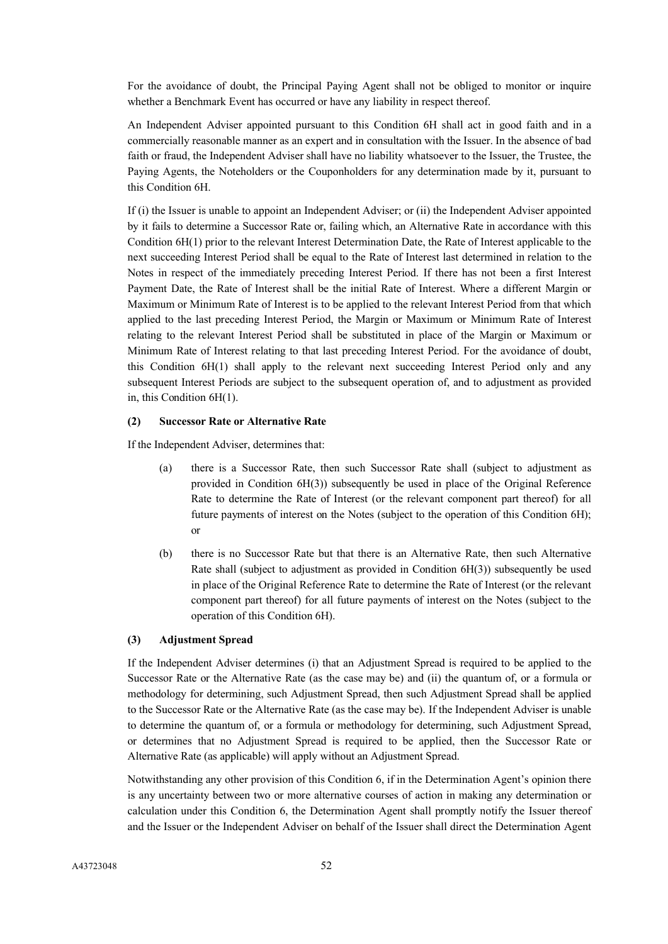For the avoidance of doubt, the Principal Paying Agent shall not be obliged to monitor or inquire whether a Benchmark Event has occurred or have any liability in respect thereof.

An Independent Adviser appointed pursuant to this Condition 6H shall act in good faith and in a commercially reasonable manner as an expert and in consultation with the Issuer. In the absence of bad faith or fraud, the Independent Adviser shall have no liability whatsoever to the Issuer, the Trustee, the Paying Agents, the Noteholders or the Couponholders for any determination made by it, pursuant to this Condition 6H.

If (i) the Issuer is unable to appoint an Independent Adviser; or (ii) the Independent Adviser appointed by it fails to determine a Successor Rate or, failing which, an Alternative Rate in accordance with this Condition 6H(1) prior to the relevant Interest Determination Date, the Rate of Interest applicable to the next succeeding Interest Period shall be equal to the Rate of Interest last determined in relation to the Notes in respect of the immediately preceding Interest Period. If there has not been a first Interest Payment Date, the Rate of Interest shall be the initial Rate of Interest. Where a different Margin or Maximum or Minimum Rate of Interest is to be applied to the relevant Interest Period from that which applied to the last preceding Interest Period, the Margin or Maximum or Minimum Rate of Interest relating to the relevant Interest Period shall be substituted in place of the Margin or Maximum or Minimum Rate of Interest relating to that last preceding Interest Period. For the avoidance of doubt, this Condition 6H(1) shall apply to the relevant next succeeding Interest Period only and any subsequent Interest Periods are subject to the subsequent operation of, and to adjustment as provided in, this Condition 6H(1).

## **(2) Successor Rate or Alternative Rate**

If the Independent Adviser, determines that:

- (a) there is a Successor Rate, then such Successor Rate shall (subject to adjustment as provided in Condition 6H(3)) subsequently be used in place of the Original Reference Rate to determine the Rate of Interest (or the relevant component part thereof) for all future payments of interest on the Notes (subject to the operation of this Condition 6H); or
- (b) there is no Successor Rate but that there is an Alternative Rate, then such Alternative Rate shall (subject to adjustment as provided in Condition 6H(3)) subsequently be used in place of the Original Reference Rate to determine the Rate of Interest (or the relevant component part thereof) for all future payments of interest on the Notes (subject to the operation of this Condition 6H).

# **(3) Adjustment Spread**

If the Independent Adviser determines (i) that an Adjustment Spread is required to be applied to the Successor Rate or the Alternative Rate (as the case may be) and (ii) the quantum of, or a formula or methodology for determining, such Adjustment Spread, then such Adjustment Spread shall be applied to the Successor Rate or the Alternative Rate (as the case may be). If the Independent Adviser is unable to determine the quantum of, or a formula or methodology for determining, such Adjustment Spread, or determines that no Adjustment Spread is required to be applied, then the Successor Rate or Alternative Rate (as applicable) will apply without an Adjustment Spread.

Notwithstanding any other provision of this Condition 6, if in the Determination Agent's opinion there is any uncertainty between two or more alternative courses of action in making any determination or calculation under this Condition 6, the Determination Agent shall promptly notify the Issuer thereof and the Issuer or the Independent Adviser on behalf of the Issuer shall direct the Determination Agent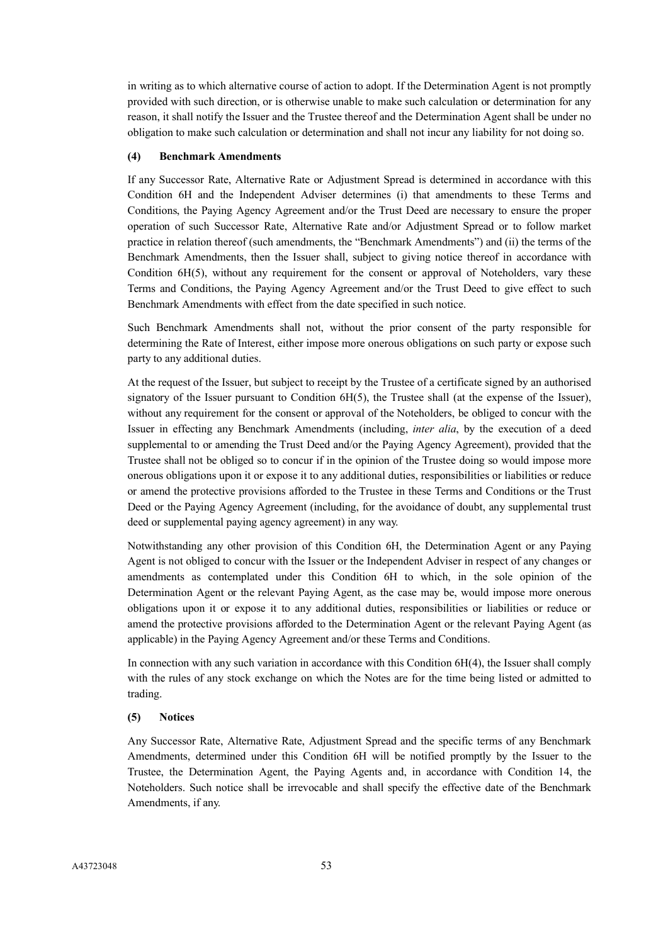in writing as to which alternative course of action to adopt. If the Determination Agent is not promptly provided with such direction, or is otherwise unable to make such calculation or determination for any reason, it shall notify the Issuer and the Trustee thereof and the Determination Agent shall be under no obligation to make such calculation or determination and shall not incur any liability for not doing so.

### **(4) Benchmark Amendments**

If any Successor Rate, Alternative Rate or Adjustment Spread is determined in accordance with this Condition 6H and the Independent Adviser determines (i) that amendments to these Terms and Conditions, the Paying Agency Agreement and/or the Trust Deed are necessary to ensure the proper operation of such Successor Rate, Alternative Rate and/or Adjustment Spread or to follow market practice in relation thereof (such amendments, the "Benchmark Amendments") and (ii) the terms of the Benchmark Amendments, then the Issuer shall, subject to giving notice thereof in accordance with Condition 6H(5), without any requirement for the consent or approval of Noteholders, vary these Terms and Conditions, the Paying Agency Agreement and/or the Trust Deed to give effect to such Benchmark Amendments with effect from the date specified in such notice.

Such Benchmark Amendments shall not, without the prior consent of the party responsible for determining the Rate of Interest, either impose more onerous obligations on such party or expose such party to any additional duties.

At the request of the Issuer, but subject to receipt by the Trustee of a certificate signed by an authorised signatory of the Issuer pursuant to Condition 6H(5), the Trustee shall (at the expense of the Issuer), without any requirement for the consent or approval of the Noteholders, be obliged to concur with the Issuer in effecting any Benchmark Amendments (including, *inter alia*, by the execution of a deed supplemental to or amending the Trust Deed and/or the Paying Agency Agreement), provided that the Trustee shall not be obliged so to concur if in the opinion of the Trustee doing so would impose more onerous obligations upon it or expose it to any additional duties, responsibilities or liabilities or reduce or amend the protective provisions afforded to the Trustee in these Terms and Conditions or the Trust Deed or the Paying Agency Agreement (including, for the avoidance of doubt, any supplemental trust deed or supplemental paying agency agreement) in any way.

Notwithstanding any other provision of this Condition 6H, the Determination Agent or any Paying Agent is not obliged to concur with the Issuer or the Independent Adviser in respect of any changes or amendments as contemplated under this Condition 6H to which, in the sole opinion of the Determination Agent or the relevant Paying Agent, as the case may be, would impose more onerous obligations upon it or expose it to any additional duties, responsibilities or liabilities or reduce or amend the protective provisions afforded to the Determination Agent or the relevant Paying Agent (as applicable) in the Paying Agency Agreement and/or these Terms and Conditions.

In connection with any such variation in accordance with this Condition 6H(4), the Issuer shall comply with the rules of any stock exchange on which the Notes are for the time being listed or admitted to trading.

### **(5) Notices**

Any Successor Rate, Alternative Rate, Adjustment Spread and the specific terms of any Benchmark Amendments, determined under this Condition 6H will be notified promptly by the Issuer to the Trustee, the Determination Agent, the Paying Agents and, in accordance with Condition 14, the Noteholders. Such notice shall be irrevocable and shall specify the effective date of the Benchmark Amendments, if any.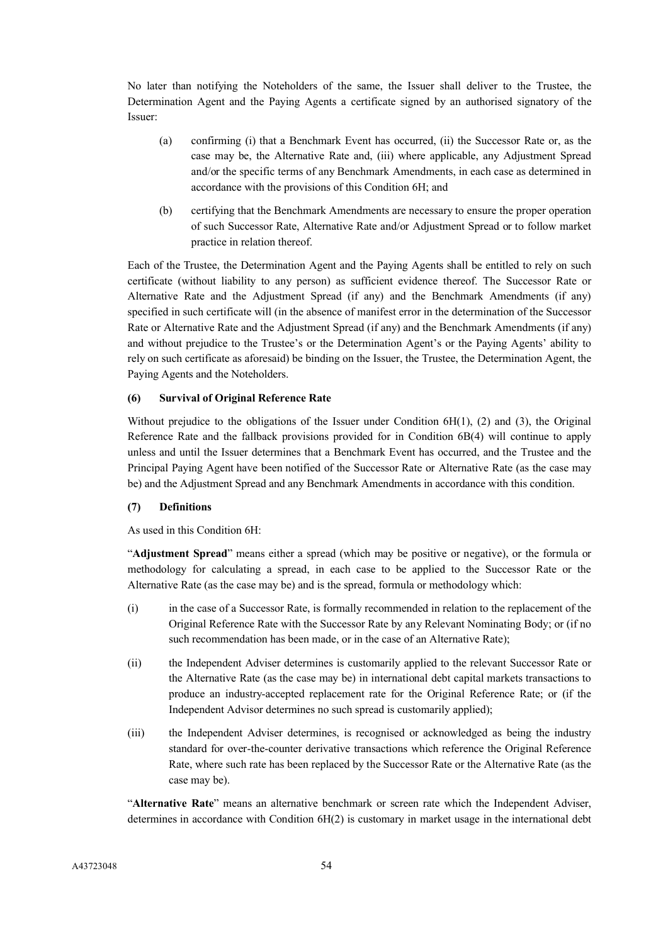No later than notifying the Noteholders of the same, the Issuer shall deliver to the Trustee, the Determination Agent and the Paying Agents a certificate signed by an authorised signatory of the Issuer:

- (a) confirming (i) that a Benchmark Event has occurred, (ii) the Successor Rate or, as the case may be, the Alternative Rate and, (iii) where applicable, any Adjustment Spread and/or the specific terms of any Benchmark Amendments, in each case as determined in accordance with the provisions of this Condition 6H; and
- (b) certifying that the Benchmark Amendments are necessary to ensure the proper operation of such Successor Rate, Alternative Rate and/or Adjustment Spread or to follow market practice in relation thereof.

Each of the Trustee, the Determination Agent and the Paying Agents shall be entitled to rely on such certificate (without liability to any person) as sufficient evidence thereof. The Successor Rate or Alternative Rate and the Adjustment Spread (if any) and the Benchmark Amendments (if any) specified in such certificate will (in the absence of manifest error in the determination of the Successor Rate or Alternative Rate and the Adjustment Spread (if any) and the Benchmark Amendments (if any) and without prejudice to the Trustee's or the Determination Agent's or the Paying Agents' ability to rely on such certificate as aforesaid) be binding on the Issuer, the Trustee, the Determination Agent, the Paying Agents and the Noteholders.

## **(6) Survival of Original Reference Rate**

Without prejudice to the obligations of the Issuer under Condition 6H(1), (2) and (3), the Original Reference Rate and the fallback provisions provided for in Condition 6B(4) will continue to apply unless and until the Issuer determines that a Benchmark Event has occurred, and the Trustee and the Principal Paying Agent have been notified of the Successor Rate or Alternative Rate (as the case may be) and the Adjustment Spread and any Benchmark Amendments in accordance with this condition.

## **(7) Definitions**

As used in this Condition 6H:

"**Adjustment Spread**" means either a spread (which may be positive or negative), or the formula or methodology for calculating a spread, in each case to be applied to the Successor Rate or the Alternative Rate (as the case may be) and is the spread, formula or methodology which:

- (i) in the case of a Successor Rate, is formally recommended in relation to the replacement of the Original Reference Rate with the Successor Rate by any Relevant Nominating Body; or (if no such recommendation has been made, or in the case of an Alternative Rate);
- (ii) the Independent Adviser determines is customarily applied to the relevant Successor Rate or the Alternative Rate (as the case may be) in international debt capital markets transactions to produce an industry-accepted replacement rate for the Original Reference Rate; or (if the Independent Advisor determines no such spread is customarily applied);
- (iii) the Independent Adviser determines, is recognised or acknowledged as being the industry standard for over-the-counter derivative transactions which reference the Original Reference Rate, where such rate has been replaced by the Successor Rate or the Alternative Rate (as the case may be).

"**Alternative Rate**" means an alternative benchmark or screen rate which the Independent Adviser, determines in accordance with Condition 6H(2) is customary in market usage in the international debt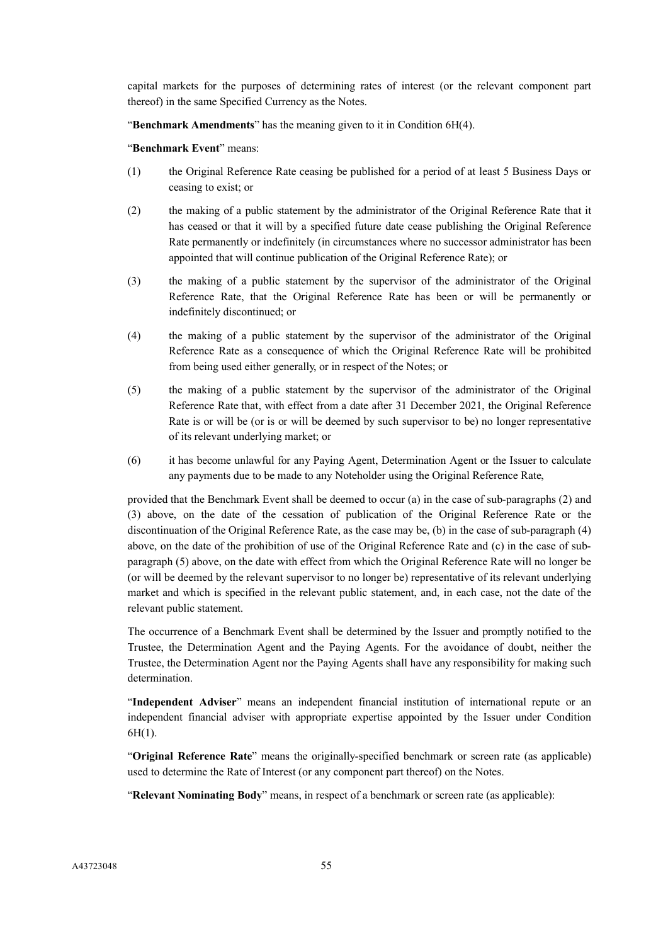capital markets for the purposes of determining rates of interest (or the relevant component part thereof) in the same Specified Currency as the Notes.

"**Benchmark Amendments**" has the meaning given to it in Condition 6H(4).

"**Benchmark Event**" means:

- (1) the Original Reference Rate ceasing be published for a period of at least 5 Business Days or ceasing to exist; or
- (2) the making of a public statement by the administrator of the Original Reference Rate that it has ceased or that it will by a specified future date cease publishing the Original Reference Rate permanently or indefinitely (in circumstances where no successor administrator has been appointed that will continue publication of the Original Reference Rate); or
- (3) the making of a public statement by the supervisor of the administrator of the Original Reference Rate, that the Original Reference Rate has been or will be permanently or indefinitely discontinued; or
- (4) the making of a public statement by the supervisor of the administrator of the Original Reference Rate as a consequence of which the Original Reference Rate will be prohibited from being used either generally, or in respect of the Notes; or
- (5) the making of a public statement by the supervisor of the administrator of the Original Reference Rate that, with effect from a date after 31 December 2021, the Original Reference Rate is or will be (or is or will be deemed by such supervisor to be) no longer representative of its relevant underlying market; or
- (6) it has become unlawful for any Paying Agent, Determination Agent or the Issuer to calculate any payments due to be made to any Noteholder using the Original Reference Rate,

provided that the Benchmark Event shall be deemed to occur (a) in the case of sub-paragraphs (2) and (3) above, on the date of the cessation of publication of the Original Reference Rate or the discontinuation of the Original Reference Rate, as the case may be, (b) in the case of sub-paragraph (4) above, on the date of the prohibition of use of the Original Reference Rate and (c) in the case of subparagraph (5) above, on the date with effect from which the Original Reference Rate will no longer be (or will be deemed by the relevant supervisor to no longer be) representative of its relevant underlying market and which is specified in the relevant public statement, and, in each case, not the date of the relevant public statement.

The occurrence of a Benchmark Event shall be determined by the Issuer and promptly notified to the Trustee, the Determination Agent and the Paying Agents. For the avoidance of doubt, neither the Trustee, the Determination Agent nor the Paying Agents shall have any responsibility for making such determination.

"**Independent Adviser**" means an independent financial institution of international repute or an independent financial adviser with appropriate expertise appointed by the Issuer under Condition 6H(1).

"**Original Reference Rate**" means the originally-specified benchmark or screen rate (as applicable) used to determine the Rate of Interest (or any component part thereof) on the Notes.

"**Relevant Nominating Body**" means, in respect of a benchmark or screen rate (as applicable):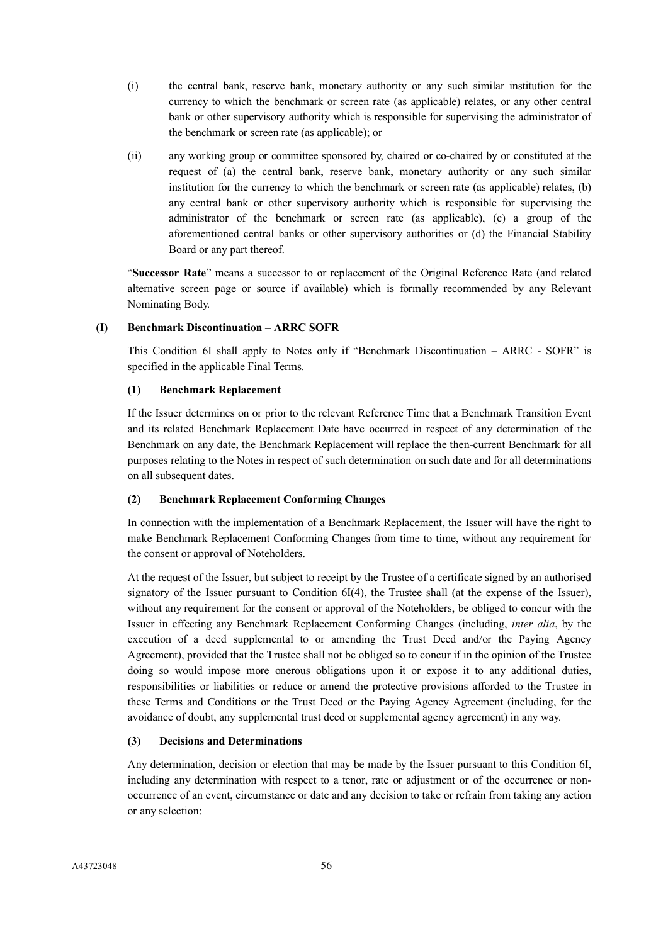- (i) the central bank, reserve bank, monetary authority or any such similar institution for the currency to which the benchmark or screen rate (as applicable) relates, or any other central bank or other supervisory authority which is responsible for supervising the administrator of the benchmark or screen rate (as applicable); or
- (ii) any working group or committee sponsored by, chaired or co-chaired by or constituted at the request of (a) the central bank, reserve bank, monetary authority or any such similar institution for the currency to which the benchmark or screen rate (as applicable) relates, (b) any central bank or other supervisory authority which is responsible for supervising the administrator of the benchmark or screen rate (as applicable), (c) a group of the aforementioned central banks or other supervisory authorities or (d) the Financial Stability Board or any part thereof.

"**Successor Rate**" means a successor to or replacement of the Original Reference Rate (and related alternative screen page or source if available) which is formally recommended by any Relevant Nominating Body.

## **(I) Benchmark Discontinuation – ARRC SOFR**

This Condition 6I shall apply to Notes only if "Benchmark Discontinuation – ARRC - SOFR" is specified in the applicable Final Terms.

## **(1) Benchmark Replacement**

If the Issuer determines on or prior to the relevant Reference Time that a Benchmark Transition Event and its related Benchmark Replacement Date have occurred in respect of any determination of the Benchmark on any date, the Benchmark Replacement will replace the then-current Benchmark for all purposes relating to the Notes in respect of such determination on such date and for all determinations on all subsequent dates.

### **(2) Benchmark Replacement Conforming Changes**

In connection with the implementation of a Benchmark Replacement, the Issuer will have the right to make Benchmark Replacement Conforming Changes from time to time, without any requirement for the consent or approval of Noteholders.

At the request of the Issuer, but subject to receipt by the Trustee of a certificate signed by an authorised signatory of the Issuer pursuant to Condition 6I(4), the Trustee shall (at the expense of the Issuer), without any requirement for the consent or approval of the Noteholders, be obliged to concur with the Issuer in effecting any Benchmark Replacement Conforming Changes (including, *inter alia*, by the execution of a deed supplemental to or amending the Trust Deed and/or the Paying Agency Agreement), provided that the Trustee shall not be obliged so to concur if in the opinion of the Trustee doing so would impose more onerous obligations upon it or expose it to any additional duties, responsibilities or liabilities or reduce or amend the protective provisions afforded to the Trustee in these Terms and Conditions or the Trust Deed or the Paying Agency Agreement (including, for the avoidance of doubt, any supplemental trust deed or supplemental agency agreement) in any way.

## **(3) Decisions and Determinations**

Any determination, decision or election that may be made by the Issuer pursuant to this Condition 6I, including any determination with respect to a tenor, rate or adjustment or of the occurrence or nonoccurrence of an event, circumstance or date and any decision to take or refrain from taking any action or any selection: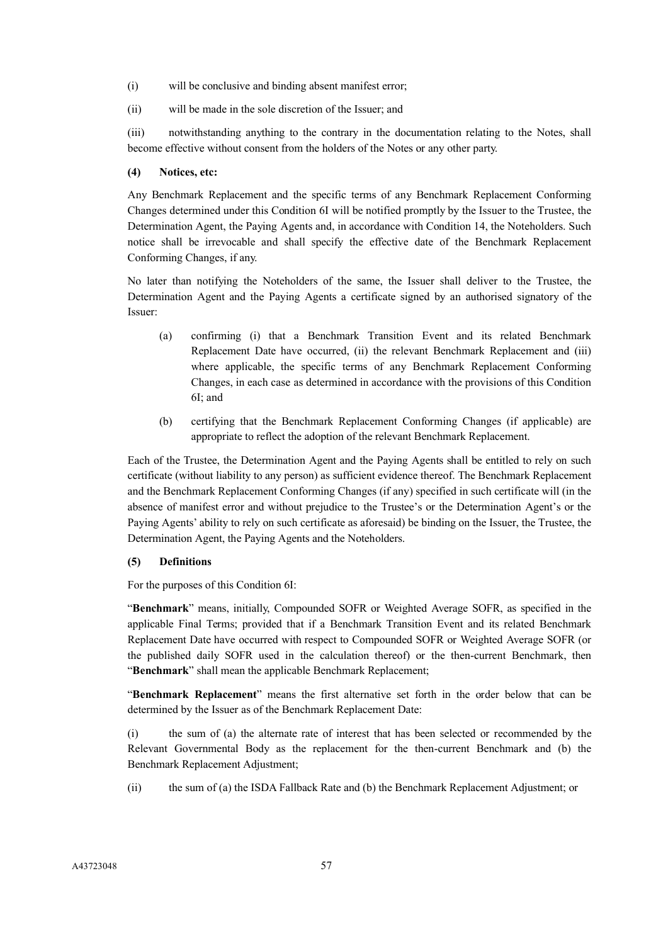- (i) will be conclusive and binding absent manifest error;
- (ii) will be made in the sole discretion of the Issuer; and

(iii) notwithstanding anything to the contrary in the documentation relating to the Notes, shall become effective without consent from the holders of the Notes or any other party.

# **(4) Notices, etc:**

Any Benchmark Replacement and the specific terms of any Benchmark Replacement Conforming Changes determined under this Condition 6I will be notified promptly by the Issuer to the Trustee, the Determination Agent, the Paying Agents and, in accordance with Condition 14, the Noteholders. Such notice shall be irrevocable and shall specify the effective date of the Benchmark Replacement Conforming Changes, if any.

No later than notifying the Noteholders of the same, the Issuer shall deliver to the Trustee, the Determination Agent and the Paying Agents a certificate signed by an authorised signatory of the Issuer:

- (a) confirming (i) that a Benchmark Transition Event and its related Benchmark Replacement Date have occurred, (ii) the relevant Benchmark Replacement and (iii) where applicable, the specific terms of any Benchmark Replacement Conforming Changes, in each case as determined in accordance with the provisions of this Condition 6I; and
- (b) certifying that the Benchmark Replacement Conforming Changes (if applicable) are appropriate to reflect the adoption of the relevant Benchmark Replacement.

Each of the Trustee, the Determination Agent and the Paying Agents shall be entitled to rely on such certificate (without liability to any person) as sufficient evidence thereof. The Benchmark Replacement and the Benchmark Replacement Conforming Changes (if any) specified in such certificate will (in the absence of manifest error and without prejudice to the Trustee's or the Determination Agent's or the Paying Agents' ability to rely on such certificate as aforesaid) be binding on the Issuer, the Trustee, the Determination Agent, the Paying Agents and the Noteholders.

# **(5) Definitions**

For the purposes of this Condition 6I:

"**Benchmark**" means, initially, Compounded SOFR or Weighted Average SOFR, as specified in the applicable Final Terms; provided that if a Benchmark Transition Event and its related Benchmark Replacement Date have occurred with respect to Compounded SOFR or Weighted Average SOFR (or the published daily SOFR used in the calculation thereof) or the then-current Benchmark, then "**Benchmark**" shall mean the applicable Benchmark Replacement;

"**Benchmark Replacement**" means the first alternative set forth in the order below that can be determined by the Issuer as of the Benchmark Replacement Date:

(i) the sum of (a) the alternate rate of interest that has been selected or recommended by the Relevant Governmental Body as the replacement for the then-current Benchmark and (b) the Benchmark Replacement Adjustment;

(ii) the sum of (a) the ISDA Fallback Rate and (b) the Benchmark Replacement Adjustment; or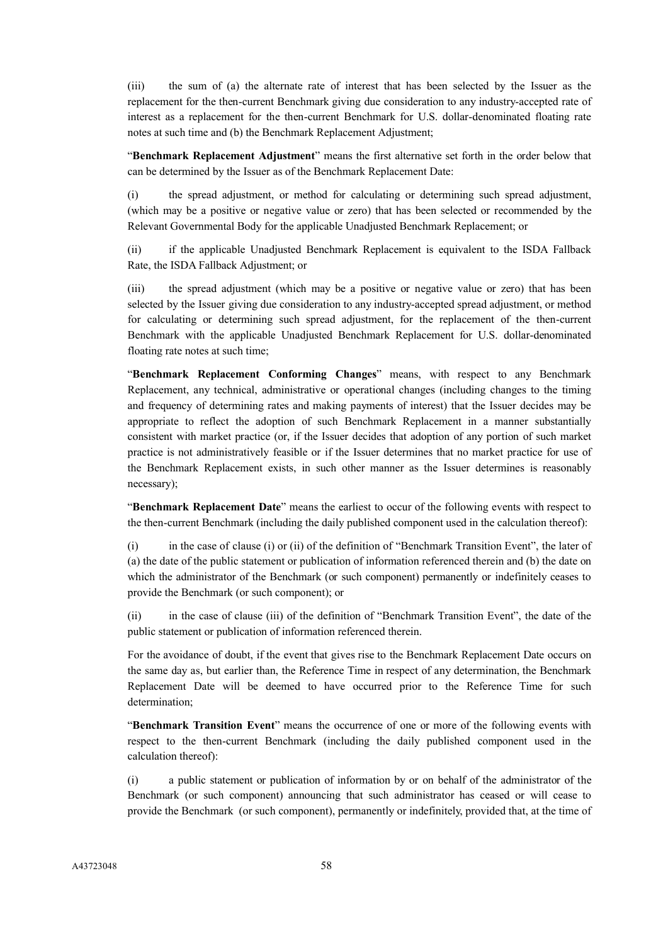(iii) the sum of (a) the alternate rate of interest that has been selected by the Issuer as the replacement for the then-current Benchmark giving due consideration to any industry-accepted rate of interest as a replacement for the then-current Benchmark for U.S. dollar-denominated floating rate notes at such time and (b) the Benchmark Replacement Adjustment;

"**Benchmark Replacement Adjustment**" means the first alternative set forth in the order below that can be determined by the Issuer as of the Benchmark Replacement Date:

(i) the spread adjustment, or method for calculating or determining such spread adjustment, (which may be a positive or negative value or zero) that has been selected or recommended by the Relevant Governmental Body for the applicable Unadjusted Benchmark Replacement; or

(ii) if the applicable Unadjusted Benchmark Replacement is equivalent to the ISDA Fallback Rate, the ISDA Fallback Adjustment; or

(iii) the spread adjustment (which may be a positive or negative value or zero) that has been selected by the Issuer giving due consideration to any industry-accepted spread adjustment, or method for calculating or determining such spread adjustment, for the replacement of the then-current Benchmark with the applicable Unadjusted Benchmark Replacement for U.S. dollar-denominated floating rate notes at such time;

"**Benchmark Replacement Conforming Changes**" means, with respect to any Benchmark Replacement, any technical, administrative or operational changes (including changes to the timing and frequency of determining rates and making payments of interest) that the Issuer decides may be appropriate to reflect the adoption of such Benchmark Replacement in a manner substantially consistent with market practice (or, if the Issuer decides that adoption of any portion of such market practice is not administratively feasible or if the Issuer determines that no market practice for use of the Benchmark Replacement exists, in such other manner as the Issuer determines is reasonably necessary);

"**Benchmark Replacement Date**" means the earliest to occur of the following events with respect to the then-current Benchmark (including the daily published component used in the calculation thereof):

(i) in the case of clause (i) or (ii) of the definition of "Benchmark Transition Event", the later of (a) the date of the public statement or publication of information referenced therein and (b) the date on which the administrator of the Benchmark (or such component) permanently or indefinitely ceases to provide the Benchmark (or such component); or

(ii) in the case of clause (iii) of the definition of "Benchmark Transition Event", the date of the public statement or publication of information referenced therein.

For the avoidance of doubt, if the event that gives rise to the Benchmark Replacement Date occurs on the same day as, but earlier than, the Reference Time in respect of any determination, the Benchmark Replacement Date will be deemed to have occurred prior to the Reference Time for such determination;

"**Benchmark Transition Event**" means the occurrence of one or more of the following events with respect to the then-current Benchmark (including the daily published component used in the calculation thereof):

(i) a public statement or publication of information by or on behalf of the administrator of the Benchmark (or such component) announcing that such administrator has ceased or will cease to provide the Benchmark (or such component), permanently or indefinitely, provided that, at the time of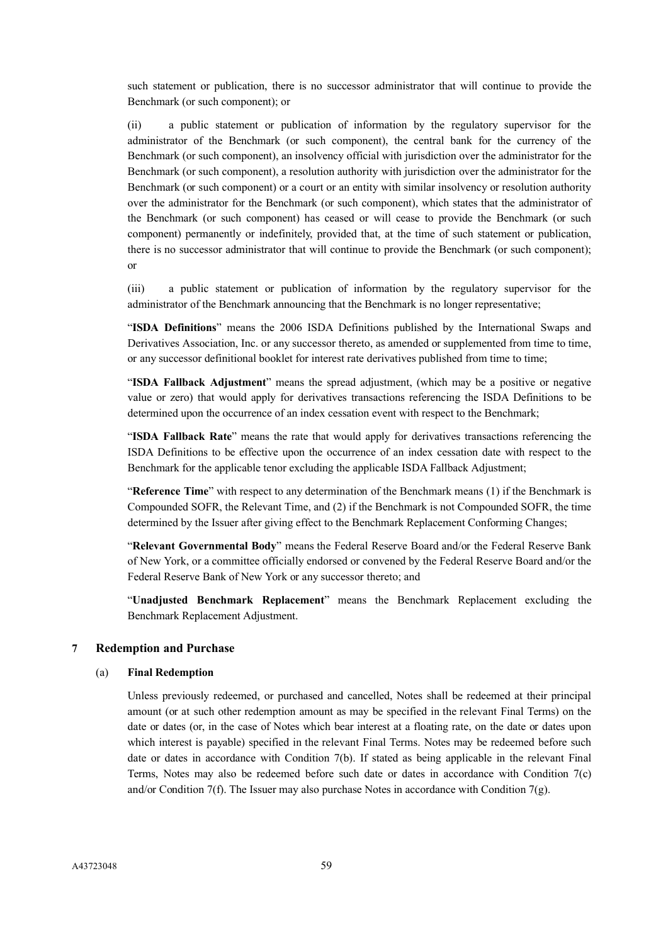such statement or publication, there is no successor administrator that will continue to provide the Benchmark (or such component); or

(ii) a public statement or publication of information by the regulatory supervisor for the administrator of the Benchmark (or such component), the central bank for the currency of the Benchmark (or such component), an insolvency official with jurisdiction over the administrator for the Benchmark (or such component), a resolution authority with jurisdiction over the administrator for the Benchmark (or such component) or a court or an entity with similar insolvency or resolution authority over the administrator for the Benchmark (or such component), which states that the administrator of the Benchmark (or such component) has ceased or will cease to provide the Benchmark (or such component) permanently or indefinitely, provided that, at the time of such statement or publication, there is no successor administrator that will continue to provide the Benchmark (or such component); or

(iii) a public statement or publication of information by the regulatory supervisor for the administrator of the Benchmark announcing that the Benchmark is no longer representative;

"**ISDA Definitions**" means the 2006 ISDA Definitions published by the International Swaps and Derivatives Association, Inc. or any successor thereto, as amended or supplemented from time to time, or any successor definitional booklet for interest rate derivatives published from time to time;

"**ISDA Fallback Adjustment**" means the spread adjustment, (which may be a positive or negative value or zero) that would apply for derivatives transactions referencing the ISDA Definitions to be determined upon the occurrence of an index cessation event with respect to the Benchmark;

"**ISDA Fallback Rate**" means the rate that would apply for derivatives transactions referencing the ISDA Definitions to be effective upon the occurrence of an index cessation date with respect to the Benchmark for the applicable tenor excluding the applicable ISDA Fallback Adjustment;

"**Reference Time**" with respect to any determination of the Benchmark means (1) if the Benchmark is Compounded SOFR, the Relevant Time, and (2) if the Benchmark is not Compounded SOFR, the time determined by the Issuer after giving effect to the Benchmark Replacement Conforming Changes;

"**Relevant Governmental Body**" means the Federal Reserve Board and/or the Federal Reserve Bank of New York, or a committee officially endorsed or convened by the Federal Reserve Board and/or the Federal Reserve Bank of New York or any successor thereto; and

"**Unadjusted Benchmark Replacement**" means the Benchmark Replacement excluding the Benchmark Replacement Adjustment.

### **7 Redemption and Purchase**

#### (a) **Final Redemption**

Unless previously redeemed, or purchased and cancelled, Notes shall be redeemed at their principal amount (or at such other redemption amount as may be specified in the relevant Final Terms) on the date or dates (or, in the case of Notes which bear interest at a floating rate, on the date or dates upon which interest is payable) specified in the relevant Final Terms. Notes may be redeemed before such date or dates in accordance with Condition 7(b). If stated as being applicable in the relevant Final Terms, Notes may also be redeemed before such date or dates in accordance with Condition 7(c) and/or Condition 7(f). The Issuer may also purchase Notes in accordance with Condition 7(g).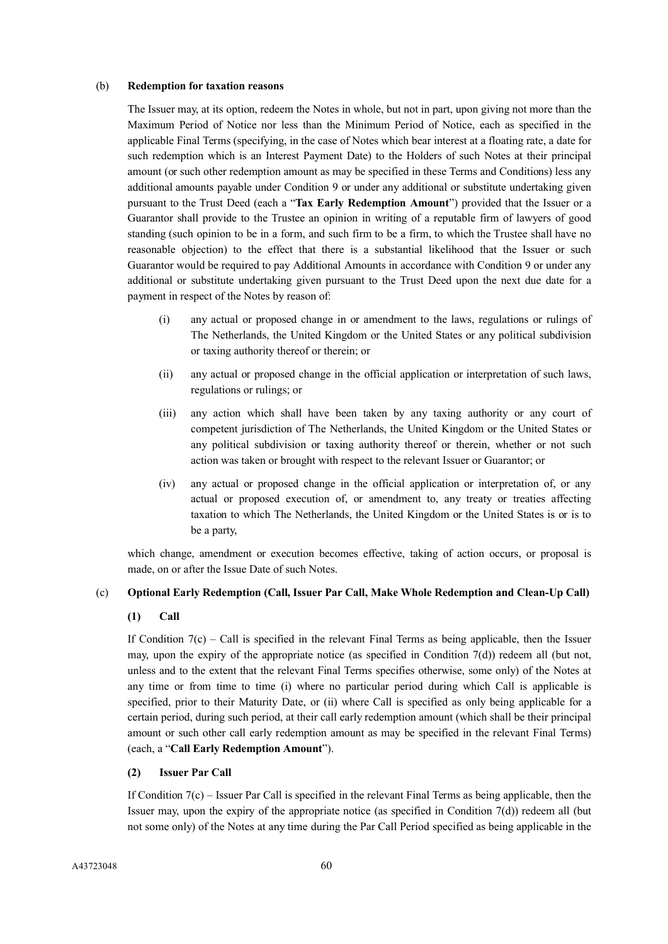### (b) **Redemption for taxation reasons**

The Issuer may, at its option, redeem the Notes in whole, but not in part, upon giving not more than the Maximum Period of Notice nor less than the Minimum Period of Notice, each as specified in the applicable Final Terms (specifying, in the case of Notes which bear interest at a floating rate, a date for such redemption which is an Interest Payment Date) to the Holders of such Notes at their principal amount (or such other redemption amount as may be specified in these Terms and Conditions) less any additional amounts payable under Condition 9 or under any additional or substitute undertaking given pursuant to the Trust Deed (each a "**Tax Early Redemption Amount**") provided that the Issuer or a Guarantor shall provide to the Trustee an opinion in writing of a reputable firm of lawyers of good standing (such opinion to be in a form, and such firm to be a firm, to which the Trustee shall have no reasonable objection) to the effect that there is a substantial likelihood that the Issuer or such Guarantor would be required to pay Additional Amounts in accordance with Condition 9 or under any additional or substitute undertaking given pursuant to the Trust Deed upon the next due date for a payment in respect of the Notes by reason of:

- (i) any actual or proposed change in or amendment to the laws, regulations or rulings of The Netherlands, the United Kingdom or the United States or any political subdivision or taxing authority thereof or therein; or
- (ii) any actual or proposed change in the official application or interpretation of such laws, regulations or rulings; or
- (iii) any action which shall have been taken by any taxing authority or any court of competent jurisdiction of The Netherlands, the United Kingdom or the United States or any political subdivision or taxing authority thereof or therein, whether or not such action was taken or brought with respect to the relevant Issuer or Guarantor; or
- (iv) any actual or proposed change in the official application or interpretation of, or any actual or proposed execution of, or amendment to, any treaty or treaties affecting taxation to which The Netherlands, the United Kingdom or the United States is or is to be a party,

which change, amendment or execution becomes effective, taking of action occurs, or proposal is made, on or after the Issue Date of such Notes.

## (c) **Optional Early Redemption (Call, Issuer Par Call, Make Whole Redemption and Clean-Up Call)**

## **(1) Call**

If Condition  $7(c)$  – Call is specified in the relevant Final Terms as being applicable, then the Issuer may, upon the expiry of the appropriate notice (as specified in Condition  $7(d)$ ) redeem all (but not, unless and to the extent that the relevant Final Terms specifies otherwise, some only) of the Notes at any time or from time to time (i) where no particular period during which Call is applicable is specified, prior to their Maturity Date, or (ii) where Call is specified as only being applicable for a certain period, during such period, at their call early redemption amount (which shall be their principal amount or such other call early redemption amount as may be specified in the relevant Final Terms) (each, a "**Call Early Redemption Amount**").

## **(2) Issuer Par Call**

If Condition 7(c) – Issuer Par Call is specified in the relevant Final Terms as being applicable, then the Issuer may, upon the expiry of the appropriate notice (as specified in Condition  $7(d)$ ) redeem all (but not some only) of the Notes at any time during the Par Call Period specified as being applicable in the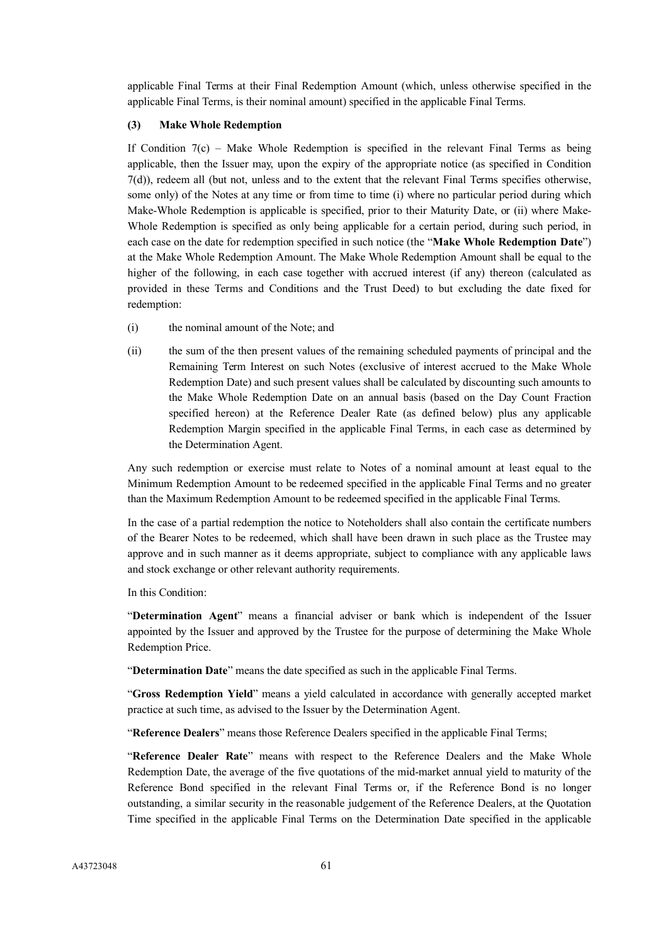applicable Final Terms at their Final Redemption Amount (which, unless otherwise specified in the applicable Final Terms, is their nominal amount) specified in the applicable Final Terms.

## **(3) Make Whole Redemption**

If Condition  $7(c)$  – Make Whole Redemption is specified in the relevant Final Terms as being applicable, then the Issuer may, upon the expiry of the appropriate notice (as specified in Condition 7(d)), redeem all (but not, unless and to the extent that the relevant Final Terms specifies otherwise, some only) of the Notes at any time or from time to time (i) where no particular period during which Make-Whole Redemption is applicable is specified, prior to their Maturity Date, or (ii) where Make-Whole Redemption is specified as only being applicable for a certain period, during such period, in each case on the date for redemption specified in such notice (the "**Make Whole Redemption Date**") at the Make Whole Redemption Amount. The Make Whole Redemption Amount shall be equal to the higher of the following, in each case together with accrued interest (if any) thereon (calculated as provided in these Terms and Conditions and the Trust Deed) to but excluding the date fixed for redemption:

- (i) the nominal amount of the Note; and
- (ii) the sum of the then present values of the remaining scheduled payments of principal and the Remaining Term Interest on such Notes (exclusive of interest accrued to the Make Whole Redemption Date) and such present values shall be calculated by discounting such amounts to the Make Whole Redemption Date on an annual basis (based on the Day Count Fraction specified hereon) at the Reference Dealer Rate (as defined below) plus any applicable Redemption Margin specified in the applicable Final Terms, in each case as determined by the Determination Agent.

Any such redemption or exercise must relate to Notes of a nominal amount at least equal to the Minimum Redemption Amount to be redeemed specified in the applicable Final Terms and no greater than the Maximum Redemption Amount to be redeemed specified in the applicable Final Terms.

In the case of a partial redemption the notice to Noteholders shall also contain the certificate numbers of the Bearer Notes to be redeemed, which shall have been drawn in such place as the Trustee may approve and in such manner as it deems appropriate, subject to compliance with any applicable laws and stock exchange or other relevant authority requirements.

In this Condition:

"**Determination Agent**" means a financial adviser or bank which is independent of the Issuer appointed by the Issuer and approved by the Trustee for the purpose of determining the Make Whole Redemption Price.

"**Determination Date**" means the date specified as such in the applicable Final Terms.

"**Gross Redemption Yield**" means a yield calculated in accordance with generally accepted market practice at such time, as advised to the Issuer by the Determination Agent.

"**Reference Dealers**" means those Reference Dealers specified in the applicable Final Terms;

"**Reference Dealer Rate**" means with respect to the Reference Dealers and the Make Whole Redemption Date, the average of the five quotations of the mid-market annual yield to maturity of the Reference Bond specified in the relevant Final Terms or, if the Reference Bond is no longer outstanding, a similar security in the reasonable judgement of the Reference Dealers, at the Quotation Time specified in the applicable Final Terms on the Determination Date specified in the applicable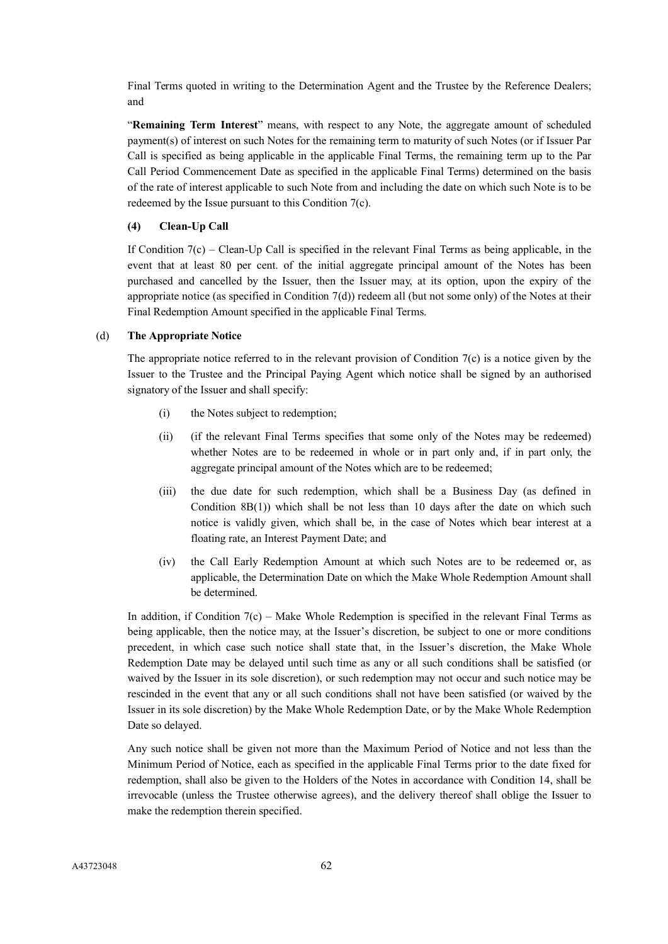Final Terms quoted in writing to the Determination Agent and the Trustee by the Reference Dealers; and

"**Remaining Term Interest**" means, with respect to any Note, the aggregate amount of scheduled payment(s) of interest on such Notes for the remaining term to maturity of such Notes (or if Issuer Par Call is specified as being applicable in the applicable Final Terms, the remaining term up to the Par Call Period Commencement Date as specified in the applicable Final Terms) determined on the basis of the rate of interest applicable to such Note from and including the date on which such Note is to be redeemed by the Issue pursuant to this Condition 7(c).

# **(4) Clean-Up Call**

If Condition 7(c) – Clean-Up Call is specified in the relevant Final Terms as being applicable, in the event that at least 80 per cent. of the initial aggregate principal amount of the Notes has been purchased and cancelled by the Issuer, then the Issuer may, at its option, upon the expiry of the appropriate notice (as specified in Condition 7(d)) redeem all (but not some only) of the Notes at their Final Redemption Amount specified in the applicable Final Terms.

## (d) **The Appropriate Notice**

The appropriate notice referred to in the relevant provision of Condition  $7(c)$  is a notice given by the Issuer to the Trustee and the Principal Paying Agent which notice shall be signed by an authorised signatory of the Issuer and shall specify:

- (i) the Notes subject to redemption;
- (ii) (if the relevant Final Terms specifies that some only of the Notes may be redeemed) whether Notes are to be redeemed in whole or in part only and, if in part only, the aggregate principal amount of the Notes which are to be redeemed;
- (iii) the due date for such redemption, which shall be a Business Day (as defined in Condition 8B(1)) which shall be not less than 10 days after the date on which such notice is validly given, which shall be, in the case of Notes which bear interest at a floating rate, an Interest Payment Date; and
- (iv) the Call Early Redemption Amount at which such Notes are to be redeemed or, as applicable, the Determination Date on which the Make Whole Redemption Amount shall be determined.

In addition, if Condition  $7(c)$  – Make Whole Redemption is specified in the relevant Final Terms as being applicable, then the notice may, at the Issuer's discretion, be subject to one or more conditions precedent, in which case such notice shall state that, in the Issuer's discretion, the Make Whole Redemption Date may be delayed until such time as any or all such conditions shall be satisfied (or waived by the Issuer in its sole discretion), or such redemption may not occur and such notice may be rescinded in the event that any or all such conditions shall not have been satisfied (or waived by the Issuer in its sole discretion) by the Make Whole Redemption Date, or by the Make Whole Redemption Date so delayed.

Any such notice shall be given not more than the Maximum Period of Notice and not less than the Minimum Period of Notice, each as specified in the applicable Final Terms prior to the date fixed for redemption, shall also be given to the Holders of the Notes in accordance with Condition 14, shall be irrevocable (unless the Trustee otherwise agrees), and the delivery thereof shall oblige the Issuer to make the redemption therein specified.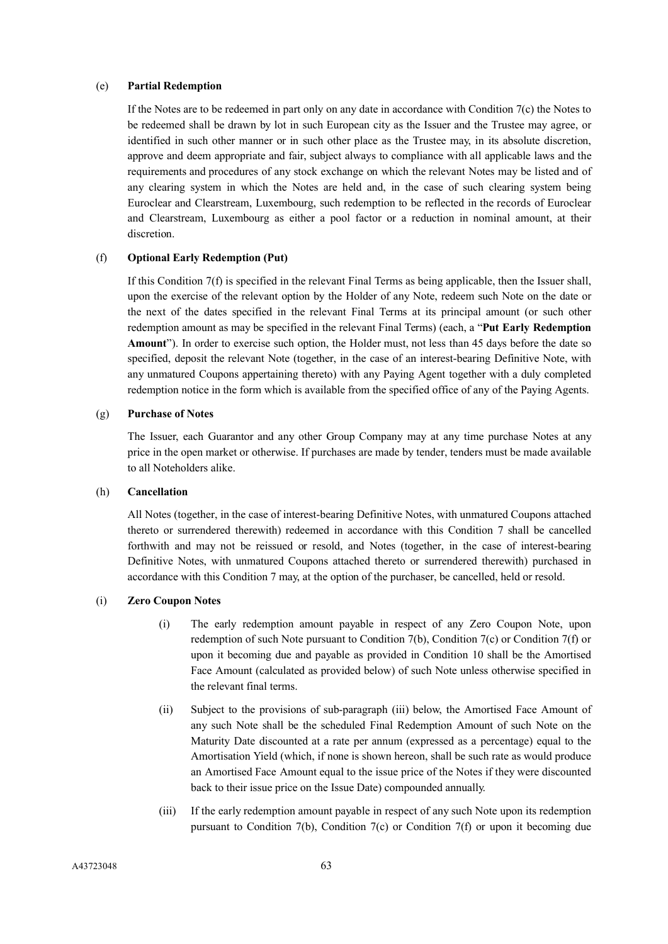### (e) **Partial Redemption**

If the Notes are to be redeemed in part only on any date in accordance with Condition 7(c) the Notes to be redeemed shall be drawn by lot in such European city as the Issuer and the Trustee may agree, or identified in such other manner or in such other place as the Trustee may, in its absolute discretion, approve and deem appropriate and fair, subject always to compliance with all applicable laws and the requirements and procedures of any stock exchange on which the relevant Notes may be listed and of any clearing system in which the Notes are held and, in the case of such clearing system being Euroclear and Clearstream, Luxembourg, such redemption to be reflected in the records of Euroclear and Clearstream, Luxembourg as either a pool factor or a reduction in nominal amount, at their discretion.

### (f) **Optional Early Redemption (Put)**

If this Condition 7(f) is specified in the relevant Final Terms as being applicable, then the Issuer shall, upon the exercise of the relevant option by the Holder of any Note, redeem such Note on the date or the next of the dates specified in the relevant Final Terms at its principal amount (or such other redemption amount as may be specified in the relevant Final Terms) (each, a "**Put Early Redemption Amount**"). In order to exercise such option, the Holder must, not less than 45 days before the date so specified, deposit the relevant Note (together, in the case of an interest-bearing Definitive Note, with any unmatured Coupons appertaining thereto) with any Paying Agent together with a duly completed redemption notice in the form which is available from the specified office of any of the Paying Agents.

## (g) **Purchase of Notes**

The Issuer, each Guarantor and any other Group Company may at any time purchase Notes at any price in the open market or otherwise. If purchases are made by tender, tenders must be made available to all Noteholders alike.

## (h) **Cancellation**

All Notes (together, in the case of interest-bearing Definitive Notes, with unmatured Coupons attached thereto or surrendered therewith) redeemed in accordance with this Condition 7 shall be cancelled forthwith and may not be reissued or resold, and Notes (together, in the case of interest-bearing Definitive Notes, with unmatured Coupons attached thereto or surrendered therewith) purchased in accordance with this Condition 7 may, at the option of the purchaser, be cancelled, held or resold.

## (i) **Zero Coupon Notes**

- (i) The early redemption amount payable in respect of any Zero Coupon Note, upon redemption of such Note pursuant to Condition 7(b), Condition 7(c) or Condition 7(f) or upon it becoming due and payable as provided in Condition 10 shall be the Amortised Face Amount (calculated as provided below) of such Note unless otherwise specified in the relevant final terms.
- (ii) Subject to the provisions of sub-paragraph (iii) below, the Amortised Face Amount of any such Note shall be the scheduled Final Redemption Amount of such Note on the Maturity Date discounted at a rate per annum (expressed as a percentage) equal to the Amortisation Yield (which, if none is shown hereon, shall be such rate as would produce an Amortised Face Amount equal to the issue price of the Notes if they were discounted back to their issue price on the Issue Date) compounded annually.
- (iii) If the early redemption amount payable in respect of any such Note upon its redemption pursuant to Condition 7(b), Condition 7(c) or Condition 7(f) or upon it becoming due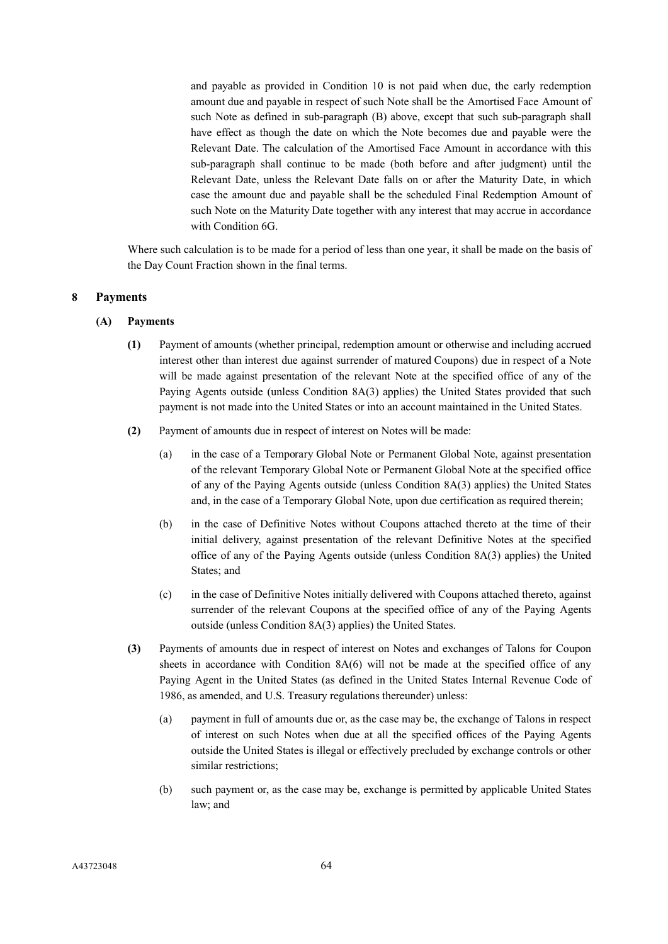and payable as provided in Condition 10 is not paid when due, the early redemption amount due and payable in respect of such Note shall be the Amortised Face Amount of such Note as defined in sub-paragraph (B) above, except that such sub-paragraph shall have effect as though the date on which the Note becomes due and payable were the Relevant Date. The calculation of the Amortised Face Amount in accordance with this sub-paragraph shall continue to be made (both before and after judgment) until the Relevant Date, unless the Relevant Date falls on or after the Maturity Date, in which case the amount due and payable shall be the scheduled Final Redemption Amount of such Note on the Maturity Date together with any interest that may accrue in accordance with Condition 6G.

Where such calculation is to be made for a period of less than one year, it shall be made on the basis of the Day Count Fraction shown in the final terms.

## **8 Payments**

- **(A) Payments**
	- **(1)** Payment of amounts (whether principal, redemption amount or otherwise and including accrued interest other than interest due against surrender of matured Coupons) due in respect of a Note will be made against presentation of the relevant Note at the specified office of any of the Paying Agents outside (unless Condition 8A(3) applies) the United States provided that such payment is not made into the United States or into an account maintained in the United States.
	- **(2)** Payment of amounts due in respect of interest on Notes will be made:
		- (a) in the case of a Temporary Global Note or Permanent Global Note, against presentation of the relevant Temporary Global Note or Permanent Global Note at the specified office of any of the Paying Agents outside (unless Condition 8A(3) applies) the United States and, in the case of a Temporary Global Note, upon due certification as required therein;
		- (b) in the case of Definitive Notes without Coupons attached thereto at the time of their initial delivery, against presentation of the relevant Definitive Notes at the specified office of any of the Paying Agents outside (unless Condition 8A(3) applies) the United States; and
		- (c) in the case of Definitive Notes initially delivered with Coupons attached thereto, against surrender of the relevant Coupons at the specified office of any of the Paying Agents outside (unless Condition 8A(3) applies) the United States.
	- **(3)** Payments of amounts due in respect of interest on Notes and exchanges of Talons for Coupon sheets in accordance with Condition 8A(6) will not be made at the specified office of any Paying Agent in the United States (as defined in the United States Internal Revenue Code of 1986, as amended, and U.S. Treasury regulations thereunder) unless:
		- (a) payment in full of amounts due or, as the case may be, the exchange of Talons in respect of interest on such Notes when due at all the specified offices of the Paying Agents outside the United States is illegal or effectively precluded by exchange controls or other similar restrictions;
		- (b) such payment or, as the case may be, exchange is permitted by applicable United States law; and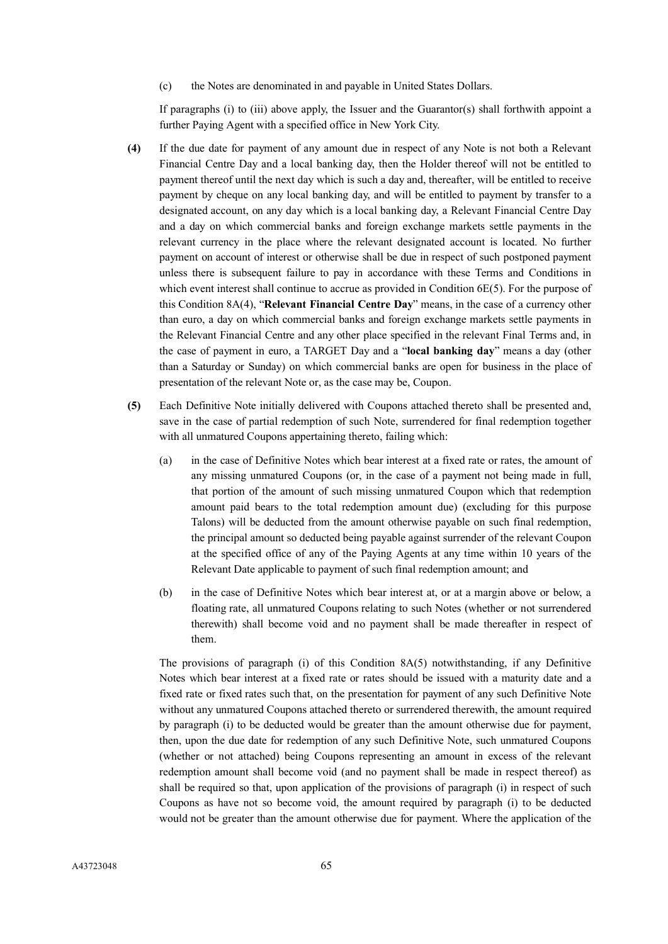(c) the Notes are denominated in and payable in United States Dollars.

If paragraphs (i) to (iii) above apply, the Issuer and the Guarantor(s) shall forthwith appoint a further Paying Agent with a specified office in New York City.

- **(4)** If the due date for payment of any amount due in respect of any Note is not both a Relevant Financial Centre Day and a local banking day, then the Holder thereof will not be entitled to payment thereof until the next day which is such a day and, thereafter, will be entitled to receive payment by cheque on any local banking day, and will be entitled to payment by transfer to a designated account, on any day which is a local banking day, a Relevant Financial Centre Day and a day on which commercial banks and foreign exchange markets settle payments in the relevant currency in the place where the relevant designated account is located. No further payment on account of interest or otherwise shall be due in respect of such postponed payment unless there is subsequent failure to pay in accordance with these Terms and Conditions in which event interest shall continue to accrue as provided in Condition 6E(5). For the purpose of this Condition 8A(4), "**Relevant Financial Centre Day**" means, in the case of a currency other than euro, a day on which commercial banks and foreign exchange markets settle payments in the Relevant Financial Centre and any other place specified in the relevant Final Terms and, in the case of payment in euro, a TARGET Day and a "**local banking day**" means a day (other than a Saturday or Sunday) on which commercial banks are open for business in the place of presentation of the relevant Note or, as the case may be, Coupon.
- **(5)** Each Definitive Note initially delivered with Coupons attached thereto shall be presented and, save in the case of partial redemption of such Note, surrendered for final redemption together with all unmatured Coupons appertaining thereto, failing which:
	- (a) in the case of Definitive Notes which bear interest at a fixed rate or rates, the amount of any missing unmatured Coupons (or, in the case of a payment not being made in full, that portion of the amount of such missing unmatured Coupon which that redemption amount paid bears to the total redemption amount due) (excluding for this purpose Talons) will be deducted from the amount otherwise payable on such final redemption, the principal amount so deducted being payable against surrender of the relevant Coupon at the specified office of any of the Paying Agents at any time within 10 years of the Relevant Date applicable to payment of such final redemption amount; and
	- (b) in the case of Definitive Notes which bear interest at, or at a margin above or below, a floating rate, all unmatured Coupons relating to such Notes (whether or not surrendered therewith) shall become void and no payment shall be made thereafter in respect of them.

The provisions of paragraph (i) of this Condition 8A(5) notwithstanding, if any Definitive Notes which bear interest at a fixed rate or rates should be issued with a maturity date and a fixed rate or fixed rates such that, on the presentation for payment of any such Definitive Note without any unmatured Coupons attached thereto or surrendered therewith, the amount required by paragraph (i) to be deducted would be greater than the amount otherwise due for payment, then, upon the due date for redemption of any such Definitive Note, such unmatured Coupons (whether or not attached) being Coupons representing an amount in excess of the relevant redemption amount shall become void (and no payment shall be made in respect thereof) as shall be required so that, upon application of the provisions of paragraph (i) in respect of such Coupons as have not so become void, the amount required by paragraph (i) to be deducted would not be greater than the amount otherwise due for payment. Where the application of the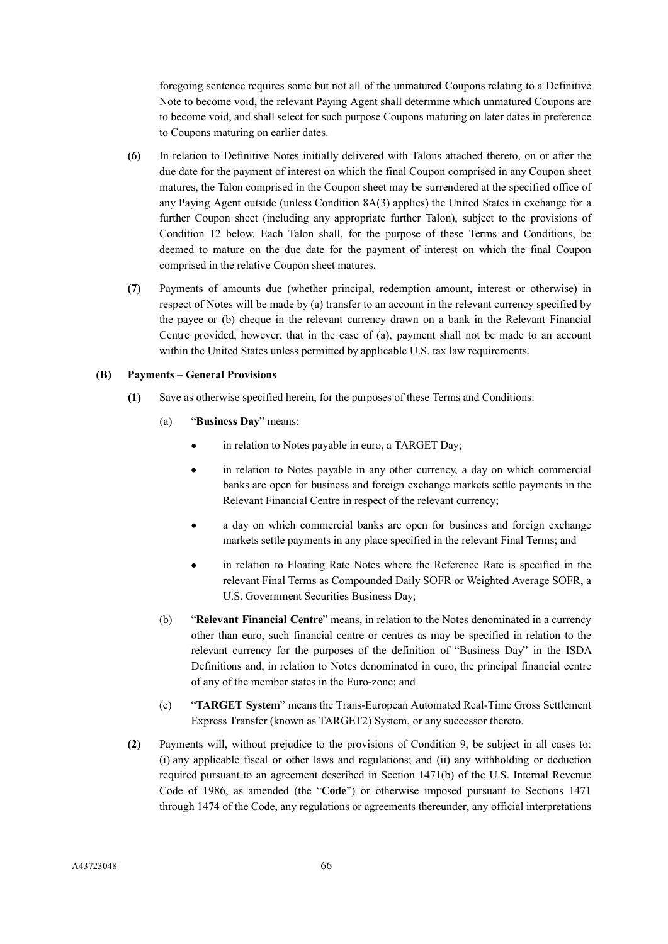foregoing sentence requires some but not all of the unmatured Coupons relating to a Definitive Note to become void, the relevant Paying Agent shall determine which unmatured Coupons are to become void, and shall select for such purpose Coupons maturing on later dates in preference to Coupons maturing on earlier dates.

- **(6)** In relation to Definitive Notes initially delivered with Talons attached thereto, on or after the due date for the payment of interest on which the final Coupon comprised in any Coupon sheet matures, the Talon comprised in the Coupon sheet may be surrendered at the specified office of any Paying Agent outside (unless Condition 8A(3) applies) the United States in exchange for a further Coupon sheet (including any appropriate further Talon), subject to the provisions of Condition 12 below. Each Talon shall, for the purpose of these Terms and Conditions, be deemed to mature on the due date for the payment of interest on which the final Coupon comprised in the relative Coupon sheet matures.
- **(7)** Payments of amounts due (whether principal, redemption amount, interest or otherwise) in respect of Notes will be made by (a) transfer to an account in the relevant currency specified by the payee or (b) cheque in the relevant currency drawn on a bank in the Relevant Financial Centre provided, however, that in the case of (a), payment shall not be made to an account within the United States unless permitted by applicable U.S. tax law requirements.

## **(B) Payments – General Provisions**

- **(1)** Save as otherwise specified herein, for the purposes of these Terms and Conditions:
	- (a) "**Business Day**" means:
		- in relation to Notes payable in euro, a TARGET Day;
		- in relation to Notes payable in any other currency, a day on which commercial banks are open for business and foreign exchange markets settle payments in the Relevant Financial Centre in respect of the relevant currency;
		- a day on which commercial banks are open for business and foreign exchange markets settle payments in any place specified in the relevant Final Terms; and
		- in relation to Floating Rate Notes where the Reference Rate is specified in the relevant Final Terms as Compounded Daily SOFR or Weighted Average SOFR, a U.S. Government Securities Business Day;
	- (b) "**Relevant Financial Centre**" means, in relation to the Notes denominated in a currency other than euro, such financial centre or centres as may be specified in relation to the relevant currency for the purposes of the definition of "Business Day" in the ISDA Definitions and, in relation to Notes denominated in euro, the principal financial centre of any of the member states in the Euro-zone; and
	- (c) "**TARGET System**" means the Trans-European Automated Real-Time Gross Settlement Express Transfer (known as TARGET2) System, or any successor thereto.
- **(2)** Payments will, without prejudice to the provisions of Condition 9, be subject in all cases to: (i) any applicable fiscal or other laws and regulations; and (ii) any withholding or deduction required pursuant to an agreement described in Section 1471(b) of the U.S. Internal Revenue Code of 1986, as amended (the "**Code**") or otherwise imposed pursuant to Sections 1471 through 1474 of the Code, any regulations or agreements thereunder, any official interpretations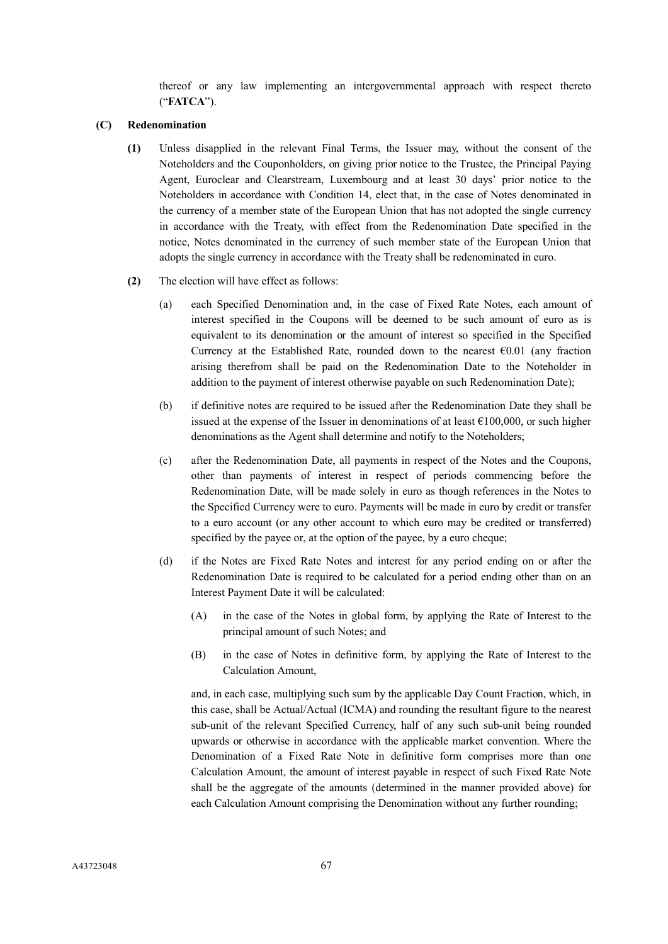thereof or any law implementing an intergovernmental approach with respect thereto ("**FATCA**").

### **(C) Redenomination**

- **(1)** Unless disapplied in the relevant Final Terms, the Issuer may, without the consent of the Noteholders and the Couponholders, on giving prior notice to the Trustee, the Principal Paying Agent, Euroclear and Clearstream, Luxembourg and at least 30 days' prior notice to the Noteholders in accordance with Condition 14, elect that, in the case of Notes denominated in the currency of a member state of the European Union that has not adopted the single currency in accordance with the Treaty, with effect from the Redenomination Date specified in the notice, Notes denominated in the currency of such member state of the European Union that adopts the single currency in accordance with the Treaty shall be redenominated in euro.
- **(2)** The election will have effect as follows:
	- (a) each Specified Denomination and, in the case of Fixed Rate Notes, each amount of interest specified in the Coupons will be deemed to be such amount of euro as is equivalent to its denomination or the amount of interest so specified in the Specified Currency at the Established Rate, rounded down to the nearest  $\epsilon$ 0.01 (any fraction arising therefrom shall be paid on the Redenomination Date to the Noteholder in addition to the payment of interest otherwise payable on such Redenomination Date);
	- (b) if definitive notes are required to be issued after the Redenomination Date they shall be issued at the expense of the Issuer in denominations of at least  $\epsilon$ 100,000, or such higher denominations as the Agent shall determine and notify to the Noteholders;
	- (c) after the Redenomination Date, all payments in respect of the Notes and the Coupons, other than payments of interest in respect of periods commencing before the Redenomination Date, will be made solely in euro as though references in the Notes to the Specified Currency were to euro. Payments will be made in euro by credit or transfer to a euro account (or any other account to which euro may be credited or transferred) specified by the payee or, at the option of the payee, by a euro cheque;
	- (d) if the Notes are Fixed Rate Notes and interest for any period ending on or after the Redenomination Date is required to be calculated for a period ending other than on an Interest Payment Date it will be calculated:
		- (A) in the case of the Notes in global form, by applying the Rate of Interest to the principal amount of such Notes; and
		- (B) in the case of Notes in definitive form, by applying the Rate of Interest to the Calculation Amount,

and, in each case, multiplying such sum by the applicable Day Count Fraction, which, in this case, shall be Actual/Actual (ICMA) and rounding the resultant figure to the nearest sub-unit of the relevant Specified Currency, half of any such sub-unit being rounded upwards or otherwise in accordance with the applicable market convention. Where the Denomination of a Fixed Rate Note in definitive form comprises more than one Calculation Amount, the amount of interest payable in respect of such Fixed Rate Note shall be the aggregate of the amounts (determined in the manner provided above) for each Calculation Amount comprising the Denomination without any further rounding;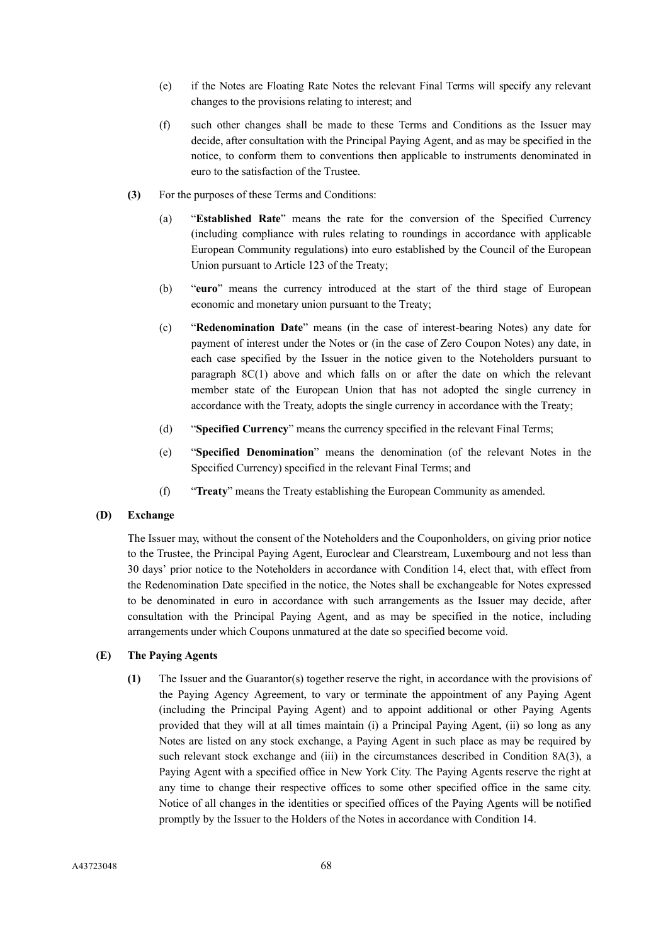- (e) if the Notes are Floating Rate Notes the relevant Final Terms will specify any relevant changes to the provisions relating to interest; and
- (f) such other changes shall be made to these Terms and Conditions as the Issuer may decide, after consultation with the Principal Paying Agent, and as may be specified in the notice, to conform them to conventions then applicable to instruments denominated in euro to the satisfaction of the Trustee.
- **(3)** For the purposes of these Terms and Conditions:
	- (a) "**Established Rate**" means the rate for the conversion of the Specified Currency (including compliance with rules relating to roundings in accordance with applicable European Community regulations) into euro established by the Council of the European Union pursuant to Article 123 of the Treaty;
	- (b) "**euro**" means the currency introduced at the start of the third stage of European economic and monetary union pursuant to the Treaty;
	- (c) "**Redenomination Date**" means (in the case of interest-bearing Notes) any date for payment of interest under the Notes or (in the case of Zero Coupon Notes) any date, in each case specified by the Issuer in the notice given to the Noteholders pursuant to paragraph 8C(1) above and which falls on or after the date on which the relevant member state of the European Union that has not adopted the single currency in accordance with the Treaty, adopts the single currency in accordance with the Treaty;
	- (d) "**Specified Currency**" means the currency specified in the relevant Final Terms;
	- (e) "**Specified Denomination**" means the denomination (of the relevant Notes in the Specified Currency) specified in the relevant Final Terms; and
	- (f) "**Treaty**" means the Treaty establishing the European Community as amended.

### **(D) Exchange**

The Issuer may, without the consent of the Noteholders and the Couponholders, on giving prior notice to the Trustee, the Principal Paying Agent, Euroclear and Clearstream, Luxembourg and not less than 30 days' prior notice to the Noteholders in accordance with Condition 14, elect that, with effect from the Redenomination Date specified in the notice, the Notes shall be exchangeable for Notes expressed to be denominated in euro in accordance with such arrangements as the Issuer may decide, after consultation with the Principal Paying Agent, and as may be specified in the notice, including arrangements under which Coupons unmatured at the date so specified become void.

## **(E) The Paying Agents**

**(1)** The Issuer and the Guarantor(s) together reserve the right, in accordance with the provisions of the Paying Agency Agreement, to vary or terminate the appointment of any Paying Agent (including the Principal Paying Agent) and to appoint additional or other Paying Agents provided that they will at all times maintain (i) a Principal Paying Agent, (ii) so long as any Notes are listed on any stock exchange, a Paying Agent in such place as may be required by such relevant stock exchange and (iii) in the circumstances described in Condition 8A(3), a Paying Agent with a specified office in New York City. The Paying Agents reserve the right at any time to change their respective offices to some other specified office in the same city. Notice of all changes in the identities or specified offices of the Paying Agents will be notified promptly by the Issuer to the Holders of the Notes in accordance with Condition 14.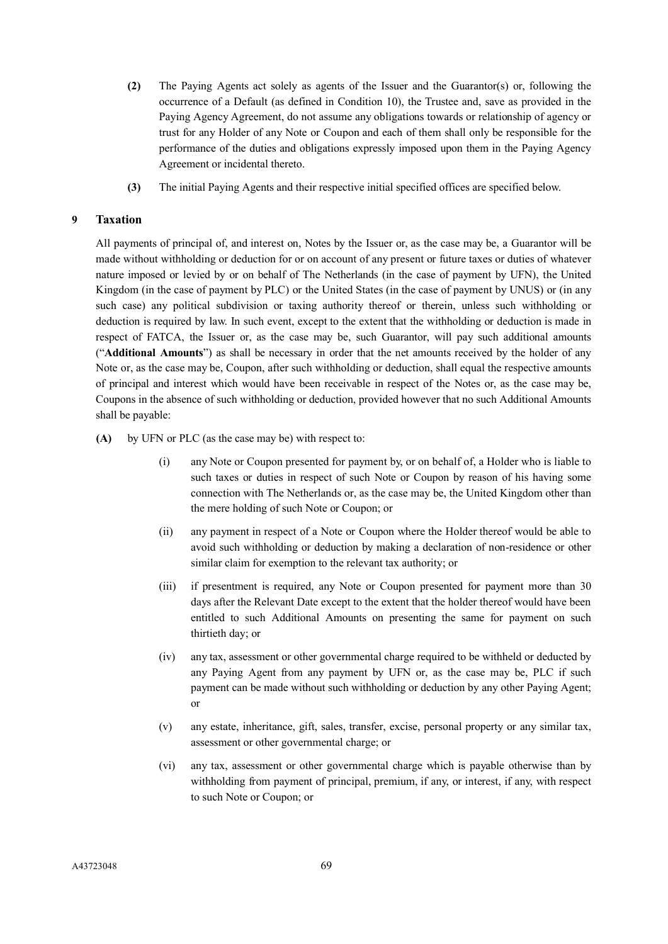- **(2)** The Paying Agents act solely as agents of the Issuer and the Guarantor(s) or, following the occurrence of a Default (as defined in Condition 10), the Trustee and, save as provided in the Paying Agency Agreement, do not assume any obligations towards or relationship of agency or trust for any Holder of any Note or Coupon and each of them shall only be responsible for the performance of the duties and obligations expressly imposed upon them in the Paying Agency Agreement or incidental thereto.
- **(3)** The initial Paying Agents and their respective initial specified offices are specified below.

# **9 Taxation**

All payments of principal of, and interest on, Notes by the Issuer or, as the case may be, a Guarantor will be made without withholding or deduction for or on account of any present or future taxes or duties of whatever nature imposed or levied by or on behalf of The Netherlands (in the case of payment by UFN), the United Kingdom (in the case of payment by PLC) or the United States (in the case of payment by UNUS) or (in any such case) any political subdivision or taxing authority thereof or therein, unless such withholding or deduction is required by law. In such event, except to the extent that the withholding or deduction is made in respect of FATCA, the Issuer or, as the case may be, such Guarantor, will pay such additional amounts ("**Additional Amounts**") as shall be necessary in order that the net amounts received by the holder of any Note or, as the case may be, Coupon, after such withholding or deduction, shall equal the respective amounts of principal and interest which would have been receivable in respect of the Notes or, as the case may be, Coupons in the absence of such withholding or deduction, provided however that no such Additional Amounts shall be payable:

- **(A)** by UFN or PLC (as the case may be) with respect to:
	- (i) any Note or Coupon presented for payment by, or on behalf of, a Holder who is liable to such taxes or duties in respect of such Note or Coupon by reason of his having some connection with The Netherlands or, as the case may be, the United Kingdom other than the mere holding of such Note or Coupon; or
	- (ii) any payment in respect of a Note or Coupon where the Holder thereof would be able to avoid such withholding or deduction by making a declaration of non-residence or other similar claim for exemption to the relevant tax authority; or
	- (iii) if presentment is required, any Note or Coupon presented for payment more than 30 days after the Relevant Date except to the extent that the holder thereof would have been entitled to such Additional Amounts on presenting the same for payment on such thirtieth day; or
	- (iv) any tax, assessment or other governmental charge required to be withheld or deducted by any Paying Agent from any payment by UFN or, as the case may be, PLC if such payment can be made without such withholding or deduction by any other Paying Agent; or
	- (v) any estate, inheritance, gift, sales, transfer, excise, personal property or any similar tax, assessment or other governmental charge; or
	- (vi) any tax, assessment or other governmental charge which is payable otherwise than by withholding from payment of principal, premium, if any, or interest, if any, with respect to such Note or Coupon; or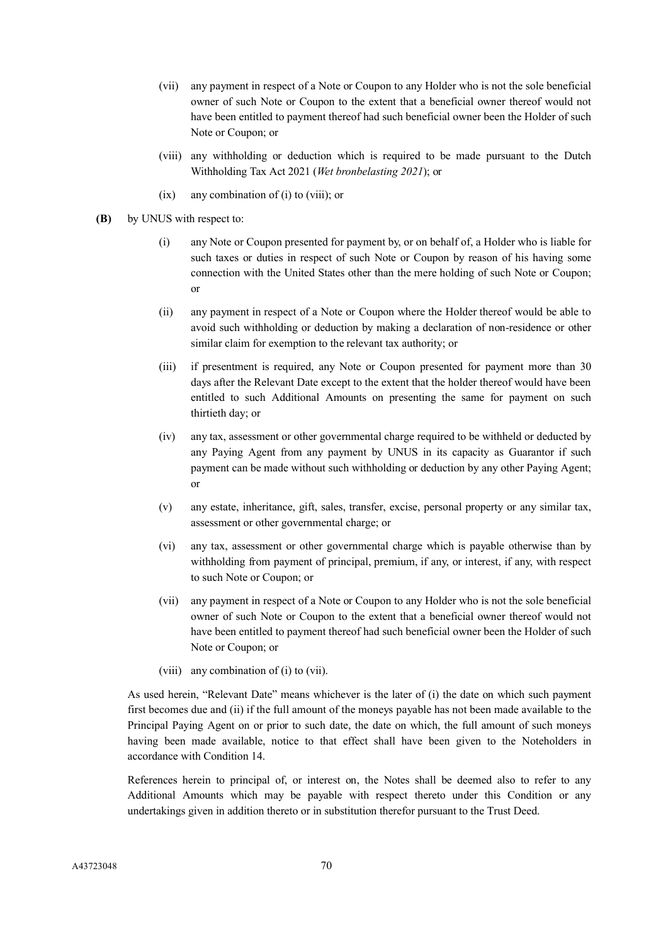- (vii) any payment in respect of a Note or Coupon to any Holder who is not the sole beneficial owner of such Note or Coupon to the extent that a beneficial owner thereof would not have been entitled to payment thereof had such beneficial owner been the Holder of such Note or Coupon; or
- (viii) any withholding or deduction which is required to be made pursuant to the Dutch Withholding Tax Act 2021 (*Wet bronbelasting 2021*); or
- (ix) any combination of (i) to (viii); or
- **(B)** by UNUS with respect to:
	- (i) any Note or Coupon presented for payment by, or on behalf of, a Holder who is liable for such taxes or duties in respect of such Note or Coupon by reason of his having some connection with the United States other than the mere holding of such Note or Coupon; or
	- (ii) any payment in respect of a Note or Coupon where the Holder thereof would be able to avoid such withholding or deduction by making a declaration of non-residence or other similar claim for exemption to the relevant tax authority; or
	- (iii) if presentment is required, any Note or Coupon presented for payment more than 30 days after the Relevant Date except to the extent that the holder thereof would have been entitled to such Additional Amounts on presenting the same for payment on such thirtieth day; or
	- (iv) any tax, assessment or other governmental charge required to be withheld or deducted by any Paying Agent from any payment by UNUS in its capacity as Guarantor if such payment can be made without such withholding or deduction by any other Paying Agent; or
	- (v) any estate, inheritance, gift, sales, transfer, excise, personal property or any similar tax, assessment or other governmental charge; or
	- (vi) any tax, assessment or other governmental charge which is payable otherwise than by withholding from payment of principal, premium, if any, or interest, if any, with respect to such Note or Coupon; or
	- (vii) any payment in respect of a Note or Coupon to any Holder who is not the sole beneficial owner of such Note or Coupon to the extent that a beneficial owner thereof would not have been entitled to payment thereof had such beneficial owner been the Holder of such Note or Coupon; or
	- (viii) any combination of (i) to (vii).

As used herein, "Relevant Date" means whichever is the later of (i) the date on which such payment first becomes due and (ii) if the full amount of the moneys payable has not been made available to the Principal Paying Agent on or prior to such date, the date on which, the full amount of such moneys having been made available, notice to that effect shall have been given to the Noteholders in accordance with Condition 14.

References herein to principal of, or interest on, the Notes shall be deemed also to refer to any Additional Amounts which may be payable with respect thereto under this Condition or any undertakings given in addition thereto or in substitution therefor pursuant to the Trust Deed.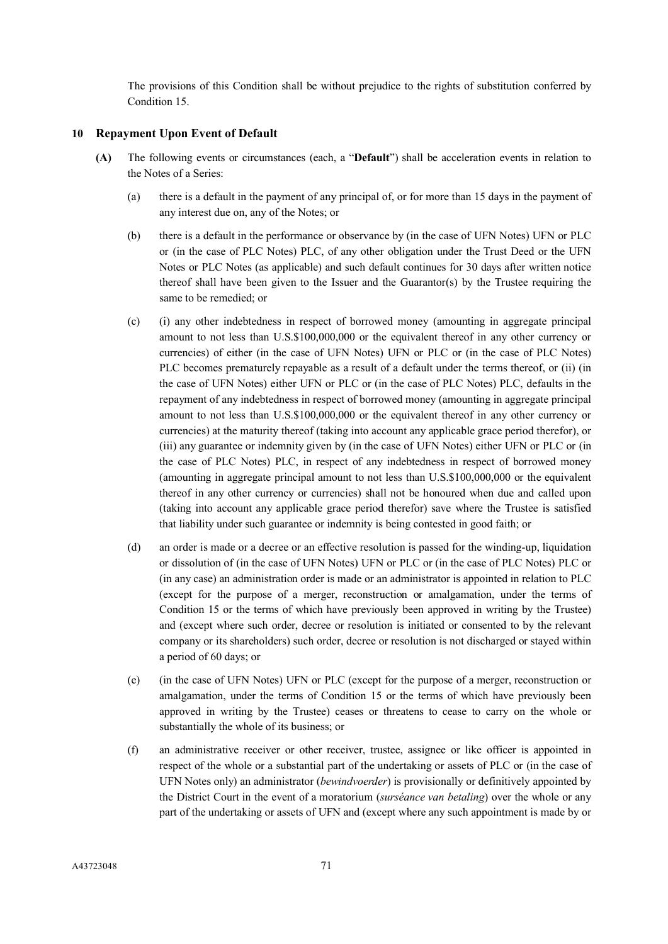The provisions of this Condition shall be without prejudice to the rights of substitution conferred by Condition 15.

## **10 Repayment Upon Event of Default**

- **(A)** The following events or circumstances (each, a "**Default**") shall be acceleration events in relation to the Notes of a Series:
	- (a) there is a default in the payment of any principal of, or for more than 15 days in the payment of any interest due on, any of the Notes; or
	- (b) there is a default in the performance or observance by (in the case of UFN Notes) UFN or PLC or (in the case of PLC Notes) PLC, of any other obligation under the Trust Deed or the UFN Notes or PLC Notes (as applicable) and such default continues for 30 days after written notice thereof shall have been given to the Issuer and the Guarantor(s) by the Trustee requiring the same to be remedied; or
	- (c) (i) any other indebtedness in respect of borrowed money (amounting in aggregate principal amount to not less than U.S.\$100,000,000 or the equivalent thereof in any other currency or currencies) of either (in the case of UFN Notes) UFN or PLC or (in the case of PLC Notes) PLC becomes prematurely repayable as a result of a default under the terms thereof, or (ii) (in the case of UFN Notes) either UFN or PLC or (in the case of PLC Notes) PLC, defaults in the repayment of any indebtedness in respect of borrowed money (amounting in aggregate principal amount to not less than U.S.\$100,000,000 or the equivalent thereof in any other currency or currencies) at the maturity thereof (taking into account any applicable grace period therefor), or (iii) any guarantee or indemnity given by (in the case of UFN Notes) either UFN or PLC or (in the case of PLC Notes) PLC, in respect of any indebtedness in respect of borrowed money (amounting in aggregate principal amount to not less than U.S.\$100,000,000 or the equivalent thereof in any other currency or currencies) shall not be honoured when due and called upon (taking into account any applicable grace period therefor) save where the Trustee is satisfied that liability under such guarantee or indemnity is being contested in good faith; or
	- (d) an order is made or a decree or an effective resolution is passed for the winding-up, liquidation or dissolution of (in the case of UFN Notes) UFN or PLC or (in the case of PLC Notes) PLC or (in any case) an administration order is made or an administrator is appointed in relation to PLC (except for the purpose of a merger, reconstruction or amalgamation, under the terms of Condition 15 or the terms of which have previously been approved in writing by the Trustee) and (except where such order, decree or resolution is initiated or consented to by the relevant company or its shareholders) such order, decree or resolution is not discharged or stayed within a period of 60 days; or
	- (e) (in the case of UFN Notes) UFN or PLC (except for the purpose of a merger, reconstruction or amalgamation, under the terms of Condition 15 or the terms of which have previously been approved in writing by the Trustee) ceases or threatens to cease to carry on the whole or substantially the whole of its business; or
	- (f) an administrative receiver or other receiver, trustee, assignee or like officer is appointed in respect of the whole or a substantial part of the undertaking or assets of PLC or (in the case of UFN Notes only) an administrator (*bewindvoerder*) is provisionally or definitively appointed by the District Court in the event of a moratorium (*surséance van betaling*) over the whole or any part of the undertaking or assets of UFN and (except where any such appointment is made by or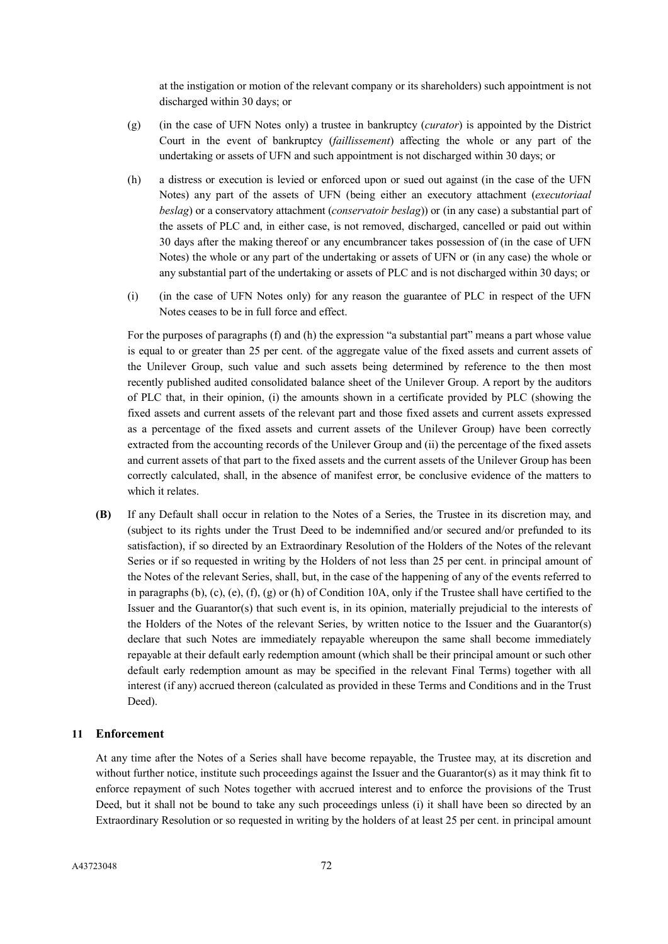at the instigation or motion of the relevant company or its shareholders) such appointment is not discharged within 30 days; or

- (g) (in the case of UFN Notes only) a trustee in bankruptcy (*curator*) is appointed by the District Court in the event of bankruptcy (*faillissement*) affecting the whole or any part of the undertaking or assets of UFN and such appointment is not discharged within 30 days; or
- (h) a distress or execution is levied or enforced upon or sued out against (in the case of the UFN Notes) any part of the assets of UFN (being either an executory attachment (*executoriaal beslag*) or a conservatory attachment (*conservatoir beslag*)) or (in any case) a substantial part of the assets of PLC and, in either case, is not removed, discharged, cancelled or paid out within 30 days after the making thereof or any encumbrancer takes possession of (in the case of UFN Notes) the whole or any part of the undertaking or assets of UFN or (in any case) the whole or any substantial part of the undertaking or assets of PLC and is not discharged within 30 days; or
- (i) (in the case of UFN Notes only) for any reason the guarantee of PLC in respect of the UFN Notes ceases to be in full force and effect.

For the purposes of paragraphs (f) and (h) the expression "a substantial part" means a part whose value is equal to or greater than 25 per cent. of the aggregate value of the fixed assets and current assets of the Unilever Group, such value and such assets being determined by reference to the then most recently published audited consolidated balance sheet of the Unilever Group. A report by the auditors of PLC that, in their opinion, (i) the amounts shown in a certificate provided by PLC (showing the fixed assets and current assets of the relevant part and those fixed assets and current assets expressed as a percentage of the fixed assets and current assets of the Unilever Group) have been correctly extracted from the accounting records of the Unilever Group and (ii) the percentage of the fixed assets and current assets of that part to the fixed assets and the current assets of the Unilever Group has been correctly calculated, shall, in the absence of manifest error, be conclusive evidence of the matters to which it relates.

**(B)** If any Default shall occur in relation to the Notes of a Series, the Trustee in its discretion may, and (subject to its rights under the Trust Deed to be indemnified and/or secured and/or prefunded to its satisfaction), if so directed by an Extraordinary Resolution of the Holders of the Notes of the relevant Series or if so requested in writing by the Holders of not less than 25 per cent. in principal amount of the Notes of the relevant Series, shall, but, in the case of the happening of any of the events referred to in paragraphs  $(b)$ ,  $(c)$ ,  $(e)$ ,  $(f)$ ,  $(g)$  or  $(h)$  of Condition 10A, only if the Trustee shall have certified to the Issuer and the Guarantor(s) that such event is, in its opinion, materially prejudicial to the interests of the Holders of the Notes of the relevant Series, by written notice to the Issuer and the Guarantor(s) declare that such Notes are immediately repayable whereupon the same shall become immediately repayable at their default early redemption amount (which shall be their principal amount or such other default early redemption amount as may be specified in the relevant Final Terms) together with all interest (if any) accrued thereon (calculated as provided in these Terms and Conditions and in the Trust Deed).

## **11 Enforcement**

At any time after the Notes of a Series shall have become repayable, the Trustee may, at its discretion and without further notice, institute such proceedings against the Issuer and the Guarantor(s) as it may think fit to enforce repayment of such Notes together with accrued interest and to enforce the provisions of the Trust Deed, but it shall not be bound to take any such proceedings unless (i) it shall have been so directed by an Extraordinary Resolution or so requested in writing by the holders of at least 25 per cent. in principal amount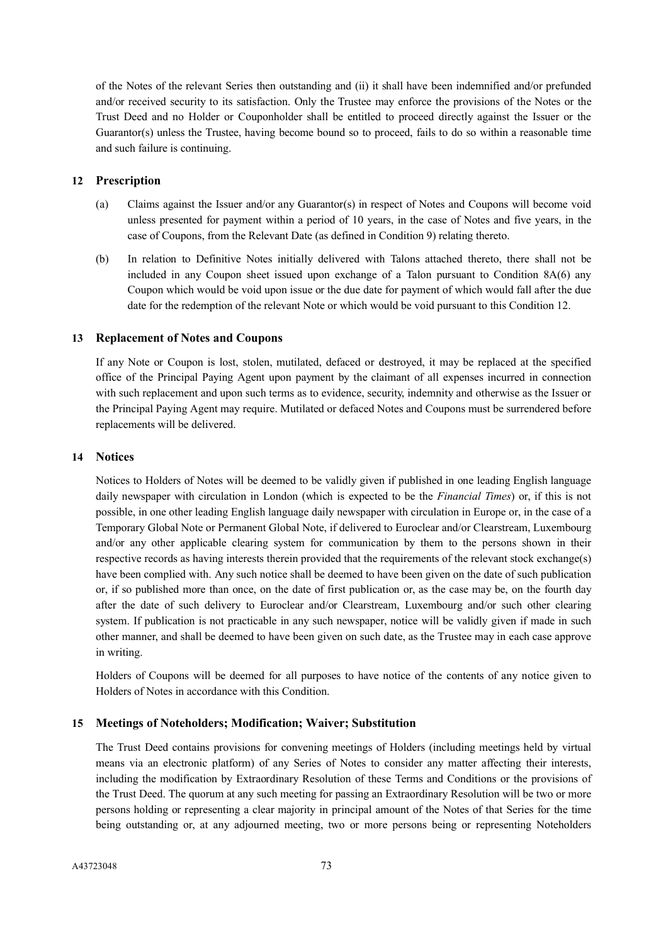of the Notes of the relevant Series then outstanding and (ii) it shall have been indemnified and/or prefunded and/or received security to its satisfaction. Only the Trustee may enforce the provisions of the Notes or the Trust Deed and no Holder or Couponholder shall be entitled to proceed directly against the Issuer or the Guarantor(s) unless the Trustee, having become bound so to proceed, fails to do so within a reasonable time and such failure is continuing.

## **12 Prescription**

- (a) Claims against the Issuer and/or any Guarantor(s) in respect of Notes and Coupons will become void unless presented for payment within a period of 10 years, in the case of Notes and five years, in the case of Coupons, from the Relevant Date (as defined in Condition 9) relating thereto.
- (b) In relation to Definitive Notes initially delivered with Talons attached thereto, there shall not be included in any Coupon sheet issued upon exchange of a Talon pursuant to Condition 8A(6) any Coupon which would be void upon issue or the due date for payment of which would fall after the due date for the redemption of the relevant Note or which would be void pursuant to this Condition 12.

## **13 Replacement of Notes and Coupons**

If any Note or Coupon is lost, stolen, mutilated, defaced or destroyed, it may be replaced at the specified office of the Principal Paying Agent upon payment by the claimant of all expenses incurred in connection with such replacement and upon such terms as to evidence, security, indemnity and otherwise as the Issuer or the Principal Paying Agent may require. Mutilated or defaced Notes and Coupons must be surrendered before replacements will be delivered.

## **14 Notices**

Notices to Holders of Notes will be deemed to be validly given if published in one leading English language daily newspaper with circulation in London (which is expected to be the *Financial Times*) or, if this is not possible, in one other leading English language daily newspaper with circulation in Europe or, in the case of a Temporary Global Note or Permanent Global Note, if delivered to Euroclear and/or Clearstream, Luxembourg and/or any other applicable clearing system for communication by them to the persons shown in their respective records as having interests therein provided that the requirements of the relevant stock exchange(s) have been complied with. Any such notice shall be deemed to have been given on the date of such publication or, if so published more than once, on the date of first publication or, as the case may be, on the fourth day after the date of such delivery to Euroclear and/or Clearstream, Luxembourg and/or such other clearing system. If publication is not practicable in any such newspaper, notice will be validly given if made in such other manner, and shall be deemed to have been given on such date, as the Trustee may in each case approve in writing.

Holders of Coupons will be deemed for all purposes to have notice of the contents of any notice given to Holders of Notes in accordance with this Condition.

## **15 Meetings of Noteholders; Modification; Waiver; Substitution**

The Trust Deed contains provisions for convening meetings of Holders (including meetings held by virtual means via an electronic platform) of any Series of Notes to consider any matter affecting their interests, including the modification by Extraordinary Resolution of these Terms and Conditions or the provisions of the Trust Deed. The quorum at any such meeting for passing an Extraordinary Resolution will be two or more persons holding or representing a clear majority in principal amount of the Notes of that Series for the time being outstanding or, at any adjourned meeting, two or more persons being or representing Noteholders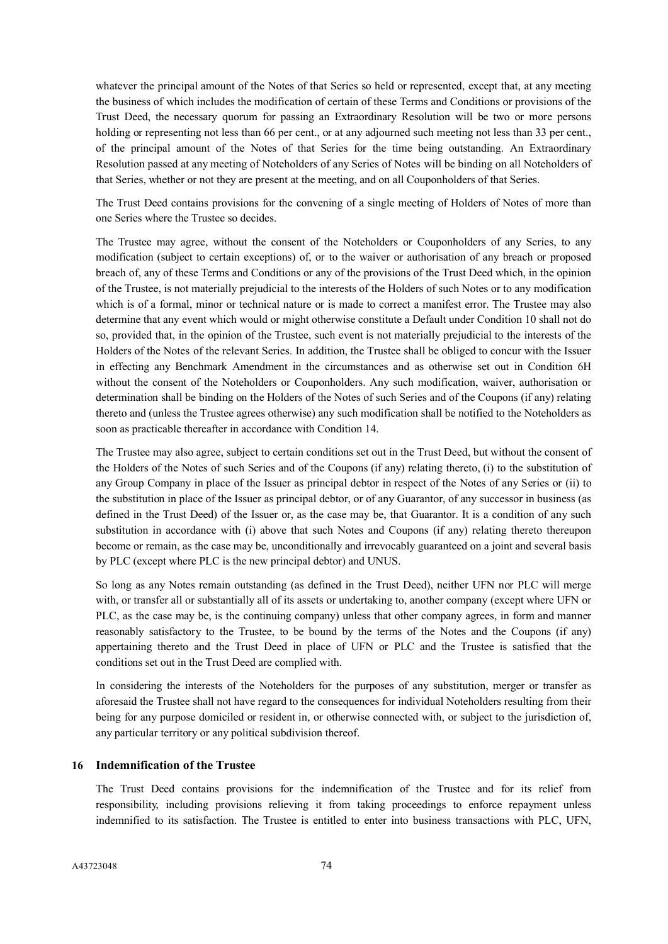whatever the principal amount of the Notes of that Series so held or represented, except that, at any meeting the business of which includes the modification of certain of these Terms and Conditions or provisions of the Trust Deed, the necessary quorum for passing an Extraordinary Resolution will be two or more persons holding or representing not less than 66 per cent., or at any adjourned such meeting not less than 33 per cent., of the principal amount of the Notes of that Series for the time being outstanding. An Extraordinary Resolution passed at any meeting of Noteholders of any Series of Notes will be binding on all Noteholders of that Series, whether or not they are present at the meeting, and on all Couponholders of that Series.

The Trust Deed contains provisions for the convening of a single meeting of Holders of Notes of more than one Series where the Trustee so decides.

The Trustee may agree, without the consent of the Noteholders or Couponholders of any Series, to any modification (subject to certain exceptions) of, or to the waiver or authorisation of any breach or proposed breach of, any of these Terms and Conditions or any of the provisions of the Trust Deed which, in the opinion of the Trustee, is not materially prejudicial to the interests of the Holders of such Notes or to any modification which is of a formal, minor or technical nature or is made to correct a manifest error. The Trustee may also determine that any event which would or might otherwise constitute a Default under Condition 10 shall not do so, provided that, in the opinion of the Trustee, such event is not materially prejudicial to the interests of the Holders of the Notes of the relevant Series. In addition, the Trustee shall be obliged to concur with the Issuer in effecting any Benchmark Amendment in the circumstances and as otherwise set out in Condition 6H without the consent of the Noteholders or Couponholders. Any such modification, waiver, authorisation or determination shall be binding on the Holders of the Notes of such Series and of the Coupons (if any) relating thereto and (unless the Trustee agrees otherwise) any such modification shall be notified to the Noteholders as soon as practicable thereafter in accordance with Condition 14.

The Trustee may also agree, subject to certain conditions set out in the Trust Deed, but without the consent of the Holders of the Notes of such Series and of the Coupons (if any) relating thereto, (i) to the substitution of any Group Company in place of the Issuer as principal debtor in respect of the Notes of any Series or (ii) to the substitution in place of the Issuer as principal debtor, or of any Guarantor, of any successor in business (as defined in the Trust Deed) of the Issuer or, as the case may be, that Guarantor. It is a condition of any such substitution in accordance with (i) above that such Notes and Coupons (if any) relating thereto thereupon become or remain, as the case may be, unconditionally and irrevocably guaranteed on a joint and several basis by PLC (except where PLC is the new principal debtor) and UNUS.

So long as any Notes remain outstanding (as defined in the Trust Deed), neither UFN nor PLC will merge with, or transfer all or substantially all of its assets or undertaking to, another company (except where UFN or PLC, as the case may be, is the continuing company) unless that other company agrees, in form and manner reasonably satisfactory to the Trustee, to be bound by the terms of the Notes and the Coupons (if any) appertaining thereto and the Trust Deed in place of UFN or PLC and the Trustee is satisfied that the conditions set out in the Trust Deed are complied with.

In considering the interests of the Noteholders for the purposes of any substitution, merger or transfer as aforesaid the Trustee shall not have regard to the consequences for individual Noteholders resulting from their being for any purpose domiciled or resident in, or otherwise connected with, or subject to the jurisdiction of, any particular territory or any political subdivision thereof.

#### **16 Indemnification of the Trustee**

The Trust Deed contains provisions for the indemnification of the Trustee and for its relief from responsibility, including provisions relieving it from taking proceedings to enforce repayment unless indemnified to its satisfaction. The Trustee is entitled to enter into business transactions with PLC, UFN,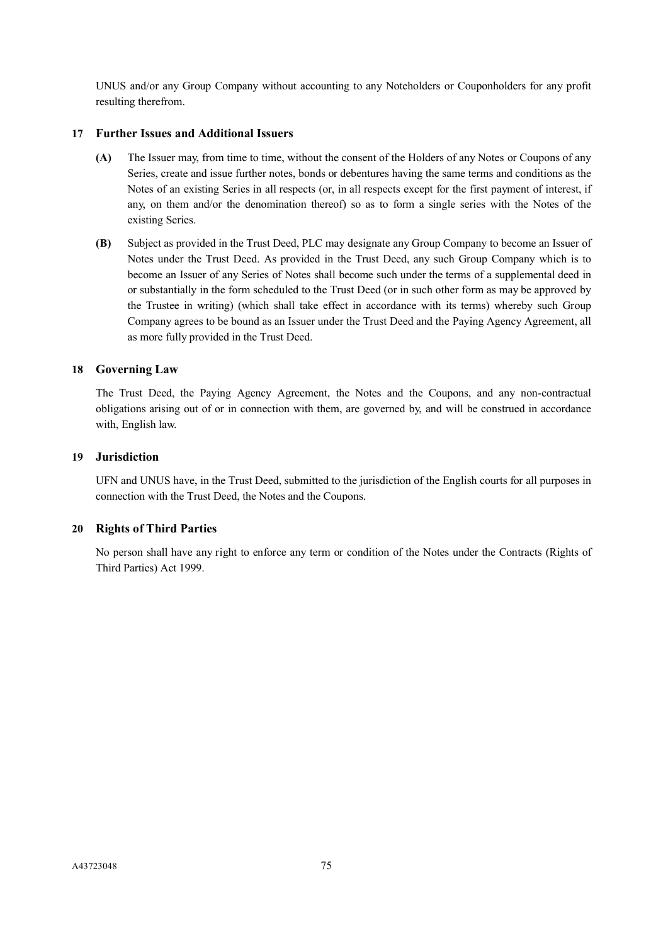UNUS and/or any Group Company without accounting to any Noteholders or Couponholders for any profit resulting therefrom.

## **17 Further Issues and Additional Issuers**

- **(A)** The Issuer may, from time to time, without the consent of the Holders of any Notes or Coupons of any Series, create and issue further notes, bonds or debentures having the same terms and conditions as the Notes of an existing Series in all respects (or, in all respects except for the first payment of interest, if any, on them and/or the denomination thereof) so as to form a single series with the Notes of the existing Series.
- **(B)** Subject as provided in the Trust Deed, PLC may designate any Group Company to become an Issuer of Notes under the Trust Deed. As provided in the Trust Deed, any such Group Company which is to become an Issuer of any Series of Notes shall become such under the terms of a supplemental deed in or substantially in the form scheduled to the Trust Deed (or in such other form as may be approved by the Trustee in writing) (which shall take effect in accordance with its terms) whereby such Group Company agrees to be bound as an Issuer under the Trust Deed and the Paying Agency Agreement, all as more fully provided in the Trust Deed.

## **18 Governing Law**

The Trust Deed, the Paying Agency Agreement, the Notes and the Coupons, and any non-contractual obligations arising out of or in connection with them, are governed by, and will be construed in accordance with, English law.

## **19 Jurisdiction**

UFN and UNUS have, in the Trust Deed, submitted to the jurisdiction of the English courts for all purposes in connection with the Trust Deed, the Notes and the Coupons.

## **20 Rights of Third Parties**

No person shall have any right to enforce any term or condition of the Notes under the Contracts (Rights of Third Parties) Act 1999.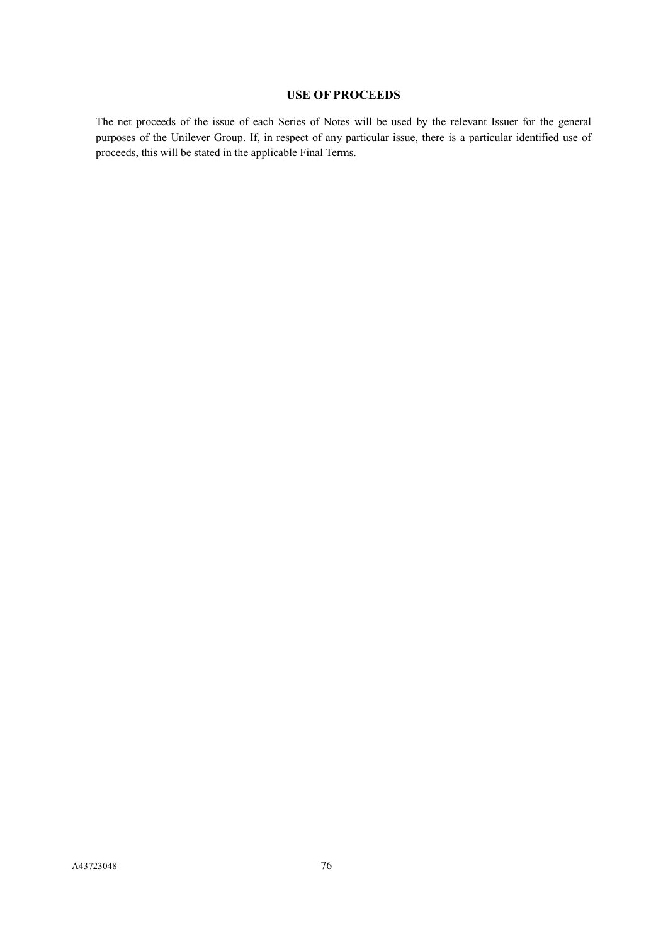# **USE OF PROCEEDS**

The net proceeds of the issue of each Series of Notes will be used by the relevant Issuer for the general purposes of the Unilever Group. If, in respect of any particular issue, there is a particular identified use of proceeds, this will be stated in the applicable Final Terms.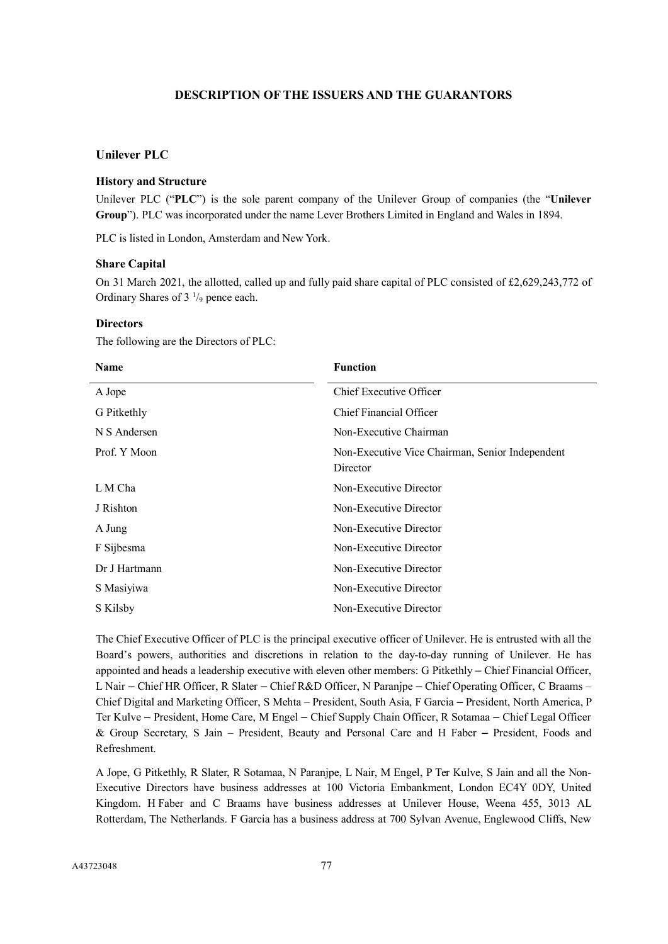# **DESCRIPTION OF THE ISSUERS AND THE GUARANTORS**

## **Unilever PLC**

#### **History and Structure**

Unilever PLC ("**PLC**") is the sole parent company of the Unilever Group of companies (the "**Unilever Group**"). PLC was incorporated under the name Lever Brothers Limited in England and Wales in 1894.

PLC is listed in London, Amsterdam and New York.

#### **Share Capital**

On 31 March 2021, the allotted, called up and fully paid share capital of PLC consisted of £2,629,243,772 of Ordinary Shares of  $3<sup>1</sup>/9$  pence each.

#### **Directors**

The following are the Directors of PLC:

| <b>Name</b>   | <b>Function</b>                                             |
|---------------|-------------------------------------------------------------|
| A Jope        | Chief Executive Officer                                     |
| G Pitkethly   | Chief Financial Officer                                     |
| N S Andersen  | Non-Executive Chairman                                      |
| Prof. Y Moon  | Non-Executive Vice Chairman, Senior Independent<br>Director |
| L M Cha       | Non-Executive Director                                      |
| J Rishton     | Non-Executive Director                                      |
| A Jung        | Non-Executive Director                                      |
| F Sijbesma    | Non-Executive Director                                      |
| Dr J Hartmann | Non-Executive Director                                      |
| S Masiyiwa    | Non-Executive Director                                      |
| S Kilsby      | Non-Executive Director                                      |

The Chief Executive Officer of PLC is the principal executive officer of Unilever. He is entrusted with all the Board's powers, authorities and discretions in relation to the day-to-day running of Unilever. He has appointed and heads a leadership executive with eleven other members: G Pitkethly – Chief Financial Officer, L Nair – Chief HR Officer, R Slater – Chief R&D Officer, N Paranjpe – Chief Operating Officer, C Braams – Chief Digital and Marketing Officer, S Mehta – President, South Asia, F Garcia – President, North America, P Ter Kulve – President, Home Care, M Engel – Chief Supply Chain Officer, R Sotamaa – Chief Legal Officer & Group Secretary, S Jain – President, Beauty and Personal Care and H Faber – President, Foods and Refreshment.

A Jope, G Pitkethly, R Slater, R Sotamaa, N Paranjpe, L Nair, M Engel, P Ter Kulve, S Jain and all the Non-Executive Directors have business addresses at 100 Victoria Embankment, London EC4Y 0DY, United Kingdom. H Faber and C Braams have business addresses at Unilever House, Weena 455, 3013 AL Rotterdam, The Netherlands. F Garcia has a business address at 700 Sylvan Avenue, Englewood Cliffs, New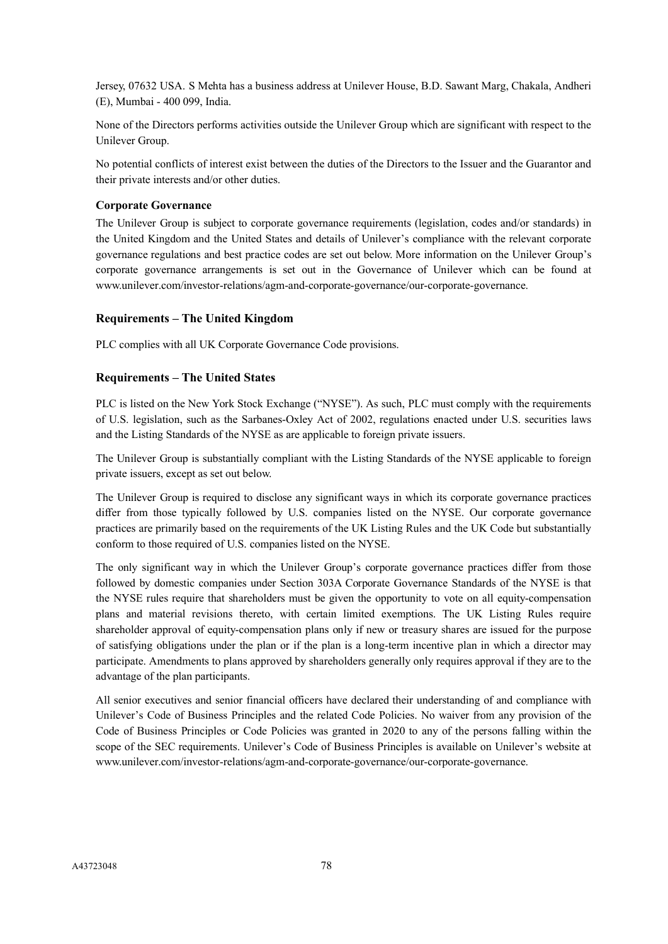Jersey, 07632 USA. S Mehta has a business address at Unilever House, B.D. Sawant Marg, Chakala, Andheri (E), Mumbai - 400 099, India.

None of the Directors performs activities outside the Unilever Group which are significant with respect to the Unilever Group.

No potential conflicts of interest exist between the duties of the Directors to the Issuer and the Guarantor and their private interests and/or other duties.

## **Corporate Governance**

The Unilever Group is subject to corporate governance requirements (legislation, codes and/or standards) in the United Kingdom and the United States and details of Unilever's compliance with the relevant corporate governance regulations and best practice codes are set out below. More information on the Unilever Group's corporate governance arrangements is set out in the Governance of Unilever which can be found at www.unilever.com/investor-relations/agm-and-corporate-governance/our-corporate-governance.

# **Requirements – The United Kingdom**

PLC complies with all UK Corporate Governance Code provisions.

# **Requirements – The United States**

PLC is listed on the New York Stock Exchange ("NYSE"). As such, PLC must comply with the requirements of U.S. legislation, such as the Sarbanes-Oxley Act of 2002, regulations enacted under U.S. securities laws and the Listing Standards of the NYSE as are applicable to foreign private issuers.

The Unilever Group is substantially compliant with the Listing Standards of the NYSE applicable to foreign private issuers, except as set out below.

The Unilever Group is required to disclose any significant ways in which its corporate governance practices differ from those typically followed by U.S. companies listed on the NYSE. Our corporate governance practices are primarily based on the requirements of the UK Listing Rules and the UK Code but substantially conform to those required of U.S. companies listed on the NYSE.

The only significant way in which the Unilever Group's corporate governance practices differ from those followed by domestic companies under Section 303A Corporate Governance Standards of the NYSE is that the NYSE rules require that shareholders must be given the opportunity to vote on all equity-compensation plans and material revisions thereto, with certain limited exemptions. The UK Listing Rules require shareholder approval of equity-compensation plans only if new or treasury shares are issued for the purpose of satisfying obligations under the plan or if the plan is a long-term incentive plan in which a director may participate. Amendments to plans approved by shareholders generally only requires approval if they are to the advantage of the plan participants.

All senior executives and senior financial officers have declared their understanding of and compliance with Unilever's Code of Business Principles and the related Code Policies. No waiver from any provision of the Code of Business Principles or Code Policies was granted in 2020 to any of the persons falling within the scope of the SEC requirements. Unilever's Code of Business Principles is available on Unilever's website at www.unilever.com/investor-relations/agm-and-corporate-governance/our-corporate-governance.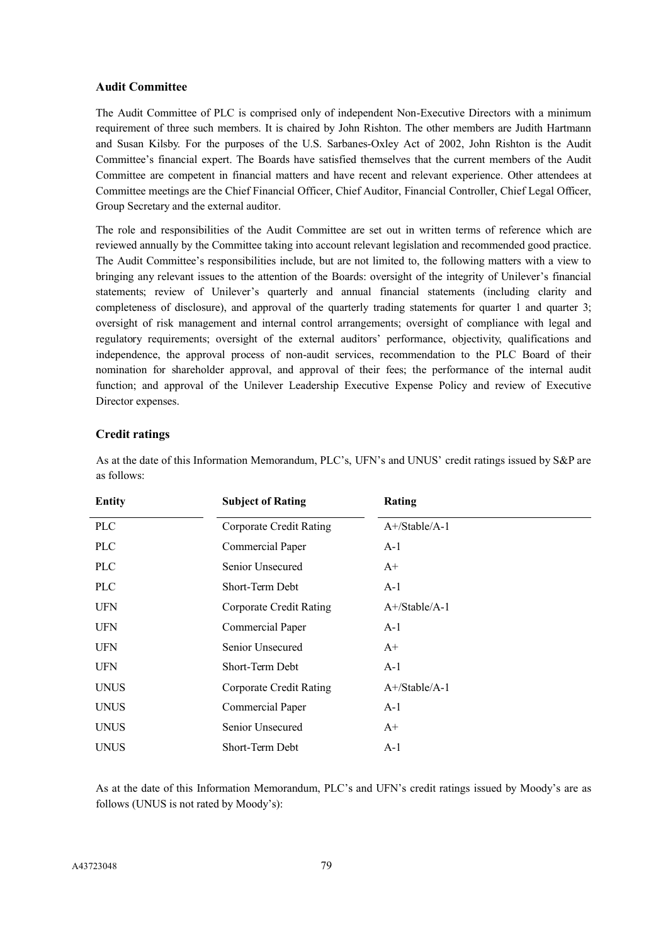#### **Audit Committee**

The Audit Committee of PLC is comprised only of independent Non-Executive Directors with a minimum requirement of three such members. It is chaired by John Rishton. The other members are Judith Hartmann and Susan Kilsby. For the purposes of the U.S. Sarbanes-Oxley Act of 2002, John Rishton is the Audit Committee's financial expert. The Boards have satisfied themselves that the current members of the Audit Committee are competent in financial matters and have recent and relevant experience. Other attendees at Committee meetings are the Chief Financial Officer, Chief Auditor, Financial Controller, Chief Legal Officer, Group Secretary and the external auditor.

The role and responsibilities of the Audit Committee are set out in written terms of reference which are reviewed annually by the Committee taking into account relevant legislation and recommended good practice. The Audit Committee's responsibilities include, but are not limited to, the following matters with a view to bringing any relevant issues to the attention of the Boards: oversight of the integrity of Unilever's financial statements; review of Unilever's quarterly and annual financial statements (including clarity and completeness of disclosure), and approval of the quarterly trading statements for quarter 1 and quarter 3; oversight of risk management and internal control arrangements; oversight of compliance with legal and regulatory requirements; oversight of the external auditors' performance, objectivity, qualifications and independence, the approval process of non-audit services, recommendation to the PLC Board of their nomination for shareholder approval, and approval of their fees; the performance of the internal audit function; and approval of the Unilever Leadership Executive Expense Policy and review of Executive Director expenses.

## **Credit ratings**

As at the date of this Information Memorandum, PLC's, UFN's and UNUS' credit ratings issued by S&P are as follows:

| <b>Entity</b> | <b>Subject of Rating</b>       | Rating                      |
|---------------|--------------------------------|-----------------------------|
| <b>PLC</b>    | <b>Corporate Credit Rating</b> | $A + / \text{Stable}/A - 1$ |
| <b>PLC</b>    | Commercial Paper               | $A-1$                       |
| <b>PLC</b>    | Senior Unsecured               | $A^+$                       |
| <b>PLC</b>    | Short-Term Debt                | $A-1$                       |
| <b>UFN</b>    | <b>Corporate Credit Rating</b> | $A + / \text{Stable}/A - 1$ |
| <b>UFN</b>    | Commercial Paper               | $A-1$                       |
| <b>UFN</b>    | Senior Unsecured               | $A+$                        |
| <b>UFN</b>    | Short-Term Debt                | $A-1$                       |
| <b>UNUS</b>   | Corporate Credit Rating        | $A + / \text{Stable}/A - 1$ |
| <b>UNUS</b>   | Commercial Paper               | $A-1$                       |
| <b>UNUS</b>   | Senior Unsecured               | $A+$                        |
| <b>UNUS</b>   | Short-Term Debt                | $A-1$                       |

As at the date of this Information Memorandum, PLC's and UFN's credit ratings issued by Moody's are as follows (UNUS is not rated by Moody's):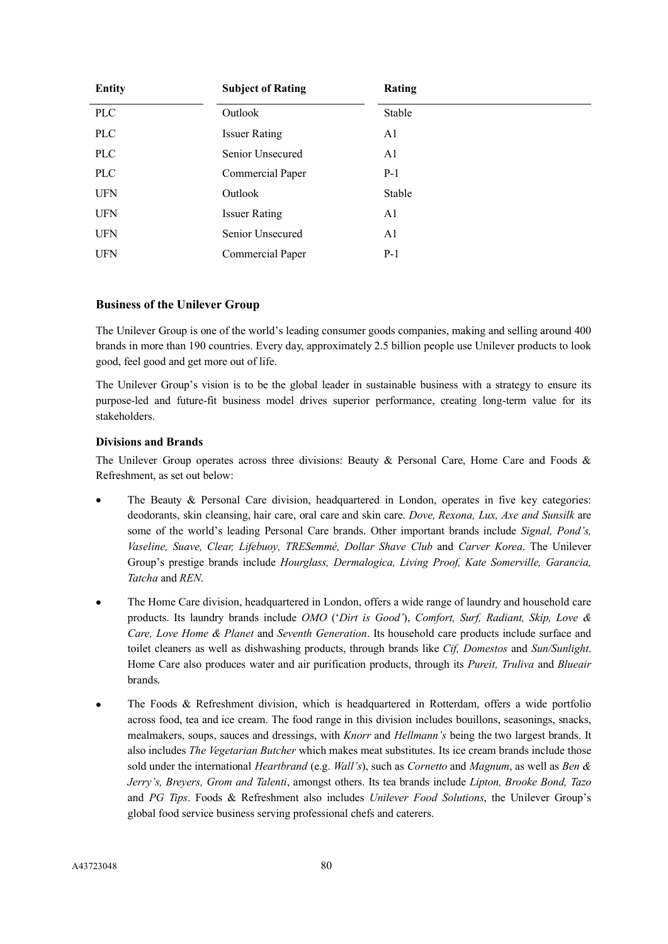| <b>Entity</b> | <b>Subject of Rating</b> | <b>Rating</b>  |
|---------------|--------------------------|----------------|
| <b>PLC</b>    | Outlook                  | Stable         |
| <b>PLC</b>    | <b>Issuer Rating</b>     | A1             |
| <b>PLC</b>    | Senior Unsecured         | A1             |
| <b>PLC</b>    | Commercial Paper         | $P-1$          |
| <b>UFN</b>    | Outlook                  | Stable         |
| <b>UFN</b>    | <b>Issuer Rating</b>     | A1             |
| <b>UFN</b>    | Senior Unsecured         | A <sub>1</sub> |
| <b>UFN</b>    | Commercial Paper         | $P-1$          |

## **Business of the Unilever Group**

The Unilever Group is one of the world's leading consumer goods companies, making and selling around 400 brands in more than 190 countries. Every day, approximately 2.5 billion people use Unilever products to look good, feel good and get more out of life.

The Unilever Group's vision is to be the global leader in sustainable business with a strategy to ensure its purpose-led and future-fit business model drives superior performance, creating long-term value for its stakeholders.

## **Divisions and Brands**

The Unilever Group operates across three divisions: Beauty & Personal Care, Home Care and Foods & Refreshment, as set out below:

- The Beauty & Personal Care division, headquartered in London, operates in five key categories: deodorants, skin cleansing, hair care, oral care and skin care. *Dove, Rexona, Lux, Axe and Sunsilk* are some of the world's leading Personal Care brands. Other important brands include *Signal, Pond's, Vaseline, Suave, Clear, Lifebuoy, TRESemmé, Dollar Shave Club* and *Carver Korea*. The Unilever Group's prestige brands include *Hourglass, Dermalogica, Living Proof, Kate Somerville, Garancia, Tatcha* and *REN*.
- The Home Care division, headquartered in London, offers a wide range of laundry and household care products. Its laundry brands include *OMO* ('*Dirt is Good'*), *Comfort, Surf, Radiant, Skip, Love & Care, Love Home & Planet* and *Seventh Generation*. Its household care products include surface and toilet cleaners as well as dishwashing products, through brands like *Cif, Domestos* and *Sun/Sunlight*. Home Care also produces water and air purification products, through its *Pureit, Truliva* and *Blueair*  brands.
- The Foods & Refreshment division, which is headquartered in Rotterdam, offers a wide portfolio across food, tea and ice cream. The food range in this division includes bouillons, seasonings, snacks, mealmakers, soups, sauces and dressings, with *Knorr* and *Hellmann's* being the two largest brands. It also includes *The Vegetarian Butcher* which makes meat substitutes. Its ice cream brands include those sold under the international *Heartbrand* (e.g. *Wall's*), such as *Cornetto* and *Magnum*, as well as *Ben & Jerry's, Breyers, Grom and Talenti*, amongst others. Its tea brands include *Lipton, Brooke Bond, Tazo* and *PG Tips*. Foods & Refreshment also includes *Unilever Food Solutions*, the Unilever Group's global food service business serving professional chefs and caterers.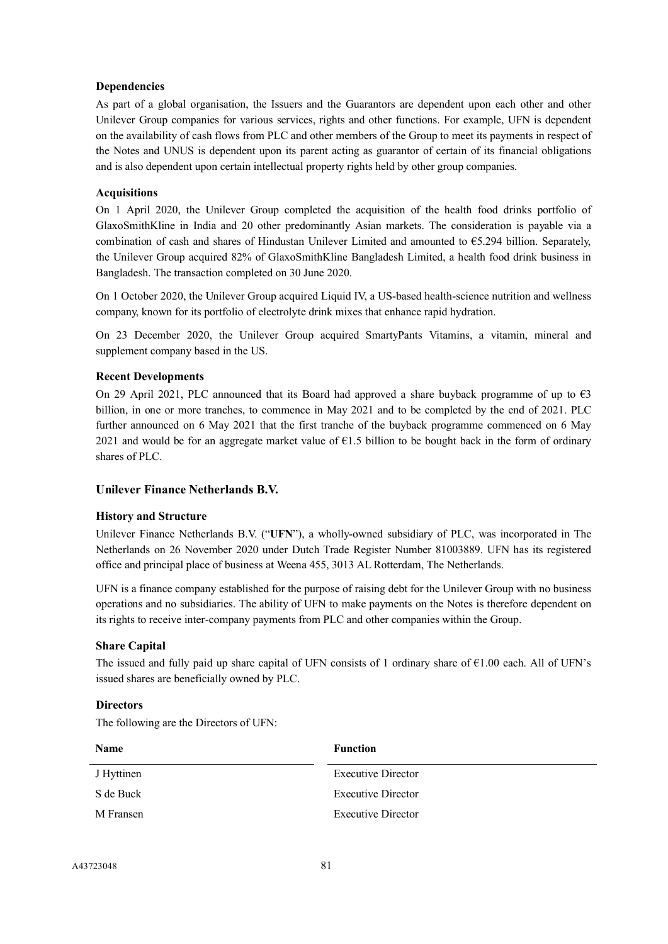## **Dependencies**

As part of a global organisation, the Issuers and the Guarantors are dependent upon each other and other Unilever Group companies for various services, rights and other functions. For example, UFN is dependent on the availability of cash flows from PLC and other members of the Group to meet its payments in respect of the Notes and UNUS is dependent upon its parent acting as guarantor of certain of its financial obligations and is also dependent upon certain intellectual property rights held by other group companies.

## **Acquisitions**

On 1 April 2020, the Unilever Group completed the acquisition of the health food drinks portfolio of GlaxoSmithKline in India and 20 other predominantly Asian markets. The consideration is payable via a combination of cash and shares of Hindustan Unilever Limited and amounted to  $\epsilon$ 5.294 billion. Separately, the Unilever Group acquired 82% of GlaxoSmithKline Bangladesh Limited, a health food drink business in Bangladesh. The transaction completed on 30 June 2020.

On 1 October 2020, the Unilever Group acquired Liquid IV, a US-based health-science nutrition and wellness company, known for its portfolio of electrolyte drink mixes that enhance rapid hydration.

On 23 December 2020, the Unilever Group acquired SmartyPants Vitamins, a vitamin, mineral and supplement company based in the US.

## **Recent Developments**

On 29 April 2021, PLC announced that its Board had approved a share buyback programme of up to  $\epsilon$ 3 billion, in one or more tranches, to commence in May 2021 and to be completed by the end of 2021. PLC further announced on 6 May 2021 that the first tranche of the buyback programme commenced on 6 May 2021 and would be for an aggregate market value of  $E1.5$  billion to be bought back in the form of ordinary shares of PLC.

# **Unilever Finance Netherlands B.V.**

## **History and Structure**

Unilever Finance Netherlands B.V. ("**UFN**"), a wholly-owned subsidiary of PLC, was incorporated in The Netherlands on 26 November 2020 under Dutch Trade Register Number 81003889. UFN has its registered office and principal place of business at Weena 455, 3013 AL Rotterdam, The Netherlands.

UFN is a finance company established for the purpose of raising debt for the Unilever Group with no business operations and no subsidiaries. The ability of UFN to make payments on the Notes is therefore dependent on its rights to receive inter-company payments from PLC and other companies within the Group.

# **Share Capital**

The issued and fully paid up share capital of UFN consists of 1 ordinary share of  $\epsilon$ 1.00 each. All of UFN's issued shares are beneficially owned by PLC.

## **Directors**

The following are the Directors of UFN:

| Name       | <b>Function</b>    |
|------------|--------------------|
| J Hyttinen | Executive Director |
| S de Buck  | Executive Director |
| M Fransen  | Executive Director |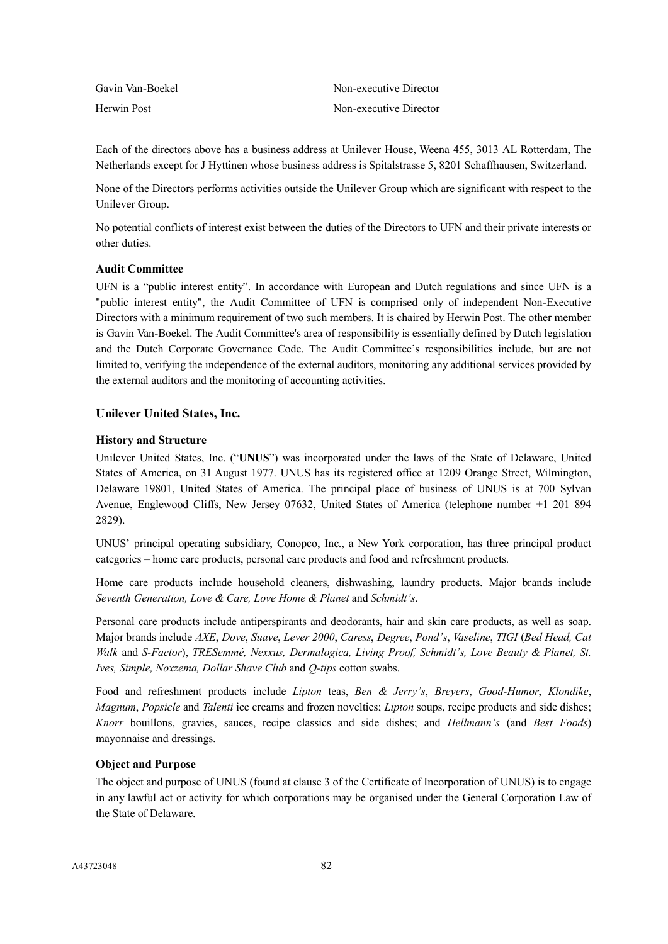| Gavin Van-Boekel | Non-executive Director |
|------------------|------------------------|
| Herwin Post      | Non-executive Director |

Each of the directors above has a business address at Unilever House, Weena 455, 3013 AL Rotterdam, The Netherlands except for J Hyttinen whose business address is Spitalstrasse 5, 8201 Schaffhausen, Switzerland.

None of the Directors performs activities outside the Unilever Group which are significant with respect to the Unilever Group.

No potential conflicts of interest exist between the duties of the Directors to UFN and their private interests or other duties.

## **Audit Committee**

UFN is a "public interest entity". In accordance with European and Dutch regulations and since UFN is a "public interest entity", the Audit Committee of UFN is comprised only of independent Non-Executive Directors with a minimum requirement of two such members. It is chaired by Herwin Post. The other member is Gavin Van-Boekel. The Audit Committee's area of responsibility is essentially defined by Dutch legislation and the Dutch Corporate Governance Code. The Audit Committee's responsibilities include, but are not limited to, verifying the independence of the external auditors, monitoring any additional services provided by the external auditors and the monitoring of accounting activities.

## **Unilever United States, Inc.**

## **History and Structure**

Unilever United States, Inc. ("**UNUS**") was incorporated under the laws of the State of Delaware, United States of America, on 31 August 1977. UNUS has its registered office at 1209 Orange Street, Wilmington, Delaware 19801, United States of America. The principal place of business of UNUS is at 700 Sylvan Avenue, Englewood Cliffs, New Jersey 07632, United States of America (telephone number +1 201 894 2829).

UNUS' principal operating subsidiary, Conopco, Inc., a New York corporation, has three principal product categories – home care products, personal care products and food and refreshment products.

Home care products include household cleaners, dishwashing, laundry products. Major brands include *Seventh Generation, Love & Care, Love Home & Planet* and *Schmidt's*.

Personal care products include antiperspirants and deodorants, hair and skin care products, as well as soap. Major brands include *AXE*, *Dove*, *Suave*, *Lever 2000*, *Caress*, *Degree*, *Pond's*, *Vaseline*, *TIGI* (*Bed Head, Cat Walk* and *S-Factor*), *TRESemmé, Nexxus, Dermalogica, Living Proof, Schmidt's, Love Beauty & Planet, St. Ives, Simple, Noxzema, Dollar Shave Club* and *Q-tips* cotton swabs.

Food and refreshment products include *Lipton* teas, *Ben & Jerry's*, *Breyers*, *Good-Humor*, *Klondike*, *Magnum*, *Popsicle* and *Talenti* ice creams and frozen novelties; *Lipton* soups, recipe products and side dishes; *Knorr* bouillons, gravies, sauces, recipe classics and side dishes; and *Hellmann's* (and *Best Foods*) mayonnaise and dressings.

## **Object and Purpose**

The object and purpose of UNUS (found at clause 3 of the Certificate of Incorporation of UNUS) is to engage in any lawful act or activity for which corporations may be organised under the General Corporation Law of the State of Delaware.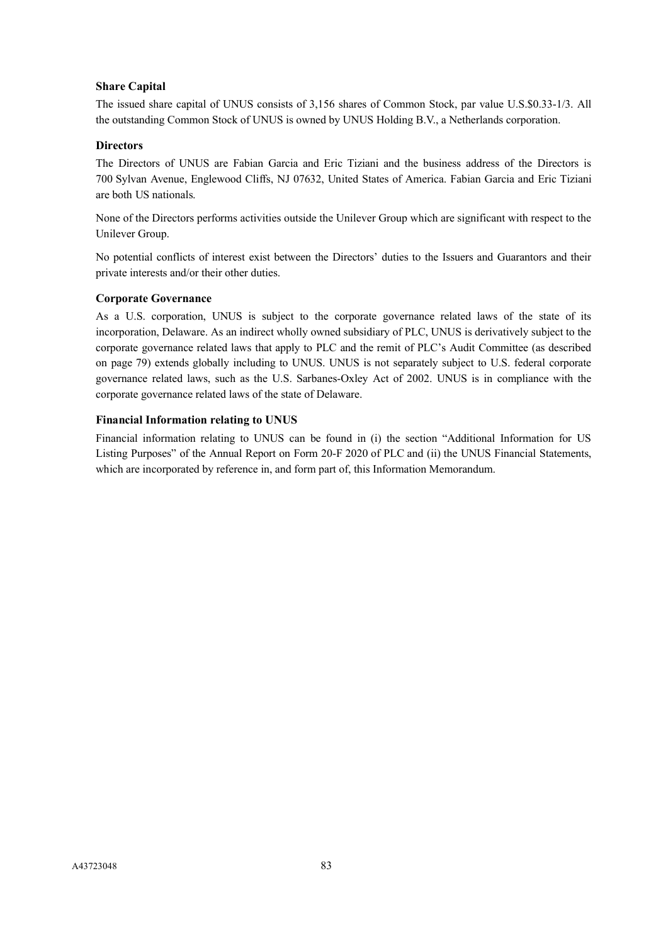# **Share Capital**

The issued share capital of UNUS consists of 3,156 shares of Common Stock, par value U.S.\$0.33-1/3. All the outstanding Common Stock of UNUS is owned by UNUS Holding B.V., a Netherlands corporation.

## **Directors**

The Directors of UNUS are Fabian Garcia and Eric Tiziani and the business address of the Directors is 700 Sylvan Avenue, Englewood Cliffs, NJ 07632, United States of America. Fabian Garcia and Eric Tiziani are both US nationals.

None of the Directors performs activities outside the Unilever Group which are significant with respect to the Unilever Group.

No potential conflicts of interest exist between the Directors' duties to the Issuers and Guarantors and their private interests and/or their other duties.

## **Corporate Governance**

As a U.S. corporation, UNUS is subject to the corporate governance related laws of the state of its incorporation, Delaware. As an indirect wholly owned subsidiary of PLC, UNUS is derivatively subject to the corporate governance related laws that apply to PLC and the remit of PLC's Audit Committee (as described on page 79) extends globally including to UNUS. UNUS is not separately subject to U.S. federal corporate governance related laws, such as the U.S. Sarbanes-Oxley Act of 2002. UNUS is in compliance with the corporate governance related laws of the state of Delaware.

## **Financial Information relating to UNUS**

Financial information relating to UNUS can be found in (i) the section "Additional Information for US Listing Purposes" of the Annual Report on Form 20-F 2020 of PLC and (ii) the UNUS Financial Statements, which are incorporated by reference in, and form part of, this Information Memorandum.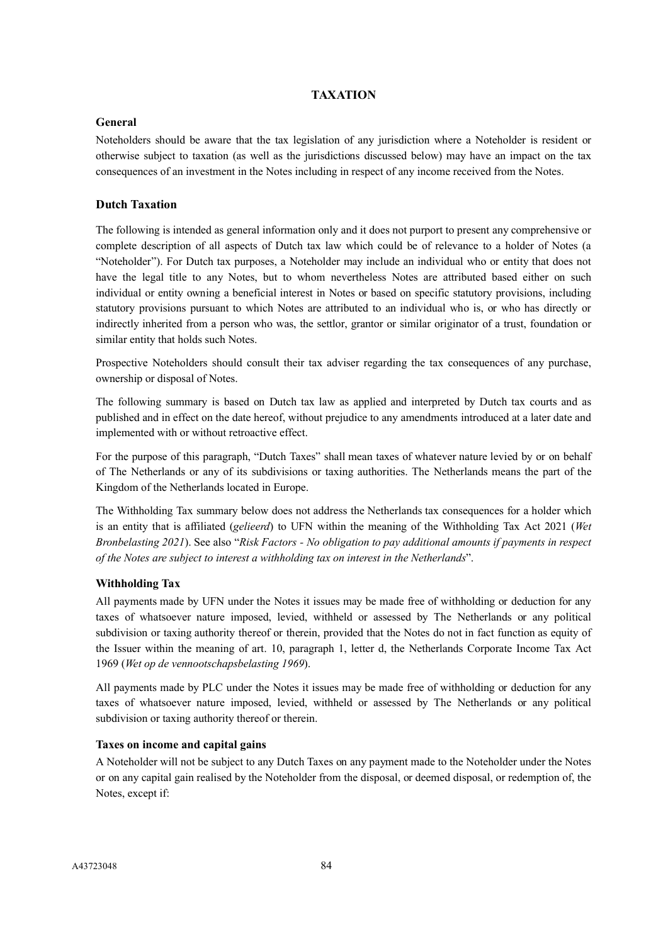## **TAXATION**

## **General**

Noteholders should be aware that the tax legislation of any jurisdiction where a Noteholder is resident or otherwise subject to taxation (as well as the jurisdictions discussed below) may have an impact on the tax consequences of an investment in the Notes including in respect of any income received from the Notes.

# **Dutch Taxation**

The following is intended as general information only and it does not purport to present any comprehensive or complete description of all aspects of Dutch tax law which could be of relevance to a holder of Notes (a "Noteholder"). For Dutch tax purposes, a Noteholder may include an individual who or entity that does not have the legal title to any Notes, but to whom nevertheless Notes are attributed based either on such individual or entity owning a beneficial interest in Notes or based on specific statutory provisions, including statutory provisions pursuant to which Notes are attributed to an individual who is, or who has directly or indirectly inherited from a person who was, the settlor, grantor or similar originator of a trust, foundation or similar entity that holds such Notes.

Prospective Noteholders should consult their tax adviser regarding the tax consequences of any purchase, ownership or disposal of Notes.

The following summary is based on Dutch tax law as applied and interpreted by Dutch tax courts and as published and in effect on the date hereof, without prejudice to any amendments introduced at a later date and implemented with or without retroactive effect.

For the purpose of this paragraph, "Dutch Taxes" shall mean taxes of whatever nature levied by or on behalf of The Netherlands or any of its subdivisions or taxing authorities. The Netherlands means the part of the Kingdom of the Netherlands located in Europe.

The Withholding Tax summary below does not address the Netherlands tax consequences for a holder which is an entity that is affiliated (*gelieerd*) to UFN within the meaning of the Withholding Tax Act 2021 (*Wet Bronbelasting 2021*). See also "*Risk Factors - No obligation to pay additional amounts if payments in respect of the Notes are subject to interest a withholding tax on interest in the Netherlands*".

## **Withholding Tax**

All payments made by UFN under the Notes it issues may be made free of withholding or deduction for any taxes of whatsoever nature imposed, levied, withheld or assessed by The Netherlands or any political subdivision or taxing authority thereof or therein, provided that the Notes do not in fact function as equity of the Issuer within the meaning of art. 10, paragraph 1, letter d, the Netherlands Corporate Income Tax Act 1969 (*Wet op de vennootschapsbelasting 1969*).

All payments made by PLC under the Notes it issues may be made free of withholding or deduction for any taxes of whatsoever nature imposed, levied, withheld or assessed by The Netherlands or any political subdivision or taxing authority thereof or therein.

## **Taxes on income and capital gains**

A Noteholder will not be subject to any Dutch Taxes on any payment made to the Noteholder under the Notes or on any capital gain realised by the Noteholder from the disposal, or deemed disposal, or redemption of, the Notes, except if: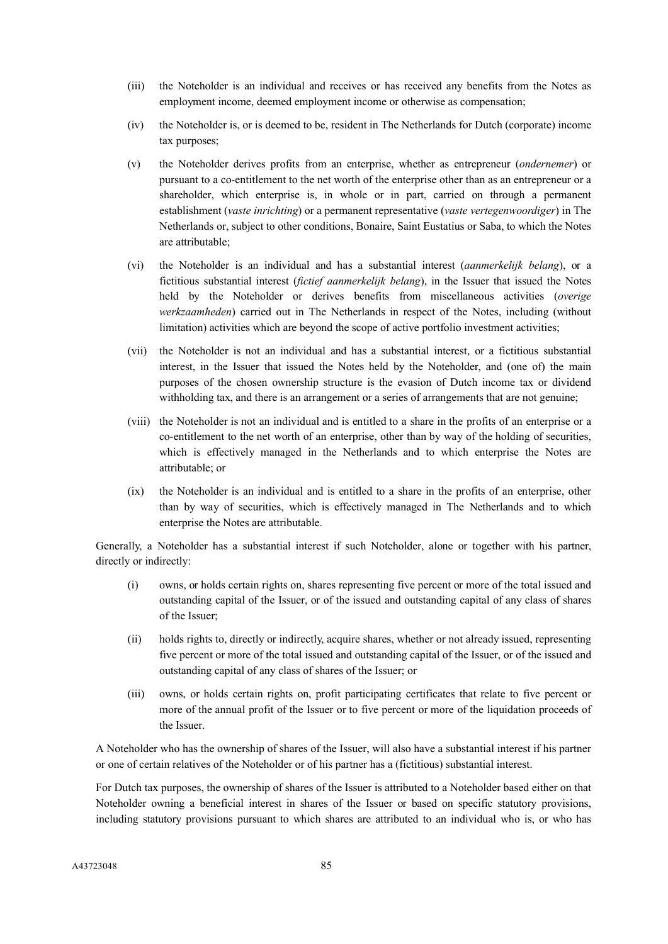- (iii) the Noteholder is an individual and receives or has received any benefits from the Notes as employment income, deemed employment income or otherwise as compensation;
- (iv) the Noteholder is, or is deemed to be, resident in The Netherlands for Dutch (corporate) income tax purposes;
- (v) the Noteholder derives profits from an enterprise, whether as entrepreneur (*ondernemer*) or pursuant to a co-entitlement to the net worth of the enterprise other than as an entrepreneur or a shareholder, which enterprise is, in whole or in part, carried on through a permanent establishment (*vaste inrichting*) or a permanent representative (*vaste vertegenwoordiger*) in The Netherlands or, subject to other conditions, Bonaire, Saint Eustatius or Saba, to which the Notes are attributable;
- (vi) the Noteholder is an individual and has a substantial interest (*aanmerkelijk belang*), or a fictitious substantial interest (*fictief aanmerkelijk belang*), in the Issuer that issued the Notes held by the Noteholder or derives benefits from miscellaneous activities (*overige werkzaamheden*) carried out in The Netherlands in respect of the Notes, including (without limitation) activities which are beyond the scope of active portfolio investment activities;
- (vii) the Noteholder is not an individual and has a substantial interest, or a fictitious substantial interest, in the Issuer that issued the Notes held by the Noteholder, and (one of) the main purposes of the chosen ownership structure is the evasion of Dutch income tax or dividend withholding tax, and there is an arrangement or a series of arrangements that are not genuine;
- (viii) the Noteholder is not an individual and is entitled to a share in the profits of an enterprise or a co-entitlement to the net worth of an enterprise, other than by way of the holding of securities, which is effectively managed in the Netherlands and to which enterprise the Notes are attributable; or
- (ix) the Noteholder is an individual and is entitled to a share in the profits of an enterprise, other than by way of securities, which is effectively managed in The Netherlands and to which enterprise the Notes are attributable.

Generally, a Noteholder has a substantial interest if such Noteholder, alone or together with his partner, directly or indirectly:

- (i) owns, or holds certain rights on, shares representing five percent or more of the total issued and outstanding capital of the Issuer, or of the issued and outstanding capital of any class of shares of the Issuer;
- (ii) holds rights to, directly or indirectly, acquire shares, whether or not already issued, representing five percent or more of the total issued and outstanding capital of the Issuer, or of the issued and outstanding capital of any class of shares of the Issuer; or
- (iii) owns, or holds certain rights on, profit participating certificates that relate to five percent or more of the annual profit of the Issuer or to five percent or more of the liquidation proceeds of the Issuer.

A Noteholder who has the ownership of shares of the Issuer, will also have a substantial interest if his partner or one of certain relatives of the Noteholder or of his partner has a (fictitious) substantial interest.

For Dutch tax purposes, the ownership of shares of the Issuer is attributed to a Noteholder based either on that Noteholder owning a beneficial interest in shares of the Issuer or based on specific statutory provisions, including statutory provisions pursuant to which shares are attributed to an individual who is, or who has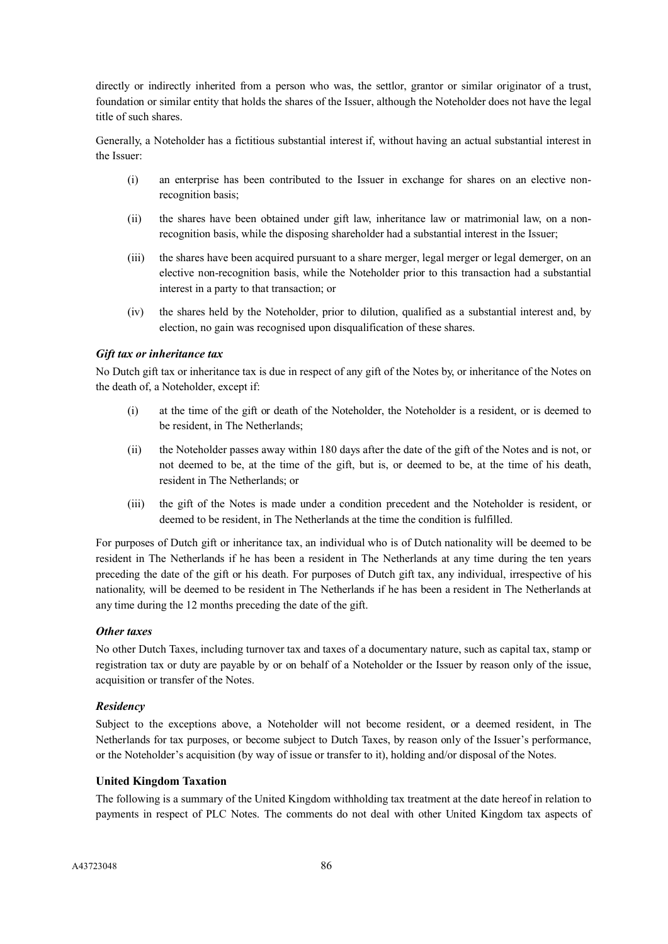directly or indirectly inherited from a person who was, the settlor, grantor or similar originator of a trust, foundation or similar entity that holds the shares of the Issuer, although the Noteholder does not have the legal title of such shares.

Generally, a Noteholder has a fictitious substantial interest if, without having an actual substantial interest in the Issuer:

- (i) an enterprise has been contributed to the Issuer in exchange for shares on an elective nonrecognition basis;
- (ii) the shares have been obtained under gift law, inheritance law or matrimonial law, on a nonrecognition basis, while the disposing shareholder had a substantial interest in the Issuer;
- (iii) the shares have been acquired pursuant to a share merger, legal merger or legal demerger, on an elective non-recognition basis, while the Noteholder prior to this transaction had a substantial interest in a party to that transaction; or
- (iv) the shares held by the Noteholder, prior to dilution, qualified as a substantial interest and, by election, no gain was recognised upon disqualification of these shares.

## *Gift tax or inheritance tax*

No Dutch gift tax or inheritance tax is due in respect of any gift of the Notes by, or inheritance of the Notes on the death of, a Noteholder, except if:

- (i) at the time of the gift or death of the Noteholder, the Noteholder is a resident, or is deemed to be resident, in The Netherlands;
- (ii) the Noteholder passes away within 180 days after the date of the gift of the Notes and is not, or not deemed to be, at the time of the gift, but is, or deemed to be, at the time of his death, resident in The Netherlands; or
- (iii) the gift of the Notes is made under a condition precedent and the Noteholder is resident, or deemed to be resident, in The Netherlands at the time the condition is fulfilled.

For purposes of Dutch gift or inheritance tax, an individual who is of Dutch nationality will be deemed to be resident in The Netherlands if he has been a resident in The Netherlands at any time during the ten years preceding the date of the gift or his death. For purposes of Dutch gift tax, any individual, irrespective of his nationality, will be deemed to be resident in The Netherlands if he has been a resident in The Netherlands at any time during the 12 months preceding the date of the gift.

## *Other taxes*

No other Dutch Taxes, including turnover tax and taxes of a documentary nature, such as capital tax, stamp or registration tax or duty are payable by or on behalf of a Noteholder or the Issuer by reason only of the issue, acquisition or transfer of the Notes.

## *Residency*

Subject to the exceptions above, a Noteholder will not become resident, or a deemed resident, in The Netherlands for tax purposes, or become subject to Dutch Taxes, by reason only of the Issuer's performance, or the Noteholder's acquisition (by way of issue or transfer to it), holding and/or disposal of the Notes.

#### **United Kingdom Taxation**

The following is a summary of the United Kingdom withholding tax treatment at the date hereof in relation to payments in respect of PLC Notes. The comments do not deal with other United Kingdom tax aspects of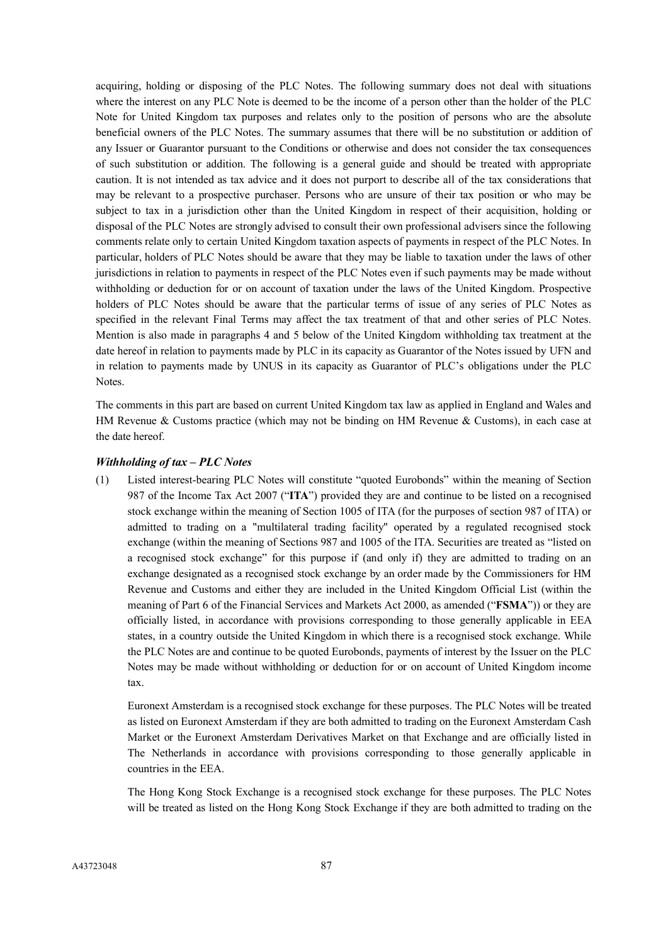acquiring, holding or disposing of the PLC Notes. The following summary does not deal with situations where the interest on any PLC Note is deemed to be the income of a person other than the holder of the PLC Note for United Kingdom tax purposes and relates only to the position of persons who are the absolute beneficial owners of the PLC Notes. The summary assumes that there will be no substitution or addition of any Issuer or Guarantor pursuant to the Conditions or otherwise and does not consider the tax consequences of such substitution or addition. The following is a general guide and should be treated with appropriate caution. It is not intended as tax advice and it does not purport to describe all of the tax considerations that may be relevant to a prospective purchaser. Persons who are unsure of their tax position or who may be subject to tax in a jurisdiction other than the United Kingdom in respect of their acquisition, holding or disposal of the PLC Notes are strongly advised to consult their own professional advisers since the following comments relate only to certain United Kingdom taxation aspects of payments in respect of the PLC Notes. In particular, holders of PLC Notes should be aware that they may be liable to taxation under the laws of other jurisdictions in relation to payments in respect of the PLC Notes even if such payments may be made without withholding or deduction for or on account of taxation under the laws of the United Kingdom. Prospective holders of PLC Notes should be aware that the particular terms of issue of any series of PLC Notes as specified in the relevant Final Terms may affect the tax treatment of that and other series of PLC Notes. Mention is also made in paragraphs 4 and 5 below of the United Kingdom withholding tax treatment at the date hereof in relation to payments made by PLC in its capacity as Guarantor of the Notes issued by UFN and in relation to payments made by UNUS in its capacity as Guarantor of PLC's obligations under the PLC Notes.

The comments in this part are based on current United Kingdom tax law as applied in England and Wales and HM Revenue & Customs practice (which may not be binding on HM Revenue & Customs), in each case at the date hereof.

## *Withholding of tax – PLC Notes*

(1) Listed interest-bearing PLC Notes will constitute "quoted Eurobonds" within the meaning of Section 987 of the Income Tax Act 2007 ("**ITA**") provided they are and continue to be listed on a recognised stock exchange within the meaning of Section 1005 of ITA (for the purposes of section 987 of ITA) or admitted to trading on a "multilateral trading facility" operated by a regulated recognised stock exchange (within the meaning of Sections 987 and 1005 of the ITA. Securities are treated as "listed on a recognised stock exchange" for this purpose if (and only if) they are admitted to trading on an exchange designated as a recognised stock exchange by an order made by the Commissioners for HM Revenue and Customs and either they are included in the United Kingdom Official List (within the meaning of Part 6 of the Financial Services and Markets Act 2000, as amended ("**FSMA**")) or they are officially listed, in accordance with provisions corresponding to those generally applicable in EEA states, in a country outside the United Kingdom in which there is a recognised stock exchange. While the PLC Notes are and continue to be quoted Eurobonds, payments of interest by the Issuer on the PLC Notes may be made without withholding or deduction for or on account of United Kingdom income tax.

Euronext Amsterdam is a recognised stock exchange for these purposes. The PLC Notes will be treated as listed on Euronext Amsterdam if they are both admitted to trading on the Euronext Amsterdam Cash Market or the Euronext Amsterdam Derivatives Market on that Exchange and are officially listed in The Netherlands in accordance with provisions corresponding to those generally applicable in countries in the EEA.

The Hong Kong Stock Exchange is a recognised stock exchange for these purposes. The PLC Notes will be treated as listed on the Hong Kong Stock Exchange if they are both admitted to trading on the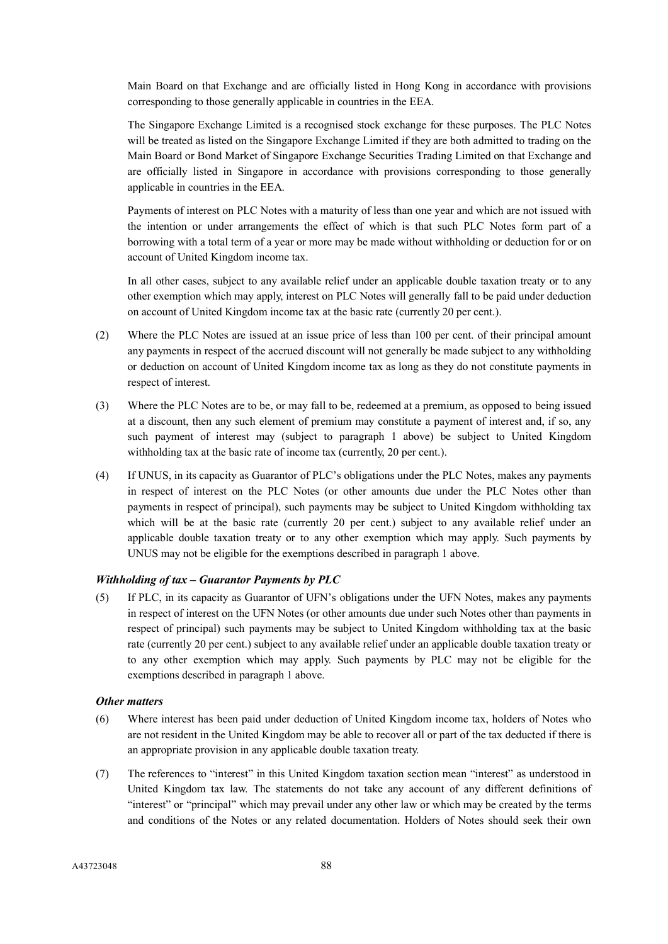Main Board on that Exchange and are officially listed in Hong Kong in accordance with provisions corresponding to those generally applicable in countries in the EEA.

The Singapore Exchange Limited is a recognised stock exchange for these purposes. The PLC Notes will be treated as listed on the Singapore Exchange Limited if they are both admitted to trading on the Main Board or Bond Market of Singapore Exchange Securities Trading Limited on that Exchange and are officially listed in Singapore in accordance with provisions corresponding to those generally applicable in countries in the EEA.

Payments of interest on PLC Notes with a maturity of less than one year and which are not issued with the intention or under arrangements the effect of which is that such PLC Notes form part of a borrowing with a total term of a year or more may be made without withholding or deduction for or on account of United Kingdom income tax.

In all other cases, subject to any available relief under an applicable double taxation treaty or to any other exemption which may apply, interest on PLC Notes will generally fall to be paid under deduction on account of United Kingdom income tax at the basic rate (currently 20 per cent.).

- (2) Where the PLC Notes are issued at an issue price of less than 100 per cent. of their principal amount any payments in respect of the accrued discount will not generally be made subject to any withholding or deduction on account of United Kingdom income tax as long as they do not constitute payments in respect of interest.
- (3) Where the PLC Notes are to be, or may fall to be, redeemed at a premium, as opposed to being issued at a discount, then any such element of premium may constitute a payment of interest and, if so, any such payment of interest may (subject to paragraph 1 above) be subject to United Kingdom withholding tax at the basic rate of income tax (currently, 20 per cent.).
- (4) If UNUS, in its capacity as Guarantor of PLC's obligations under the PLC Notes, makes any payments in respect of interest on the PLC Notes (or other amounts due under the PLC Notes other than payments in respect of principal), such payments may be subject to United Kingdom withholding tax which will be at the basic rate (currently 20 per cent.) subject to any available relief under an applicable double taxation treaty or to any other exemption which may apply. Such payments by UNUS may not be eligible for the exemptions described in paragraph 1 above.

## *Withholding of tax – Guarantor Payments by PLC*

(5) If PLC, in its capacity as Guarantor of UFN's obligations under the UFN Notes, makes any payments in respect of interest on the UFN Notes (or other amounts due under such Notes other than payments in respect of principal) such payments may be subject to United Kingdom withholding tax at the basic rate (currently 20 per cent.) subject to any available relief under an applicable double taxation treaty or to any other exemption which may apply. Such payments by PLC may not be eligible for the exemptions described in paragraph 1 above.

## *Other matters*

- (6) Where interest has been paid under deduction of United Kingdom income tax, holders of Notes who are not resident in the United Kingdom may be able to recover all or part of the tax deducted if there is an appropriate provision in any applicable double taxation treaty.
- (7) The references to "interest" in this United Kingdom taxation section mean "interest" as understood in United Kingdom tax law. The statements do not take any account of any different definitions of "interest" or "principal" which may prevail under any other law or which may be created by the terms and conditions of the Notes or any related documentation. Holders of Notes should seek their own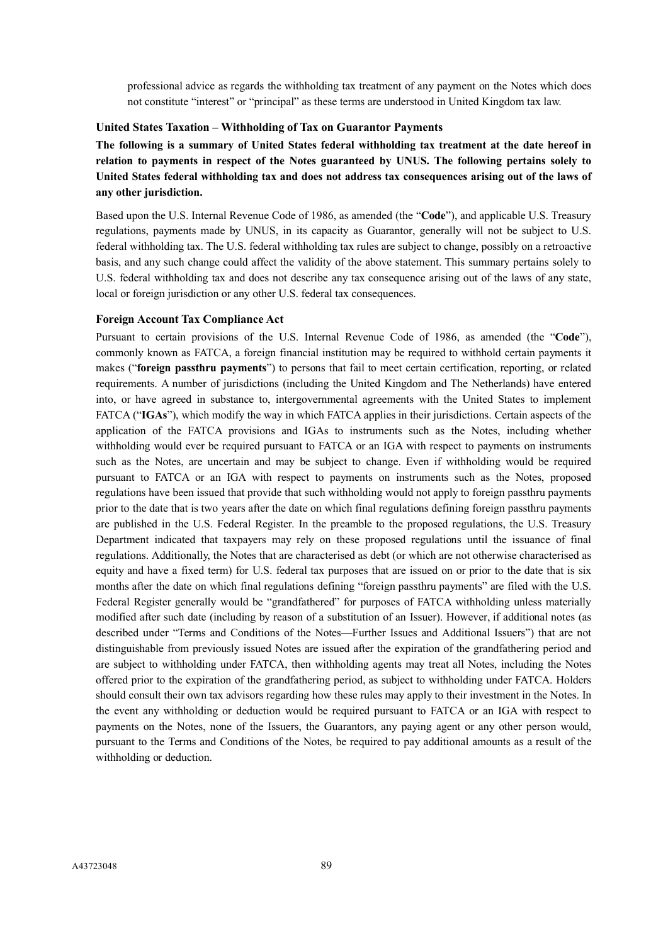professional advice as regards the withholding tax treatment of any payment on the Notes which does not constitute "interest" or "principal" as these terms are understood in United Kingdom tax law.

## **United States Taxation – Withholding of Tax on Guarantor Payments**

**The following is a summary of United States federal withholding tax treatment at the date hereof in relation to payments in respect of the Notes guaranteed by UNUS. The following pertains solely to United States federal withholding tax and does not address tax consequences arising out of the laws of any other jurisdiction.**

Based upon the U.S. Internal Revenue Code of 1986, as amended (the "**Code**"), and applicable U.S. Treasury regulations, payments made by UNUS, in its capacity as Guarantor, generally will not be subject to U.S. federal withholding tax. The U.S. federal withholding tax rules are subject to change, possibly on a retroactive basis, and any such change could affect the validity of the above statement. This summary pertains solely to U.S. federal withholding tax and does not describe any tax consequence arising out of the laws of any state, local or foreign jurisdiction or any other U.S. federal tax consequences.

#### **Foreign Account Tax Compliance Act**

Pursuant to certain provisions of the U.S. Internal Revenue Code of 1986, as amended (the "**Code**"), commonly known as FATCA, a foreign financial institution may be required to withhold certain payments it makes ("**foreign passthru payments**") to persons that fail to meet certain certification, reporting, or related requirements. A number of jurisdictions (including the United Kingdom and The Netherlands) have entered into, or have agreed in substance to, intergovernmental agreements with the United States to implement FATCA ("**IGAs**"), which modify the way in which FATCA applies in their jurisdictions. Certain aspects of the application of the FATCA provisions and IGAs to instruments such as the Notes, including whether withholding would ever be required pursuant to FATCA or an IGA with respect to payments on instruments such as the Notes, are uncertain and may be subject to change. Even if withholding would be required pursuant to FATCA or an IGA with respect to payments on instruments such as the Notes, proposed regulations have been issued that provide that such withholding would not apply to foreign passthru payments prior to the date that is two years after the date on which final regulations defining foreign passthru payments are published in the U.S. Federal Register. In the preamble to the proposed regulations, the U.S. Treasury Department indicated that taxpayers may rely on these proposed regulations until the issuance of final regulations. Additionally, the Notes that are characterised as debt (or which are not otherwise characterised as equity and have a fixed term) for U.S. federal tax purposes that are issued on or prior to the date that is six months after the date on which final regulations defining "foreign passthru payments" are filed with the U.S. Federal Register generally would be "grandfathered" for purposes of FATCA withholding unless materially modified after such date (including by reason of a substitution of an Issuer). However, if additional notes (as described under "Terms and Conditions of the Notes—Further Issues and Additional Issuers") that are not distinguishable from previously issued Notes are issued after the expiration of the grandfathering period and are subject to withholding under FATCA, then withholding agents may treat all Notes, including the Notes offered prior to the expiration of the grandfathering period, as subject to withholding under FATCA. Holders should consult their own tax advisors regarding how these rules may apply to their investment in the Notes. In the event any withholding or deduction would be required pursuant to FATCA or an IGA with respect to payments on the Notes, none of the Issuers, the Guarantors, any paying agent or any other person would, pursuant to the Terms and Conditions of the Notes, be required to pay additional amounts as a result of the withholding or deduction.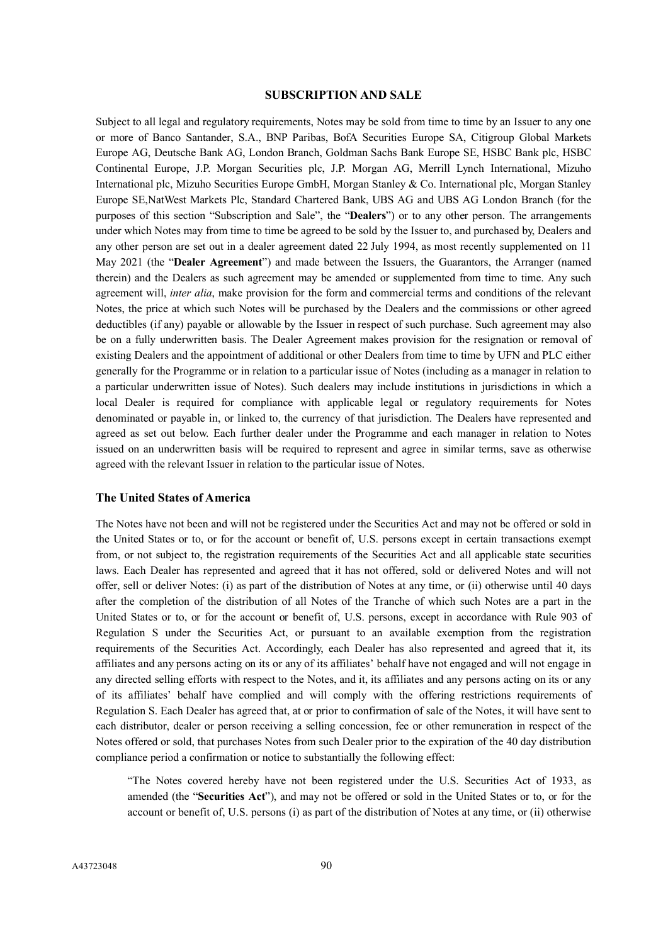#### **SUBSCRIPTION AND SALE**

Subject to all legal and regulatory requirements, Notes may be sold from time to time by an Issuer to any one or more of Banco Santander, S.A., BNP Paribas, BofA Securities Europe SA, Citigroup Global Markets Europe AG, Deutsche Bank AG, London Branch, Goldman Sachs Bank Europe SE, HSBC Bank plc, HSBC Continental Europe, J.P. Morgan Securities plc, J.P. Morgan AG, Merrill Lynch International, Mizuho International plc, Mizuho Securities Europe GmbH, Morgan Stanley & Co. International plc, Morgan Stanley Europe SE,NatWest Markets Plc, Standard Chartered Bank, UBS AG and UBS AG London Branch (for the purposes of this section "Subscription and Sale", the "**Dealers**") or to any other person. The arrangements under which Notes may from time to time be agreed to be sold by the Issuer to, and purchased by, Dealers and any other person are set out in a dealer agreement dated 22 July 1994, as most recently supplemented on 11 May 2021 (the "**Dealer Agreement**") and made between the Issuers, the Guarantors, the Arranger (named therein) and the Dealers as such agreement may be amended or supplemented from time to time. Any such agreement will, *inter alia*, make provision for the form and commercial terms and conditions of the relevant Notes, the price at which such Notes will be purchased by the Dealers and the commissions or other agreed deductibles (if any) payable or allowable by the Issuer in respect of such purchase. Such agreement may also be on a fully underwritten basis. The Dealer Agreement makes provision for the resignation or removal of existing Dealers and the appointment of additional or other Dealers from time to time by UFN and PLC either generally for the Programme or in relation to a particular issue of Notes (including as a manager in relation to a particular underwritten issue of Notes). Such dealers may include institutions in jurisdictions in which a local Dealer is required for compliance with applicable legal or regulatory requirements for Notes denominated or payable in, or linked to, the currency of that jurisdiction. The Dealers have represented and agreed as set out below. Each further dealer under the Programme and each manager in relation to Notes issued on an underwritten basis will be required to represent and agree in similar terms, save as otherwise agreed with the relevant Issuer in relation to the particular issue of Notes.

#### **The United States of America**

The Notes have not been and will not be registered under the Securities Act and may not be offered or sold in the United States or to, or for the account or benefit of, U.S. persons except in certain transactions exempt from, or not subject to, the registration requirements of the Securities Act and all applicable state securities laws. Each Dealer has represented and agreed that it has not offered, sold or delivered Notes and will not offer, sell or deliver Notes: (i) as part of the distribution of Notes at any time, or (ii) otherwise until 40 days after the completion of the distribution of all Notes of the Tranche of which such Notes are a part in the United States or to, or for the account or benefit of, U.S. persons, except in accordance with Rule 903 of Regulation S under the Securities Act, or pursuant to an available exemption from the registration requirements of the Securities Act. Accordingly, each Dealer has also represented and agreed that it, its affiliates and any persons acting on its or any of its affiliates' behalf have not engaged and will not engage in any directed selling efforts with respect to the Notes, and it, its affiliates and any persons acting on its or any of its affiliates' behalf have complied and will comply with the offering restrictions requirements of Regulation S. Each Dealer has agreed that, at or prior to confirmation of sale of the Notes, it will have sent to each distributor, dealer or person receiving a selling concession, fee or other remuneration in respect of the Notes offered or sold, that purchases Notes from such Dealer prior to the expiration of the 40 day distribution compliance period a confirmation or notice to substantially the following effect:

"The Notes covered hereby have not been registered under the U.S. Securities Act of 1933, as amended (the "**Securities Act**"), and may not be offered or sold in the United States or to, or for the account or benefit of, U.S. persons (i) as part of the distribution of Notes at any time, or (ii) otherwise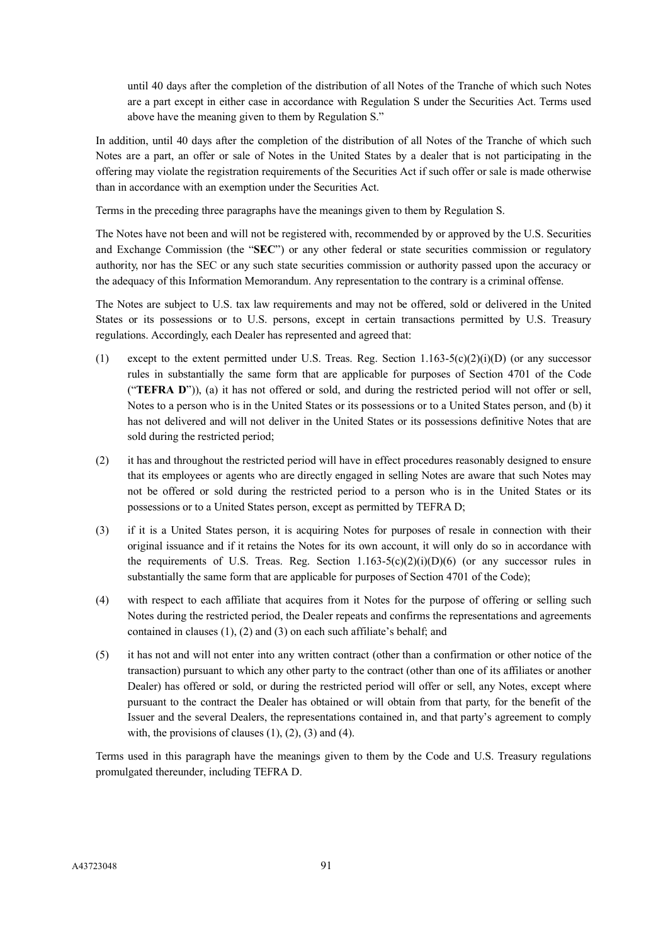until 40 days after the completion of the distribution of all Notes of the Tranche of which such Notes are a part except in either case in accordance with Regulation S under the Securities Act. Terms used above have the meaning given to them by Regulation S."

In addition, until 40 days after the completion of the distribution of all Notes of the Tranche of which such Notes are a part, an offer or sale of Notes in the United States by a dealer that is not participating in the offering may violate the registration requirements of the Securities Act if such offer or sale is made otherwise than in accordance with an exemption under the Securities Act.

Terms in the preceding three paragraphs have the meanings given to them by Regulation S.

The Notes have not been and will not be registered with, recommended by or approved by the U.S. Securities and Exchange Commission (the "**SEC**") or any other federal or state securities commission or regulatory authority, nor has the SEC or any such state securities commission or authority passed upon the accuracy or the adequacy of this Information Memorandum. Any representation to the contrary is a criminal offense.

The Notes are subject to U.S. tax law requirements and may not be offered, sold or delivered in the United States or its possessions or to U.S. persons, except in certain transactions permitted by U.S. Treasury regulations. Accordingly, each Dealer has represented and agreed that:

- (1) except to the extent permitted under U.S. Treas. Reg. Section  $1.163-5(c)(2)(i)(D)$  (or any successor rules in substantially the same form that are applicable for purposes of Section 4701 of the Code ("**TEFRA D**")), (a) it has not offered or sold, and during the restricted period will not offer or sell, Notes to a person who is in the United States or its possessions or to a United States person, and (b) it has not delivered and will not deliver in the United States or its possessions definitive Notes that are sold during the restricted period;
- (2) it has and throughout the restricted period will have in effect procedures reasonably designed to ensure that its employees or agents who are directly engaged in selling Notes are aware that such Notes may not be offered or sold during the restricted period to a person who is in the United States or its possessions or to a United States person, except as permitted by TEFRA D;
- (3) if it is a United States person, it is acquiring Notes for purposes of resale in connection with their original issuance and if it retains the Notes for its own account, it will only do so in accordance with the requirements of U.S. Treas. Reg. Section  $1.163-5(c)(2)(i)(D)(6)$  (or any successor rules in substantially the same form that are applicable for purposes of Section 4701 of the Code);
- (4) with respect to each affiliate that acquires from it Notes for the purpose of offering or selling such Notes during the restricted period, the Dealer repeats and confirms the representations and agreements contained in clauses (1), (2) and (3) on each such affiliate's behalf; and
- (5) it has not and will not enter into any written contract (other than a confirmation or other notice of the transaction) pursuant to which any other party to the contract (other than one of its affiliates or another Dealer) has offered or sold, or during the restricted period will offer or sell, any Notes, except where pursuant to the contract the Dealer has obtained or will obtain from that party, for the benefit of the Issuer and the several Dealers, the representations contained in, and that party's agreement to comply with, the provisions of clauses  $(1)$ ,  $(2)$ ,  $(3)$  and  $(4)$ .

Terms used in this paragraph have the meanings given to them by the Code and U.S. Treasury regulations promulgated thereunder, including TEFRA D.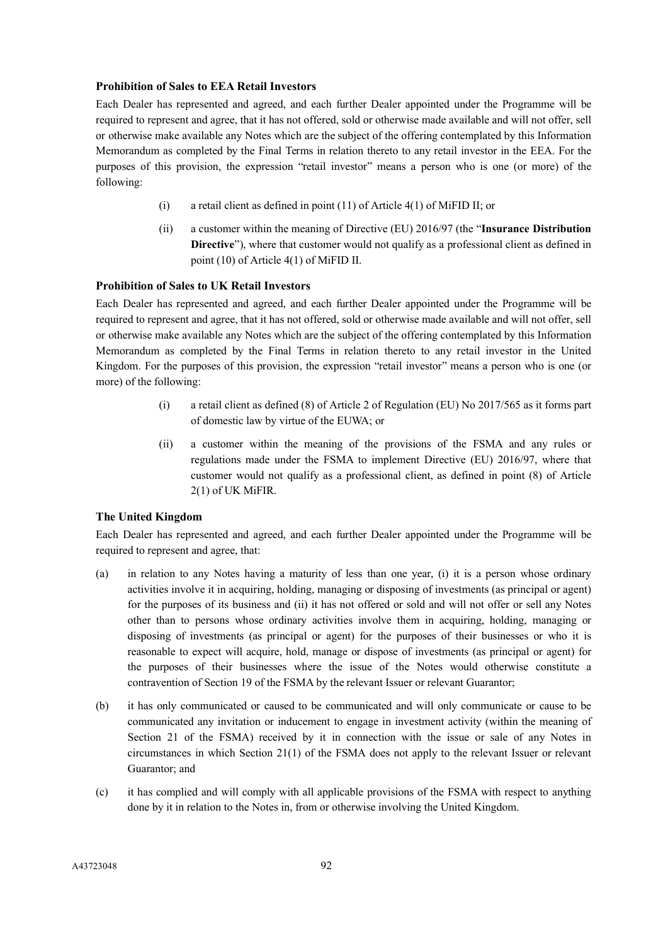## **Prohibition of Sales to EEA Retail Investors**

Each Dealer has represented and agreed, and each further Dealer appointed under the Programme will be required to represent and agree, that it has not offered, sold or otherwise made available and will not offer, sell or otherwise make available any Notes which are the subject of the offering contemplated by this Information Memorandum as completed by the Final Terms in relation thereto to any retail investor in the EEA. For the purposes of this provision, the expression "retail investor" means a person who is one (or more) of the following:

- (i) a retail client as defined in point (11) of Article 4(1) of MiFID II; or
- (ii) a customer within the meaning of Directive (EU) 2016/97 (the "**Insurance Distribution Directive**"), where that customer would not qualify as a professional client as defined in point (10) of Article 4(1) of MiFID II.

## **Prohibition of Sales to UK Retail Investors**

Each Dealer has represented and agreed, and each further Dealer appointed under the Programme will be required to represent and agree, that it has not offered, sold or otherwise made available and will not offer, sell or otherwise make available any Notes which are the subject of the offering contemplated by this Information Memorandum as completed by the Final Terms in relation thereto to any retail investor in the United Kingdom. For the purposes of this provision, the expression "retail investor" means a person who is one (or more) of the following:

- (i) a retail client as defined (8) of Article 2 of Regulation (EU) No 2017/565 as it forms part of domestic law by virtue of the EUWA; or
- (ii) a customer within the meaning of the provisions of the FSMA and any rules or regulations made under the FSMA to implement Directive (EU) 2016/97, where that customer would not qualify as a professional client, as defined in point (8) of Article 2(1) of UK MiFIR.

## **The United Kingdom**

Each Dealer has represented and agreed, and each further Dealer appointed under the Programme will be required to represent and agree, that:

- (a) in relation to any Notes having a maturity of less than one year, (i) it is a person whose ordinary activities involve it in acquiring, holding, managing or disposing of investments (as principal or agent) for the purposes of its business and (ii) it has not offered or sold and will not offer or sell any Notes other than to persons whose ordinary activities involve them in acquiring, holding, managing or disposing of investments (as principal or agent) for the purposes of their businesses or who it is reasonable to expect will acquire, hold, manage or dispose of investments (as principal or agent) for the purposes of their businesses where the issue of the Notes would otherwise constitute a contravention of Section 19 of the FSMA by the relevant Issuer or relevant Guarantor;
- (b) it has only communicated or caused to be communicated and will only communicate or cause to be communicated any invitation or inducement to engage in investment activity (within the meaning of Section 21 of the FSMA) received by it in connection with the issue or sale of any Notes in circumstances in which Section 21(1) of the FSMA does not apply to the relevant Issuer or relevant Guarantor; and
- (c) it has complied and will comply with all applicable provisions of the FSMA with respect to anything done by it in relation to the Notes in, from or otherwise involving the United Kingdom.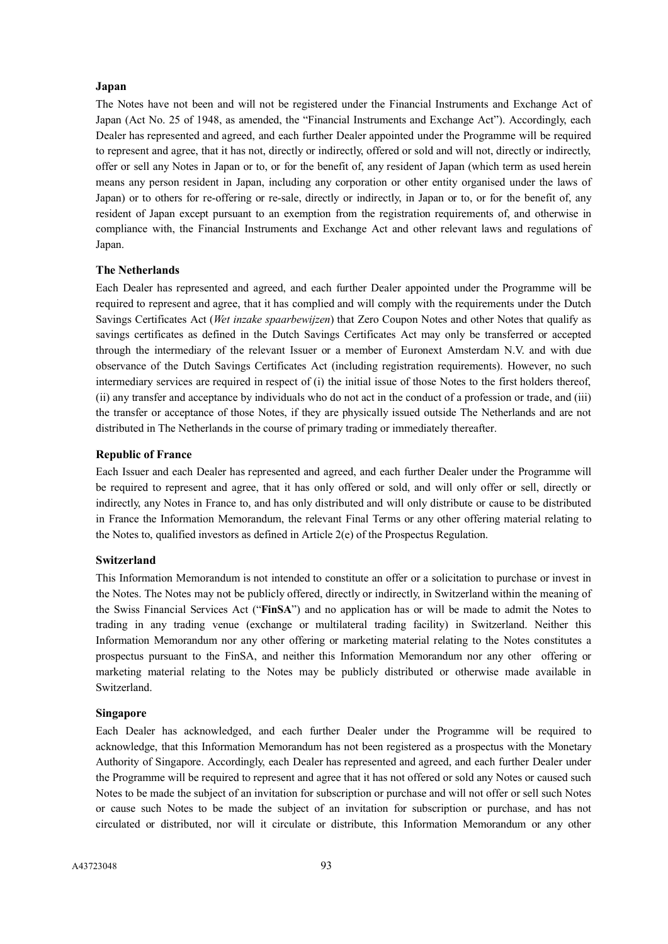#### **Japan**

The Notes have not been and will not be registered under the Financial Instruments and Exchange Act of Japan (Act No. 25 of 1948, as amended, the "Financial Instruments and Exchange Act"). Accordingly, each Dealer has represented and agreed, and each further Dealer appointed under the Programme will be required to represent and agree, that it has not, directly or indirectly, offered or sold and will not, directly or indirectly, offer or sell any Notes in Japan or to, or for the benefit of, any resident of Japan (which term as used herein means any person resident in Japan, including any corporation or other entity organised under the laws of Japan) or to others for re-offering or re-sale, directly or indirectly, in Japan or to, or for the benefit of, any resident of Japan except pursuant to an exemption from the registration requirements of, and otherwise in compliance with, the Financial Instruments and Exchange Act and other relevant laws and regulations of Japan.

#### **The Netherlands**

Each Dealer has represented and agreed, and each further Dealer appointed under the Programme will be required to represent and agree, that it has complied and will comply with the requirements under the Dutch Savings Certificates Act (*Wet inzake spaarbewijzen*) that Zero Coupon Notes and other Notes that qualify as savings certificates as defined in the Dutch Savings Certificates Act may only be transferred or accepted through the intermediary of the relevant Issuer or a member of Euronext Amsterdam N.V. and with due observance of the Dutch Savings Certificates Act (including registration requirements). However, no such intermediary services are required in respect of (i) the initial issue of those Notes to the first holders thereof, (ii) any transfer and acceptance by individuals who do not act in the conduct of a profession or trade, and (iii) the transfer or acceptance of those Notes, if they are physically issued outside The Netherlands and are not distributed in The Netherlands in the course of primary trading or immediately thereafter.

#### **Republic of France**

Each Issuer and each Dealer has represented and agreed, and each further Dealer under the Programme will be required to represent and agree, that it has only offered or sold, and will only offer or sell, directly or indirectly, any Notes in France to, and has only distributed and will only distribute or cause to be distributed in France the Information Memorandum, the relevant Final Terms or any other offering material relating to the Notes to, qualified investors as defined in Article 2(e) of the Prospectus Regulation.

## **Switzerland**

This Information Memorandum is not intended to constitute an offer or a solicitation to purchase or invest in the Notes. The Notes may not be publicly offered, directly or indirectly, in Switzerland within the meaning of the Swiss Financial Services Act ("**FinSA**") and no application has or will be made to admit the Notes to trading in any trading venue (exchange or multilateral trading facility) in Switzerland. Neither this Information Memorandum nor any other offering or marketing material relating to the Notes constitutes a prospectus pursuant to the FinSA, and neither this Information Memorandum nor any other offering or marketing material relating to the Notes may be publicly distributed or otherwise made available in Switzerland.

#### **Singapore**

Each Dealer has acknowledged, and each further Dealer under the Programme will be required to acknowledge, that this Information Memorandum has not been registered as a prospectus with the Monetary Authority of Singapore. Accordingly, each Dealer has represented and agreed, and each further Dealer under the Programme will be required to represent and agree that it has not offered or sold any Notes or caused such Notes to be made the subject of an invitation for subscription or purchase and will not offer or sell such Notes or cause such Notes to be made the subject of an invitation for subscription or purchase, and has not circulated or distributed, nor will it circulate or distribute, this Information Memorandum or any other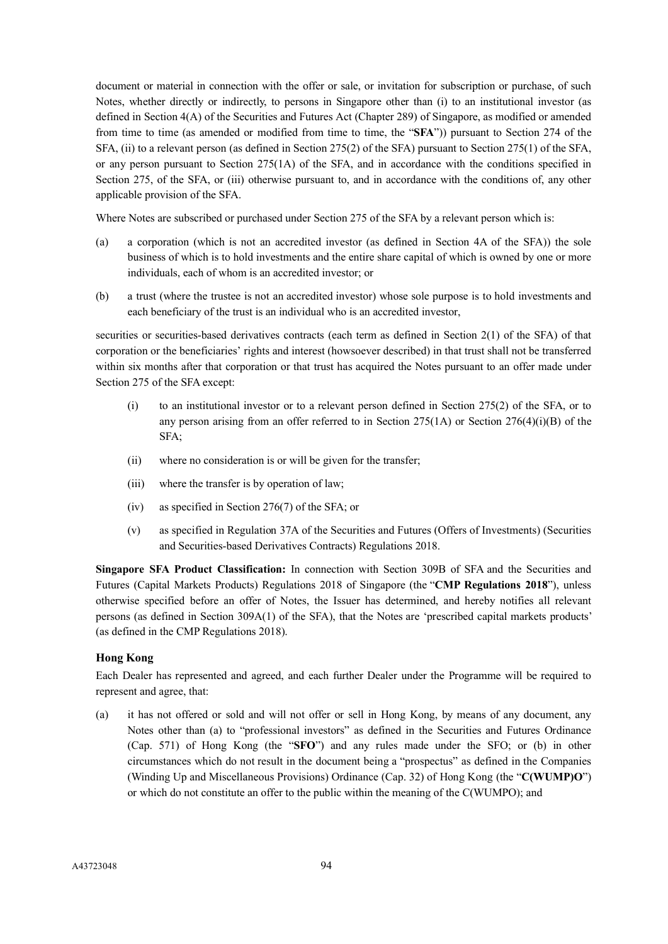document or material in connection with the offer or sale, or invitation for subscription or purchase, of such Notes, whether directly or indirectly, to persons in Singapore other than (i) to an institutional investor (as defined in Section 4(A) of the Securities and Futures Act (Chapter 289) of Singapore, as modified or amended from time to time (as amended or modified from time to time, the "**SFA**")) pursuant to Section 274 of the SFA, (ii) to a relevant person (as defined in Section 275(2) of the SFA) pursuant to Section 275(1) of the SFA, or any person pursuant to Section 275(1A) of the SFA, and in accordance with the conditions specified in Section 275, of the SFA, or (iii) otherwise pursuant to, and in accordance with the conditions of, any other applicable provision of the SFA.

Where Notes are subscribed or purchased under Section 275 of the SFA by a relevant person which is:

- (a) a corporation (which is not an accredited investor (as defined in Section 4A of the SFA)) the sole business of which is to hold investments and the entire share capital of which is owned by one or more individuals, each of whom is an accredited investor; or
- (b) a trust (where the trustee is not an accredited investor) whose sole purpose is to hold investments and each beneficiary of the trust is an individual who is an accredited investor,

securities or securities-based derivatives contracts (each term as defined in Section 2(1) of the SFA) of that corporation or the beneficiaries' rights and interest (howsoever described) in that trust shall not be transferred within six months after that corporation or that trust has acquired the Notes pursuant to an offer made under Section 275 of the SFA except:

- (i) to an institutional investor or to a relevant person defined in Section 275(2) of the SFA, or to any person arising from an offer referred to in Section 275(1A) or Section  $276(4)(i)(B)$  of the SFA;
- (ii) where no consideration is or will be given for the transfer;
- (iii) where the transfer is by operation of law;
- (iv) as specified in Section 276(7) of the SFA; or
- (v) as specified in Regulation 37A of the Securities and Futures (Offers of Investments) (Securities and Securities-based Derivatives Contracts) Regulations 2018.

**Singapore SFA Product Classification:** In connection with Section 309B of SFA and the Securities and Futures (Capital Markets Products) Regulations 2018 of Singapore (the "**CMP Regulations 2018**"), unless otherwise specified before an offer of Notes, the Issuer has determined, and hereby notifies all relevant persons (as defined in Section 309A(1) of the SFA), that the Notes are 'prescribed capital markets products' (as defined in the CMP Regulations 2018).

## **Hong Kong**

Each Dealer has represented and agreed, and each further Dealer under the Programme will be required to represent and agree, that:

(a) it has not offered or sold and will not offer or sell in Hong Kong, by means of any document, any Notes other than (a) to "professional investors" as defined in the Securities and Futures Ordinance (Cap. 571) of Hong Kong (the "**SFO**") and any rules made under the SFO; or (b) in other circumstances which do not result in the document being a "prospectus" as defined in the Companies (Winding Up and Miscellaneous Provisions) Ordinance (Cap. 32) of Hong Kong (the "**C(WUMP)O**") or which do not constitute an offer to the public within the meaning of the C(WUMPO); and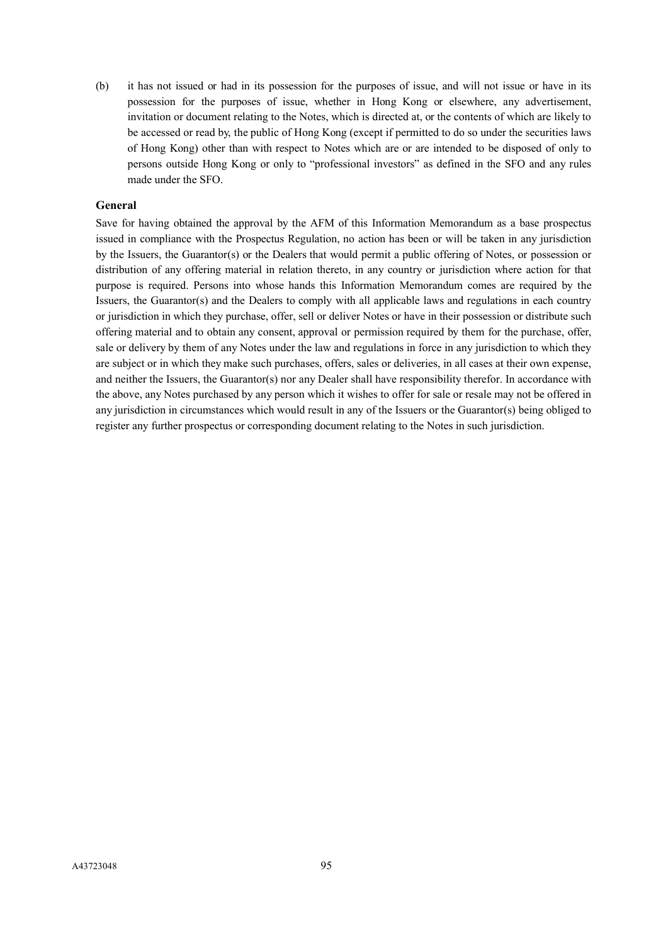(b) it has not issued or had in its possession for the purposes of issue, and will not issue or have in its possession for the purposes of issue, whether in Hong Kong or elsewhere, any advertisement, invitation or document relating to the Notes, which is directed at, or the contents of which are likely to be accessed or read by, the public of Hong Kong (except if permitted to do so under the securities laws of Hong Kong) other than with respect to Notes which are or are intended to be disposed of only to persons outside Hong Kong or only to "professional investors" as defined in the SFO and any rules made under the SFO.

## **General**

Save for having obtained the approval by the AFM of this Information Memorandum as a base prospectus issued in compliance with the Prospectus Regulation, no action has been or will be taken in any jurisdiction by the Issuers, the Guarantor(s) or the Dealers that would permit a public offering of Notes, or possession or distribution of any offering material in relation thereto, in any country or jurisdiction where action for that purpose is required. Persons into whose hands this Information Memorandum comes are required by the Issuers, the Guarantor(s) and the Dealers to comply with all applicable laws and regulations in each country or jurisdiction in which they purchase, offer, sell or deliver Notes or have in their possession or distribute such offering material and to obtain any consent, approval or permission required by them for the purchase, offer, sale or delivery by them of any Notes under the law and regulations in force in any jurisdiction to which they are subject or in which they make such purchases, offers, sales or deliveries, in all cases at their own expense, and neither the Issuers, the Guarantor(s) nor any Dealer shall have responsibility therefor. In accordance with the above, any Notes purchased by any person which it wishes to offer for sale or resale may not be offered in any jurisdiction in circumstances which would result in any of the Issuers or the Guarantor(s) being obliged to register any further prospectus or corresponding document relating to the Notes in such jurisdiction.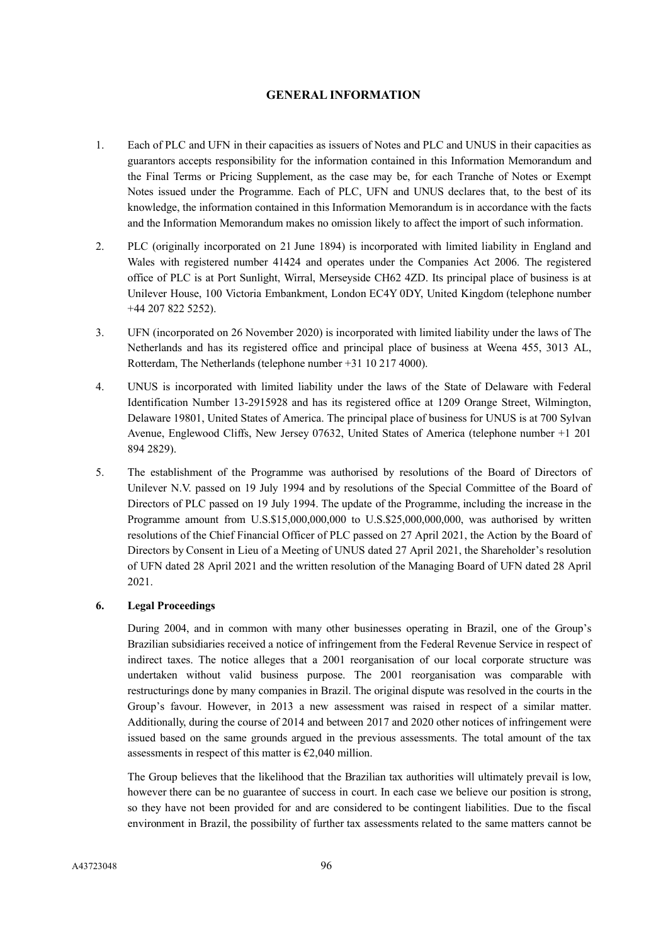## **GENERAL INFORMATION**

- 1. Each of PLC and UFN in their capacities as issuers of Notes and PLC and UNUS in their capacities as guarantors accepts responsibility for the information contained in this Information Memorandum and the Final Terms or Pricing Supplement, as the case may be, for each Tranche of Notes or Exempt Notes issued under the Programme. Each of PLC, UFN and UNUS declares that, to the best of its knowledge, the information contained in this Information Memorandum is in accordance with the facts and the Information Memorandum makes no omission likely to affect the import of such information.
- 2. PLC (originally incorporated on 21 June 1894) is incorporated with limited liability in England and Wales with registered number 41424 and operates under the Companies Act 2006. The registered office of PLC is at Port Sunlight, Wirral, Merseyside CH62 4ZD. Its principal place of business is at Unilever House, 100 Victoria Embankment, London EC4Y 0DY, United Kingdom (telephone number +44 207 822 5252).
- 3. UFN (incorporated on 26 November 2020) is incorporated with limited liability under the laws of The Netherlands and has its registered office and principal place of business at Weena 455, 3013 AL, Rotterdam, The Netherlands (telephone number +31 10 217 4000).
- 4. UNUS is incorporated with limited liability under the laws of the State of Delaware with Federal Identification Number 13-2915928 and has its registered office at 1209 Orange Street, Wilmington, Delaware 19801, United States of America. The principal place of business for UNUS is at 700 Sylvan Avenue, Englewood Cliffs, New Jersey 07632, United States of America (telephone number +1 201 894 2829).
- 5. The establishment of the Programme was authorised by resolutions of the Board of Directors of Unilever N.V. passed on 19 July 1994 and by resolutions of the Special Committee of the Board of Directors of PLC passed on 19 July 1994. The update of the Programme, including the increase in the Programme amount from U.S.\$15,000,000,000 to U.S.\$25,000,000,000, was authorised by written resolutions of the Chief Financial Officer of PLC passed on 27 April 2021, the Action by the Board of Directors by Consent in Lieu of a Meeting of UNUS dated 27 April 2021, the Shareholder's resolution of UFN dated 28 April 2021 and the written resolution of the Managing Board of UFN dated 28 April 2021.

## **6. Legal Proceedings**

During 2004, and in common with many other businesses operating in Brazil, one of the Group's Brazilian subsidiaries received a notice of infringement from the Federal Revenue Service in respect of indirect taxes. The notice alleges that a 2001 reorganisation of our local corporate structure was undertaken without valid business purpose. The 2001 reorganisation was comparable with restructurings done by many companies in Brazil. The original dispute was resolved in the courts in the Group's favour. However, in 2013 a new assessment was raised in respect of a similar matter. Additionally, during the course of 2014 and between 2017 and 2020 other notices of infringement were issued based on the same grounds argued in the previous assessments. The total amount of the tax assessments in respect of this matter is  $\epsilon$ 2,040 million.

The Group believes that the likelihood that the Brazilian tax authorities will ultimately prevail is low, however there can be no guarantee of success in court. In each case we believe our position is strong, so they have not been provided for and are considered to be contingent liabilities. Due to the fiscal environment in Brazil, the possibility of further tax assessments related to the same matters cannot be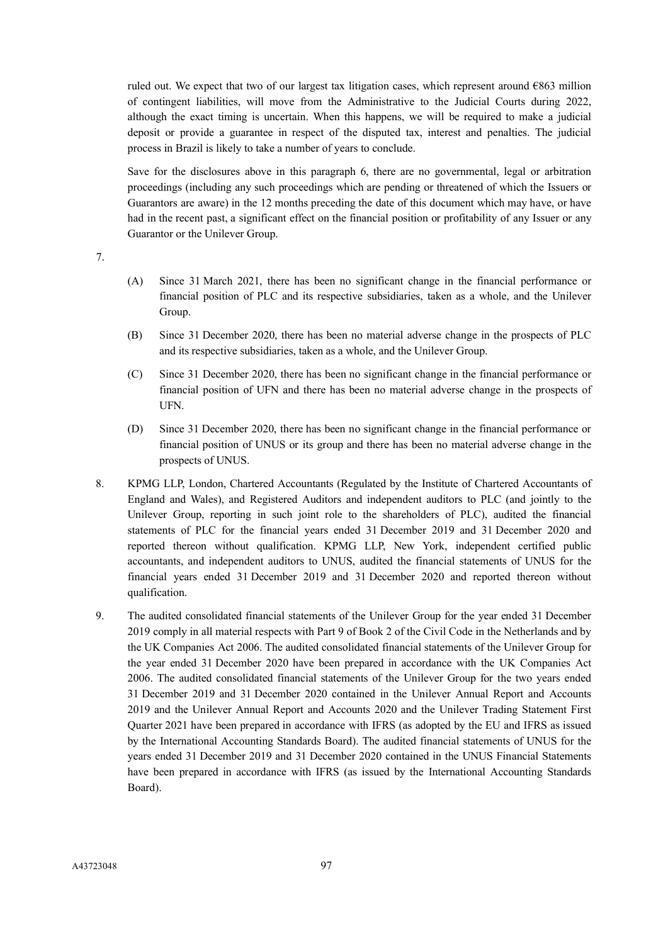ruled out. We expect that two of our largest tax litigation cases, which represent around €863 million of contingent liabilities, will move from the Administrative to the Judicial Courts during 2022, although the exact timing is uncertain. When this happens, we will be required to make a judicial deposit or provide a guarantee in respect of the disputed tax, interest and penalties. The judicial process in Brazil is likely to take a number of years to conclude.

Save for the disclosures above in this paragraph 6, there are no governmental, legal or arbitration proceedings (including any such proceedings which are pending or threatened of which the Issuers or Guarantors are aware) in the 12 months preceding the date of this document which may have, or have had in the recent past, a significant effect on the financial position or profitability of any Issuer or any Guarantor or the Unilever Group.

7.

- (A) Since 31 March 2021, there has been no significant change in the financial performance or financial position of PLC and its respective subsidiaries, taken as a whole, and the Unilever Group.
- (B) Since 31 December 2020, there has been no material adverse change in the prospects of PLC and its respective subsidiaries, taken as a whole, and the Unilever Group.
- (C) Since 31 December 2020, there has been no significant change in the financial performance or financial position of UFN and there has been no material adverse change in the prospects of UFN.
- (D) Since 31 December 2020, there has been no significant change in the financial performance or financial position of UNUS or its group and there has been no material adverse change in the prospects of UNUS.
- 8. KPMG LLP, London, Chartered Accountants (Regulated by the Institute of Chartered Accountants of England and Wales), and Registered Auditors and independent auditors to PLC (and jointly to the Unilever Group, reporting in such joint role to the shareholders of PLC), audited the financial statements of PLC for the financial years ended 31 December 2019 and 31 December 2020 and reported thereon without qualification. KPMG LLP, New York, independent certified public accountants, and independent auditors to UNUS, audited the financial statements of UNUS for the financial years ended 31 December 2019 and 31 December 2020 and reported thereon without qualification.
- 9. The audited consolidated financial statements of the Unilever Group for the year ended 31 December 2019 comply in all material respects with Part 9 of Book 2 of the Civil Code in the Netherlands and by the UK Companies Act 2006. The audited consolidated financial statements of the Unilever Group for the year ended 31 December 2020 have been prepared in accordance with the UK Companies Act 2006. The audited consolidated financial statements of the Unilever Group for the two years ended 31 December 2019 and 31 December 2020 contained in the Unilever Annual Report and Accounts 2019 and the Unilever Annual Report and Accounts 2020 and the Unilever Trading Statement First Quarter 2021 have been prepared in accordance with IFRS (as adopted by the EU and IFRS as issued by the International Accounting Standards Board). The audited financial statements of UNUS for the years ended 31 December 2019 and 31 December 2020 contained in the UNUS Financial Statements have been prepared in accordance with IFRS (as issued by the International Accounting Standards Board).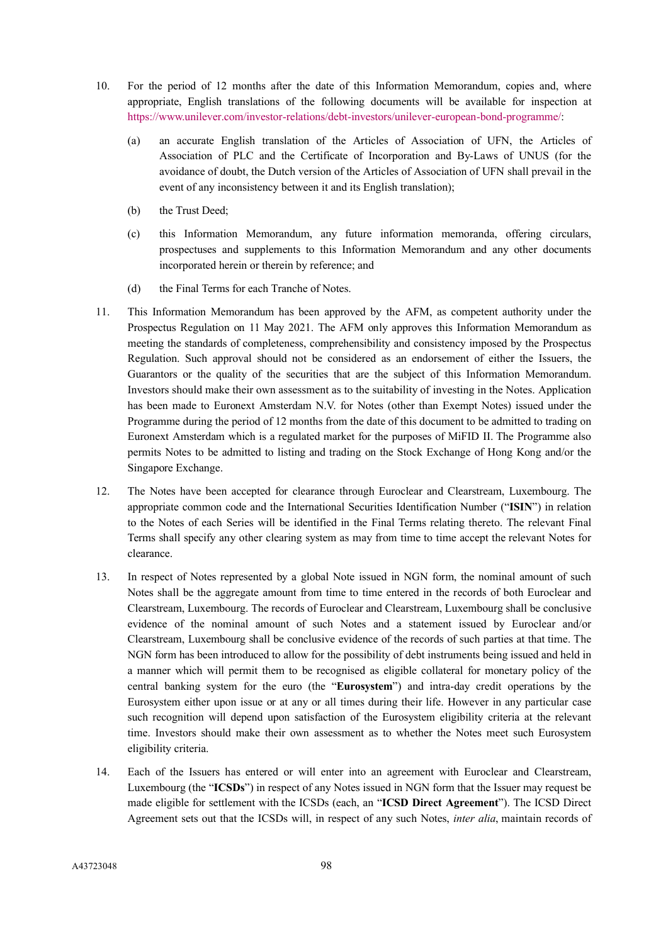- 10. For the period of 12 months after the date of this Information Memorandum, copies and, where appropriate, English translations of the following documents will be available for inspection at [https://www.unilever.com/investor-relations/debt-investors/unilever-european-bond-programme/:](https://www.unilever.com/investor-relations/debt-investors/unilever-european-bond-programme/)
	- (a) an accurate English translation of the Articles of Association of UFN, the Articles of Association of PLC and the Certificate of Incorporation and By-Laws of UNUS (for the avoidance of doubt, the Dutch version of the Articles of Association of UFN shall prevail in the event of any inconsistency between it and its English translation);
	- (b) the Trust Deed;
	- (c) this Information Memorandum, any future information memoranda, offering circulars, prospectuses and supplements to this Information Memorandum and any other documents incorporated herein or therein by reference; and
	- (d) the Final Terms for each Tranche of Notes.
- 11. This Information Memorandum has been approved by the AFM, as competent authority under the Prospectus Regulation on 11 May 2021. The AFM only approves this Information Memorandum as meeting the standards of completeness, comprehensibility and consistency imposed by the Prospectus Regulation. Such approval should not be considered as an endorsement of either the Issuers, the Guarantors or the quality of the securities that are the subject of this Information Memorandum. Investors should make their own assessment as to the suitability of investing in the Notes. Application has been made to Euronext Amsterdam N.V. for Notes (other than Exempt Notes) issued under the Programme during the period of 12 months from the date of this document to be admitted to trading on Euronext Amsterdam which is a regulated market for the purposes of MiFID II. The Programme also permits Notes to be admitted to listing and trading on the Stock Exchange of Hong Kong and/or the Singapore Exchange.
- 12. The Notes have been accepted for clearance through Euroclear and Clearstream, Luxembourg. The appropriate common code and the International Securities Identification Number ("**ISIN**") in relation to the Notes of each Series will be identified in the Final Terms relating thereto. The relevant Final Terms shall specify any other clearing system as may from time to time accept the relevant Notes for clearance.
- 13. In respect of Notes represented by a global Note issued in NGN form, the nominal amount of such Notes shall be the aggregate amount from time to time entered in the records of both Euroclear and Clearstream, Luxembourg. The records of Euroclear and Clearstream, Luxembourg shall be conclusive evidence of the nominal amount of such Notes and a statement issued by Euroclear and/or Clearstream, Luxembourg shall be conclusive evidence of the records of such parties at that time. The NGN form has been introduced to allow for the possibility of debt instruments being issued and held in a manner which will permit them to be recognised as eligible collateral for monetary policy of the central banking system for the euro (the "**Eurosystem**") and intra-day credit operations by the Eurosystem either upon issue or at any or all times during their life. However in any particular case such recognition will depend upon satisfaction of the Eurosystem eligibility criteria at the relevant time. Investors should make their own assessment as to whether the Notes meet such Eurosystem eligibility criteria.
- 14. Each of the Issuers has entered or will enter into an agreement with Euroclear and Clearstream, Luxembourg (the "**ICSDs**") in respect of any Notes issued in NGN form that the Issuer may request be made eligible for settlement with the ICSDs (each, an "**ICSD Direct Agreement**"). The ICSD Direct Agreement sets out that the ICSDs will, in respect of any such Notes, *inter alia*, maintain records of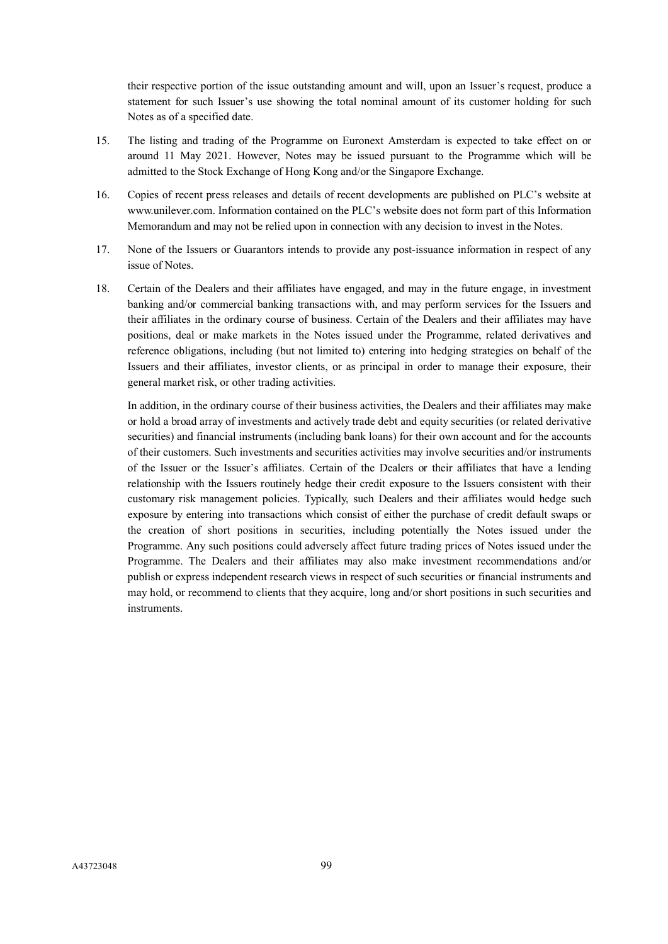their respective portion of the issue outstanding amount and will, upon an Issuer's request, produce a statement for such Issuer's use showing the total nominal amount of its customer holding for such Notes as of a specified date.

- 15. The listing and trading of the Programme on Euronext Amsterdam is expected to take effect on or around 11 May 2021. However, Notes may be issued pursuant to the Programme which will be admitted to the Stock Exchange of Hong Kong and/or the Singapore Exchange.
- 16. Copies of recent press releases and details of recent developments are published on PLC's website at www.unilever.com. Information contained on the PLC's website does not form part of this Information Memorandum and may not be relied upon in connection with any decision to invest in the Notes.
- 17. None of the Issuers or Guarantors intends to provide any post-issuance information in respect of any issue of Notes.
- 18. Certain of the Dealers and their affiliates have engaged, and may in the future engage, in investment banking and/or commercial banking transactions with, and may perform services for the Issuers and their affiliates in the ordinary course of business. Certain of the Dealers and their affiliates may have positions, deal or make markets in the Notes issued under the Programme, related derivatives and reference obligations, including (but not limited to) entering into hedging strategies on behalf of the Issuers and their affiliates, investor clients, or as principal in order to manage their exposure, their general market risk, or other trading activities.

In addition, in the ordinary course of their business activities, the Dealers and their affiliates may make or hold a broad array of investments and actively trade debt and equity securities (or related derivative securities) and financial instruments (including bank loans) for their own account and for the accounts of their customers. Such investments and securities activities may involve securities and/or instruments of the Issuer or the Issuer's affiliates. Certain of the Dealers or their affiliates that have a lending relationship with the Issuers routinely hedge their credit exposure to the Issuers consistent with their customary risk management policies. Typically, such Dealers and their affiliates would hedge such exposure by entering into transactions which consist of either the purchase of credit default swaps or the creation of short positions in securities, including potentially the Notes issued under the Programme. Any such positions could adversely affect future trading prices of Notes issued under the Programme. The Dealers and their affiliates may also make investment recommendations and/or publish or express independent research views in respect of such securities or financial instruments and may hold, or recommend to clients that they acquire, long and/or short positions in such securities and instruments.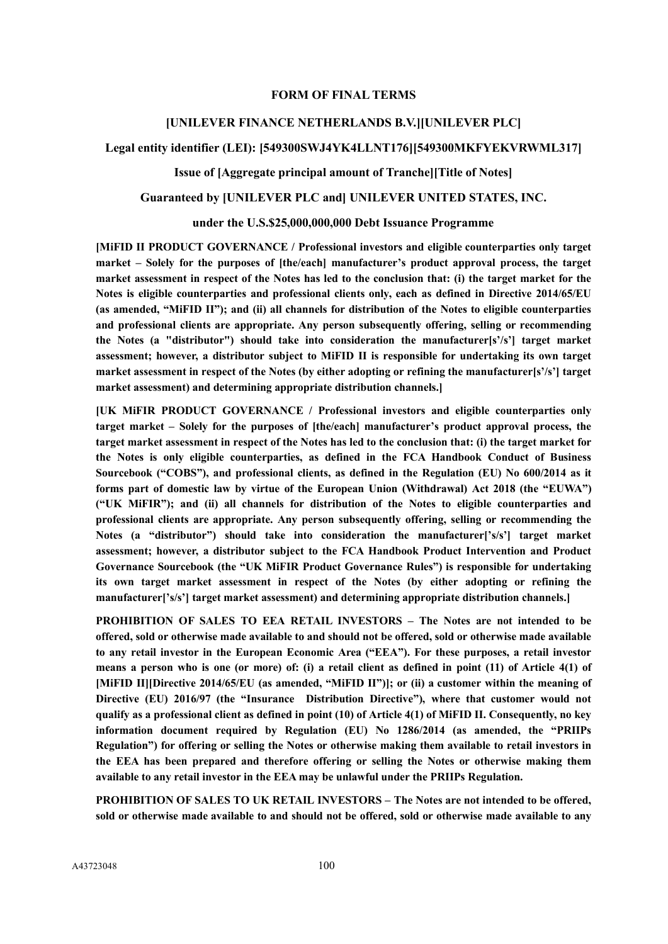#### **FORM OF FINAL TERMS**

#### **[UNILEVER FINANCE NETHERLANDS B.V.][UNILEVER PLC]**

## **Legal entity identifier (LEI): [549300SWJ4YK4LLNT176][549300MKFYEKVRWML317]**

**Issue of [Aggregate principal amount of Tranche][Title of Notes]**

#### **Guaranteed by [UNILEVER PLC and] UNILEVER UNITED STATES, INC.**

#### **under the U.S.\$25,000,000,000 Debt Issuance Programme**

**[MiFID II PRODUCT GOVERNANCE / Professional investors and eligible counterparties only target market – Solely for the purposes of [the/each] manufacturer's product approval process, the target market assessment in respect of the Notes has led to the conclusion that: (i) the target market for the Notes is eligible counterparties and professional clients only, each as defined in Directive 2014/65/EU (as amended, "MiFID II"); and (ii) all channels for distribution of the Notes to eligible counterparties and professional clients are appropriate. Any person subsequently offering, selling or recommending the Notes (a "distributor") should take into consideration the manufacturer[s'/s'] target market assessment; however, a distributor subject to MiFID II is responsible for undertaking its own target market assessment in respect of the Notes (by either adopting or refining the manufacturer[s'/s'] target market assessment) and determining appropriate distribution channels.]**

**[UK MiFIR PRODUCT GOVERNANCE / Professional investors and eligible counterparties only target market – Solely for the purposes of [the/each] manufacturer's product approval process, the target market assessment in respect of the Notes has led to the conclusion that: (i) the target market for the Notes is only eligible counterparties, as defined in the FCA Handbook Conduct of Business Sourcebook ("COBS"), and professional clients, as defined in the Regulation (EU) No 600/2014 as it forms part of domestic law by virtue of the European Union (Withdrawal) Act 2018 (the "EUWA") ("UK MiFIR"); and (ii) all channels for distribution of the Notes to eligible counterparties and professional clients are appropriate. Any person subsequently offering, selling or recommending the Notes (a "distributor") should take into consideration the manufacturer['s/s'] target market assessment; however, a distributor subject to the FCA Handbook Product Intervention and Product Governance Sourcebook (the "UK MiFIR Product Governance Rules") is responsible for undertaking its own target market assessment in respect of the Notes (by either adopting or refining the manufacturer['s/s'] target market assessment) and determining appropriate distribution channels.]**

**PROHIBITION OF SALES TO EEA RETAIL INVESTORS – The Notes are not intended to be offered, sold or otherwise made available to and should not be offered, sold or otherwise made available to any retail investor in the European Economic Area ("EEA"). For these purposes, a retail investor means a person who is one (or more) of: (i) a retail client as defined in point (11) of Article 4(1) of [MiFID II][Directive 2014/65/EU (as amended, "MiFID II")]; or (ii) a customer within the meaning of Directive (EU) 2016/97 (the "Insurance Distribution Directive"), where that customer would not qualify as a professional client as defined in point (10) of Article 4(1) of MiFID II. Consequently, no key information document required by Regulation (EU) No 1286/2014 (as amended, the "PRIIPs Regulation") for offering or selling the Notes or otherwise making them available to retail investors in the EEA has been prepared and therefore offering or selling the Notes or otherwise making them available to any retail investor in the EEA may be unlawful under the PRIIPs Regulation.**

**PROHIBITION OF SALES TO UK RETAIL INVESTORS – The Notes are not intended to be offered, sold or otherwise made available to and should not be offered, sold or otherwise made available to any**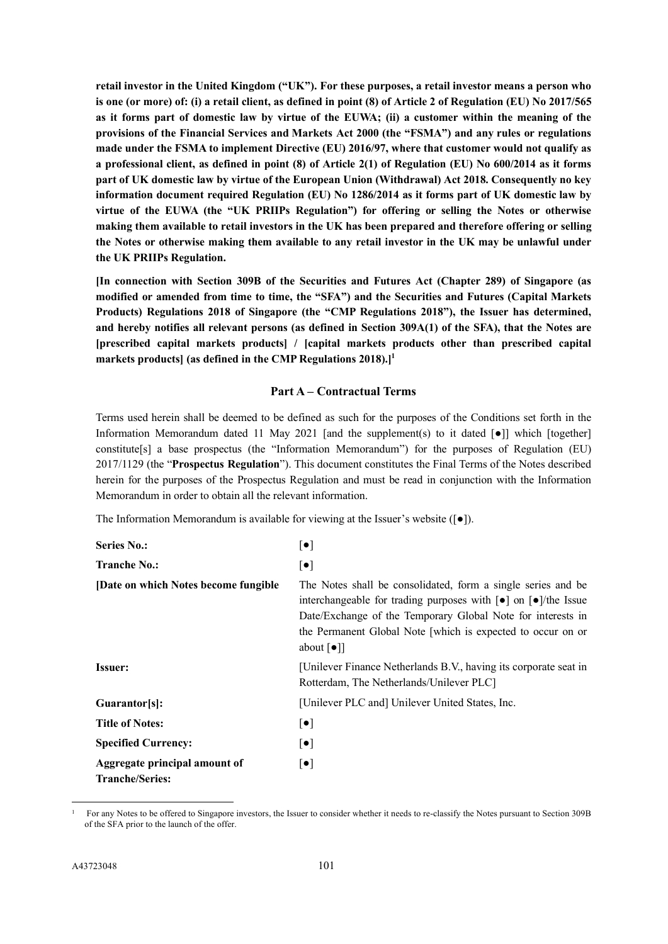**retail investor in the United Kingdom ("UK"). For these purposes, a retail investor means a person who is one (or more) of: (i) a retail client, as defined in point (8) of Article 2 of Regulation (EU) No 2017/565 as it forms part of domestic law by virtue of the EUWA; (ii) a customer within the meaning of the provisions of the Financial Services and Markets Act 2000 (the "FSMA") and any rules or regulations made under the FSMA to implement Directive (EU) 2016/97, where that customer would not qualify as a professional client, as defined in point (8) of Article 2(1) of Regulation (EU) No 600/2014 as it forms part of UK domestic law by virtue of the European Union (Withdrawal) Act 2018. Consequently no key information document required Regulation (EU) No 1286/2014 as it forms part of UK domestic law by virtue of the EUWA (the "UK PRIIPs Regulation") for offering or selling the Notes or otherwise making them available to retail investors in the UK has been prepared and therefore offering or selling the Notes or otherwise making them available to any retail investor in the UK may be unlawful under the UK PRIIPs Regulation.**

**[In connection with Section 309B of the Securities and Futures Act (Chapter 289) of Singapore (as modified or amended from time to time, the "SFA") and the Securities and Futures (Capital Markets Products) Regulations 2018 of Singapore (the "CMP Regulations 2018"), the Issuer has determined, and hereby notifies all relevant persons (as defined in Section 309A(1) of the SFA), that the Notes are [prescribed capital markets products] / [capital markets products other than prescribed capital markets products] (as defined in the CMP Regulations 2018).][1](#page-100-0)**

## **Part A – Contractual Terms**

Terms used herein shall be deemed to be defined as such for the purposes of the Conditions set forth in the Information Memorandum dated 11 May 2021 [and the supplement(s) to it dated  $\lceil \bullet \rceil$ ] which [together] constitute[s] a base prospectus (the "Information Memorandum") for the purposes of Regulation (EU) 2017/1129 (the "**Prospectus Regulation**"). This document constitutes the Final Terms of the Notes described herein for the purposes of the Prospectus Regulation and must be read in conjunction with the Information Memorandum in order to obtain all the relevant information.

The Information Memorandum is available for viewing at the Issuer's website ([●]).

| <b>Series No.:</b>                                      | $[\bullet]$                                                                                                                                                                                                                                                                                                                            |  |
|---------------------------------------------------------|----------------------------------------------------------------------------------------------------------------------------------------------------------------------------------------------------------------------------------------------------------------------------------------------------------------------------------------|--|
| <b>Tranche No.:</b>                                     | $\left[\bullet\right]$                                                                                                                                                                                                                                                                                                                 |  |
| [Date on which Notes become fungible]                   | The Notes shall be consolidated, form a single series and be<br>interchangeable for trading purposes with $\lceil \bullet \rceil$ on $\lceil \bullet \rceil$ /the Issue<br>Date/Exchange of the Temporary Global Note for interests in<br>the Permanent Global Note [which is expected to occur on or<br>about $\lceil \bullet \rceil$ |  |
| <b>Issuer:</b>                                          | [Unilever Finance Netherlands B.V., having its corporate seat in<br>Rotterdam, The Netherlands/Unilever PLC]                                                                                                                                                                                                                           |  |
| Guarantor[s]:                                           | [Unilever PLC and] Unilever United States, Inc.                                                                                                                                                                                                                                                                                        |  |
| <b>Title of Notes:</b>                                  | $\left[\bullet\right]$                                                                                                                                                                                                                                                                                                                 |  |
| <b>Specified Currency:</b>                              | $\left[\bullet\right]$                                                                                                                                                                                                                                                                                                                 |  |
| Aggregate principal amount of<br><b>Tranche/Series:</b> | $\left[\bullet\right]$                                                                                                                                                                                                                                                                                                                 |  |

<span id="page-100-0"></span><sup>1</sup> For any Notes to be offered to Singapore investors, the Issuer to consider whether it needs to re-classify the Notes pursuant to Section 309B of the SFA prior to the launch of the offer.

-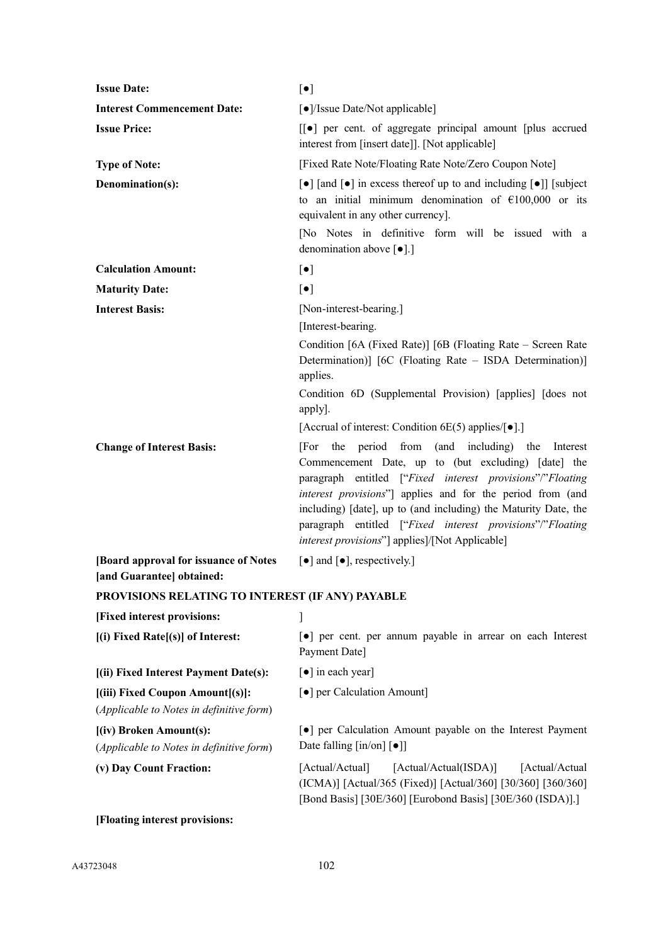| <b>Issue Date:</b>                                                           | $[\bullet]$                                                                                                                                                                                                                                                                                                                                                                                                                  |
|------------------------------------------------------------------------------|------------------------------------------------------------------------------------------------------------------------------------------------------------------------------------------------------------------------------------------------------------------------------------------------------------------------------------------------------------------------------------------------------------------------------|
| <b>Interest Commencement Date:</b>                                           | [•]/Issue Date/Not applicable]                                                                                                                                                                                                                                                                                                                                                                                               |
| <b>Issue Price:</b>                                                          | [[●] per cent. of aggregate principal amount [plus accrued]<br>interest from [insert date]]. [Not applicable]                                                                                                                                                                                                                                                                                                                |
| <b>Type of Note:</b>                                                         | [Fixed Rate Note/Floating Rate Note/Zero Coupon Note]                                                                                                                                                                                                                                                                                                                                                                        |
| Denomination(s):                                                             | $\lceil \bullet \rceil$ [and $\lceil \bullet \rceil$ in excess thereof up to and including $\lceil \bullet \rceil$ ] [subject<br>to an initial minimum denomination of $£100,000$ or its<br>equivalent in any other currency].                                                                                                                                                                                               |
|                                                                              | [No Notes in definitive form will be issued with a<br>denomination above $\lceil \bullet \rceil$ .]                                                                                                                                                                                                                                                                                                                          |
| <b>Calculation Amount:</b>                                                   | $[\bullet]$                                                                                                                                                                                                                                                                                                                                                                                                                  |
| <b>Maturity Date:</b>                                                        | $[\bullet]$                                                                                                                                                                                                                                                                                                                                                                                                                  |
| <b>Interest Basis:</b>                                                       | [Non-interest-bearing.]                                                                                                                                                                                                                                                                                                                                                                                                      |
|                                                                              | [Interest-bearing.                                                                                                                                                                                                                                                                                                                                                                                                           |
|                                                                              | Condition [6A (Fixed Rate)] [6B (Floating Rate – Screen Rate<br>Determination)] [6C (Floating Rate – ISDA Determination)]<br>applies.                                                                                                                                                                                                                                                                                        |
|                                                                              | Condition 6D (Supplemental Provision) [applies] [does not<br>apply].                                                                                                                                                                                                                                                                                                                                                         |
|                                                                              | [Accrual of interest: Condition 6E(5) applies/ $\lceil \bullet \rceil$ .]                                                                                                                                                                                                                                                                                                                                                    |
| <b>Change of Interest Basis:</b>                                             | the period from (and including) the<br>[For<br>Interest<br>Commencement Date, up to (but excluding) [date] the<br>paragraph entitled ["Fixed interest provisions"/"Floating<br>interest provisions"] applies and for the period from (and<br>including) [date], up to (and including) the Maturity Date, the<br>paragraph entitled ["Fixed interest provisions"/"Floating<br>interest provisions"] applies]/[Not Applicable] |
| [Board approval for issuance of Notes]<br>[and Guarantee] obtained:          | $\lceil \bullet \rceil$ and $\lceil \bullet \rceil$ , respectively.]                                                                                                                                                                                                                                                                                                                                                         |
| PROVISIONS RELATING TO INTEREST (IF ANY) PAYABLE                             |                                                                                                                                                                                                                                                                                                                                                                                                                              |
| [Fixed interest provisions:                                                  |                                                                                                                                                                                                                                                                                                                                                                                                                              |
| [(i) Fixed Rate[(s)] of Interest:                                            | • per cent. per annum payable in arrear on each Interest<br>Payment Date]                                                                                                                                                                                                                                                                                                                                                    |
| [(ii) Fixed Interest Payment Date(s):                                        | $\lceil \bullet \rceil$ in each year]                                                                                                                                                                                                                                                                                                                                                                                        |
| [(iii) Fixed Coupon Amount[(s)]:<br>(Applicable to Notes in definitive form) | [ $\bullet$ ] per Calculation Amount]                                                                                                                                                                                                                                                                                                                                                                                        |
| [(iv) Broken Amount(s):<br>(Applicable to Notes in definitive form)          | • per Calculation Amount payable on the Interest Payment<br>Date falling $\left[\text{in}/\text{on}\right]$ $\left[\bullet\right]$                                                                                                                                                                                                                                                                                           |
| (v) Day Count Fraction:                                                      | [Actual/Actual]<br>[Actual/Actual(ISDA)]<br>[Actual/Actual<br>(ICMA)] [Actual/365 (Fixed)] [Actual/360] [30/360] [360/360]<br>[Bond Basis] [30E/360] [Eurobond Basis] [30E/360 (ISDA)].]                                                                                                                                                                                                                                     |

**[Floating interest provisions:**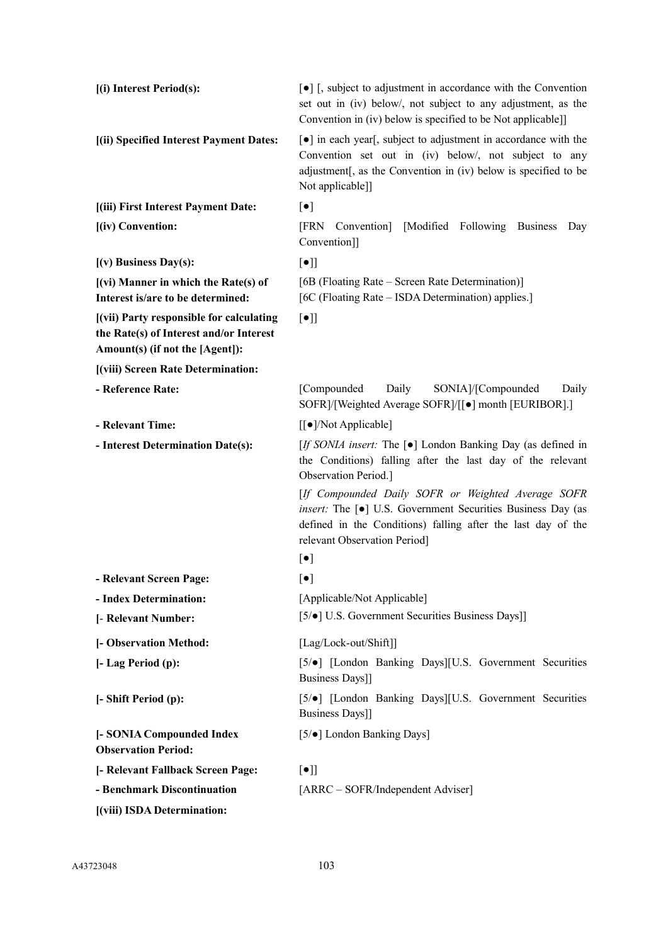| [(i) Interest Period(s):                                                                                               | $\lceil \bullet \rceil$ [, subject to adjustment in accordance with the Convention<br>set out in (iv) below/, not subject to any adjustment, as the<br>Convention in (iv) below is specified to be Not applicable]] |
|------------------------------------------------------------------------------------------------------------------------|---------------------------------------------------------------------------------------------------------------------------------------------------------------------------------------------------------------------|
| [(ii) Specified Interest Payment Dates:                                                                                | [•] in each year[, subject to adjustment in accordance with the<br>Convention set out in (iv) below/, not subject to any<br>adjustment[, as the Convention in (iv) below is specified to be<br>Not applicable]]     |
| [(iii) First Interest Payment Date:                                                                                    | $[\bullet]$                                                                                                                                                                                                         |
| [(iv) Convention:                                                                                                      | Convention [Modified Following]<br>[FRN<br><b>Business</b><br>Day<br>Convention]]                                                                                                                                   |
| $(v)$ Business Day(s):                                                                                                 | $[\bullet]$                                                                                                                                                                                                         |
| [(vi) Manner in which the Rate(s) of<br>Interest is/are to be determined:                                              | [6B (Floating Rate – Screen Rate Determination)]<br>[6C (Floating Rate – ISDA Determination) applies.]                                                                                                              |
| [(vii) Party responsible for calculating<br>the Rate(s) of Interest and/or Interest<br>Amount(s) (if not the [Agent]): | $[\bullet]$                                                                                                                                                                                                         |
| [(viii) Screen Rate Determination:                                                                                     |                                                                                                                                                                                                                     |
| - Reference Rate:                                                                                                      | [Compounded<br>Daily<br>SONIA]/[Compounded<br>Daily<br>SOFR]/[Weighted Average SOFR]/[[ $\bullet$ ] month [EURIBOR].]                                                                                               |
| - Relevant Time:                                                                                                       | [[●]/Not Applicable]                                                                                                                                                                                                |
| - Interest Determination Date(s):                                                                                      | [If SONIA insert: The [ $\bullet$ ] London Banking Day (as defined in<br>the Conditions) falling after the last day of the relevant<br>Observation Period.]                                                         |
|                                                                                                                        | [If Compounded Daily SOFR or Weighted Average SOFR<br>insert: The [·] U.S. Government Securities Business Day (as<br>defined in the Conditions) falling after the last day of the<br>relevant Observation Period]   |
|                                                                                                                        | $[\bullet]$                                                                                                                                                                                                         |
| - Relevant Screen Page:                                                                                                | $\lceil \bullet \rceil$                                                                                                                                                                                             |
| - Index Determination:                                                                                                 | [Applicable/Not Applicable]                                                                                                                                                                                         |
| [- Relevant Number:                                                                                                    | [5/ $\bullet$ ] U.S. Government Securities Business Days]]                                                                                                                                                          |
| [- Observation Method:                                                                                                 | [Lag/Lock-out/Shift]]                                                                                                                                                                                               |
| [- Lag Period (p):                                                                                                     | [5/ $\bullet$ ] [London Banking Days][U.S. Government Securities<br><b>Business Days]]</b>                                                                                                                          |
| [- Shift Period (p):                                                                                                   | [5/ $\bullet$ ] [London Banking Days][U.S. Government Securities<br><b>Business Days]]</b>                                                                                                                          |
| [- SONIA Compounded Index<br><b>Observation Period:</b>                                                                | [5/ $\bullet$ ] London Banking Days]                                                                                                                                                                                |
| [- Relevant Fallback Screen Page:                                                                                      | $[\bullet]$                                                                                                                                                                                                         |
| - Benchmark Discontinuation                                                                                            | [ARRC – SOFR/Independent Adviser]                                                                                                                                                                                   |
| [(viii) ISDA Determination:                                                                                            |                                                                                                                                                                                                                     |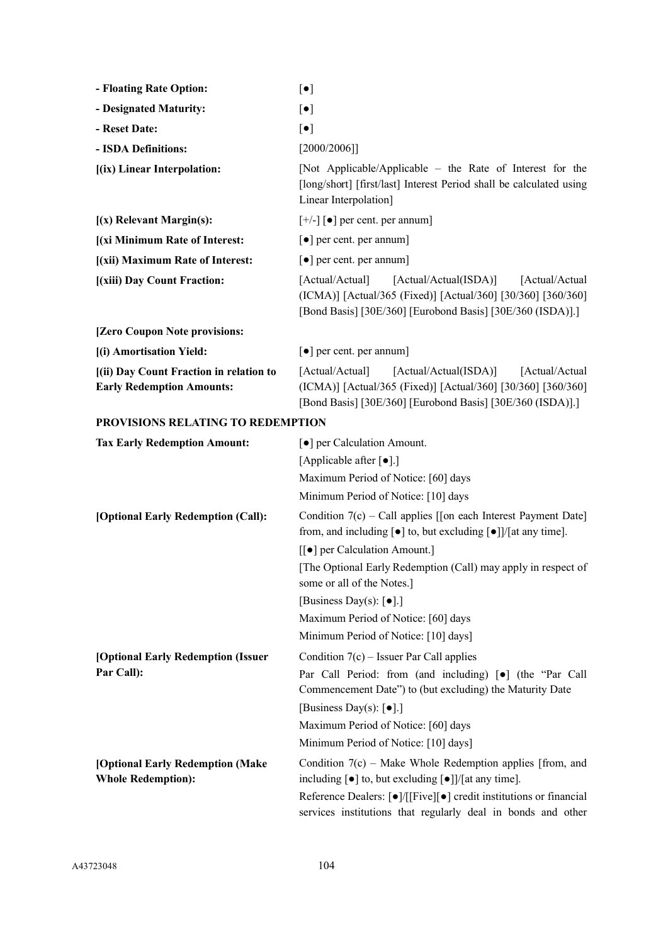| - Floating Rate Option:                                                     | $[\bullet]$                                                                                                                                                                               |
|-----------------------------------------------------------------------------|-------------------------------------------------------------------------------------------------------------------------------------------------------------------------------------------|
| - Designated Maturity:                                                      | $[\bullet]$                                                                                                                                                                               |
| - Reset Date:                                                               | $[\bullet]$                                                                                                                                                                               |
| - ISDA Definitions:                                                         | [2000/2006]                                                                                                                                                                               |
| [(ix) Linear Interpolation:                                                 | [Not Applicable/Applicable – the Rate of Interest for the<br>[long/short] [first/last] Interest Period shall be calculated using<br>Linear Interpolation]                                 |
| $(x)$ Relevant Margin(s):                                                   | $[+/$ ] [ $\bullet$ ] per cent. per annum]                                                                                                                                                |
| [(xi Minimum Rate of Interest:                                              | $\lceil \bullet \rceil$ per cent. per annum]                                                                                                                                              |
| [(xii) Maximum Rate of Interest:                                            | $\lceil \bullet \rceil$ per cent. per annum]                                                                                                                                              |
| [(xiii) Day Count Fraction:                                                 | [Actual/Actual(ISDA)]<br>[Actual/Actual]<br>[Actual/Actual<br>(ICMA)] [Actual/365 (Fixed)] [Actual/360] [30/360] [360/360]<br>[Bond Basis] [30E/360] [Eurobond Basis] [30E/360 (ISDA)].]  |
| [Zero Coupon Note provisions:                                               |                                                                                                                                                                                           |
| [(i) Amortisation Yield:                                                    | $\lceil \bullet \rceil$ per cent. per annum                                                                                                                                               |
| [(ii) Day Count Fraction in relation to<br><b>Early Redemption Amounts:</b> | [Actual/Actual(ISDA)]<br>[Actual/Actual]<br>[Actual/Actual]<br>(ICMA)] [Actual/365 (Fixed)] [Actual/360] [30/360] [360/360]<br>[Bond Basis] [30E/360] [Eurobond Basis] [30E/360 (ISDA)].] |
| <b>PROVISIONS RELATING TO REDEMPTION</b>                                    |                                                                                                                                                                                           |
| <b>Tax Early Redemption Amount:</b>                                         | [ $\bullet$ ] per Calculation Amount.                                                                                                                                                     |
|                                                                             | [Applicable after [ $\bullet$ ].]                                                                                                                                                         |
|                                                                             | Maximum Period of Notice: [60] days                                                                                                                                                       |
|                                                                             | Minimum Period of Notice: [10] days                                                                                                                                                       |
| [Optional Early Redemption (Call):                                          | Condition $7(c)$ – Call applies [[on each Interest Payment Date]<br>from, and including $[\bullet]$ to, but excluding $[\bullet]]/[$ at any time].                                        |
|                                                                             | [[●] per Calculation Amount.]                                                                                                                                                             |
|                                                                             | [The Optional Early Redemption (Call) may apply in respect of<br>some or all of the Notes.]                                                                                               |
|                                                                             | [Business Day(s): $\lbrack \bullet \rbrack$ .]                                                                                                                                            |
|                                                                             | Maximum Period of Notice: [60] days                                                                                                                                                       |
|                                                                             | Minimum Period of Notice: [10] days]                                                                                                                                                      |
| [Optional Early Redemption (Issuer                                          | Condition $7(c)$ – Issuer Par Call applies                                                                                                                                                |
| Par Call):                                                                  | Par Call Period: from (and including) [ $\bullet$ ] (the "Par Call<br>Commencement Date") to (but excluding) the Maturity Date                                                            |
|                                                                             | [Business Day(s): $\lbrack \bullet \rbrack$ .]                                                                                                                                            |
|                                                                             | Maximum Period of Notice: [60] days                                                                                                                                                       |
|                                                                             | Minimum Period of Notice: [10] days]                                                                                                                                                      |
| [Optional Early Redemption (Make<br><b>Whole Redemption):</b>               | Condition $7(c)$ – Make Whole Redemption applies [from, and<br>including $[\bullet]$ to, but excluding $[\bullet]]/[$ at any time].                                                       |
|                                                                             | Reference Dealers: [●]/[[Five][●] credit institutions or financial<br>services institutions that regularly deal in bonds and other                                                        |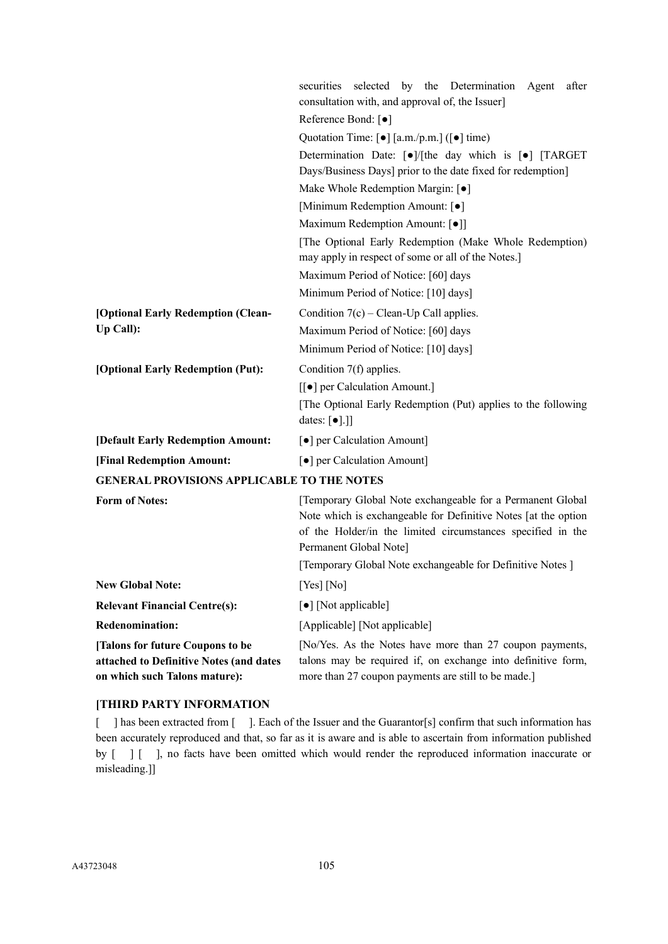|                                                                                                              | securities selected by the Determination<br>Agent<br>after<br>consultation with, and approval of, the Issuer]                                                                                                         |  |
|--------------------------------------------------------------------------------------------------------------|-----------------------------------------------------------------------------------------------------------------------------------------------------------------------------------------------------------------------|--|
|                                                                                                              | Reference Bond: [ $\bullet$ ]                                                                                                                                                                                         |  |
|                                                                                                              | Quotation Time: $\left[\bullet\right]$ [a.m./p.m.] ( $\left[\bullet\right]$ time)<br>Determination Date: [ $\bullet$ ]/[the day which is [ $\bullet$ ] [TARGET                                                        |  |
|                                                                                                              |                                                                                                                                                                                                                       |  |
|                                                                                                              | Days/Business Days] prior to the date fixed for redemption]                                                                                                                                                           |  |
|                                                                                                              | Make Whole Redemption Margin: [ $\bullet$ ]                                                                                                                                                                           |  |
|                                                                                                              | [Minimum Redemption Amount: [ $\bullet$ ]                                                                                                                                                                             |  |
|                                                                                                              | Maximum Redemption Amount: [ $\bullet$ ]]                                                                                                                                                                             |  |
|                                                                                                              | [The Optional Early Redemption (Make Whole Redemption)<br>may apply in respect of some or all of the Notes.]                                                                                                          |  |
|                                                                                                              | Maximum Period of Notice: [60] days                                                                                                                                                                                   |  |
|                                                                                                              | Minimum Period of Notice: [10] days]                                                                                                                                                                                  |  |
| [Optional Early Redemption (Clean-                                                                           | Condition $7(c)$ – Clean-Up Call applies.                                                                                                                                                                             |  |
| Up Call):                                                                                                    | Maximum Period of Notice: [60] days                                                                                                                                                                                   |  |
|                                                                                                              | Minimum Period of Notice: [10] days]                                                                                                                                                                                  |  |
| [Optional Early Redemption (Put):                                                                            | Condition 7(f) applies.                                                                                                                                                                                               |  |
|                                                                                                              | [[●] per Calculation Amount.]                                                                                                                                                                                         |  |
|                                                                                                              | [The Optional Early Redemption (Put) applies to the following<br>dates: $[\bullet]$ .]]                                                                                                                               |  |
| [Default Early Redemption Amount:                                                                            | [ $\bullet$ ] per Calculation Amount]                                                                                                                                                                                 |  |
| [Final Redemption Amount:                                                                                    | [ $\bullet$ ] per Calculation Amount]                                                                                                                                                                                 |  |
| <b>GENERAL PROVISIONS APPLICABLE TO THE NOTES</b>                                                            |                                                                                                                                                                                                                       |  |
| <b>Form of Notes:</b>                                                                                        | [Temporary Global Note exchangeable for a Permanent Global<br>Note which is exchangeable for Definitive Notes [at the option<br>of the Holder/in the limited circumstances specified in the<br>Permanent Global Note] |  |
|                                                                                                              | [Temporary Global Note exchangeable for Definitive Notes]                                                                                                                                                             |  |
| <b>New Global Note:</b>                                                                                      | [Yes] [No]                                                                                                                                                                                                            |  |
| <b>Relevant Financial Centre(s):</b>                                                                         | [•] [Not applicable]                                                                                                                                                                                                  |  |
| <b>Redenomination:</b>                                                                                       | [Applicable] [Not applicable]                                                                                                                                                                                         |  |
| [Talons for future Coupons to be<br>attached to Definitive Notes (and dates<br>on which such Talons mature): | [No/Yes. As the Notes have more than 27 coupon payments,<br>talons may be required if, on exchange into definitive form,<br>more than 27 coupon payments are still to be made.]                                       |  |

## **[THIRD PARTY INFORMATION**

[ ] has been extracted from [ ]. Each of the Issuer and the Guarantor[s] confirm that such information has been accurately reproduced and that, so far as it is aware and is able to ascertain from information published by  $\begin{bmatrix} 1 & 1 \end{bmatrix}$ , no facts have been omitted which would render the reproduced information inaccurate or misleading.]]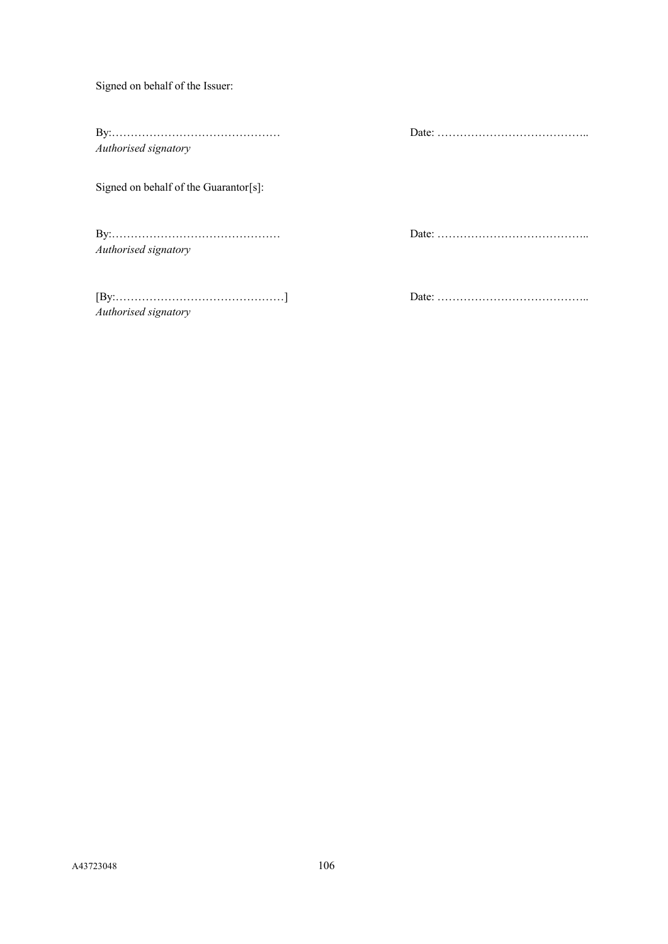Signed on behalf of the Issuer:

By:……………………………………… Date: ………………………………….. *Authorised signatory*

Signed on behalf of the Guarantor[s]:

By:……………………………………… Date: ………………………………….. *Authorised signatory*

[By:………………………………………] Date: ………………………………….. *Authorised signatory*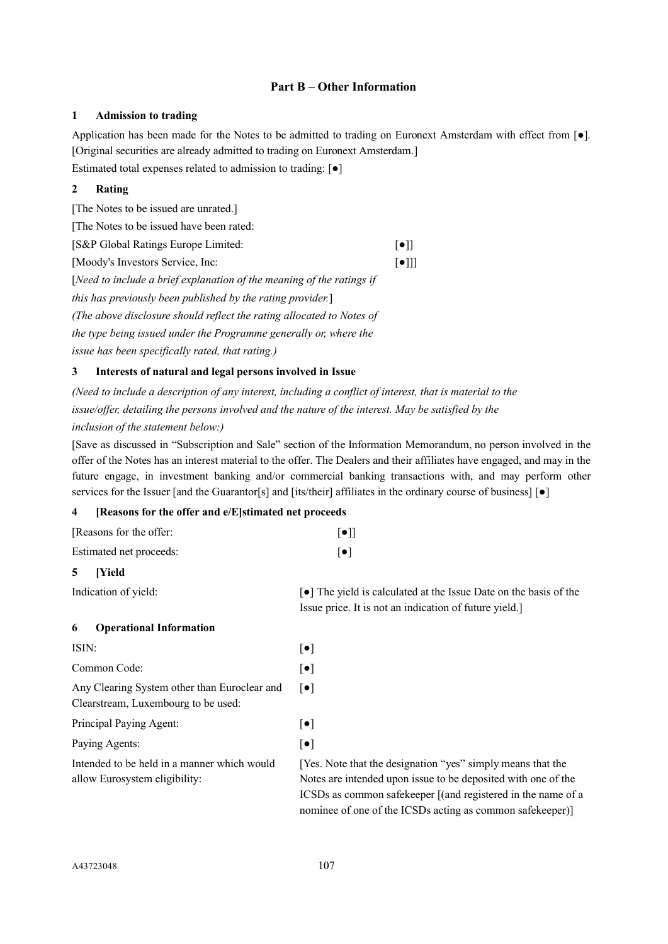## **Part B – Other Information**

#### **1 Admission to trading**

Application has been made for the Notes to be admitted to trading on Euronext Amsterdam with effect from [●]. [Original securities are already admitted to trading on Euronext Amsterdam.]

Estimated total expenses related to admission to trading: [●]

# **2 Rating**

[The Notes to be issued are unrated.] [The Notes to be issued have been rated: [S&P Global Ratings Europe Limited: [●]] [Moody's Investors Service, Inc: [●]]] [*Need to include a brief explanation of the meaning of the ratings if this has previously been published by the rating provider.*] *(The above disclosure should reflect the rating allocated to Notes of the type being issued under the Programme generally or, where the issue has been specifically rated, that rating.)*

## **3 Interests of natural and legal persons involved in Issue**

*(Need to include a description of any interest, including a conflict of interest, that is material to the issue/offer, detailing the persons involved and the nature of the interest. May be satisfied by the inclusion of the statement below:)*

[Save as discussed in "Subscription and Sale" section of the Information Memorandum, no person involved in the offer of the Notes has an interest material to the offer. The Dealers and their affiliates have engaged, and may in the future engage, in investment banking and/or commercial banking transactions with, and may perform other services for the Issuer [and the Guarantor[s] and [its/their] affiliates in the ordinary course of business] [ $\bullet$ ]

## **4 [Reasons for the offer and e/E]stimated net proceeds**

| [Reasons for the offer: | $\lceil \bullet \rceil$ |
|-------------------------|-------------------------|
| Estimated net proceeds: | $\lceil \bullet \rceil$ |
| $\epsilon$<br>TV3.14    |                         |

# **5 [Yield**

Indication of yield:  $\bullet$  The yield is calculated at the Issue Date on the basis of the Issue price. It is not an indication of future yield.]

## **6 Operational Information**

| ISIN:                                                                               | [●]                     |
|-------------------------------------------------------------------------------------|-------------------------|
| Common Code:                                                                        | $\lceil \bullet \rceil$ |
| Any Clearing System other than Euroclear and<br>Clearstream, Luxembourg to be used: | $\lceil \bullet \rceil$ |
| Principal Paying Agent:                                                             | $\lceil \bullet \rceil$ |
| Paying Agents:                                                                      | $\lceil \bullet \rceil$ |
| Intended to be held in a manner which would<br>allow Eurosystem eligibility:        | [Ye:<br>Not<br>ICS      |
|                                                                                     |                         |

[Yes. Note that the designation "yes" simply means that the otes are intended upon issue to be deposited with one of the ICSDs as common safekeeper [(and registered in the name of a nominee of one of the ICSDs acting as common safekeeper)]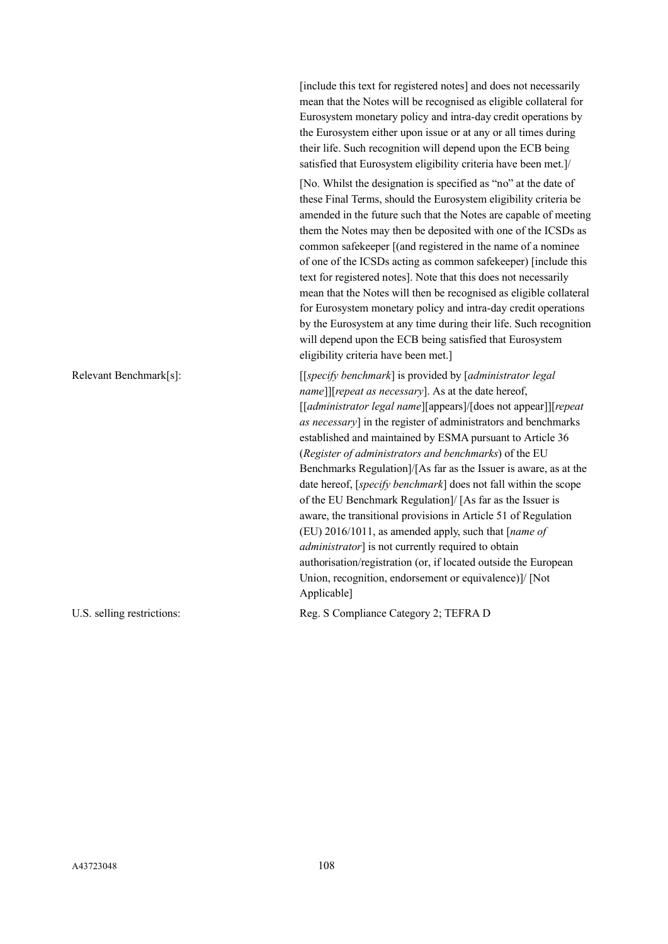[include this text for registered notes] and does not necessarily mean that the Notes will be recognised as eligible collateral for Eurosystem monetary policy and intra-day credit operations by the Eurosystem either upon issue or at any or all times during their life. Such recognition will depend upon the ECB being satisfied that Eurosystem eligibility criteria have been met.]/ [No. Whilst the designation is specified as "no" at the date of these Final Terms, should the Eurosystem eligibility criteria be amended in the future such that the Notes are capable of meeting them the Notes may then be deposited with one of the ICSDs as common safekeeper [(and registered in the name of a nominee of one of the ICSDs acting as common safekeeper) [include this text for registered notes]. Note that this does not necessarily mean that the Notes will then be recognised as eligible collateral for Eurosystem monetary policy and intra-day credit operations by the Eurosystem at any time during their life. Such recognition will depend upon the ECB being satisfied that Eurosystem eligibility criteria have been met.] Relevant Benchmark[s]: [[*specify benchmark*] is provided by [*administrator legal name*]][*repeat as necessary*]. As at the date hereof, [[*administrator legal name*][appears]/[does not appear]][*repeat as necessary*] in the register of administrators and benchmarks established and maintained by ESMA pursuant to Article 36 (*Register of administrators and benchmarks*) of the EU Benchmarks Regulation]/[As far as the Issuer is aware, as at the date hereof, [*specify benchmark*] does not fall within the scope of the EU Benchmark Regulation]/ [As far as the Issuer is aware, the transitional provisions in Article 51 of Regulation (EU) 2016/1011, as amended apply, such that [*name of administrator*] is not currently required to obtain authorisation/registration (or, if located outside the European Union, recognition, endorsement or equivalence)]/ [Not Applicable]

U.S. selling restrictions: Reg. S Compliance Category 2; TEFRA D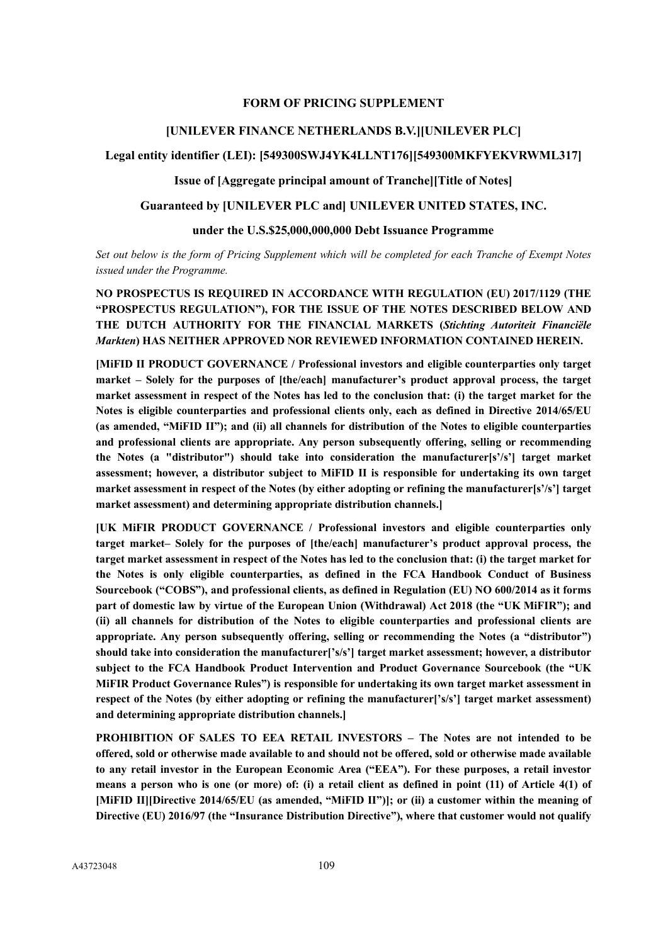### **FORM OF PRICING SUPPLEMENT**

# **[UNILEVER FINANCE NETHERLANDS B.V.][UNILEVER PLC]**

# **Legal entity identifier (LEI): [549300SWJ4YK4LLNT176][549300MKFYEKVRWML317]**

### **Issue of [Aggregate principal amount of Tranche][Title of Notes]**

# **Guaranteed by [UNILEVER PLC and] UNILEVER UNITED STATES, INC.**

# **under the U.S.\$25,000,000,000 Debt Issuance Programme**

*Set out below is the form of Pricing Supplement which will be completed for each Tranche of Exempt Notes issued under the Programme.*

**NO PROSPECTUS IS REQUIRED IN ACCORDANCE WITH REGULATION (EU) 2017/1129 (THE "PROSPECTUS REGULATION"), FOR THE ISSUE OF THE NOTES DESCRIBED BELOW AND THE DUTCH AUTHORITY FOR THE FINANCIAL MARKETS (***Stichting Autoriteit Financiële Markten***) HAS NEITHER APPROVED NOR REVIEWED INFORMATION CONTAINED HEREIN.**

**[MiFID II PRODUCT GOVERNANCE / Professional investors and eligible counterparties only target market – Solely for the purposes of [the/each] manufacturer's product approval process, the target market assessment in respect of the Notes has led to the conclusion that: (i) the target market for the Notes is eligible counterparties and professional clients only, each as defined in Directive 2014/65/EU (as amended, "MiFID II"); and (ii) all channels for distribution of the Notes to eligible counterparties and professional clients are appropriate. Any person subsequently offering, selling or recommending the Notes (a "distributor") should take into consideration the manufacturer[s'/s'] target market assessment; however, a distributor subject to MiFID II is responsible for undertaking its own target market assessment in respect of the Notes (by either adopting or refining the manufacturer[s'/s'] target market assessment) and determining appropriate distribution channels.]**

**[UK MiFIR PRODUCT GOVERNANCE / Professional investors and eligible counterparties only target market– Solely for the purposes of [the/each] manufacturer's product approval process, the target market assessment in respect of the Notes has led to the conclusion that: (i) the target market for the Notes is only eligible counterparties, as defined in the FCA Handbook Conduct of Business Sourcebook ("COBS"), and professional clients, as defined in Regulation (EU) NO 600/2014 as it forms part of domestic law by virtue of the European Union (Withdrawal) Act 2018 (the "UK MiFIR"); and (ii) all channels for distribution of the Notes to eligible counterparties and professional clients are appropriate. Any person subsequently offering, selling or recommending the Notes (a "distributor") should take into consideration the manufacturer['s/s'] target market assessment; however, a distributor subject to the FCA Handbook Product Intervention and Product Governance Sourcebook (the "UK MiFIR Product Governance Rules") is responsible for undertaking its own target market assessment in**  respect of the Notes (by either adopting or refining the manufacturer<sup>['s/s']</sup> target market assessment) **and determining appropriate distribution channels.]**

**PROHIBITION OF SALES TO EEA RETAIL INVESTORS – The Notes are not intended to be offered, sold or otherwise made available to and should not be offered, sold or otherwise made available to any retail investor in the European Economic Area ("EEA"). For these purposes, a retail investor means a person who is one (or more) of: (i) a retail client as defined in point (11) of Article 4(1) of [MiFID II][Directive 2014/65/EU (as amended, "MiFID II")]; or (ii) a customer within the meaning of Directive (EU) 2016/97 (the "Insurance Distribution Directive"), where that customer would not qualify**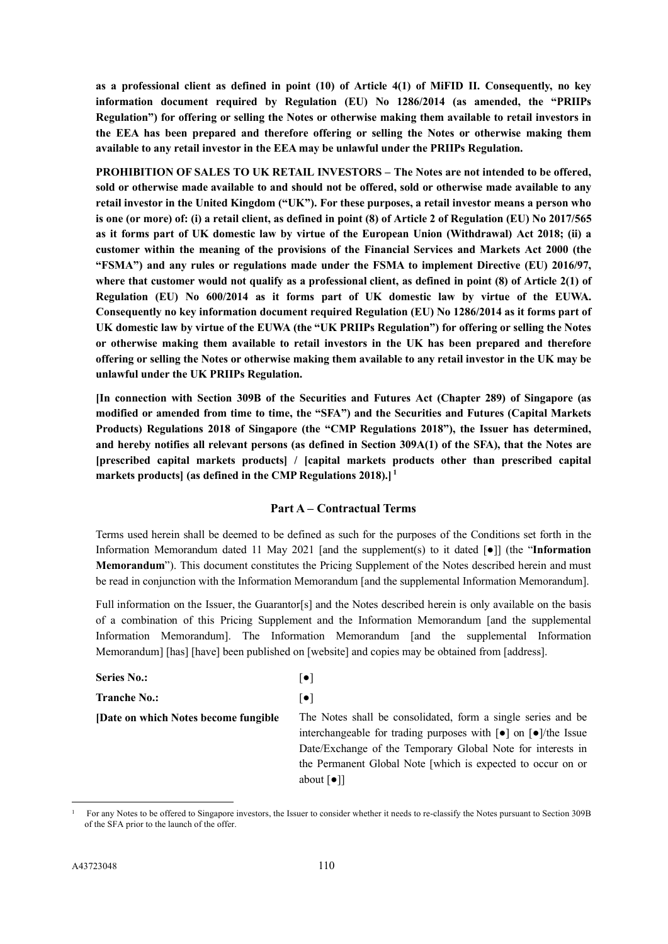**as a professional client as defined in point (10) of Article 4(1) of MiFID II. Consequently, no key information document required by Regulation (EU) No 1286/2014 (as amended, the "PRIIPs Regulation") for offering or selling the Notes or otherwise making them available to retail investors in the EEA has been prepared and therefore offering or selling the Notes or otherwise making them available to any retail investor in the EEA may be unlawful under the PRIIPs Regulation.**

**PROHIBITION OF SALES TO UK RETAIL INVESTORS – The Notes are not intended to be offered, sold or otherwise made available to and should not be offered, sold or otherwise made available to any retail investor in the United Kingdom ("UK"). For these purposes, a retail investor means a person who is one (or more) of: (i) a retail client, as defined in point (8) of Article 2 of Regulation (EU) No 2017/565 as it forms part of UK domestic law by virtue of the European Union (Withdrawal) Act 2018; (ii) a customer within the meaning of the provisions of the Financial Services and Markets Act 2000 (the "FSMA") and any rules or regulations made under the FSMA to implement Directive (EU) 2016/97, where that customer would not qualify as a professional client, as defined in point (8) of Article 2(1) of Regulation (EU) No 600/2014 as it forms part of UK domestic law by virtue of the EUWA. Consequently no key information document required Regulation (EU) No 1286/2014 as it forms part of UK domestic law by virtue of the EUWA (the "UK PRIIPs Regulation") for offering or selling the Notes or otherwise making them available to retail investors in the UK has been prepared and therefore offering or selling the Notes or otherwise making them available to any retail investor in the UK may be unlawful under the UK PRIIPs Regulation.**

**[In connection with Section 309B of the Securities and Futures Act (Chapter 289) of Singapore (as modified or amended from time to time, the "SFA") and the Securities and Futures (Capital Markets Products) Regulations 2018 of Singapore (the "CMP Regulations 2018"), the Issuer has determined, and hereby notifies all relevant persons (as defined in Section 309A(1) of the SFA), that the Notes are [prescribed capital markets products] / [capital markets products other than prescribed capital markets products] (as defined in the CMP Regulations 2018).] [1](#page-109-0)**

### **Part A – Contractual Terms**

Terms used herein shall be deemed to be defined as such for the purposes of the Conditions set forth in the Information Memorandum dated 11 May 2021 [and the supplement(s) to it dated [●]] (the "**Information Memorandum**"). This document constitutes the Pricing Supplement of the Notes described herein and must be read in conjunction with the Information Memorandum [and the supplemental Information Memorandum].

Full information on the Issuer, the Guarantor[s] and the Notes described herein is only available on the basis of a combination of this Pricing Supplement and the Information Memorandum [and the supplemental Information Memorandum]. The Information Memorandum [and the supplemental Information Memorandum] [has] [have] been published on [website] and copies may be obtained from [address].

| <b>Series No.:</b>                    | $\lceil \bullet \rceil$                                                                                 |
|---------------------------------------|---------------------------------------------------------------------------------------------------------|
| <b>Tranche No.:</b>                   | $\lceil \bullet \rceil$                                                                                 |
| [Date on which Notes become fungible] | The Notes shall be consolidated, form a single series and be                                            |
|                                       | interchangeable for trading purposes with $\lceil \bullet \rceil$ on $\lceil \bullet \rceil$ /the Issue |
|                                       | Date/Exchange of the Temporary Global Note for interests in                                             |
|                                       | the Permanent Global Note [which is expected to occur on or                                             |
|                                       | about $\lceil \bullet \rceil$                                                                           |

<sup>1</sup> For any Notes to be offered to Singapore investors, the Issuer to consider whether it needs to re-classify the Notes pursuant to Section 309B of the SFA prior to the launch of the offer.

<span id="page-109-0"></span>-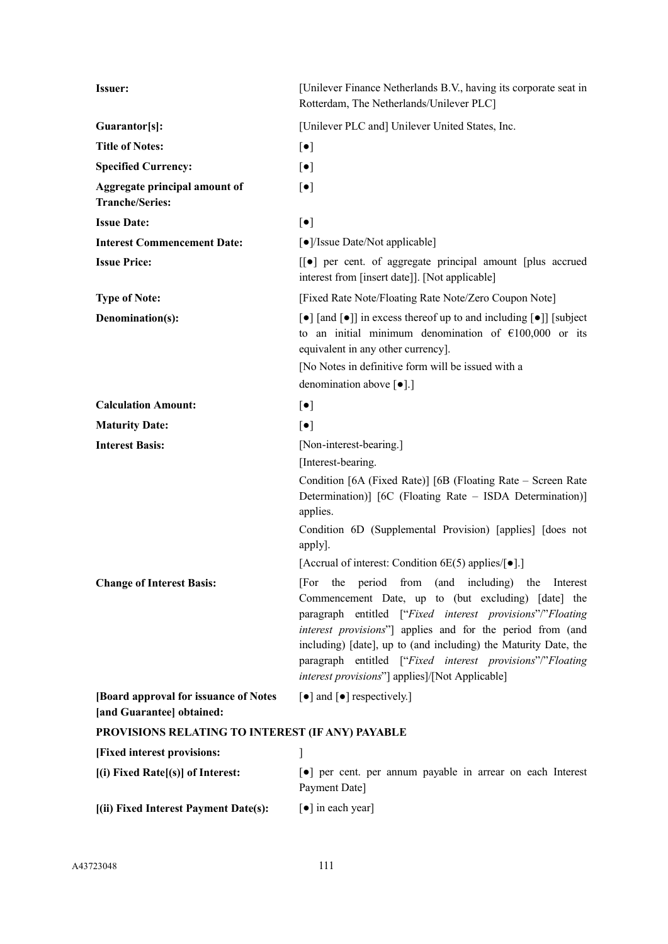| <b>Issuer:</b>                                                      | [Unilever Finance Netherlands B.V., having its corporate seat in<br>Rotterdam, The Netherlands/Unilever PLC]                                                                                                                                                                                                                                                                                                                                                                                                                                                                                                                                                                                                                               |
|---------------------------------------------------------------------|--------------------------------------------------------------------------------------------------------------------------------------------------------------------------------------------------------------------------------------------------------------------------------------------------------------------------------------------------------------------------------------------------------------------------------------------------------------------------------------------------------------------------------------------------------------------------------------------------------------------------------------------------------------------------------------------------------------------------------------------|
| Guarantor[s]:                                                       | [Unilever PLC and] Unilever United States, Inc.                                                                                                                                                                                                                                                                                                                                                                                                                                                                                                                                                                                                                                                                                            |
| <b>Title of Notes:</b>                                              | $\lbrack \bullet \rbrack$                                                                                                                                                                                                                                                                                                                                                                                                                                                                                                                                                                                                                                                                                                                  |
| <b>Specified Currency:</b>                                          | $\lbrack \bullet \rbrack$                                                                                                                                                                                                                                                                                                                                                                                                                                                                                                                                                                                                                                                                                                                  |
| Aggregate principal amount of<br><b>Tranche/Series:</b>             | $\lbrack \bullet \rbrack$                                                                                                                                                                                                                                                                                                                                                                                                                                                                                                                                                                                                                                                                                                                  |
| <b>Issue Date:</b>                                                  | $[\bullet]$                                                                                                                                                                                                                                                                                                                                                                                                                                                                                                                                                                                                                                                                                                                                |
| <b>Interest Commencement Date:</b>                                  | [ $\bullet$ ]/Issue Date/Not applicable]                                                                                                                                                                                                                                                                                                                                                                                                                                                                                                                                                                                                                                                                                                   |
| <b>Issue Price:</b>                                                 | [[●] per cent. of aggregate principal amount [plus accrued]<br>interest from [insert date]]. [Not applicable]                                                                                                                                                                                                                                                                                                                                                                                                                                                                                                                                                                                                                              |
| <b>Type of Note:</b>                                                | [Fixed Rate Note/Floating Rate Note/Zero Coupon Note]                                                                                                                                                                                                                                                                                                                                                                                                                                                                                                                                                                                                                                                                                      |
| Denomination(s):                                                    | [•] [and [•]] in excess thereof up to and including [•]] [subject]<br>to an initial minimum denomination of $\epsilon$ 100,000 or its<br>equivalent in any other currency].<br>[No Notes in definitive form will be issued with a<br>denomination above $[\bullet]$ .]                                                                                                                                                                                                                                                                                                                                                                                                                                                                     |
| <b>Calculation Amount:</b>                                          | $\lbrack \bullet \rbrack$                                                                                                                                                                                                                                                                                                                                                                                                                                                                                                                                                                                                                                                                                                                  |
| <b>Maturity Date:</b>                                               | $[\bullet]$                                                                                                                                                                                                                                                                                                                                                                                                                                                                                                                                                                                                                                                                                                                                |
| <b>Interest Basis:</b>                                              | [Non-interest-bearing.]                                                                                                                                                                                                                                                                                                                                                                                                                                                                                                                                                                                                                                                                                                                    |
| <b>Change of Interest Basis:</b>                                    | [Interest-bearing.<br>Condition [6A (Fixed Rate)] [6B (Floating Rate – Screen Rate<br>Determination)] [6C (Floating Rate – ISDA Determination)]<br>applies.<br>Condition 6D (Supplemental Provision) [applies] [does not<br>apply].<br>[Accrual of interest: Condition 6E(5) applies/ $\lceil \bullet \rceil$ .]<br>[For the period from (and including) the Interest<br>Commencement Date, up to (but excluding) [date] the<br>paragraph entitled ["Fixed interest provisions"/"Floating<br>interest provisions"] applies and for the period from (and<br>including) [date], up to (and including) the Maturity Date, the<br>paragraph entitled ["Fixed interest provisions"/"Floating<br>interest provisions"] applies]/[Not Applicable] |
| [Board approval for issuance of Notes]<br>[and Guarantee] obtained: | $\lceil \bullet \rceil$ and $\lceil \bullet \rceil$ respectively.]                                                                                                                                                                                                                                                                                                                                                                                                                                                                                                                                                                                                                                                                         |
| PROVISIONS RELATING TO INTEREST (IF ANY) PAYABLE                    |                                                                                                                                                                                                                                                                                                                                                                                                                                                                                                                                                                                                                                                                                                                                            |
| [Fixed interest provisions:                                         |                                                                                                                                                                                                                                                                                                                                                                                                                                                                                                                                                                                                                                                                                                                                            |
| [(i) Fixed Rate[(s)] of Interest:                                   | • per cent. per annum payable in arrear on each Interest                                                                                                                                                                                                                                                                                                                                                                                                                                                                                                                                                                                                                                                                                   |
|                                                                     | Payment Date]                                                                                                                                                                                                                                                                                                                                                                                                                                                                                                                                                                                                                                                                                                                              |
| [(ii) Fixed Interest Payment Date(s):                               | [•] in each year]                                                                                                                                                                                                                                                                                                                                                                                                                                                                                                                                                                                                                                                                                                                          |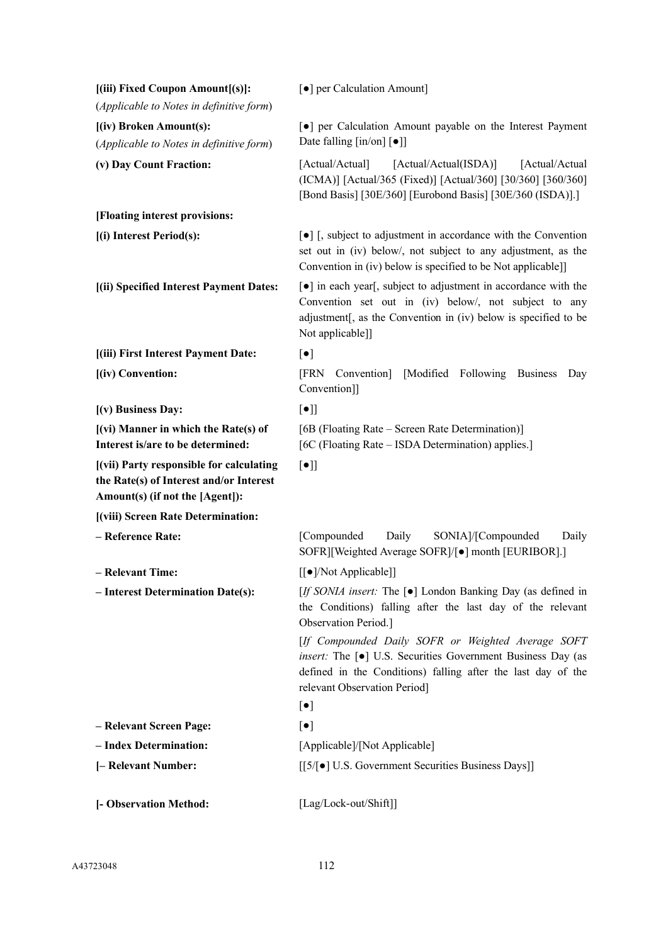| [(iii) Fixed Coupon Amount[(s)]:<br>(Applicable to Notes in definitive form)                                           | [ $\bullet$ ] per Calculation Amount]                                                                                                                                                                                                             |
|------------------------------------------------------------------------------------------------------------------------|---------------------------------------------------------------------------------------------------------------------------------------------------------------------------------------------------------------------------------------------------|
| [(iv) Broken Amount(s):<br>(Applicable to Notes in definitive form)                                                    | [•] per Calculation Amount payable on the Interest Payment<br>Date falling $[\text{in}/\text{on}]$ $[\bullet]$                                                                                                                                    |
| (v) Day Count Fraction:                                                                                                | [Actual/Actual(ISDA)]<br>[Actual/Actual]<br>[Actual/Actual<br>(ICMA)] [Actual/365 (Fixed)] [Actual/360] [30/360] [360/360]<br>[Bond Basis] [30E/360] [Eurobond Basis] [30E/360 (ISDA)].]                                                          |
| [Floating interest provisions:                                                                                         |                                                                                                                                                                                                                                                   |
| [(i) Interest Period(s):                                                                                               | [•] [, subject to adjustment in accordance with the Convention<br>set out in (iv) below/, not subject to any adjustment, as the<br>Convention in (iv) below is specified to be Not applicable]]                                                   |
| [(ii) Specified Interest Payment Dates:                                                                                | [•] in each year[, subject to adjustment in accordance with the<br>Convention set out in (iv) below/, not subject to any<br>adjustment[, as the Convention in (iv) below is specified to be<br>Not applicable]]                                   |
| [(iii) First Interest Payment Date:                                                                                    | $[\bullet]$                                                                                                                                                                                                                                       |
| [(iv) Convention:                                                                                                      | <b>FRN</b><br>[Modified Following Business<br>Convention]<br>Day<br>Convention]]                                                                                                                                                                  |
| [(v) Business Day:                                                                                                     | $[\bullet]$                                                                                                                                                                                                                                       |
| $[$ (vi) Manner in which the Rate(s) of<br>Interest is/are to be determined:                                           | [6B (Floating Rate – Screen Rate Determination)]<br>[6C (Floating Rate – ISDA Determination) applies.]                                                                                                                                            |
| [(vii) Party responsible for calculating<br>the Rate(s) of Interest and/or Interest<br>Amount(s) (if not the [Agent]): | $[\bullet]$                                                                                                                                                                                                                                       |
| [(viii) Screen Rate Determination:                                                                                     |                                                                                                                                                                                                                                                   |
| - Reference Rate:                                                                                                      | [Compounded<br>Daily<br>SONIA]/[Compounded<br>Daily<br>SOFR][Weighted Average SOFR]/[ $\bullet$ ] month [EURIBOR].]                                                                                                                               |
| - Relevant Time:                                                                                                       | [[ $\bullet$ ]/Not Applicable]]                                                                                                                                                                                                                   |
| - Interest Determination Date(s):                                                                                      | [If SONIA insert: The [ $\bullet$ ] London Banking Day (as defined in<br>the Conditions) falling after the last day of the relevant<br>Observation Period.]                                                                                       |
|                                                                                                                        | [If Compounded Daily SOFR or Weighted Average SOFT<br><i>insert:</i> The [ $\bullet$ ] U.S. Securities Government Business Day (as<br>defined in the Conditions) falling after the last day of the<br>relevant Observation Period]<br>$[\bullet]$ |
| - Relevant Screen Page:                                                                                                | $[\bullet]$                                                                                                                                                                                                                                       |
| - Index Determination:                                                                                                 | [Applicable]/[Not Applicable]                                                                                                                                                                                                                     |
| [- Relevant Number:                                                                                                    | [[5/[ $\bullet$ ] U.S. Government Securities Business Days]]                                                                                                                                                                                      |
|                                                                                                                        |                                                                                                                                                                                                                                                   |
| [- Observation Method:                                                                                                 | [Lag/Lock-out/Shift]]                                                                                                                                                                                                                             |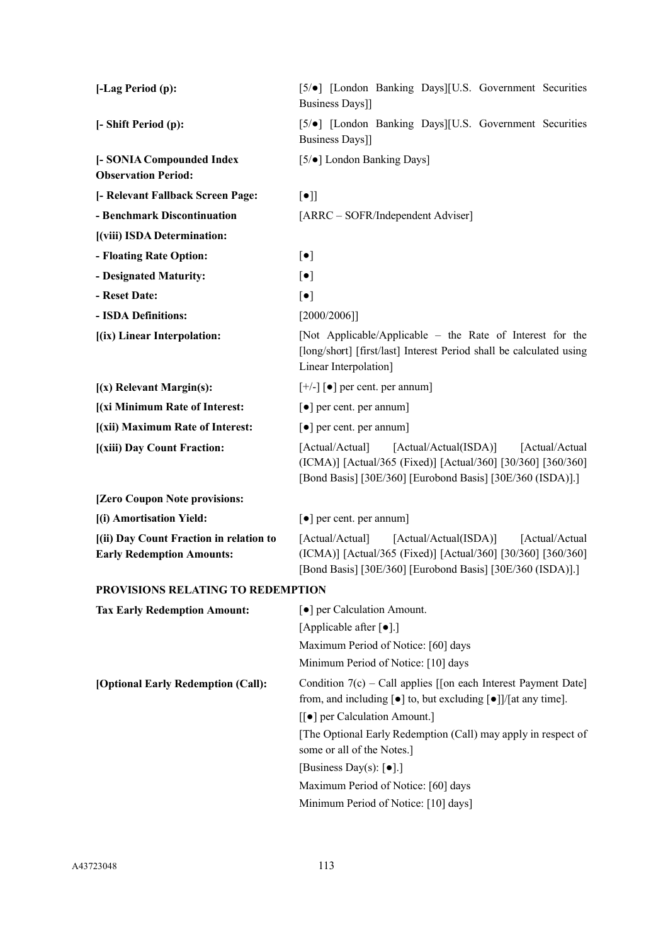| [-Lag Period (p):                                                           | [5/ $\bullet$ ] [London Banking Days][U.S. Government Securities<br>Business Days]]                                                                                                                                                                                                                                                                                                                                                      |
|-----------------------------------------------------------------------------|------------------------------------------------------------------------------------------------------------------------------------------------------------------------------------------------------------------------------------------------------------------------------------------------------------------------------------------------------------------------------------------------------------------------------------------|
| [- Shift Period (p):                                                        | [5/ $\bullet$ ] [London Banking Days][U.S. Government Securities<br>Business Days]]                                                                                                                                                                                                                                                                                                                                                      |
| [- SONIA Compounded Index<br><b>Observation Period:</b>                     | [5/ $\bullet$ ] London Banking Days]                                                                                                                                                                                                                                                                                                                                                                                                     |
| [- Relevant Fallback Screen Page:                                           | $[\bullet]$                                                                                                                                                                                                                                                                                                                                                                                                                              |
| - Benchmark Discontinuation                                                 | [ARRC – SOFR/Independent Adviser]                                                                                                                                                                                                                                                                                                                                                                                                        |
| [(viii) ISDA Determination:                                                 |                                                                                                                                                                                                                                                                                                                                                                                                                                          |
| - Floating Rate Option:                                                     | $[\bullet]$                                                                                                                                                                                                                                                                                                                                                                                                                              |
| - Designated Maturity:                                                      | $[\bullet]$                                                                                                                                                                                                                                                                                                                                                                                                                              |
| - Reset Date:                                                               | $[\bullet]$                                                                                                                                                                                                                                                                                                                                                                                                                              |
| - ISDA Definitions:                                                         | [2000/2006]                                                                                                                                                                                                                                                                                                                                                                                                                              |
| [(ix) Linear Interpolation:                                                 | [Not Applicable/Applicable – the Rate of Interest for the<br>[long/short] [first/last] Interest Period shall be calculated using<br>Linear Interpolation]                                                                                                                                                                                                                                                                                |
| $(x)$ Relevant Margin(s):                                                   | $[+/]-]$ [ $\bullet$ ] per cent. per annum]                                                                                                                                                                                                                                                                                                                                                                                              |
| [(xi Minimum Rate of Interest:                                              | $\lceil \bullet \rceil$ per cent. per annum]                                                                                                                                                                                                                                                                                                                                                                                             |
| [(xii) Maximum Rate of Interest:                                            | $\lceil \bullet \rceil$ per cent. per annum                                                                                                                                                                                                                                                                                                                                                                                              |
| [(xiii) Day Count Fraction:                                                 | [Actual/Actual]<br>[Actual/Actual(ISDA)]<br>[Actual/Actual]<br>(ICMA)] [Actual/365 (Fixed)] [Actual/360] [30/360] [360/360]<br>[Bond Basis] [30E/360] [Eurobond Basis] [30E/360 (ISDA)].]                                                                                                                                                                                                                                                |
| [Zero Coupon Note provisions:                                               |                                                                                                                                                                                                                                                                                                                                                                                                                                          |
| [(i) Amortisation Yield:                                                    | [ $\bullet$ ] per cent. per annum]                                                                                                                                                                                                                                                                                                                                                                                                       |
| [(ii) Day Count Fraction in relation to<br><b>Early Redemption Amounts:</b> | [Actual/Actual(ISDA)]<br>[Actual/Actual]<br>[Actual/Actual]<br>(ICMA)] [Actual/365 (Fixed)] [Actual/360] [30/360] [360/360]<br>[Bond Basis] [30E/360] [Eurobond Basis] [30E/360 (ISDA)].]                                                                                                                                                                                                                                                |
| PROVISIONS RELATING TO REDEMPTION                                           |                                                                                                                                                                                                                                                                                                                                                                                                                                          |
| <b>Tax Early Redemption Amount:</b>                                         | [ $\bullet$ ] per Calculation Amount.<br>[Applicable after [ $\bullet$ ].]<br>Maximum Period of Notice: [60] days<br>Minimum Period of Notice: [10] days                                                                                                                                                                                                                                                                                 |
| [Optional Early Redemption (Call):                                          | Condition 7(c) - Call applies [[on each Interest Payment Date]<br>from, and including $\lceil \bullet \rceil$ to, but excluding $\lceil \bullet \rceil$ /[at any time].<br>[[●] per Calculation Amount.]<br>[The Optional Early Redemption (Call) may apply in respect of<br>some or all of the Notes.]<br>[Business Day(s): $\lbrack \bullet \rbrack$ .]<br>Maximum Period of Notice: [60] days<br>Minimum Period of Notice: [10] days] |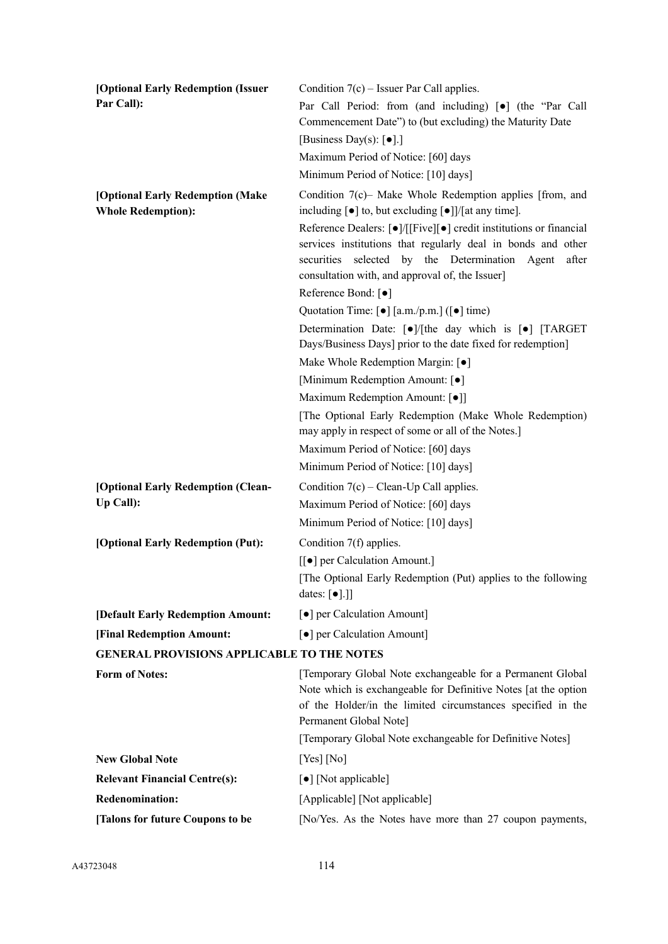| [Optional Early Redemption (Issuer                            | Condition $7(c)$ – Issuer Par Call applies.                                                                                                                                                                                                                                                                      |
|---------------------------------------------------------------|------------------------------------------------------------------------------------------------------------------------------------------------------------------------------------------------------------------------------------------------------------------------------------------------------------------|
| Par Call):                                                    | Par Call Period: from (and including) [ $\bullet$ ] (the "Par Call                                                                                                                                                                                                                                               |
|                                                               | Commencement Date") to (but excluding) the Maturity Date                                                                                                                                                                                                                                                         |
|                                                               | [Business Day(s): $\lceil \bullet \rceil$ .]                                                                                                                                                                                                                                                                     |
|                                                               | Maximum Period of Notice: [60] days                                                                                                                                                                                                                                                                              |
|                                                               | Minimum Period of Notice: [10] days]                                                                                                                                                                                                                                                                             |
| [Optional Early Redemption (Make<br><b>Whole Redemption):</b> | Condition $7(c)$ – Make Whole Redemption applies [from, and<br>including $[\bullet]$ to, but excluding $[\bullet]]/[$ at any time].                                                                                                                                                                              |
|                                                               | Reference Dealers: $\lceil \bullet \rceil / \lceil \lceil \text{Five} \rceil \rceil \cdot \rceil$ credit institutions or financial<br>services institutions that regularly deal in bonds and other<br>securities selected by the Determination Agent<br>after<br>consultation with, and approval of, the Issuer] |
|                                                               | Reference Bond: [ $\bullet$ ]                                                                                                                                                                                                                                                                                    |
|                                                               | Quotation Time: $\lceil \bullet \rceil$ [a.m./p.m.] ( $\lceil \bullet \rceil$ time)                                                                                                                                                                                                                              |
|                                                               | Determination Date: [ $\bullet$ ]/[the day which is [ $\bullet$ ] [TARGET<br>Days/Business Days] prior to the date fixed for redemption]                                                                                                                                                                         |
|                                                               | Make Whole Redemption Margin: [ $\bullet$ ]                                                                                                                                                                                                                                                                      |
|                                                               | [Minimum Redemption Amount: [ $\bullet$ ]                                                                                                                                                                                                                                                                        |
|                                                               | Maximum Redemption Amount: [ $\bullet$ ]]                                                                                                                                                                                                                                                                        |
|                                                               | [The Optional Early Redemption (Make Whole Redemption)                                                                                                                                                                                                                                                           |
|                                                               | may apply in respect of some or all of the Notes.]                                                                                                                                                                                                                                                               |
|                                                               | Maximum Period of Notice: [60] days                                                                                                                                                                                                                                                                              |
|                                                               | Minimum Period of Notice: [10] days]                                                                                                                                                                                                                                                                             |
| [Optional Early Redemption (Clean-                            | Condition $7(c)$ – Clean-Up Call applies.                                                                                                                                                                                                                                                                        |
| Up Call):                                                     | Maximum Period of Notice: [60] days                                                                                                                                                                                                                                                                              |
|                                                               | Minimum Period of Notice: [10] days]                                                                                                                                                                                                                                                                             |
| [Optional Early Redemption (Put):                             | Condition 7(f) applies.                                                                                                                                                                                                                                                                                          |
|                                                               | [[ $\bullet$ ] per Calculation Amount.]                                                                                                                                                                                                                                                                          |
|                                                               | [The Optional Early Redemption (Put) applies to the following<br>dates: $[\bullet]$ .]]                                                                                                                                                                                                                          |
| [Default Early Redemption Amount:                             | [ $\bullet$ ] per Calculation Amount]                                                                                                                                                                                                                                                                            |
| [Final Redemption Amount:                                     | [ $\bullet$ ] per Calculation Amount]                                                                                                                                                                                                                                                                            |
| <b>GENERAL PROVISIONS APPLICABLE TO THE NOTES</b>             |                                                                                                                                                                                                                                                                                                                  |
| <b>Form of Notes:</b>                                         | [Temporary Global Note exchangeable for a Permanent Global                                                                                                                                                                                                                                                       |
|                                                               | Note which is exchangeable for Definitive Notes [at the option<br>of the Holder/in the limited circumstances specified in the<br>Permanent Global Note]                                                                                                                                                          |
|                                                               | [Temporary Global Note exchangeable for Definitive Notes]                                                                                                                                                                                                                                                        |
| <b>New Global Note</b>                                        | $[Yes]$ [No]                                                                                                                                                                                                                                                                                                     |
| <b>Relevant Financial Centre(s):</b>                          | [•] [Not applicable]                                                                                                                                                                                                                                                                                             |
| <b>Redenomination:</b>                                        | [Applicable] [Not applicable]                                                                                                                                                                                                                                                                                    |
| [Talons for future Coupons to be                              | [No/Yes. As the Notes have more than 27 coupon payments,                                                                                                                                                                                                                                                         |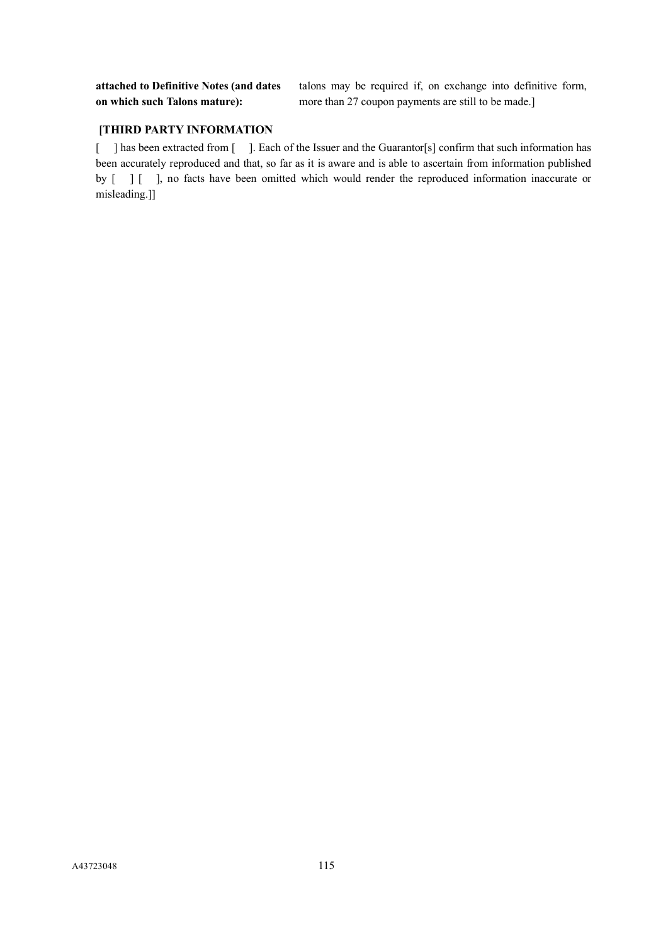**attached to Definitive Notes (and dates on which such Talons mature):**

talons may be required if, on exchange into definitive form, more than 27 coupon payments are still to be made.]

# **[THIRD PARTY INFORMATION**

[ ] has been extracted from [ ]. Each of the Issuer and the Guarantor[s] confirm that such information has been accurately reproduced and that, so far as it is aware and is able to ascertain from information published by  $\begin{bmatrix} 1 \\ 1 \end{bmatrix}$ , no facts have been omitted which would render the reproduced information inaccurate or misleading.]]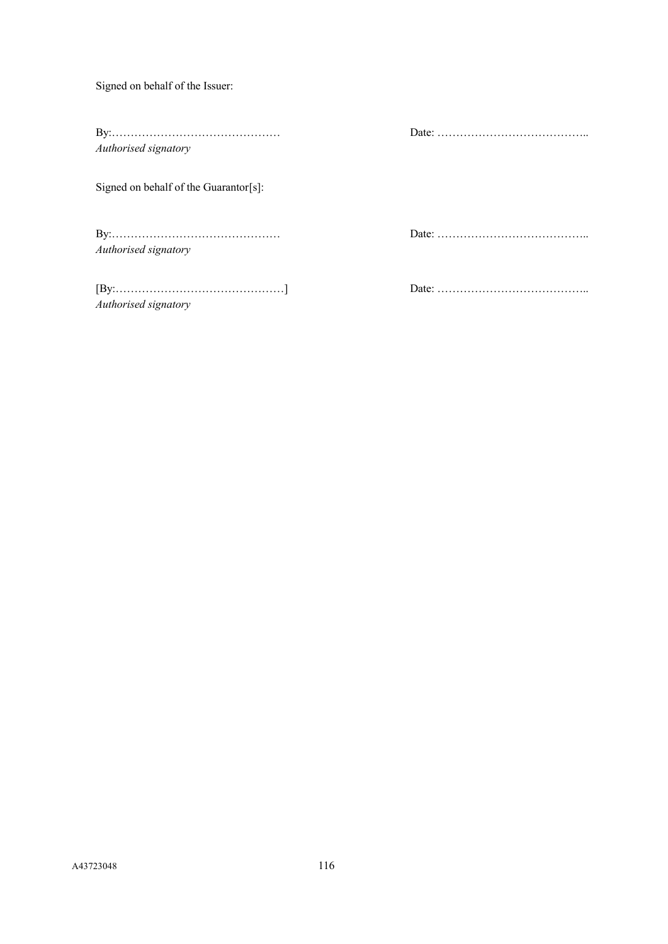Signed on behalf of the Issuer:

By:……………………………………… Date: ………………………………….. *Authorised signatory*

Signed on behalf of the Guarantor[s]:

By:……………………………………… Date: ………………………………….. *Authorised signatory*

[By:………………………………………] Date: ………………………………….. *Authorised signatory*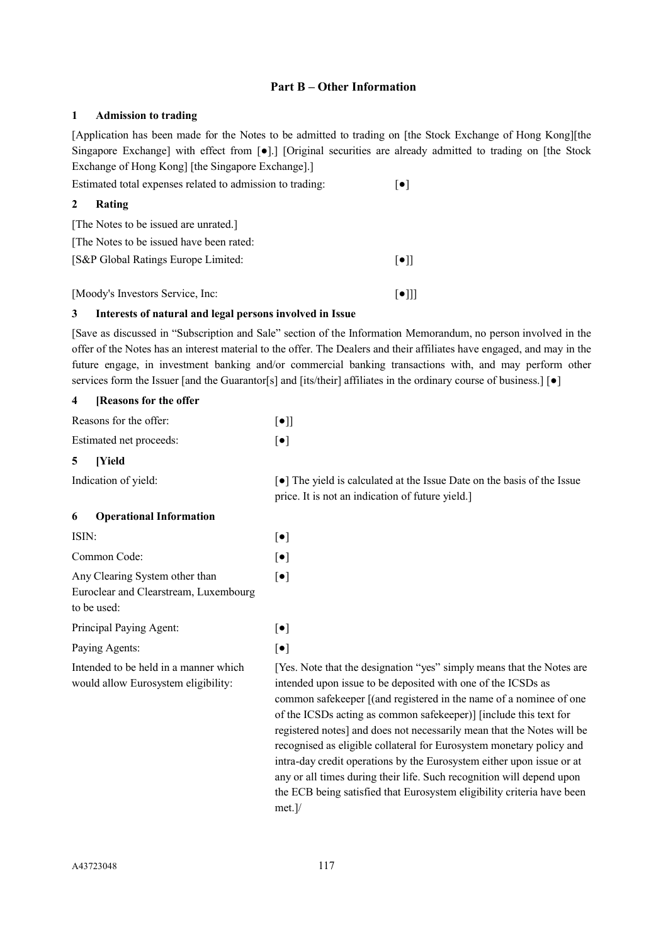# **Part B – Other Information**

### **1 Admission to trading**

[Application has been made for the Notes to be admitted to trading on [the Stock Exchange of Hong Kong][the Singapore Exchange] with effect from  $\lceil \bullet \rceil$ .] [Original securities are already admitted to trading on [the Stock Exchange of Hong Kong] [the Singapore Exchange].]

| Estimated total expenses related to admission to trading: |                         |
|-----------------------------------------------------------|-------------------------|
| $\mathbf{2}$<br>Rating                                    |                         |
| [The Notes to be issued are unrated.]                     |                         |
| [The Notes to be issued have been rated:                  |                         |
| [S&P Global Ratings Europe Limited:                       | $\lceil \bullet \rceil$ |
| [Moody's Investors Service, Inc:                          |                         |

### **3 Interests of natural and legal persons involved in Issue**

[Save as discussed in "Subscription and Sale" section of the Information Memorandum, no person involved in the offer of the Notes has an interest material to the offer. The Dealers and their affiliates have engaged, and may in the future engage, in investment banking and/or commercial banking transactions with, and may perform other services form the Issuer [and the Guarantor[s] and [its/their] affiliates in the ordinary course of business.] [ $\bullet$ ]

| [Reasons for the offer<br>4                                                            |                                                                                                                                                                                                                                                                                  |
|----------------------------------------------------------------------------------------|----------------------------------------------------------------------------------------------------------------------------------------------------------------------------------------------------------------------------------------------------------------------------------|
| Reasons for the offer:                                                                 | $[\bullet]]$                                                                                                                                                                                                                                                                     |
| Estimated net proceeds:                                                                | $[\bullet]$                                                                                                                                                                                                                                                                      |
| [Yield<br>5                                                                            |                                                                                                                                                                                                                                                                                  |
| Indication of yield:                                                                   | • The yield is calculated at the Issue Date on the basis of the Issue<br>price. It is not an indication of future yield.]                                                                                                                                                        |
| <b>Operational Information</b><br>6                                                    |                                                                                                                                                                                                                                                                                  |
| ISIN:                                                                                  | $[\bullet]$                                                                                                                                                                                                                                                                      |
| Common Code:                                                                           | $[\bullet]$                                                                                                                                                                                                                                                                      |
| Any Clearing System other than<br>Euroclear and Clearstream, Luxembourg<br>to be used: | $\left[\bullet\right]$                                                                                                                                                                                                                                                           |
| Principal Paying Agent:                                                                | $[\bullet]$                                                                                                                                                                                                                                                                      |
| Paying Agents:                                                                         | $[\bullet]$                                                                                                                                                                                                                                                                      |
| Intended to be held in a manner which<br>would allow Eurosystem eligibility:           | [Yes. Note that the designation "yes" simply means that the Notes are<br>intended upon issue to be deposited with one of the ICSDs as<br>common safekeeper [(and registered in the name of a nominee of one<br>of the ICCDs esting as common safelyconor) [include this toyt for |

of the ICSDs acting as common safekeeper)] [include this text for registered notes] and does not necessarily mean that the Notes will be recognised as eligible collateral for Eurosystem monetary policy and intra-day credit operations by the Eurosystem either upon issue or at any or all times during their life. Such recognition will depend upon the ECB being satisfied that Eurosystem eligibility criteria have been met.]/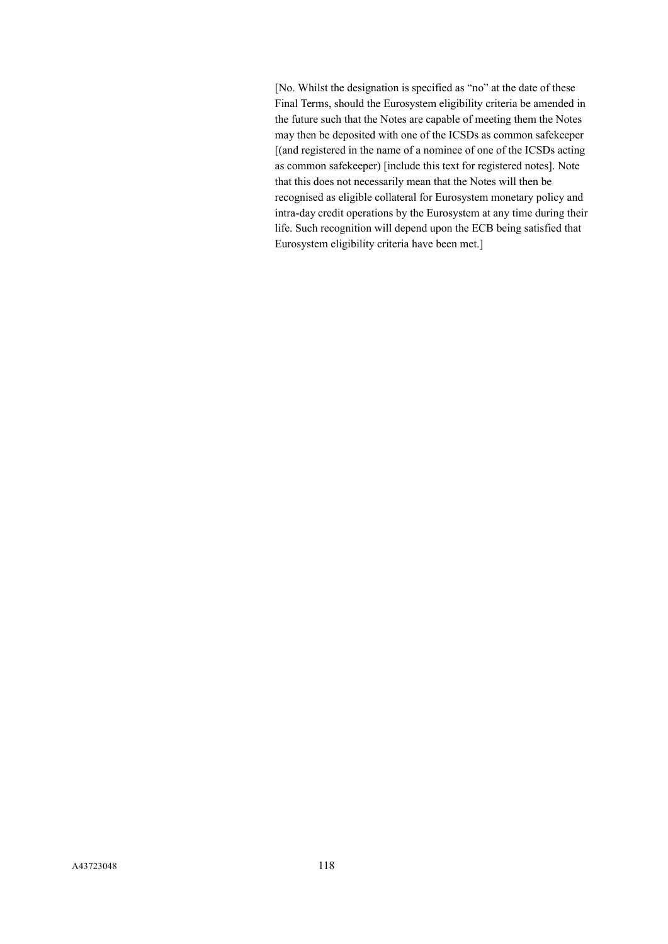[No. Whilst the designation is specified as "no" at the date of these Final Terms, should the Eurosystem eligibility criteria be amended in the future such that the Notes are capable of meeting them the Notes may then be deposited with one of the ICSDs as common safekeeper [(and registered in the name of a nominee of one of the ICSDs acting as common safekeeper) [include this text for registered notes]. Note that this does not necessarily mean that the Notes will then be recognised as eligible collateral for Eurosystem monetary policy and intra-day credit operations by the Eurosystem at any time during their life. Such recognition will depend upon the ECB being satisfied that Eurosystem eligibility criteria have been met.]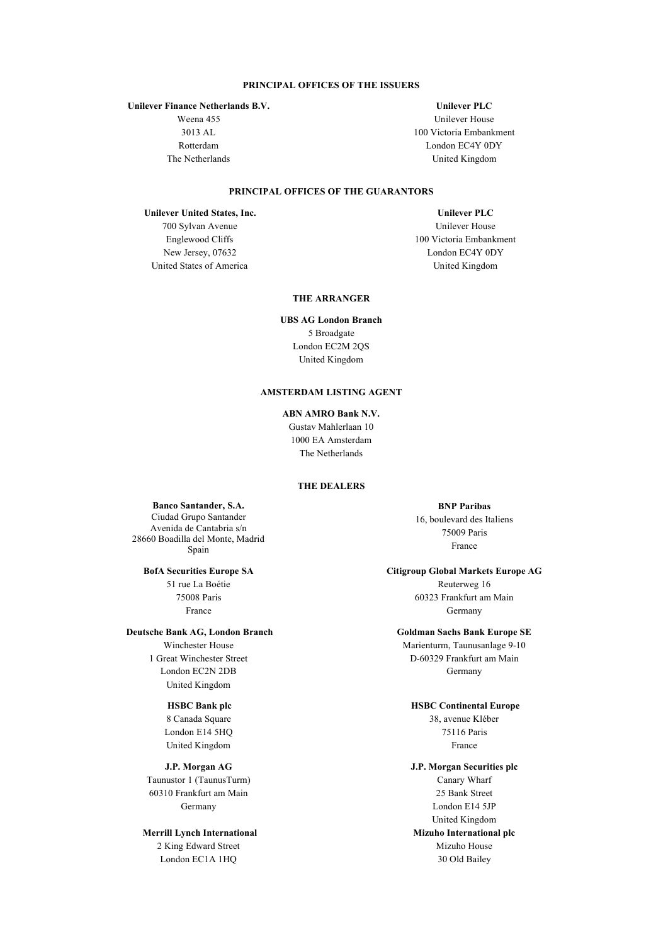#### **PRINCIPAL OFFICES OF THE ISSUERS**

**Unilever Finance Netherlands B.V.**

Weena 455 3013 AL Rotterdam The Netherlands

### **Unilever PLC**

Unilever House 100 Victoria Embankment London EC4Y 0DY United Kingdom

### **PRINCIPAL OFFICES OF THE GUARANTORS**

#### **Unilever United States, Inc.**

700 Sylvan Avenue Englewood Cliffs New Jersey, 07632 United States of America

**Unilever PLC** Unilever House 100 Victoria Embankment London EC4Y 0DY United Kingdom

#### **THE ARRANGER**

**UBS AG London Branch** 5 Broadgate London EC2M 2QS United Kingdom

#### **AMSTERDAM LISTING AGENT**

#### **ABN AMRO Bank N.V.**

Gustav Mahlerlaan 10 1000 EA Amsterdam The Netherlands

### **THE DEALERS**

**Banco Santander, S.A.** Ciudad Grupo Santander Avenida de Cantabria s/n 28660 Boadilla del Monte, Madrid Spain

**BofA Securities Europe SA** 51 rue La Boétie 75008 Paris France

**Deutsche Bank AG, London Branch** Winchester House 1 Great Winchester Street London EC2N 2DB United Kingdom

#### **HSBC Bank plc**

8 Canada Square London E14 5HQ United Kingdom

**J.P. Morgan AG** Taunustor 1 (TaunusTurm) 60310 Frankfurt am Main Germany

**Merrill Lynch International** 2 King Edward Street London EC1A 1HQ

**BNP Paribas** 16, boulevard des Italiens 75009 Paris France

**Citigroup Global Markets Europe AG**

Reuterweg 16 60323 Frankfurt am Main Germany

### **Goldman Sachs Bank Europe SE**

Marienturm, Taunusanlage 9-10 D-60329 Frankfurt am Main Germany

#### **HSBC Continental Europe**

38, avenue Kléber 75116 Paris France

**J.P. Morgan Securities plc** Canary Wharf 25 Bank Street London E14 5JP United Kingdom **Mizuho International plc** Mizuho House 30 Old Bailey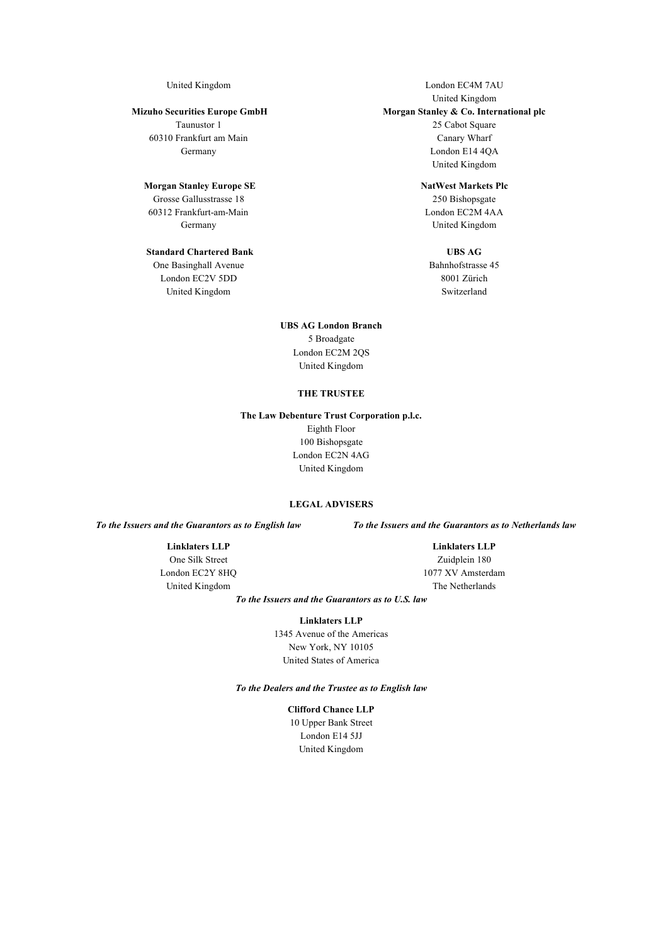#### **Mizuho Securities Europe GmbH**

Taunustor 1 60310 Frankfurt am Main Germany

#### **Morgan Stanley Europe SE**

Grosse Gallusstrasse 18 60312 Frankfurt-am-Main Germany

# **Standard Chartered Bank**

One Basinghall Avenue London EC2V 5DD United Kingdom

United Kingdom **London EC4M 7AU** United Kingdom **Morgan Stanley & Co. International plc** 25 Cabot Square Canary Wharf London E14 4QA United Kingdom

#### **NatWest Markets Plc**

250 Bishopsgate London EC2M 4AA United Kingdom

# **UBS AG**

Bahnhofstrasse 45 8001 Zürich Switzerland

**UBS AG London Branch** 5 Broadgate London EC2M 2QS United Kingdom

#### **THE TRUSTEE**

### **The Law Debenture Trust Corporation p.l.c.** Eighth Floor 100 Bishopsgate London EC2N 4AG United Kingdom

#### **LEGAL ADVISERS**

# **Linklaters LLP**

One Silk Street London EC2Y 8HQ United Kingdom

*To the Issuers and the Guarantors as to English law To the Issuers and the Guarantors as to Netherlands law*

**Linklaters LLP** Zuidplein 180 1077 XV Amsterdam The Netherlands

*To the Issuers and the Guarantors as to U.S. law*

**Linklaters LLP**

1345 Avenue of the Americas New York, NY 10105 United States of America

*To the Dealers and the Trustee as to English law*

**Clifford Chance LLP** 10 Upper Bank Street London E14 5JJ United Kingdom